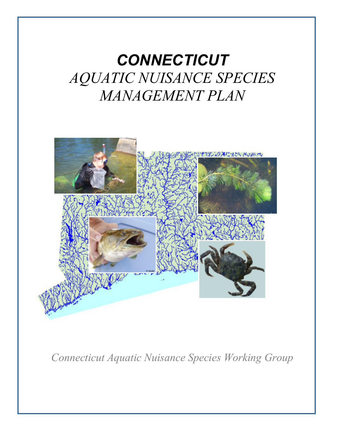# *CONNECTICUT AQUATIC NUISANCE SPECIES MANAGEMENT PLAN*



*Connecticut Aquatic Nuisance Species Working Group*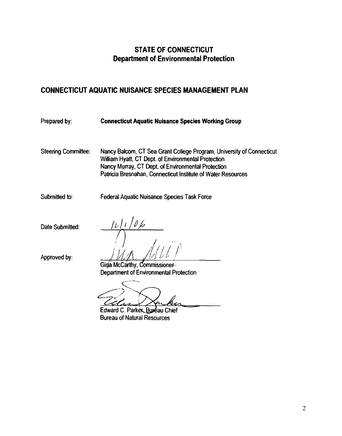# **STATE OF CONNECTICUT Department of Environmental Protection**

# **CONNECTICUT AQUATIC NUISANCE SPECIES MANAGEMENT PLAN**

| Prepared by:               | <b>Connecticut Aquatic Nuisance Species Working Group</b>                                                                                                                                                                                          |
|----------------------------|----------------------------------------------------------------------------------------------------------------------------------------------------------------------------------------------------------------------------------------------------|
| <b>Steering Committee:</b> | Nancy Balcom, CT Sea Grant College Program, University of Connecticut<br>William Hyatt, CT Dept. of Environmental Protection<br>Nancy Murray, CT Dept. of Environmental Protection<br>Patricia Bresnahan, Connecticut Institute of Water Resources |
| Submitted to:              | <b>Federal Aquatic Nuisance Species Task Force</b>                                                                                                                                                                                                 |
| Date Submitted:            |                                                                                                                                                                                                                                                    |
| Approved by:               | Gina McCarthy, Commissioner<br>Department of Environmental Protection                                                                                                                                                                              |
|                            |                                                                                                                                                                                                                                                    |

Gélan X

Edward C. Parker, Buseau Chief **Bureau of Natural Resources**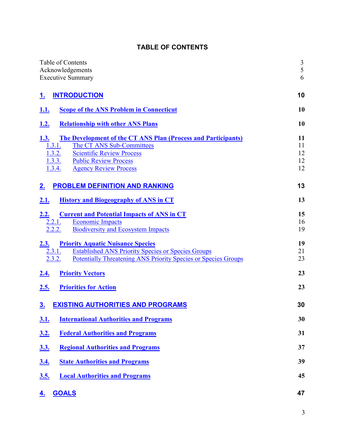## **TABLE OF CONTENTS**

| Table of Contents<br>Acknowledgements<br><b>Executive Summary</b>                                                                                                                                                                              | $\frac{3}{5}$<br>6         |
|------------------------------------------------------------------------------------------------------------------------------------------------------------------------------------------------------------------------------------------------|----------------------------|
| <b>INTRODUCTION</b><br>1.                                                                                                                                                                                                                      | 10                         |
| <b>Scope of the ANS Problem in Connecticut</b><br><u>1.1.</u>                                                                                                                                                                                  | 10                         |
| <b>Relationship with other ANS Plans</b><br><u>1.2.</u>                                                                                                                                                                                        | 10                         |
| 1.3.<br>The Development of the CT ANS Plan (Process and Participants)<br>The CT ANS Sub-Committees<br>1.3.1.<br>1.3.2.<br><b>Scientific Review Process</b><br>1.3.3.<br><b>Public Review Process</b><br><b>Agency Review Process</b><br>1.3.4. | 11<br>11<br>12<br>12<br>12 |
| <b>PROBLEM DEFINITION AND RANKING</b><br><u>2.</u>                                                                                                                                                                                             | 13                         |
| <b>History and Biogeography of ANS in CT</b><br>2.1.                                                                                                                                                                                           | 13                         |
| <u>2.2.</u><br><b>Current and Potential Impacts of ANS in CT</b><br><b>Economic Impacts</b><br><u>2.2.1.</u><br>2.2.2.<br><b>Biodiversity and Ecosystem Impacts</b>                                                                            | 15<br>16<br>19             |
| <b>Priority Aquatic Nuisance Species</b><br>2.3.<br><b>Established ANS Priority Species or Species Groups</b><br>2.3.1.<br>2.3.2.<br><b>Potentially Threatening ANS Priority Species or Species Groups</b>                                     | 19<br>21<br>23             |
| <b>Priority Vectors</b><br><u>2.4.</u>                                                                                                                                                                                                         | 23                         |
| 2.5.<br><b>Priorities for Action</b>                                                                                                                                                                                                           | 23                         |
| $\underline{3}$ .<br><u>EXISTING AUTHORITIES AND PROGRAMS</u>                                                                                                                                                                                  | 30                         |
| <b>International Authorities and Programs</b><br><u>3.1.</u>                                                                                                                                                                                   | 30                         |
| <b>Federal Authorities and Programs</b><br><u>3.2.</u>                                                                                                                                                                                         | 31                         |
| <b>Regional Authorities and Programs</b><br><u>3.3.</u>                                                                                                                                                                                        | 37                         |
| <b>State Authorities and Programs</b><br><u>3.4.</u>                                                                                                                                                                                           | 39                         |
| <b>Local Authorities and Programs</b><br><u>3.5.</u>                                                                                                                                                                                           | 45                         |
| <b>GOALS</b><br><u>4.</u>                                                                                                                                                                                                                      | 47                         |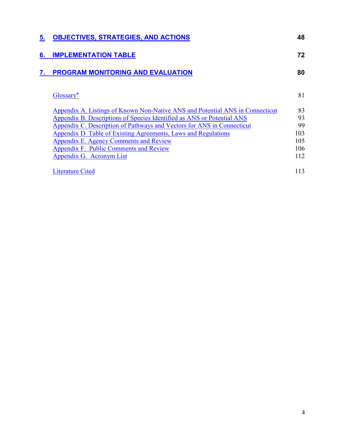| 5. | <b>OBJECTIVES, STRATEGIES, AND ACTIONS</b>                                    | 48  |
|----|-------------------------------------------------------------------------------|-----|
| 6. | <b>IMPLEMENTATION TABLE</b>                                                   | 72  |
| 7. | PROGRAM MONITORING AND EVALUATION                                             | 80  |
|    | Glossary*                                                                     | 81  |
|    | Appendix A. Listings of Known Non-Native ANS and Potential ANS in Connecticut | 83  |
|    | Appendix B. Descriptions of Species Identified as ANS or Potential ANS        | 93  |
|    | Appendix C. Description of Pathways and Vectors for ANS in Connecticut        | 99  |
|    | Appendix D. Table of Existing Agreements, Laws and Regulations                | 103 |
|    | Appendix E. Agency Comments and Review                                        | 105 |
|    | Appendix F. Public Comments and Review                                        | 106 |
|    | Appendix G. Acronym List                                                      | 112 |
|    | Literature Cited                                                              | 113 |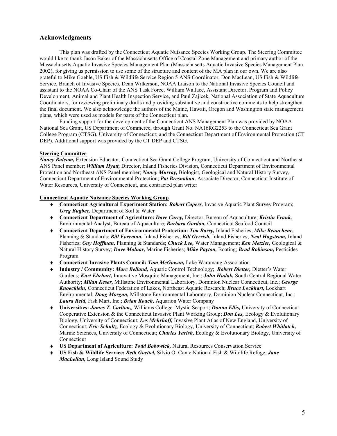#### **Acknowledgments**

This plan was drafted by the Connecticut Aquatic Nuisance Species Working Group. The Steering Committee would like to thank Jason Baker of the Massachusetts Office of Coastal Zone Management and primary author of the Massachusetts Aquatic Invasive Species Management Plan (Massachusetts Aquatic Invasive Species Management Plan 2002), for giving us permission to use some of the structure and content of the MA plan in our own. We are also grateful to Mike Goehle, US Fish & Wildlife Service Region 5 ANS Coordinator, Don MacLean, US Fish & Wildlife Service, Branch of Invasive Species, Dean Wilkerson, NOAA Liaison to the National Invasive Species Council and assistant to the NOAA Co-Chair of the ANS Task Force, William Wallace, Assistant Director, Program and Policy Development, Animal and Plant Health Inspection Service, and Paul Zajicek, National Association of State Aquaculture Coordinators, for reviewing preliminary drafts and providing substantive and constructive comments to help strengthen the final document. We also acknowledge the authors of the Maine, Hawaii, Oregon and Washington state management plans, which were used as models for parts of the Connecticut plan.

Funding support for the development of the Connecticut ANS Management Plan was provided by NOAA National Sea Grant, US Department of Commerce, through Grant No. NA16RG2253 to the Connecticut Sea Grant College Program (CTSG), University of Connecticut; and the Connecticut Department of Environmental Protection (CT DEP). Additional support was provided by the CT DEP and CTSG.

#### **Steering Committee**

*Nancy Balcom,* Extension Educator, Connecticut Sea Grant College Program, University of Connecticut and Northeast ANS Panel member; *William Hyatt,* Director, Inland Fisheries Division, Connecticut Department of Environmental Protection and Northeast ANS Panel member; *Nancy Murray,* Biologist, Geological and Natural History Survey, Connecticut Department of Environmental Protection; *Pat Bresnahan,* Associate Director, Connecticut Institute of Water Resources, University of Connecticut, and contracted plan writer

#### **Connecticut Aquatic Nuisance Species Working Group**

- ♦ **Connecticut Agricultural Experiment Station:** *Robert Capers,* Invasive Aquatic Plant Survey Program; *Greg Bugbee,* Department of Soil & Water
- ♦ **Connecticut Department of Agriculture:** *Dave Carey,* Director, Bureau of Aquaculture; *Kristin Frank,* Environmental Analyst, Bureau of Aquaculture; *Barbara Gordon,* Connecticut Seafood Council
- ♦ **Connecticut Department of Environmental Protection:** *Tim Barry,* Inland Fisheries; *Mike Beauchene,* Planning & Standards; *Bill Foreman,* Inland Fisheries; *Bill Gerrish,* Inland Fisheries; *Neal Hagstrom,* Inland Fisheries; *Guy Hoffman,* Planning & Standards; *Chuck Lee,* Water Management; *Ken Metzler,* Geological & Natural History Survey; *Dave Molnar,* Marine Fisheries; *Mike Payton,* Boating; *Brad Robinson,* Pesticides Program
- ♦ **Connecticut Invasive Plants Council:** *Tom McGowan,* Lake Waramaug Association
- ♦ **Industry / Community:** *Marc Bellaud,* Aquatic Control Technology; *Robert Dietter,* Dietter's Water Gardens; *Kurt Ehrhart,* Innovative Mosquito Management, Inc.; *John Hudak,* South Central Regional Water Authority; *Milan Keser,* Millstone Environmental Laboratory, Dominion Nuclear Connecticut, Inc.; *George Knoecklein,* Connecticut Federation of Lakes, Northeast Aquatic Research; *Bruce Lockhart,* Lockhart Environmental; *Doug Morgan,* Millstone Environmental Laboratory, Dominion Nuclear Connecticut, Inc.; *Laura Reid,* Fish Mart, Inc.; *Brian Roach,* Aquarion Water Company
- ♦ **Universities:** *James T. Carlton,,* Williams College–Mystic Seaport; *Donna Ellis,* University of Connecticut Cooperative Extension & the Connecticut Invasive Plant Working Group; *Don Les,* Ecology & Evolutionary Biology, University of Connecticut; *Les Mehrhoff,* Invasive Plant Atlas of New England, University of Connecticut; *Eric Schultz*, Ecology & Evolutionary Biology, University of Connecticut; *Robert Whitlatch,* Marine Sciences, University of Connecticut; *Charles Yarish,* Ecology & Evolutionary Biology, University of Connecticut
- ♦ **US Department of Agriculture:** *Todd Bobowick,* Natural Resources Conservation Service
- ♦ **US Fish & Wildlife Service:** *Beth Goettel,* Silvio O. Conte National Fish & Wildlife Refuge; *Jane MacLellan,* Long Island Sound Study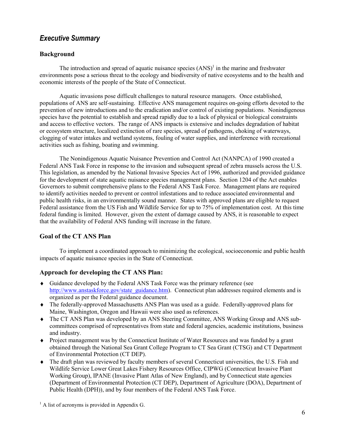## *Executive Summary*

#### **Background**

The introduction and spread of aquatic nuisance species  $(ANS)^{1}$  in the marine and freshwater environments pose a serious threat to the ecology and biodiversity of native ecosystems and to the health and economic interests of the people of the State of Connecticut.

Aquatic invasions pose difficult challenges to natural resource managers. Once established, populations of ANS are self-sustaining. Effective ANS management requires on-going efforts devoted to the prevention of new introductions and to the eradication and/or control of existing populations. Nonindigenous species have the potential to establish and spread rapidly due to a lack of physical or biological constraints and access to effective vectors. The range of ANS impacts is extensive and includes degradation of habitat or ecosystem structure, localized extinction of rare species, spread of pathogens, choking of waterways, clogging of water intakes and wetland systems, fouling of water supplies, and interference with recreational activities such as fishing, boating and swimming.

The Nonindigenous Aquatic Nuisance Prevention and Control Act (NANPCA) of 1990 created a Federal ANS Task Force in response to the invasion and subsequent spread of zebra mussels across the U.S. This legislation, as amended by the National Invasive Species Act of 1996, authorized and provided guidance for the development of state aquatic nuisance species management plans. Section 1204 of the Act enables Governors to submit comprehensive plans to the Federal ANS Task Force. Management plans are required to identify activities needed to prevent or control infestations and to reduce associated environmental and public health risks, in an environmentally sound manner. States with approved plans are eligible to request Federal assistance from the US Fish and Wildlife Service for up to 75% of implementation cost. At this time federal funding is limited. However, given the extent of damage caused by ANS, it is reasonable to expect that the availability of Federal ANS funding will increase in the future.

## **Goal of the CT ANS Plan**

To implement a coordinated approach to minimizing the ecological, socioeconomic and public health impacts of aquatic nuisance species in the State of Connecticut.

## **Approach for developing the CT ANS Plan:**

- ♦ Guidance developed by the Federal ANS Task Force was the primary reference (see [http://www.anstaskforce.gov/state\\_guidance.htm\)](http://www.anstaskforce.gov/state_guidance.htm). Connecticut plan addresses required elements and is organized as per the Federal guidance document.
- ♦ The federally-approved Massachusetts ANS Plan was used as a guide. Federally-approved plans for Maine, Washington, Oregon and Hawaii were also used as references.
- ♦ The CT ANS Plan was developed by an ANS Steering Committee, ANS Working Group and ANS subcommittees comprised of representatives from state and federal agencies, academic institutions, business and industry.
- ♦ Project management was by the Connecticut Institute of Water Resources and was funded by a grant obtained through the National Sea Grant College Program to CT Sea Grant (CTSG) and CT Department of Environmental Protection (CT DEP).
- $\bullet$  The draft plan was reviewed by faculty members of several Connecticut universities, the U.S. Fish and Wildlife Service Lower Great Lakes Fishery Resources Office, CIPWG (Connecticut Invasive Plant Working Group), IPANE (Invasive Plant Atlas of New England), and by Connecticut state agencies (Department of Environmental Protection (CT DEP), Department of Agriculture (DOA), Department of Public Health (DPH)), and by four members of the Federal ANS Task Force.

 $<sup>1</sup>$  A list of acronyms is provided in Appendix G.</sup>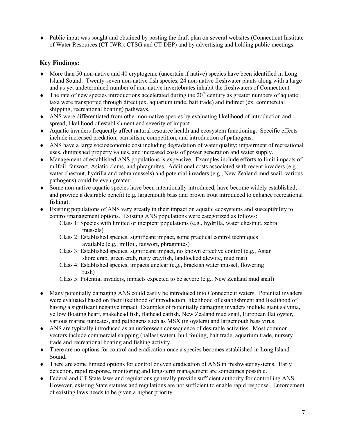♦ Public input was sought and obtained by posting the draft plan on several websites (Connecticut Institute of Water Resources (CT IWR), CTSG and CT DEP) and by advertising and holding public meetings.

## **Key Findings:**

- ♦ More than 50 non-native and 40 cryptogenic (uncertain if native) species have been identified in Long Island Sound. Twenty-seven non-native fish species, 24 non-native freshwater plants along with a large and as yet undetermined number of non-native invertebrates inhabit the freshwaters of Connecticut.
- $\blacklozenge$  The rate of new species introductions accelerated during the 20<sup>th</sup> century as greater numbers of aquatic taxa were transported through direct (ex. aquarium trade, bait trade) and indirect (ex. commercial shipping, recreational boating) pathways.
- ♦ ANS were differentiated from other non-native species by evaluating likelihood of introduction and spread, likelihood of establishment and severity of impact.
- ♦ Aquatic invaders frequently affect natural resource health and ecosystem functioning. Specific effects include increased predation, parasitism, competition, and introduction of pathogens.
- ♦ ANS have a large socioeconomic cost including degradation of water quality; impairment of recreational uses, diminished property values, and increased costs of power generation and water supply.
- ♦ Management of established ANS populations is expensive. Examples include efforts to limit impacts of milfoil, fanwort, Asiatic clams, and phragmites. Additional costs associated with recent invaders (e.g., water chestnut, hydrilla and zebra mussels) and potential invaders (e.g., New Zealand mud snail, various pathogens) could be even greater.
- ♦ Some non-native aquatic species have been intentionally introduced, have become widely established, and provide a desirable benefit (e.g. largemouth bass and brown trout introduced to enhance recreational fishing).
- ♦ Existing populations of ANS vary greatly in their impact on aquatic ecosystems and susceptibility to control/management options. Existing ANS populations were categorized as follows:
	- Class 1: Species with limited or incipient populations (e.g., hydrilla, water chestnut, zebra mussels)
	- Class 2: Established species, significant impact, some practical control techniques available (e.g., milfoil, fanwort, phragmites)
	- Class 3: Established species, significant impact, no known effective control (e.g., Asian shore crab, green crab, rusty crayfish, landlocked alewife, mud mat)
	- Class 4: Established species, impacts unclear (e.g., brackish water mussel, flowering rush)
	- Class 5: Potential invaders, impacts expected to be severe (e.g., New Zealand mud snail)
- ♦ Many potentially damaging ANS could easily be introduced into Connecticut waters. Potential invaders were evaluated based on their likelihood of introduction, likelihood of establishment and likelihood of having a significant negative impact. Examples of potentially damaging invaders include giant salvinia, yellow floating heart, snakehead fish, flathead catfish, New Zealand mud snail, European flat oyster, various marine tunicates, and pathogens such as MSX (in oysters) and largemouth bass virus.
- ♦ ANS are typically introduced as an unforeseen consequence of desirable activities. Most common vectors include commercial shipping (ballast water), hull fouling, bait trade, aquarium trade, nursery trade and recreational boating and fishing activity.
- ♦ There are no options for control and eradication once a species becomes established in Long Island Sound.
- ♦ There are some limited options for control or even eradication of ANS in freshwater systems. Early detection, rapid response, monitoring and long-term management are sometimes possible.
- ♦ Federal and CT State laws and regulations generally provide sufficient authority for controlling ANS. However, existing State statutes and regulations are not sufficient to enable rapid response. Enforcement of existing laws needs to be given a higher priority.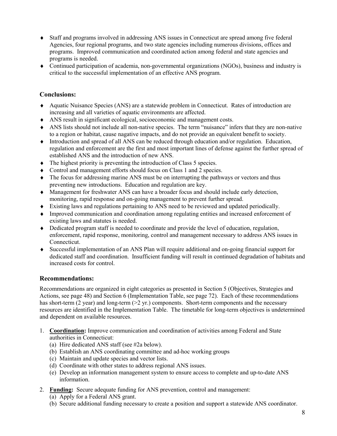- ♦ Staff and programs involved in addressing ANS issues in Connecticut are spread among five federal Agencies, four regional programs, and two state agencies including numerous divisions, offices and programs. Improved communication and coordinated action among federal and state agencies and programs is needed.
- ♦ Continued participation of academia, non-governmental organizations (NGOs), business and industry is critical to the successful implementation of an effective ANS program.

## **Conclusions:**

- ♦ Aquatic Nuisance Species (ANS) are a statewide problem in Connecticut. Rates of introduction are increasing and all varieties of aquatic environments are affected.
- ♦ ANS result in significant ecological, socioeconomic and management costs.
- ♦ ANS lists should not include all non-native species. The term "nuisance" infers that they are non-native to a region or habitat, cause nagative impacts, and do not provide an equivalent benefit to society.
- ♦ Introduction and spread of all ANS can be reduced through education and/or regulation. Education, regulation and enforcement are the first and most important lines of defense against the further spread of established ANS and the introduction of new ANS.
- ♦ The highest priority is preventing the introduction of Class 5 species.
- ♦ Control and management efforts should focus on Class 1 and 2 species.
- The focus for addressing marine ANS must be on interrupting the pathways or vectors and thus preventing new introductions. Education and regulation are key.
- ♦ Management for freshwater ANS can have a broader focus and should include early detection, monitoring, rapid response and on-going management to prevent further spread.
- ♦ Existing laws and regulations pertaining to ANS need to be reviewed and updated periodically.
- ♦ Improved communication and coordination among regulating entities and increased enforcement of existing laws and statutes is needed.
- ♦ Dedicated program staff is needed to coordinate and provide the level of education, regulation, enforcement, rapid response, monitoring, control and management necessary to address ANS issues in Connecticut.
- ♦ Successful implementation of an ANS Plan will require additional and on-going financial support for dedicated staff and coordination. Insufficient funding will result in continued degradation of habitats and increased costs for control.

## **Recommendations:**

Recommendations are organized in eight categories as presented in Section 5 (Objectives, Strategies and Actions, see page 48) and Section 6 (Implementation Table, see page 72). Each of these recommendations has short-term (2 year) and long-term (>2 yr.) components. Short-term components and the necessary resources are identified in the Implementation Table. The timetable for long-term objectives is undetermined and dependent on available resources.

- 1. **Coordination:** Improve communication and coordination of activities among Federal and State authorities in Connecticut:
	- (a) Hire dedicated ANS staff (see #2a below).
	- (b) Establish an ANS coordinating committee and ad-hoc working groups
	- (c) Maintain and update species and vector lists.
	- (d) Coordinate with other states to address regional ANS issues.
	- (e) Develop an information management system to ensure access to complete and up-to-date ANS information.
- 2. **Funding:** Secure adequate funding for ANS prevention, control and management:
	- (a) Apply for a Federal ANS grant.
	- (b) Secure additional funding necessary to create a position and support a statewide ANS coordinator.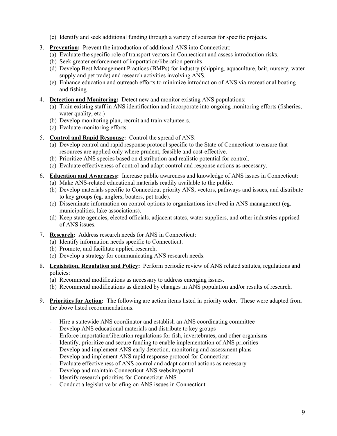- (c) Identify and seek additional funding through a variety of sources for specific projects.
- 3. **Prevention:** Prevent the introduction of additional ANS into Connecticut:
	- (a) Evaluate the specific role of transport vectors in Connecticut and assess introduction risks.
	- (b) Seek greater enforcement of importation/liberation permits.
	- (d) Develop Best Management Practices (BMPs) for industry (shipping, aquaculture, bait, nursery, water supply and pet trade) and research activities involving ANS.
	- (e) Enhance education and outreach efforts to minimize introduction of ANS via recreational boating and fishing
- 4. **Detection and Monitoring:** Detect new and monitor existing ANS populations:
	- (a) Train existing staff in ANS identification and incorporate into ongoing monitoring efforts (fisheries, water quality, etc.)
	- (b) Develop monitoring plan, recruit and train volunteers.
	- (c) Evaluate monitoring efforts.
- 5. **Control and Rapid Response:** Control the spread of ANS:
	- (a) Develop control and rapid response protocol specific to the State of Connecticut to ensure that resources are applied only where prudent, feasible and cost-effective.
	- (b) Prioritize ANS species based on distribution and realistic potential for control.
	- (c) Evaluate effectiveness of control and adapt control and response actions as necessary.
- 6. **Education and Awareness:** Increase public awareness and knowledge of ANS issues in Connecticut:
	- (a) Make ANS-related educational materials readily available to the public.
	- (b) Develop materials specific to Connecticut priority ANS, vectors, pathways and issues, and distribute to key groups (eg. anglers, boaters, pet trade).
	- (c) Disseminate information on control options to organizations involved in ANS management (eg. municipalities, lake associations).
	- (d) Keep state agencies, elected officials, adjacent states, water suppliers, and other industries apprised of ANS issues.
- 7. **Research:** Address research needs for ANS in Connecticut:
	- (a) Identify information needs specific to Connecticut.
	- (b) Promote, and facilitate applied research.
	- (c) Develop a strategy for communicating ANS research needs.
- 8. **Legislation, Regulation and Policy:** Perform periodic review of ANS related statutes, regulations and policies:
	- (a) Recommend modifications as necessary to address emerging issues.
	- (b) Recommend modifications as dictated by changes in ANS population and/or results of research.
- 9. **Priorities for Action:** The following are action items listed in priority order. These were adapted from the above listed recommendations.
	- Hire a statewide ANS coordinator and establish an ANS coordinating committee
	- Develop ANS educational materials and distribute to key groups
	- Enforce importation/liberation regulations for fish, invertebrates, and other organisms
	- Identify, prioritize and secure funding to enable implementation of ANS priorities
	- Develop and implement ANS early detection, monitoring and assessment plans
	- Develop and implement ANS rapid response protocol for Connecticut
	- Evaluate effectiveness of ANS control and adapt control actions as necessary
	- Develop and maintain Connecticut ANS website/portal
	- Identify research priorities for Connecticut ANS
	- Conduct a legislative briefing on ANS issues in Connecticut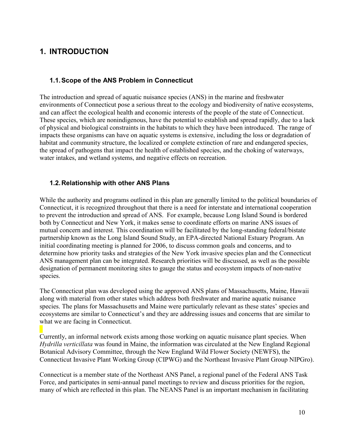# <span id="page-9-0"></span>**1. INTRODUCTION**

## <span id="page-9-1"></span>**1.1. Scope of the ANS Problem in Connecticut**

The introduction and spread of aquatic nuisance species (ANS) in the marine and freshwater environments of Connecticut pose a serious threat to the ecology and biodiversity of native ecosystems, and can affect the ecological health and economic interests of the people of the state of Connecticut. These species, which are nonindigenous, have the potential to establish and spread rapidly, due to a lack of physical and biological constraints in the habitats to which they have been introduced. The range of impacts these organisms can have on aquatic systems is extensive, including the loss or degradation of habitat and community structure, the localized or complete extinction of rare and endangered species, the spread of pathogens that impact the health of established species, and the choking of waterways, water intakes, and wetland systems, and negative effects on recreation.

## <span id="page-9-2"></span>**1.2. Relationship with other ANS Plans**

While the authority and programs outlined in this plan are generally limited to the political boundaries of Connecticut, it is recognized throughout that there is a need for interstate and international cooperation to prevent the introduction and spread of ANS. For example, because Long Island Sound is bordered both by Connecticut and New York, it makes sense to coordinate efforts on marine ANS issues of mutual concern and interest. This coordination will be facilitated by the long-standing federal/bistate partnership known as the Long Island Sound Study, an EPA-directed National Estuary Program. An initial coordinating meeting is planned for 2006, to discuss common goals and concerns, and to determine how priority tasks and strategies of the New York invasive species plan and the Connecticut ANS management plan can be integrated. Research priorities will be discussed, as well as the possible designation of permanent monitoring sites to gauge the status and ecosystem impacts of non-native species.

The Connecticut plan was developed using the approved ANS plans of Massachusetts, Maine, Hawaii along with material from other states which address both freshwater and marine aquatic nuisance species. The plans for Massachusetts and Maine were particularly relevant as these states' species and ecosystems are similar to Connecticut's and they are addressing issues and concerns that are similar to what we are facing in Connecticut.

Currently, an informal network exists among those working on aquatic nuisance plant species. When *Hydrilla verticillata* was found in Maine, the information was circulated at the New England Regional Botanical Advisory Committee, through the New England Wild Flower Society (NEWFS), the Connecticut Invasive Plant Working Group (CIPWG) and the Northeast Invasive Plant Group NIPGro).

Connecticut is a member state of the Northeast ANS Panel, a regional panel of the Federal ANS Task Force, and participates in semi-annual panel meetings to review and discuss priorities for the region, many of which are reflected in this plan. The NEANS Panel is an important mechanism in facilitating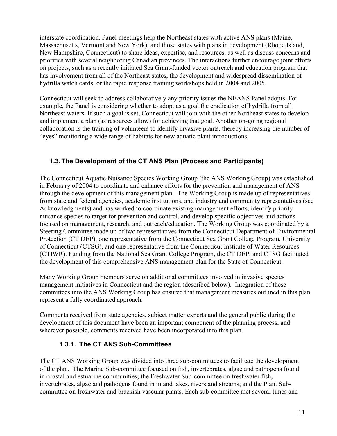interstate coordination. Panel meetings help the Northeast states with active ANS plans (Maine, Massachusetts, Vermont and New York), and those states with plans in development (Rhode Island, New Hampshire, Connecticut) to share ideas, expertise, and resources, as well as discuss concerns and priorities with several neighboring Canadian provinces. The interactions further encourage joint efforts on projects, such as a recently initiated Sea Grant-funded vector outreach and education program that has involvement from all of the Northeast states, the development and widespread dissemination of hydrilla watch cards, or the rapid response training workshops held in 2004 and 2005.

Connecticut will seek to address collaboratively any priority issues the NEANS Panel adopts. For example, the Panel is considering whether to adopt as a goal the eradication of hydrilla from all Northeast waters. If such a goal is set, Connecticut will join with the other Northeast states to develop and implement a plan (as resources allow) for achieving that goal. Another on-going regional collaboration is the training of volunteers to identify invasive plants, thereby increasing the number of "eyes" monitoring a wide range of habitats for new aquatic plant introductions.

## <span id="page-10-0"></span>**1.3. The Development of the CT ANS Plan (Process and Participants)**

The Connecticut Aquatic Nuisance Species Working Group (the ANS Working Group) was established in February of 2004 to coordinate and enhance efforts for the prevention and management of ANS through the development of this management plan. The Working Group is made up of representatives from state and federal agencies, academic institutions, and industry and community representatives (see Acknowledgments) and has worked to coordinate existing management efforts, identify priority nuisance species to target for prevention and control, and develop specific objectives and actions focused on management, research, and outreach/education. The Working Group was coordinated by a Steering Committee made up of two representatives from the Connecticut Department of Environmental Protection (CT DEP), one representative from the Connecticut Sea Grant College Program, University of Connecticut (CTSG), and one representative from the Connecticut Institute of Water Resources (CTIWR). Funding from the National Sea Grant College Program, the CT DEP, and CTSG facilitated the development of this comprehensive ANS management plan for the State of Connecticut.

Many Working Group members serve on additional committees involved in invasive species management initiatives in Connecticut and the region (described below). Integration of these committees into the ANS Working Group has ensured that management measures outlined in this plan represent a fully coordinated approach.

Comments received from state agencies, subject matter experts and the general public during the development of this document have been an important component of the planning process, and wherever possible, comments received have been incorporated into this plan.

## <span id="page-10-1"></span>**1.3.1. The CT ANS Sub-Committees**

The CT ANS Working Group was divided into three sub-committees to facilitate the development of the plan. The Marine Sub-committee focused on fish, invertebrates, algae and pathogens found in coastal and estuarine communities; the Freshwater Sub-committee on freshwater fish, invertebrates, algae and pathogens found in inland lakes, rivers and streams; and the Plant Subcommittee on freshwater and brackish vascular plants. Each sub-committee met several times and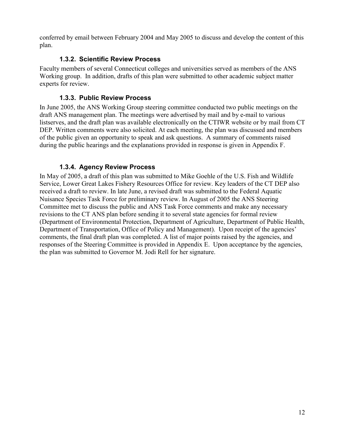conferred by email between February 2004 and May 2005 to discuss and develop the content of this plan.

## <span id="page-11-0"></span>**1.3.2. Scientific Review Process**

Faculty members of several Connecticut colleges and universities served as members of the ANS Working group. In addition, drafts of this plan were submitted to other academic subject matter experts for review.

## <span id="page-11-1"></span>**1.3.3. Public Review Process**

In June 2005, the ANS Working Group steering committee conducted two public meetings on the draft ANS management plan. The meetings were advertised by mail and by e-mail to various listserves, and the draft plan was available electronically on the CTIWR website or by mail from CT DEP. Written comments were also solicited. At each meeting, the plan was discussed and members of the public given an opportunity to speak and ask questions. A summary of comments raised during the public hearings and the explanations provided in response is given in Appendix F.

## <span id="page-11-2"></span>**1.3.4. Agency Review Process**

In May of 2005, a draft of this plan was submitted to Mike Goehle of the U.S. Fish and Wildlife Service, Lower Great Lakes Fishery Resources Office for review. Key leaders of the CT DEP also received a draft to review. In late June, a revised draft was submitted to the Federal Aquatic Nuisance Species Task Force for preliminary review. In August of 2005 the ANS Steering Committee met to discuss the public and ANS Task Force comments and make any necessary revisions to the CT ANS plan before sending it to several state agencies for formal review (Department of Environmental Protection, Department of Agriculture, Department of Public Health, Department of Transportation, Office of Policy and Management). Upon receipt of the agencies' comments, the final draft plan was completed. A list of major points raised by the agencies, and responses of the Steering Committee is provided in Appendix E. Upon acceptance by the agencies, the plan was submitted to Governor M. Jodi Rell for her signature.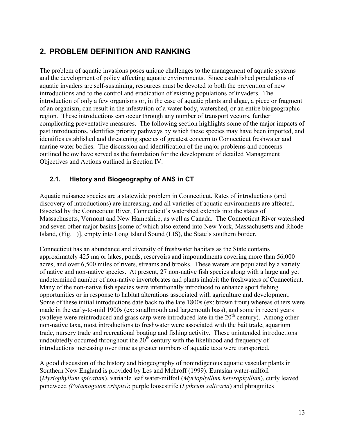# <span id="page-12-0"></span>**2. PROBLEM DEFINITION AND RANKING**

The problem of aquatic invasions poses unique challenges to the management of aquatic systems and the development of policy affecting aquatic environments. Since established populations of aquatic invaders are self-sustaining, resources must be devoted to both the prevention of new introductions and to the control and eradication of existing populations of invaders. The introduction of only a few organisms or, in the case of aquatic plants and algae, a piece or fragment of an organism, can result in the infestation of a water body, watershed, or an entire biogeographic region. These introductions can occur through any number of transport vectors, further complicating preventative measures. The following section highlights some of the major impacts of past introductions, identifies priority pathways by which these species may have been imported, and identifies established and threatening species of greatest concern to Connecticut freshwater and marine water bodies. The discussion and identification of the major problems and concerns outlined below have served as the foundation for the development of detailed Management Objectives and Actions outlined in Section IV.

## <span id="page-12-1"></span>**2.1. History and Biogeography of ANS in CT**

Aquatic nuisance species are a statewide problem in Connecticut. Rates of introductions (and discovery of introductions) are increasing, and all varieties of aquatic environments are affected. Bisected by the Connecticut River, Connecticut's watershed extends into the states of Massachusetts, Vermont and New Hampshire, as well as Canada. The Connecticut River watershed and seven other major basins [some of which also extend into New York, Massachusetts and Rhode Island, (Fig. 1)], empty into Long Island Sound (LIS), the State's southern border.

Connecticut has an abundance and diversity of freshwater habitats as the State contains approximately 425 major lakes, ponds, reservoirs and impoundments covering more than 56,000 acres, and over 6,500 miles of rivers, streams and brooks. These waters are populated by a variety of native and non-native species. At present, 27 non-native fish species along with a large and yet undetermined number of non-native invertebrates and plants inhabit the freshwaters of Connecticut. Many of the non-native fish species were intentionally introduced to enhance sport fishing opportunities or in response to habitat alterations associated with agriculture and development. Some of these initial introductions date back to the late 1800s (ex: brown trout) whereas others were made in the early-to-mid 1900s (ex: smallmouth and largemouth bass), and some in recent years (walleye were reintroduced and grass carp were introduced late in the  $20<sup>th</sup>$  century). Among other non-native taxa, most introductions to freshwater were associated with the bait trade, aquarium trade, nursery trade and recreational boating and fishing activity. These unintended introductions undoubtedly occurred throughout the  $20<sup>th</sup>$  century with the likelihood and frequency of introductions increasing over time as greater numbers of aquatic taxa were transported.

A good discussion of the history and biogeography of nonindigenous aquatic vascular plants in Southern New England is provided by Les and Mehroff (1999). Eurasian water-milfoil (*Myriophyllum spicatum*), variable leaf water-milfoil (*Myriophyllum heterophyllum*), curly leaved pondweed *(Potamogeton crispus)*; purple loosestrife (*Lythrum salicaria*) and phragmites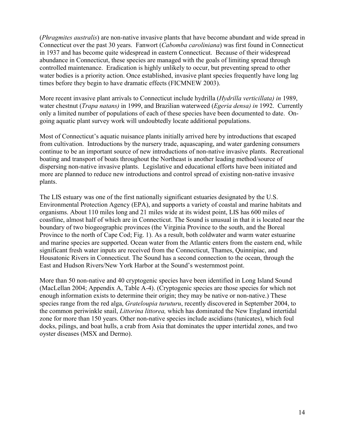(*Phragmites australis*) are non-native invasive plants that have become abundant and wide spread in Connecticut over the past 30 years. Fanwort (*Cabomba caroliniana*) was first found in Connecticut in 1937 and has become quite widespread in eastern Connecticut. Because of their widespread abundance in Connecticut, these species are managed with the goals of limiting spread through controlled maintenance. Eradication is highly unlikely to occur, but preventing spread to other water bodies is a priority action. Once established, invasive plant species frequently have long lag times before they begin to have dramatic effects (FICMNEW 2003).

More recent invasive plant arrivals to Connecticut include hydrilla (*Hydrilla verticillata) in* 1989, water chestnut (*Trapa natans)* in 1999, and Brazilian waterweed (*Egeria densa) in* 1992. Currently only a limited number of populations of each of these species have been documented to date. Ongoing aquatic plant survey work will undoubtedly locate additional populations.

Most of Connecticut's aquatic nuisance plants initially arrived here by introductions that escaped from cultivation. Introductions by the nursery trade, aquascaping, and water gardening consumers continue to be an important source of new introductions of non-native invasive plants. Recreational boating and transport of boats throughout the Northeast is another leading method/source of dispersing non-native invasive plants. Legislative and educational efforts have been initiated and more are planned to reduce new introductions and control spread of existing non-native invasive plants.

The LIS estuary was one of the first nationally significant estuaries designated by the U.S. Environmental Protection Agency (EPA), and supports a variety of coastal and marine habitats and organisms. About 110 miles long and 21 miles wide at its widest point, LIS has 600 miles of coastline, almost half of which are in Connecticut. The Sound is unusual in that it is located near the boundary of two biogeographic provinces (the Virginia Province to the south, and the Boreal Province to the north of Cape Cod; Fig. 1). As a result, both coldwater and warm water estuarine and marine species are supported. Ocean water from the Atlantic enters from the eastern end, while significant fresh water inputs are received from the Connecticut, Thames, Quinnipiac, and Housatonic Rivers in Connecticut. The Sound has a second connection to the ocean, through the East and Hudson Rivers/New York Harbor at the Sound's westernmost point.

More than 50 non-native and 40 cryptogenic species have been identified in Long Island Sound (MacLellan 2004; Appendix A, Table A-4). (Cryptogenic species are those species for which not enough information exists to determine their origin; they may be native or non-native.) These species range from the red alga, *Grateloupia turuturu*, recently discovered in September 2004, to the common periwinkle snail, *Littorina littorea,* which has dominated the New England intertidal zone for more than 150 years. Other non-native species include ascidians (tunicates), which foul docks, pilings, and boat hulls, a crab from Asia that dominates the upper intertidal zones, and two oyster diseases (MSX and Dermo).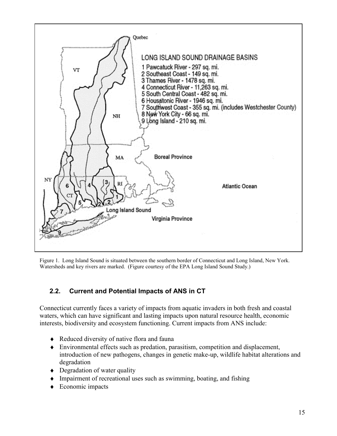

Figure 1. Long Island Sound is situated between the southern border of Connecticut and Long Island, New York. Watersheds and key rivers are marked. (Figure courtesy of the EPA Long Island Sound Study.)

## <span id="page-14-0"></span>**2.2. Current and Potential Impacts of ANS in CT**

Connecticut currently faces a variety of impacts from aquatic invaders in both fresh and coastal waters, which can have significant and lasting impacts upon natural resource health, economic interests, biodiversity and ecosystem functioning. Current impacts from ANS include:

- ♦ Reduced diversity of native flora and fauna
- ♦ Environmental effects such as predation, parasitism, competition and displacement, introduction of new pathogens, changes in genetic make-up, wildlife habitat alterations and degradation
- Degradation of water quality
- ♦ Impairment of recreational uses such as swimming, boating, and fishing
- $\triangle$  Economic impacts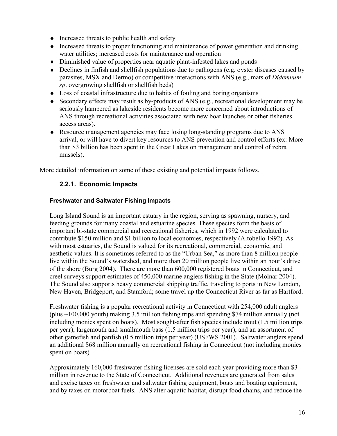- ♦ Increased threats to public health and safety
- ♦ Increased threats to proper functioning and maintenance of power generation and drinking water utilities; increased costs for maintenance and operation
- ♦ Diminished value of properties near aquatic plant-infested lakes and ponds
- ♦ Declines in finfish and shellfish populations due to pathogens (e.g. oyster diseases caused by parasites, MSX and Dermo) or competitive interactions with ANS (e.g., mats of *Didemnum sp*. overgrowing shellfish or shellfish beds)
- ♦ Loss of coastal infrastructure due to habits of fouling and boring organisms
- ♦ Secondary effects may result as by-products of ANS (e.g., recreational development may be seriously hampered as lakeside residents become more concerned about introductions of ANS through recreational activities associated with new boat launches or other fisheries access areas).
- ♦ Resource management agencies may face losing long-standing programs due to ANS arrival, or will have to divert key resources to ANS prevention and control efforts (ex: More than \$3 billion has been spent in the Great Lakes on management and control of zebra mussels).

More detailed information on some of these existing and potential impacts follows.

## <span id="page-15-0"></span>**2.2.1. Economic Impacts**

#### **Freshwater and Saltwater Fishing Impacts**

Long Island Sound is an important estuary in the region, serving as spawning, nursery, and feeding grounds for many coastal and estuarine species. These species form the basis of important bi-state commercial and recreational fisheries, which in 1992 were calculated to contribute \$150 million and \$1 billion to local economies, respectively (Altobello 1992). As with most estuaries, the Sound is valued for its recreational, commercial, economic, and aesthetic values. It is sometimes referred to as the "Urban Sea," as more than 8 million people live within the Sound's watershed, and more than 20 million people live within an hour's drive of the shore (Burg 2004). There are more than 600,000 registered boats in Connecticut, and creel surveys support estimates of 450,000 marine anglers fishing in the State (Molnar 2004). The Sound also supports heavy commercial shipping traffic, traveling to ports in New London, New Haven, Bridgeport, and Stamford; some travel up the Connecticut River as far as Hartford.

Freshwater fishing is a popular recreational activity in Connecticut with 254,000 adult anglers (plus ~100,000 youth) making 3.5 million fishing trips and spending \$74 million annually (not including monies spent on boats). Most sought-after fish species include trout (1.5 million trips per year), largemouth and smallmouth bass (1.5 million trips per year), and an assortment of other gamefish and panfish (0.5 million trips per year) (USFWS 2001). Saltwater anglers spend an additional \$68 million annually on recreational fishing in Connecticut (not including monies spent on boats)

Approximately 160,000 freshwater fishing licenses are sold each year providing more than \$3 million in revenue to the State of Connecticut. Additional revenues are generated from sales and excise taxes on freshwater and saltwater fishing equipment, boats and boating equipment, and by taxes on motorboat fuels. ANS alter aquatic habitat, disrupt food chains, and reduce the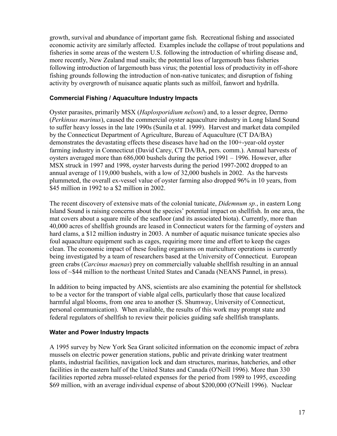growth, survival and abundance of important game fish. Recreational fishing and associated economic activity are similarly affected. Examples include the collapse of trout populations and fisheries in some areas of the western U.S. following the introduction of whirling disease and, more recently, New Zealand mud snails; the potential loss of largemouth bass fisheries following introduction of largemouth bass virus; the potential loss of productivity in off-shore fishing grounds following the introduction of non-native tunicates; and disruption of fishing activity by overgrowth of nuisance aquatic plants such as milfoil, fanwort and hydrilla.

#### **Commercial Fishing / Aquaculture Industry Impacts**

Oyster parasites, primarily MSX (*Haplosporidium nelsoni*) and, to a lesser degree, Dermo (*Perkinsus marinus*), caused the commercial oyster aquaculture industry in Long Island Sound to suffer heavy losses in the late 1990s (Sunila et al. 1999). Harvest and market data compiled by the Connecticut Department of Agriculture, Bureau of Aquaculture (CT DA/BA) demonstrates the devastating effects these diseases have had on the 100+-year-old oyster farming industry in Connecticut (David Carey, CT DA/BA, pers. comm.). Annual harvests of oysters averaged more than 686,000 bushels during the period 1991 – 1996. However, after MSX struck in 1997 and 1998, oyster harvests during the period 1997-2002 dropped to an annual average of 119,000 bushels, with a low of 32,000 bushels in 2002. As the harvests plummeted, the overall ex-vessel value of oyster farming also dropped 96% in 10 years, from \$45 million in 1992 to a \$2 million in 2002.

The recent discovery of extensive mats of the colonial tunicate, *Didemnum sp.*, in eastern Long Island Sound is raising concerns about the species' potential impact on shellfish. In one area, the mat covers about a square mile of the seafloor (and its associated biota). Currently, more than 40,000 acres of shellfish grounds are leased in Connecticut waters for the farming of oysters and hard clams, a \$12 million industry in 2003. A number of aquatic nuisance tunicate species also foul aquaculture equipment such as cages, requiring more time and effort to keep the cages clean. The economic impact of these fouling organisms on mariculture operations is currently being investigated by a team of researchers based at the University of Connecticut. European green crabs (*Carcinus maenas*) prey on commercially valuable shellfish resulting in an annual loss of ~\$44 million to the northeast United States and Canada (NEANS Pannel, in press).

In addition to being impacted by ANS, scientists are also examining the potential for shellstock to be a vector for the transport of viable algal cells, particularly those that cause localized harmful algal blooms, from one area to another (S. Shumway, University of Connecticut, personal communication). When available, the results of this work may prompt state and federal regulators of shellfish to review their policies guiding safe shellfish transplants.

#### **Water and Power Industry Impacts**

A 1995 survey by New York Sea Grant solicited information on the economic impact of zebra mussels on electric power generation stations, public and private drinking water treatment plants, industrial facilities, navigation lock and dam structures, marinas, hatcheries, and other facilities in the eastern half of the United States and Canada (O'Neill 1996). More than 330 facilities reported zebra mussel-related expenses for the period from 1989 to 1995, exceeding \$69 million, with an average individual expense of about \$200,000 (O'Neill 1996). Nuclear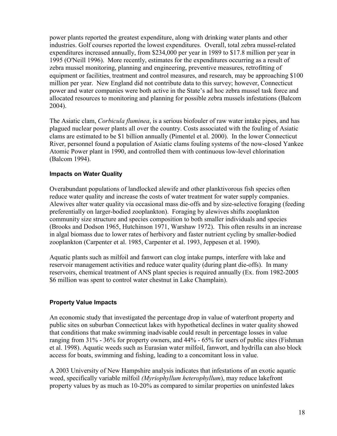power plants reported the greatest expenditure, along with drinking water plants and other industries. Golf courses reported the lowest expenditures. Overall, total zebra mussel-related expenditures increased annually, from \$234,000 per year in 1989 to \$17.8 million per year in 1995 (O'Neill 1996). More recently, estimates for the expenditures occurring as a result of zebra mussel monitoring, planning and engineering, preventive measures, retrofitting of equipment or facilities, treatment and control measures, and research, may be approaching \$100 million per year. New England did not contribute data to this survey; however, Connecticut power and water companies were both active in the State's ad hoc zebra mussel task force and allocated resources to monitoring and planning for possible zebra mussels infestations (Balcom 2004).

The Asiatic clam, *Corbicula fluminea*, is a serious biofouler of raw water intake pipes, and has plagued nuclear power plants all over the country. Costs associated with the fouling of Asiatic clams are estimated to be \$1 billion annually (Pimentel et al. 2000). In the lower Connecticut River, personnel found a population of Asiatic clams fouling systems of the now-closed Yankee Atomic Power plant in 1990, and controlled them with continuous low-level chlorination (Balcom 1994).

#### **Impacts on Water Quality**

Overabundant populations of landlocked alewife and other planktivorous fish species often reduce water quality and increase the costs of water treatment for water supply companies. Alewives alter water quality via occasional mass die-offs and by size-selective foraging (feeding preferentially on larger-bodied zooplankton). Foraging by alewives shifts zooplankton community size structure and species composition to both smaller individuals and species (Brooks and Dodson 1965, Hutchinson 1971, Warshaw 1972). This often results in an increase in algal biomass due to lower rates of herbivory and faster nutrient cycling by smaller-bodied zooplankton (Carpenter et al. 1985, Carpenter et al. 1993, Jeppesen et al. 1990).

Aquatic plants such as milfoil and fanwort can clog intake pumps, interfere with lake and reservoir management activities and reduce water quality (during plant die-offs). In many reservoirs, chemical treatment of ANS plant species is required annually (Ex. from 1982-2005 \$6 million was spent to control water chestnut in Lake Champlain).

#### **Property Value Impacts**

An economic study that investigated the percentage drop in value of waterfront property and public sites on suburban Connecticut lakes with hypothetical declines in water quality showed that conditions that make swimming inadvisable could result in percentage losses in value ranging from 31% - 36% for property owners, and 44% - 65% for users of public sites (Fishman et al. 1998). Aquatic weeds such as Eurasian water milfoil, fanwort, and hydrilla can also block access for boats, swimming and fishing, leading to a concomitant loss in value.

A 2003 University of New Hampshire analysis indicates that infestations of an exotic aquatic weed, specifically variable milfoil *(Myriophyllum heterophyllum*), may reduce lakefront property values by as much as 10-20% as compared to similar properties on uninfested lakes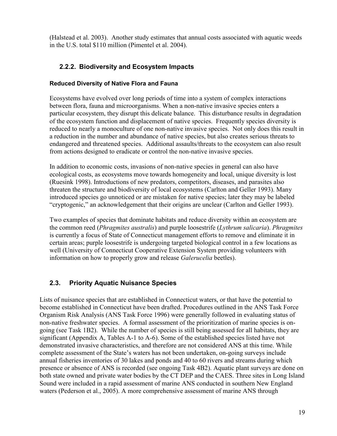(Halstead et al. 2003). Another study estimates that annual costs associated with aquatic weeds in the U.S. total \$110 million (Pimentel et al. 2004).

## <span id="page-18-0"></span>**2.2.2. Biodiversity and Ecosystem Impacts**

## **Reduced Diversity of Native Flora and Fauna**

Ecosystems have evolved over long periods of time into a system of complex interactions between flora, fauna and microorganisms. When a non-native invasive species enters a particular ecosystem, they disrupt this delicate balance. This disturbance results in degradation of the ecosystem function and displacement of native species. Frequently species diversity is reduced to nearly a monoculture of one non-native invasive species. Not only does this result in a reduction in the number and abundance of native species, but also creates serious threats to endangered and threatened species. Additional assaults/threats to the ecosystem can also result from actions designed to eradicate or control the non-native invasive species.

In addition to economic costs, invasions of non-native species in general can also have ecological costs, as ecosystems move towards homogeneity and local, unique diversity is lost (Ruesink 1998). Introductions of new predators, competitors, diseases, and parasites also threaten the structure and biodiversity of local ecosystems (Carlton and Geller 1993). Many introduced species go unnoticed or are mistaken for native species; later they may be labeled "cryptogenic," an acknowledgement that their origins are unclear (Carlton and Geller 1993).

Two examples of species that dominate habitats and reduce diversity within an ecosystem are the common reed (*Phragmites australis*) and purple loosestrife (*Lythrum salicaria*). *Phragmites* is currently a focus of State of Connecticut management efforts to remove and eliminate it in certain areas; purple loosestrife is undergoing targeted biological control in a few locations as well (University of Connecticut Cooperative Extension System providing volunteers with information on how to properly grow and release *Galerucelia* beetles).

## <span id="page-18-1"></span>**2.3. Priority Aquatic Nuisance Species**

Lists of nuisance species that are established in Connecticut waters, or that have the potential to become established in Connecticut have been drafted. Procedures outlined in the ANS Task Force Organism Risk Analysis (ANS Task Force 1996) were generally followed in evaluating status of non-native freshwater species. A formal assessment of the prioritization of marine species is ongoing (see Task 1B2). While the number of species is still being assessed for all habitats, they are significant (Appendix A, Tables A-1 to A-6). Some of the established species listed have not demonstrated invasive characteristics, and therefore are not considered ANS at this time. While complete assessment of the State's waters has not been undertaken, on-going surveys include annual fisheries inventories of 30 lakes and ponds and 40 to 60 rivers and streams during which presence or absence of ANS is recorded (see ongoing Task 4B2). Aquatic plant surveys are done on both state owned and private water bodies by the CT DEP and the CAES. Three sites in Long Island Sound were included in a rapid assessment of marine ANS conducted in southern New England waters (Pederson et al., 2005). A more comprehensive assessment of marine ANS through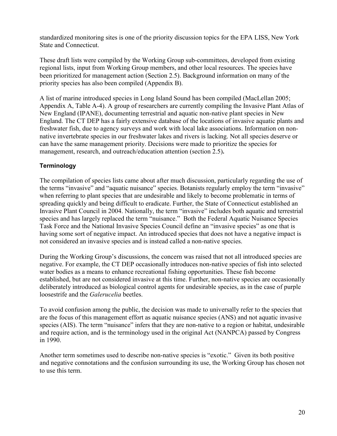standardized monitoring sites is one of the priority discussion topics for the EPA LISS, New York State and Connecticut.

These draft lists were compiled by the Working Group sub-committees, developed from existing regional lists, input from Working Group members, and other local resources. The species have been prioritized for management action (Section 2.5). Background information on many of the priority species has also been compiled (Appendix B).

A list of marine introduced species in Long Island Sound has been compiled (MacLellan 2005; Appendix A, Table A-4). A group of researchers are currently compiling the Invasive Plant Atlas of New England (IPANE), documenting terrestrial and aquatic non-native plant species in New England. The CT DEP has a fairly extensive database of the locations of invasive aquatic plants and freshwater fish, due to agency surveys and work with local lake associations. Information on nonnative invertebrate species in our freshwater lakes and rivers is lacking. Not all species deserve or can have the same management priority. Decisions were made to prioritize the species for management, research, and outreach/education attention (section 2.5)**.**

## **Terminology**

The compilation of species lists came about after much discussion, particularly regarding the use of the terms "invasive" and "aquatic nuisance" species. Botanists regularly employ the term "invasive" when referring to plant species that are undesirable and likely to become problematic in terms of spreading quickly and being difficult to eradicate. Further, the State of Connecticut established an Invasive Plant Council in 2004. Nationally, the term "invasive" includes both aquatic and terrestrial species and has largely replaced the term "nuisance." Both the Federal Aquatic Nuisance Species Task Force and the National Invasive Species Council define an "invasive species" as one that is having some sort of negative impact. An introduced species that does not have a negative impact is not considered an invasive species and is instead called a non-native species.

During the Working Group's discussions, the concern was raised that not all introduced species are negative. For example, the CT DEP occasionally introduces non-native species of fish into selected water bodies as a means to enhance recreational fishing opportunities. These fish become established, but are not considered invasive at this time. Further, non-native species are occasionally deliberately introduced as biological control agents for undesirable species, as in the case of purple loosestrife and the *Galerucelia* beetles.

To avoid confusion among the public, the decision was made to universally refer to the species that are the focus of this management effort as aquatic nuisance species (ANS) and not aquatic invasive species (AIS). The term "nuisance" infers that they are non-native to a region or habitat, undesirable and require action, and is the terminology used in the original Act (NANPCA) passed by Congress in 1990.

Another term sometimes used to describe non-native species is "exotic." Given its both positive and negative connotations and the confusion surrounding its use, the Working Group has chosen not to use this term.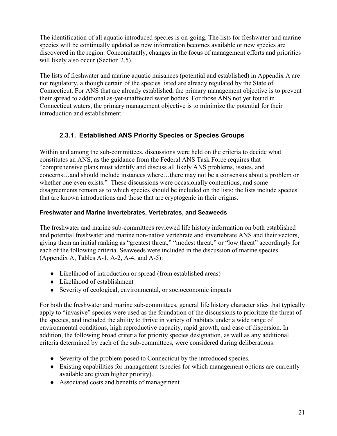The identification of all aquatic introduced species is on-going. The lists for freshwater and marine species will be continually updated as new information becomes available or new species are discovered in the region. Concomitantly, changes in the focus of management efforts and priorities will likely also occur (Section 2.5).

The lists of freshwater and marine aquatic nuisances (potential and established) in Appendix A are not regulatory, although certain of the species listed are already regulated by the State of Connecticut. For ANS that are already established, the primary management objective is to prevent their spread to additional as-yet-unaffected water bodies. For those ANS not yet found in Connecticut waters, the primary management objective is to minimize the potential for their introduction and establishment.

## <span id="page-20-0"></span>**2.3.1. Established ANS Priority Species or Species Groups**

Within and among the sub-committees, discussions were held on the criteria to decide what constitutes an ANS, as the guidance from the Federal ANS Task Force requires that "comprehensive plans must identify and discuss all likely ANS problems, issues, and concerns…and should include instances where…there may not be a consensus about a problem or whether one even exists." These discussions were occasionally contentious, and some disagreements remain as to which species should be included on the lists; the lists include species that are known introductions and those that are cryptogenic in their origins.

## **Freshwater and Marine Invertebrates, Vertebrates, and Seaweeds**

The freshwater and marine sub-committees reviewed life history information on both established and potential freshwater and marine non-native vertebrate and invertebrate ANS and their vectors, giving them an initial ranking as "greatest threat," "modest threat," or "low threat" accordingly for each of the following criteria. Seaweeds were included in the discussion of marine species (Appendix A, Tables A-1, A-2, A-4, and A-5):

- ♦ Likelihood of introduction or spread (from established areas)
- ♦ Likelihood of establishment
- ♦ Severity of ecological, environmental, or socioeconomic impacts

For both the freshwater and marine sub-committees, general life history characteristics that typically apply to "invasive" species were used as the foundation of the discussions to prioritize the threat of the species, and included the ability to thrive in variety of habitats under a wide range of environmental conditions, high reproductive capacity, rapid growth, and ease of dispersion. In addition, the following broad criteria for priority species designation, as well as any additional criteria determined by each of the sub-committees, were considered during deliberations:

- ♦ Severity of the problem posed to Connecticut by the introduced species.
- ♦ Existing capabilities for management (species for which management options are currently available are given higher priority).
- ♦ Associated costs and benefits of management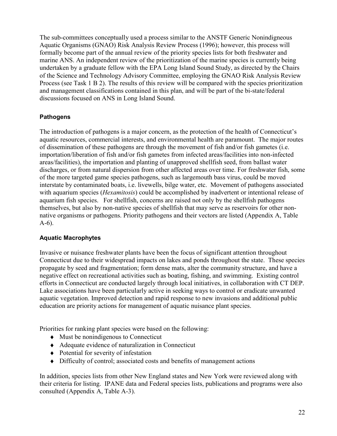The sub-committees conceptually used a process similar to the ANSTF Generic Nonindigneous Aquatic Organisms (GNAO) Risk Analysis Review Process (1996); however, this process will formally become part of the annual review of the priority species lists for both freshwater and marine ANS. An independent review of the prioritization of the marine species is currently being undertaken by a graduate fellow with the EPA Long Island Sound Study, as directed by the Chairs of the Science and Technology Advisory Committee, employing the GNAO Risk Analysis Review Process (see Task 1 B 2). The results of this review will be compared with the species prioritization and management classifications contained in this plan, and will be part of the bi-state/federal discussions focused on ANS in Long Island Sound.

## **Pathogens**

The introduction of pathogens is a major concern, as the protection of the health of Connecticut's aquatic resources, commercial interests, and environmental health are paramount. The major routes of dissemination of these pathogens are through the movement of fish and/or fish gametes (i.e. importation/liberation of fish and/or fish gametes from infected areas/facilities into non-infected areas/facilities), the importation and planting of unapproved shellfish seed, from ballast water discharges, or from natural dispersion from other affected areas over time. For freshwater fish, some of the more targeted game species pathogens, such as largemouth bass virus, could be moved interstate by contaminated boats, i.e. livewells, bilge water, etc. Movement of pathogens associated with aquarium species (*Hexamitosis*) could be accomplished by inadvertent or intentional release of aquarium fish species. For shellfish, concerns are raised not only by the shellfish pathogens themselves, but also by non-native species of shellfish that may serve as reservoirs for other nonnative organisms or pathogens. Priority pathogens and their vectors are listed (Appendix A, Table A-6).

## **Aquatic Macrophytes**

Invasive or nuisance freshwater plants have been the focus of significant attention throughout Connecticut due to their widespread impacts on lakes and ponds throughout the state. These species propagate by seed and fragmentation; form dense mats, alter the community structure, and have a negative effect on recreational activities such as boating, fishing, and swimming. Existing control efforts in Connecticut are conducted largely through local initiatives, in collaboration with CT DEP. Lake associations have been particularly active in seeking ways to control or eradicate unwanted aquatic vegetation. Improved detection and rapid response to new invasions and additional public education are priority actions for management of aquatic nuisance plant species.

Priorities for ranking plant species were based on the following:

- ♦ Must be nonindigenous to Connecticut
- ♦ Adequate evidence of naturalization in Connecticut
- ♦ Potential for severity of infestation
- ♦ Difficulty of control; associated costs and benefits of management actions

In addition, species lists from other New England states and New York were reviewed along with their criteria for listing. IPANE data and Federal species lists, publications and programs were also consulted (Appendix A, Table A-3).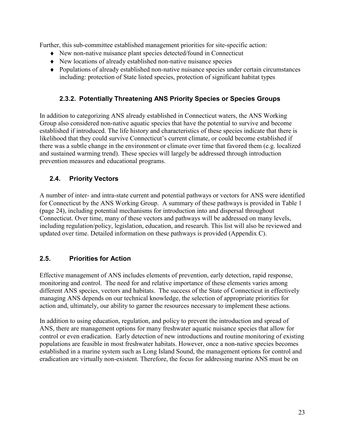Further, this sub-committee established management priorities for site-specific action:

- ♦ New non-native nuisance plant species detected/found in Connecticut
- ♦ New locations of already established non-native nuisance species
- ♦ Populations of already established non-native nuisance species under certain circumstances including: protection of State listed species, protection of significant habitat types

## <span id="page-22-0"></span>**2.3.2. Potentially Threatening ANS Priority Species or Species Groups**

In addition to categorizing ANS already established in Connecticut waters, the ANS Working Group also considered non-native aquatic species that have the potential to survive and become established if introduced. The life history and characteristics of these species indicate that there is likelihood that they could survive Connecticut's current climate, or could become established if there was a subtle change in the environment or climate over time that favored them (e.g. localized and sustained warming trend). These species will largely be addressed through introduction prevention measures and educational programs.

## <span id="page-22-1"></span>**2.4. Priority Vectors**

A number of inter- and intra-state current and potential pathways or vectors for ANS were identified for Connecticut by the ANS Working Group. A summary of these pathways is provided in Table 1 (page 24), including potential mechanisms for introduction into and dispersal throughout Connecticut. Over time, many of these vectors and pathways will be addressed on many levels, including regulation/policy, legislation, education, and research. This list will also be reviewed and updated over time. Detailed information on these pathways is provided (Appendix C).

## <span id="page-22-2"></span>**2.5. Priorities for Action**

Effective management of ANS includes elements of prevention, early detection, rapid response, monitoring and control. The need for and relative importance of these elements varies among different ANS species, vectors and habitats. The success of the State of Connecticut in effectively managing ANS depends on our technical knowledge, the selection of appropriate priorities for action and, ultimately, our ability to garner the resources necessary to implement these actions.

In addition to using education, regulation, and policy to prevent the introduction and spread of ANS, there are management options for many freshwater aquatic nuisance species that allow for control or even eradication. Early detection of new introductions and routine monitoring of existing populations are feasible in most freshwater habitats. However, once a non-native species becomes established in a marine system such as Long Island Sound, the management options for control and eradication are virtually non-existent. Therefore, the focus for addressing marine ANS must be on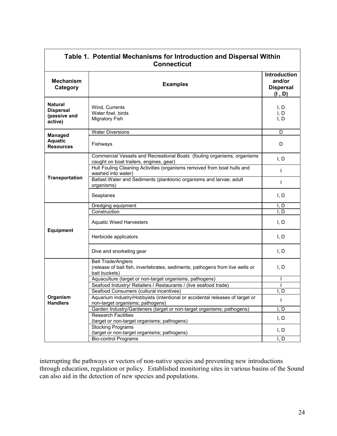| Table 1. Potential Mechanisms for Introduction and Dispersal Within<br><b>Connecticut</b> |                                                                                                                             |                                                      |
|-------------------------------------------------------------------------------------------|-----------------------------------------------------------------------------------------------------------------------------|------------------------------------------------------|
| <b>Mechanism</b><br>Category                                                              | <b>Examples</b>                                                                                                             | Introduction<br>and/or<br><b>Dispersal</b><br>(I, D) |
| <b>Natural</b><br><b>Dispersal</b><br>(passive and<br>active)                             | Wind. Currents<br>Water fowl, birds<br><b>Migratory Fish</b>                                                                | I, D<br>I, D<br>I, D                                 |
| <b>Managed</b>                                                                            | <b>Water Diversions</b>                                                                                                     | D                                                    |
| <b>Aquatic</b><br><b>Resources</b>                                                        | Fishways                                                                                                                    | D                                                    |
|                                                                                           | Commercial Vessels and Recreational Boats (fouling organisms, organisms<br>caught on boat trailers, engines, gear)          | I, D                                                 |
|                                                                                           | Hull Fouling Cleaning Activities (organisms removed from boat hulls and<br>washed into water)                               | ı                                                    |
| <b>Transportation</b>                                                                     | Ballast Water and Sediments (planktonic organisms and larvae, adult<br>organisms)                                           |                                                      |
|                                                                                           | Seaplanes                                                                                                                   | I, D                                                 |
|                                                                                           | Dredging equipment                                                                                                          | I, D                                                 |
|                                                                                           | Construction                                                                                                                | I, D                                                 |
|                                                                                           | <b>Aquatic Weed Harvesters</b>                                                                                              | I, D                                                 |
| <b>Equipment</b>                                                                          | Herbicide applicators                                                                                                       | I, D                                                 |
|                                                                                           | Dive and snorkeling gear                                                                                                    | I, D                                                 |
|                                                                                           | <b>Bait Trade/Anglers</b><br>(release of bait fish, invertebrates, sediments, pathogens from live wells or<br>bait buckets) | I, D                                                 |
|                                                                                           | Aquaculture (target or non-target organisms, pathogens)                                                                     |                                                      |
|                                                                                           | Seafood Industry/ Retailers / Restaurants / (live seafood trade)                                                            |                                                      |
|                                                                                           | Seafood Consumers (cultural incentives)                                                                                     | I. D                                                 |
| <b>Organism</b><br><b>Handlers</b>                                                        | Aquarium Industry/Hobbyists (intentional or accidental releases of target or<br>non-target organisms; pathogens)            | I                                                    |
|                                                                                           | Garden Industry/Gardeners (target or non-target organisms; pathogens)                                                       | I, D                                                 |
|                                                                                           | Research Facilities                                                                                                         |                                                      |
|                                                                                           | (target or non-target organisms; pathogens)                                                                                 | I, D                                                 |
|                                                                                           | <b>Stocking Programs</b>                                                                                                    |                                                      |
|                                                                                           | (target or non-target organisms; pathogens)                                                                                 | I, D                                                 |
|                                                                                           | <b>Bio-control Programs</b>                                                                                                 | Ī, D                                                 |

Г

interrupting the pathways or vectors of non-native species and preventing new introductions through education, regulation or policy. Established monitoring sites in various basins of the Sound can also aid in the detection of new species and populations.

٦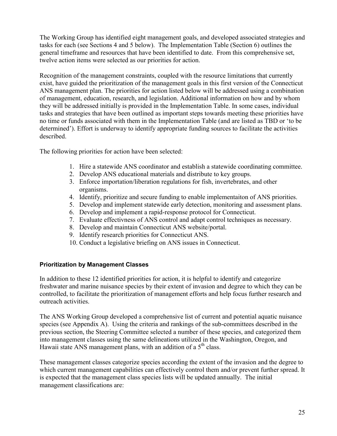The Working Group has identified eight management goals, and developed associated strategies and tasks for each (see Sections 4 and 5 below). The Implementation Table (Section 6) outlines the general timeframe and resources that have been identified to date. From this comprehensive set, twelve action items were selected as our priorities for action.

Recognition of the management constraints, coupled with the resource limitations that currently exist, have guided the prioritization of the management goals in this first version of the Connecticut ANS management plan. The priorities for action listed below will be addressed using a combination of management, education, research, and legislation. Additional information on how and by whom they will be addressed initially is provided in the Implementation Table. In some cases, individual tasks and strategies that have been outlined as important steps towards meeting these priorities have no time or funds associated with them in the Implementation Table (and are listed as TBD or 'to be determined'). Effort is underway to identify appropriate funding sources to facilitate the activities described.

The following priorities for action have been selected:

- 1. Hire a statewide ANS coordinator and establish a statewide coordinating committee.
- 2. Develop ANS educational materials and distribute to key groups.
- 3. Enforce importation/liberation regulations for fish, invertebrates, and other organisms.
- 4. Identify, prioritize and secure funding to enable implementaiton of ANS priorities.
- 5. Develop and implement statewide early detection, monitoring and assessment plans.
- 6. Develop and implement a rapid-response protocol for Connecticut.
- 7. Evaluate effectivness of ANS control and adapt control techniques as necessary.
- 8. Develop and maintain Connecticut ANS website/portal.
- 9. Identify research priorities for Connecticut ANS.
- 10. Conduct a legislative briefing on ANS issues in Connecticut.

## **Prioritization by Management Classes**

In addition to these 12 identified priorities for action, it is helpful to identify and categorize freshwater and marine nuisance species by their extent of invasion and degree to which they can be controlled, to facilitate the prioritization of management efforts and help focus further research and outreach activities.

The ANS Working Group developed a comprehensive list of current and potential aquatic nuisance species (see Appendix A). Using the criteria and rankings of the sub-committees described in the previous section, the Steering Committee selected a number of these species, and categorized them into management classes using the same delineations utilized in the Washington, Oregon, and Hawaii state ANS management plans, with an addition of a  $5<sup>th</sup>$  class.

These management classes categorize species according the extent of the invasion and the degree to which current management capabilities can effectively control them and/or prevent further spread. It is expected that the management class species lists will be updated annually. The initial management classifications are: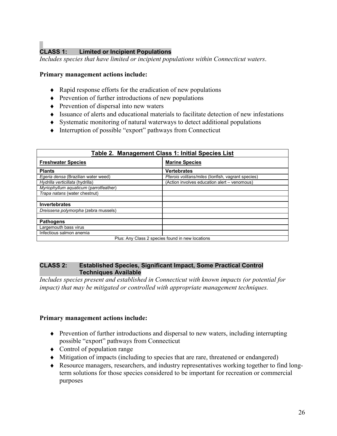# **CLASS 1: Limited or Incipient Populations**

*Includes species that have limited or incipient populations within Connecticut waters*.

#### **Primary management actions include:**

- ♦ Rapid response efforts for the eradication of new populations
- ♦ Prevention of further introductions of new populations
- ♦ Prevention of dispersal into new waters
- ♦ Issuance of alerts and educational materials to facilitate detection of new infestations
- ♦ Systematic monitoring of natural waterways to detect additional populations
- ♦ Interruption of possible "export" pathways from Connecticut

| Table 2. Management Class 1: Initial Species List |                                                    |  |
|---------------------------------------------------|----------------------------------------------------|--|
| <b>Freshwater Species</b>                         | <b>Marine Species</b>                              |  |
| <b>Plants</b>                                     | <b>Vertebrates</b>                                 |  |
| Egeria densa (Brazilian water weed)               | Pterois volitans/miles (lionfish, vagrant species) |  |
| Hydrilla verticillata (hydrilla)                  | (Action involves education alert - venomous)       |  |
| Myriophyllum aquaticum (parrotfeather)            |                                                    |  |
| Trapa natans (water chestnut)                     |                                                    |  |
|                                                   |                                                    |  |
| <b>Invertebrates</b>                              |                                                    |  |
| Dreissena polymorpha (zebra mussels)              |                                                    |  |
|                                                   |                                                    |  |
| <b>Pathogens</b>                                  |                                                    |  |
| Largemouth bass virus                             |                                                    |  |
| Infectious salmon anemia                          |                                                    |  |
| Plus: Any Class 2 species found in new locations  |                                                    |  |

#### **CLASS 2: Established Species, Significant Impact, Some Practical Control Techniques Available**

*Includes species present and established in Connecticut with known impacts (or potential for impact) that may be mitigated or controlled with appropriate management techniques.*

#### **Primary management actions include:**

- ♦ Prevention of further introductions and dispersal to new waters, including interrupting possible "export" pathways from Connecticut
- $\triangleleft$  Control of population range
- ♦ Mitigation of impacts (including to species that are rare, threatened or endangered)
- ♦ Resource managers, researchers, and industry representatives working together to find longterm solutions for those species considered to be important for recreation or commercial purposes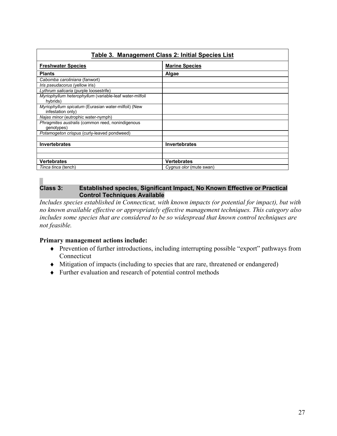| Table 3. Management Class 2: Initial Species List                        |                         |
|--------------------------------------------------------------------------|-------------------------|
| <b>Freshwater Species</b>                                                | <b>Marine Species</b>   |
| <b>Plants</b>                                                            | Algae                   |
| Cabomba caroliniana (fanwort)                                            |                         |
| <i>Iris pseudacorus</i> (yellow iris)                                    |                         |
| Lythrum salicaria (purple loosestrife)                                   |                         |
| Myriophyllum heterophyllum (variable-leaf water-milfoil<br>hybrids)      |                         |
| Myriophyllum spicatum (Eurasian water-milfoil) (New<br>infestation only) |                         |
| Najas minor (eutrophic water-nymph)                                      |                         |
| Phragmites australis (common reed, nonindigenous<br>genotypes)           |                         |
| Potamogeton crispus (curly-leaved pondweed)                              |                         |
|                                                                          |                         |
| <b>Invertebrates</b>                                                     | <b>Invertebrates</b>    |
|                                                                          |                         |
|                                                                          |                         |
| <b>Vertebrates</b>                                                       | <b>Vertebrates</b>      |
| Tinca tinca (tench)                                                      | Cygnus olor (mute swan) |

## **Class 3: Established species, Significant Impact, No Known Effective or Practical Control Techniques Available**

*Includes species established in Connecticut, with known impacts (or potential for impact), but with no known available effective or appropriately effective management techniques. This category also includes some species that are considered to be so widespread that known control techniques are not feasible.*

## **Primary management actions include:**

- ♦ Prevention of further introductions, including interrupting possible "export" pathways from **Connecticut**
- ♦ Mitigation of impacts (including to species that are rare, threatened or endangered)
- ♦ Further evaluation and research of potential control methods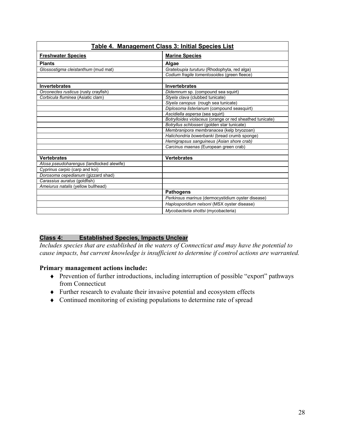| Table 4. Management Class 3: Initial Species List |                                                          |  |
|---------------------------------------------------|----------------------------------------------------------|--|
| <b>Freshwater Species</b>                         | <b>Marine Species</b>                                    |  |
| <b>Plants</b>                                     | Algae                                                    |  |
| Glossostigma cleistanthum (mud mat)               | Grateloupia turuturu (Rhodophyta, red alga)              |  |
|                                                   | Codium fragile tomentosoides (green fleece)              |  |
|                                                   |                                                          |  |
| <b>Invertebrates</b>                              | <b>Invertebrates</b>                                     |  |
| Orconectes rusticus (rusty crayfish)              | Didemnum sp. (compound sea squirt)                       |  |
| Corbicula fluminea (Asiatic clam)                 | Styela clava (clubbed tunicate)                          |  |
|                                                   | Styela canopus (rough sea tunicate)                      |  |
|                                                   | Diplosoma listerianum (compound seasquirt)               |  |
|                                                   | Ascidiella aspersa (sea squirt)                          |  |
|                                                   | Botrylloides violaceus (orange or red sheathed tunicate) |  |
|                                                   | Botryllus schlosseri (golden star tunicate)              |  |
|                                                   | Membranipora membranacea (kelp bryozoan)                 |  |
|                                                   | Halichondria bowerbanki (bread crumb sponge)             |  |
|                                                   | Hemigrapsus sanguineus (Asian shore crab)                |  |
|                                                   | Carcinus maenas (European green crab)                    |  |
|                                                   |                                                          |  |
| <b>Vertebrates</b>                                | <b>Vertebrates</b>                                       |  |
| Alosa pseudoharengus (landlocked alewife)         |                                                          |  |
| Cyprinus carpio (carp and koi)                    |                                                          |  |
| Dorosoma cepedianum (gizzard shad)                |                                                          |  |
| Carassius auratus (goldfish)                      |                                                          |  |
| Ameiurus natalis (yellow bullhead)                |                                                          |  |
|                                                   | <b>Pathogens</b>                                         |  |
|                                                   | Perkinsus marinus (dermocystidium oyster disease)        |  |
|                                                   | Haplosporidium nelsoni (MSX oyster disease)              |  |
|                                                   | Mycobacteria shottsi (mycobacteria)                      |  |

## **Class 4: Established Species, Impacts Unclear**

*Includes species that are established in the waters of Connecticut and may have the potential to cause impacts, but current knowledge is insufficient to determine if control actions are warranted.*

## **Primary management actions include:**

- ♦ Prevention of further introductions, including interruption of possible "export" pathways from Connecticut
- ♦ Further research to evaluate their invasive potential and ecosystem effects
- ♦ Continued monitoring of existing populations to determine rate of spread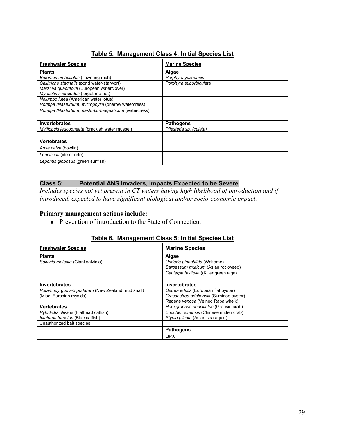| Table 5. Management Class 4: Initial Species List      |                         |
|--------------------------------------------------------|-------------------------|
| <b>Freshwater Species</b>                              | <b>Marine Species</b>   |
| <b>Plants</b>                                          | Algae                   |
| Butomus umbellatus (flowering rush)                    | Porphyra yezoensis      |
| Callitriche stagnalis (pond water-starwort)            | Porphyra suborbiculata  |
| Marsilea quadrifolia (European waterclover)            |                         |
| Myosotis scorpiodes (forget-me-not)                    |                         |
| Nelumbo lutea (American water lotus)                   |                         |
| Rorippa (Nasturtium) microphylla (onerow watercress)   |                         |
| Rorippa (Nasturtium) nasturtium-aquaticum (watercress) |                         |
|                                                        |                         |
| <b>Invertebrates</b>                                   | <b>Pathogens</b>        |
| Mytilopsis leucophaeta (brackish water mussel)         | Pfiesteria sp. (culata) |
|                                                        |                         |
| <b>Vertebrates</b>                                     |                         |
| Amia calva (bowfin)                                    |                         |
| Leuciscus (ide or orfe)                                |                         |
| Lepomis gibbosus (green sunfish)                       |                         |

## **Class 5: Potential ANS Invaders, Impacts Expected to be Severe**

*Includes species not yet present in CT waters having high likelihood of introduction and if introduced, expected to have significant biological and/or socio-economic impact.*

## **Primary management actions include:**

♦ Prevention of introduction to the State of Connecticut

| Table 6. Management Class 5: Initial Species List |                                          |
|---------------------------------------------------|------------------------------------------|
| <b>Freshwater Species</b>                         | <b>Marine Species</b>                    |
| <b>Plants</b>                                     | Algae                                    |
| Salvinia molesta (Giant salvinia)                 | Undaria pinnatifida (Wakame)             |
|                                                   | Sargassum muticum (Asian rockweed)       |
|                                                   | Caulerpa taxifolia ((Killer green alga)  |
|                                                   |                                          |
| <b>Invertebrates</b>                              | <b>Invertebrates</b>                     |
| Potamopyrgus antipodarum (New Zealand mud snail)  | Ostrea edulis (European flat oyster)     |
| (Misc. Eurasian mysids)                           | Crassostrea ariakensis (Suminoe oyster)  |
|                                                   | Rapana venosa (Veined Rapa whelk)        |
| <b>Vertebrates</b>                                | Hemigrapsus pencillatus (Grapsid crab)   |
| Pylodictis olivaris (Flathead catfish)            | Eriocheir sinensis (Chinese mitten crab) |
| Ictalurus furcatus (Blue catfish)                 | Styela plicata (Asian sea aquirt)        |
| Unauthorized bait species.                        |                                          |
|                                                   | <b>Pathogens</b>                         |
|                                                   | <b>QPX</b>                               |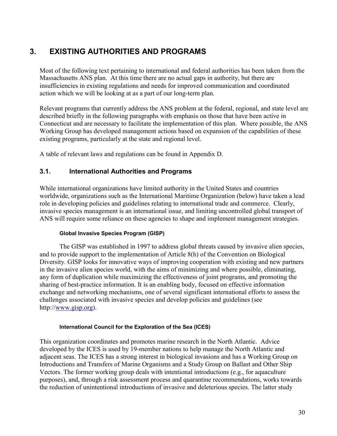# <span id="page-29-0"></span>**3. EXISTING AUTHORITIES AND PROGRAMS**

Most of the following text pertaining to international and federal authorities has been taken from the Massachusetts ANS plan. At this time there are no actual gaps in authority, but there are insufficiencies in existing regulations and needs for improved communication and coordinated action which we will be looking at as a part of our long-term plan.

Relevant programs that currently address the ANS problem at the federal, regional, and state level are described briefly in the following paragraphs with emphasis on those that have been active in Connecticut and are necessary to facilitate the implementation of this plan. Where possible, the ANS Working Group has developed management actions based on expansion of the capabilities of these existing programs, particularly at the state and regional level.

A table of relevant laws and regulations can be found in Appendix D.

## <span id="page-29-1"></span>**3.1. International Authorities and Programs**

While international organizations have limited authority in the United States and countries worldwide, organizations such as the International Maritime Organization (below) have taken a lead role in developing policies and guidelines relating to international trade and commerce. Clearly, invasive species management is an international issue, and limiting uncontrolled global transport of ANS will require some reliance on these agencies to shape and implement management strategies.

#### **Global Invasive Species Program (GISP)**

The GISP was established in 1997 to address global threats caused by invasive alien species, and to provide support to the implementation of Article 8(h) of the Convention on Biological Diversity. GISP looks for innovative ways of improving cooperation with existing and new partners in the invasive alien species world, with the aims of minimizing and where possible, eliminating, any form of duplication while maximizing the effectiveness of joint programs, and promoting the sharing of best-practice information. It is an enabling body, focused on effective information exchange and networking mechanisms, one of several significant international efforts to assess the challenges associated with invasive species and develop policies and guidelines (see http://[www.gisp.org\)](http://www.gisp.org/).

#### **International Council for the Exploration of the Sea (ICES)**

This organization coordinates and promotes marine research in the North Atlantic. Advice developed by the ICES is used by 19-member nations to help manage the North Atlantic and adjacent seas. The ICES has a strong interest in biological invasions and has a Working Group on Introductions and Transfers of Marine Organisms and a Study Group on Ballast and Other Ship Vectors. The former working group deals with intentional introductions (e.g., for aquaculture purposes), and, through a risk assessment process and quarantine recommendations, works towards the reduction of unintentional introductions of invasive and deleterious species. The latter study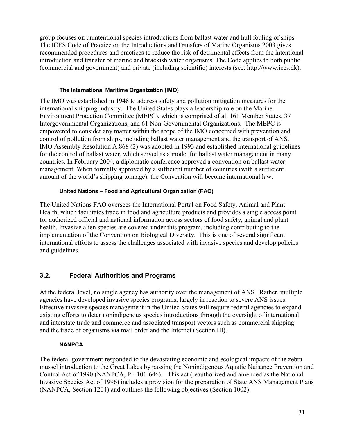group focuses on unintentional species introductions from ballast water and hull fouling of ships. The ICES Code of Practice on the Introductions andTransfers of Marine Organisms 2003 gives recommended procedures and practices to reduce the risk of detrimental effects from the intentional introduction and transfer of marine and brackish water organisms. The Code applies to both public (commercial and government) and private (including scientific) interests (see: http://[www.ices.dk\)](http://www.ices.dk/).

#### **The International Maritime Organization (IMO)**

The IMO was established in 1948 to address safety and pollution mitigation measures for the international shipping industry. The United States plays a leadership role on the Marine Environment Protection Committee (MEPC), which is comprised of all 161 Member States, 37 Intergovernmental Organizations, and 61 Non-Governmental Organizations. The MEPC is empowered to consider any matter within the scope of the IMO concerned with prevention and control of pollution from ships, including ballast water management and the transport of ANS. IMO Assembly Resolution A.868 (2) was adopted in 1993 and established international guidelines for the control of ballast water, which served as a model for ballast water management in many countries. In February 2004, a diplomatic conference approved a convention on ballast water management. When formally approved by a sufficient number of countries (with a sufficient amount of the world's shipping tonnage), the Convention will become international law.

## **United Nations – Food and Agricultural Organization (FAO)**

The United Nations FAO oversees the International Portal on Food Safety, Animal and Plant Health, which facilitates trade in food and agriculture products and provides a single access point for authorized official and national information across sectors of food safety, animal and plant health. Invasive alien species are covered under this program, including contributing to the implementation of the Convention on Biological Diversity. This is one of several significant international efforts to assess the challenges associated with invasive species and develop policies and guidelines.

## <span id="page-30-0"></span>**3.2. Federal Authorities and Programs**

At the federal level, no single agency has authority over the management of ANS. Rather, multiple agencies have developed invasive species programs, largely in reaction to severe ANS issues. Effective invasive species management in the United States will require federal agencies to expand existing efforts to deter nonindigenous species introductions through the oversight of international and interstate trade and commerce and associated transport vectors such as commercial shipping and the trade of organisms via mail order and the Internet (Section III).

## **NANPCA**

The federal government responded to the devastating economic and ecological impacts of the zebra mussel introduction to the Great Lakes by passing the Nonindigenous Aquatic Nuisance Prevention and Control Act of 1990 (NANPCA, PL 101-646). This act (reauthorized and amended as the National Invasive Species Act of 1996) includes a provision for the preparation of State ANS Management Plans (NANPCA, Section 1204) and outlines the following objectives (Section 1002):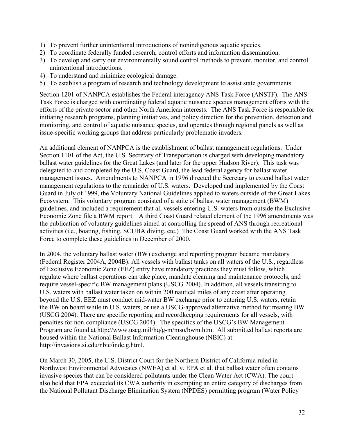- 1) To prevent further unintentional introductions of nonindigenous aquatic species.
- 2) To coordinate federally funded research, control efforts and information dissemination.
- 3) To develop and carry out environmentally sound control methods to prevent, monitor, and control unintentional introductions.
- 4) To understand and minimize ecological damage.
- 5) To establish a program of research and technology development to assist state governments.

Section 1201 of NANPCA establishes the Federal interagency ANS Task Force (ANSTF). The ANS Task Force is charged with coordinating federal aquatic nuisance species management efforts with the efforts of the private sector and other North American interests. The ANS Task Force is responsible for initiating research programs, planning initiatives, and policy direction for the prevention, detection and monitoring, and control of aquatic nuisance species, and operates through regional panels as well as issue-specific working groups that address particularly problematic invaders.

An additional element of NANPCA is the establishment of ballast management regulations. Under Section 1101 of the Act, the U.S. Secretary of Transportation is charged with developing mandatory ballast water guidelines for the Great Lakes (and later for the upper Hudson River). This task was delegated to and completed by the U.S. Coast Guard, the lead federal agency for ballast water management issues. Amendments to NANPCA in 1996 directed the Secretary to extend ballast water management regulations to the remainder of U.S. waters. Developed and implemented by the Coast Guard in July of 1999, the Voluntary National Guidelines applied to waters outside of the Great Lakes Ecosystem. This voluntary program consisted of a suite of ballast water management (BWM) guidelines, and included a requirement that all vessels entering U.S. waters from outside the Exclusive Economic Zone file a BWM report. A third Coast Guard related element of the 1996 amendments was the publication of voluntary guidelines aimed at controlling the spread of ANS through recreational activities (i.e., boating, fishing, SCUBA diving, etc.) The Coast Guard worked with the ANS Task Force to complete these guidelines in December of 2000.

In 2004, the voluntary ballast water (BW) exchange and reporting program became mandatory (Federal Register 2004A, 2004B). All vessels with ballast tanks on all waters of the U.S., regardless of Exclusive Economic Zone (EEZ) entry have mandatory practices they must follow, which regulate where ballast operations can take place, mandate cleaning and maintenance protocols, and require vessel-specific BW management plans (USCG 2004). In addition, all vessels transiting to U.S. waters with ballast water taken on within 200 nautical miles of any coast after operating beyond the U.S. EEZ must conduct mid-water BW exchange prior to entering U.S. waters, retain the BW on board while in U.S. waters, or use a USCG-approved alternative method for treating BW (USCG 2004). There are specific reporting and recordkeeping requirements for all vessels, with penalties for non-compliance (USCG 2004). The specifics of the USCG's BW Management Program are found at http:/[/www.uscg.mil/hq/g-m/mso/bwm.htm.](http://www.uscg.mil/hq/g-m/mso/bwm.htm) All submitted ballast reports are housed within the National Ballast Information Clearinghouse (NBIC) at: http://invasions.si.edu/nbic/inde.g.html.

On March 30, 2005, the U.S. District Court for the Northern District of California ruled in Northwest Environmental Advocates (NWEA) et al. v. EPA et al. that ballast water often contains invasive species that can be considered pollutants under the Clean Water Act (CWA). The court also held that EPA exceeded its CWA authority in exempting an entire category of discharges from the National Pollutant Discharge Elimination System (NPDES) permitting program (Water Policy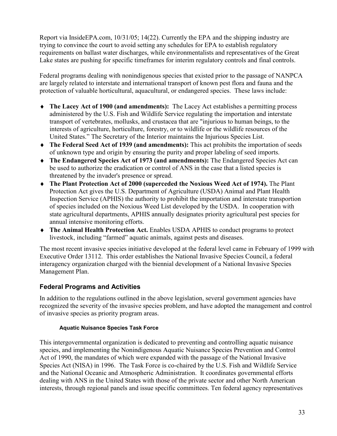Report via InsideEPA.com, 10/31/05; 14(22). Currently the EPA and the shipping industry are trying to convince the court to avoid setting any schedules for EPA to establish regulatory requirements on ballast water discharges, while environmentalists and representatives of the Great Lake states are pushing for specific timeframes for interim regulatory controls and final controls.

Federal programs dealing with nonindigenous species that existed prior to the passage of NANPCA are largely related to interstate and international transport of known pest flora and fauna and the protection of valuable horticultural, aquacultural, or endangered species. These laws include:

- ♦ **The Lacey Act of 1900 (and amendments):** The Lacey Act establishes a permitting process administered by the U.S. Fish and Wildlife Service regulating the importation and interstate transport of vertebrates, mollusks, and crustacea that are "injurious to human beings, to the interests of agriculture, horticulture, forestry, or to wildlife or the wildlife resources of the United States." The Secretary of the Interior maintains the Injurious Species List.
- ♦ **The Federal Seed Act of 1939 (and amendments):** This act prohibits the importation of seeds of unknown type and origin by ensuring the purity and proper labeling of seed imports.
- ♦ **The Endangered Species Act of 1973 (and amendments):** The Endangered Species Act can be used to authorize the eradication or control of ANS in the case that a listed species is threatened by the invader's presence or spread.
- ♦ **The Plant Protection Act of 2000 (superceded the Noxious Weed Act of 1974).** The Plant Protection Act gives the U.S. Department of Agriculture (USDA) Animal and Plant Health Inspection Service (APHIS) the authority to prohibit the importation and interstate transportion of species included on the Noxious Weed List developed by the USDA. In cooperation with state agricultural departments, APHIS annually designates priority agricultural pest species for annual intensive monitoring efforts.
- ♦ **The Animal Health Protection Act.** Enables USDA APHIS to conduct programs to protect livestock, including "farmed" aquatic animals, against pests and diseases.

The most recent invasive species initiative developed at the federal level came in February of 1999 with Executive Order 13112. This order establishes the National Invasive Species Council, a federal interagency organization charged with the biennial development of a National Invasive Species Management Plan.

## **Federal Programs and Activities**

In addition to the regulations outlined in the above legislation, several government agencies have recognized the severity of the invasive species problem, and have adopted the management and control of invasive species as priority program areas.

## **Aquatic Nuisance Species Task Force**

This intergovernmental organization is dedicated to preventing and controlling aquatic nuisance species, and implementing the Nonindigenous Aquatic Nuisance Species Prevention and Control Act of 1990, the mandates of which were expanded with the passage of the National Invasive Species Act (NISA) in 1996. The Task Force is co-chaired by the U.S. Fish and Wildlife Service and the National Oceanic and Atmospheric Administration. It coordinates governmental efforts dealing with ANS in the United States with those of the private sector and other North American interests, through regional panels and issue specific committees. Ten federal agency representatives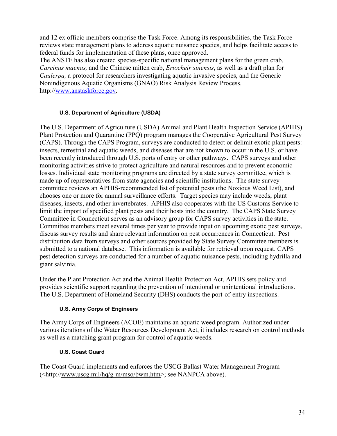and 12 ex officio members comprise the Task Force. Among its responsibilities, the Task Force reviews state management plans to address aquatic nuisance species, and helps facilitate access to federal funds for implementation of these plans, once approved.

The ANSTF has also created species-specific national management plans for the green crab, *Carcinus maenas,* and the Chinese mitten crab, *Eriocheir sinensis*, as well as a draft plan for *Caulerpa,* a protocol for researchers investigating aquatic invasive species, and the Generic Nonindigenous Aquatic Organisms (GNAO) Risk Analysis Review Process. http://[www.anstaskforce.gov.](http://www.anstaskforce.gov/)

## **U.S. Department of Agriculture (USDA)**

The U.S. Department of Agriculture (USDA) Animal and Plant Health Inspection Service (APHIS) Plant Protection and Quarantine (PPQ) program manages the Cooperative Agricultural Pest Survey (CAPS). Through the CAPS Program, surveys are conducted to detect or delimit exotic plant pests: insects, terrestrial and aquatic weeds, and diseases that are not known to occur in the U.S. or have been recently introduced through U.S. ports of entry or other pathways. CAPS surveys and other monitoring activities strive to protect agriculture and natural resources and to prevent economic losses. Individual state monitoring programs are directed by a state survey committee, which is made up of representatives from state agencies and scientific institutions. The state survey committee reviews an APHIS-recommended list of potential pests (the Noxious Weed List), and chooses one or more for annual surveillance efforts. Target species may include weeds, plant diseases, insects, and other invertebrates. APHIS also cooperates with the US Customs Service to limit the import of specified plant pests and their hosts into the country. The CAPS State Survey Committee in Connecticut serves as an advisory group for CAPS survey activities in the state. Committee members meet several times per year to provide input on upcoming exotic pest surveys, discuss survey results and share relevant information on pest occurrences in Connecticut. Pest distribution data from surveys and other sources provided by State Survey Committee members is submitted to a national database. This information is available for retrieval upon request. CAPS pest detection surveys are conducted for a number of aquatic nuisance pests, including hydrilla and giant salvinia.

Under the Plant Protection Act and the Animal Health Protection Act, APHIS sets policy and provides scientific support regarding the prevention of intentional or unintentional introductions. The U.S. Department of Homeland Security (DHS) conducts the port-of-entry inspections.

## **U.S. Army Corps of Engineers**

The Army Corps of Engineers (ACOE) maintains an aquatic weed program. Authorized under various iterations of the Water Resources Development Act, it includes research on control methods as well as a matching grant program for control of aquatic weeds.

## **U.S. Coast Guard**

The Coast Guard implements and enforces the USCG Ballast Water Management Program (<http:/[/www.uscg.mil/hq/g-m/mso/bwm.htm>](http://www.uscg.mil/hq/g-m/mso/bwm.htm); see NANPCA above).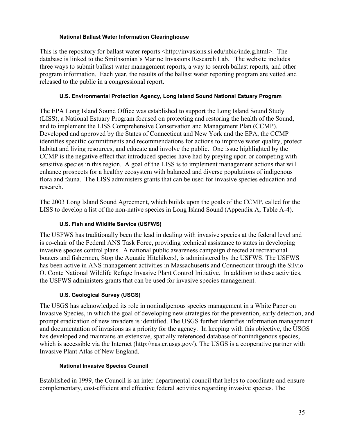#### **National Ballast Water Information Clearinghouse**

This is the repository for ballast water reports  $\langle \frac{http://invasions.si.edu/nbic/index.g.html}{$ database is linked to the Smithsonian's Marine Invasions Research Lab. The website includes three ways to submit ballast water management reports, a way to search ballast reports, and other program information. Each year, the results of the ballast water reporting program are vetted and released to the public in a congressional report.

#### **U.S. Environmental Protection Agency, Long Island Sound National Estuary Program**

The EPA Long Island Sound Office was established to support the Long Island Sound Study (LISS), a National Estuary Program focused on protecting and restoring the health of the Sound, and to implement the LISS Comprehensive Conservation and Management Plan (CCMP). Developed and approved by the States of Connecticut and New York and the EPA, the CCMP identifies specific commitments and recommendations for actions to improve water quality, protect habitat and living resources, and educate and involve the public. One issue highlighted by the CCMP is the negative effect that introduced species have had by preying upon or competing with sensitive species in this region. A goal of the LISS is to implement management actions that will enhance prospects for a healthy ecosystem with balanced and diverse populations of indigenous flora and fauna. The LISS administers grants that can be used for invasive species education and research.

The 2003 Long Island Sound Agreement, which builds upon the goals of the CCMP, called for the LISS to develop a list of the non-native species in Long Island Sound (Appendix A, Table A-4).

## **U.S. Fish and Wildlife Service (USFWS)**

The USFWS has traditionally been the lead in dealing with invasive species at the federal level and is co-chair of the Federal ANS Task Force, providing technical assistance to states in developing invasive species control plans. A national public awareness campaign directed at recreational boaters and fishermen, Stop the Aquatic Hitchikers!, is administered by the USFWS. The USFWS has been active in ANS management activities in Massachusetts and Connecticut through the Silvio O. Conte National Wildlife Refuge Invasive Plant Control Initiative. In addition to these activities, the USFWS administers grants that can be used for invasive species management.

## **U.S. Geological Survey (USGS)**

The USGS has acknowledged its role in nonindigenous species management in a White Paper on Invasive Species, in which the goal of developing new strategies for the prevention, early detection, and prompt eradication of new invaders is identified. The USGS further identifies information management and documentation of invasions as a priority for the agency. In keeping with this objective, the USGS has developed and maintains an extensive, spatially referenced database of nonindigenous species, which is accessible via the Internet ([http://nas.er.usgs.gov/\)](http://nas.er.usgs.gov/). The USGS is a cooperative partner with Invasive Plant Atlas of New England.

#### **National Invasive Species Council**

Established in 1999, the Council is an inter-departmental council that helps to coordinate and ensure complementary, cost-efficient and effective federal activities regarding invasive species. The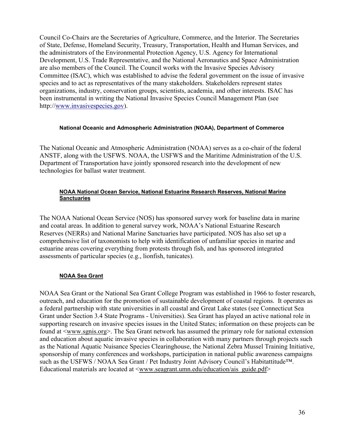Council Co-Chairs are the Secretaries of Agriculture, Commerce, and the Interior. The Secretaries of State, Defense, Homeland Security, Treasury, Transportation, Health and Human Services, and the administrators of the Environmental Protection Agency, U.S. Agency for International Development, U.S. Trade Representative, and the National Aeronautics and Space Administration are also members of the Council. The Council works with the Invasive Species Advisory Committee (ISAC), which was established to advise the federal government on the issue of invasive species and to act as representatives of the many stakeholders. Stakeholders represent states organizations, industry, conservation groups, scientists, academia, and other interests. ISAC has been instrumental in writing the National Invasive Species Council Management Plan (see http://[www.invasivespecies.gov\)](http://www.invasivespecies.gov/).

#### **National Oceanic and Admospheric Administration (NOAA), Department of Commerce**

The National Oceanic and Atmospheric Administration (NOAA) serves as a co-chair of the federal ANSTF, along with the USFWS. NOAA, the USFWS and the Maritime Administration of the U.S. Department of Transportation have jointly sponsored research into the development of new technologies for ballast water treatment.

#### **NOAA National Ocean Service, National Estuarine Research Reserves, National Marine Sanctuaries**

The NOAA National Ocean Service (NOS) has sponsored survey work for baseline data in marine and coatal areas. In addition to general survey work, NOAA's National Estuarine Research Reserves (NERRs) and National Marine Sanctuaries have participated. NOS has also set up a comprehensive list of taxonomists to help with identification of unfamiliar species in marine and estuarine areas covering everything from protests through fish, and has sponsored integrated assessments of particular species (e.g., lionfish, tunicates).

#### **NOAA Sea Grant**

NOAA Sea Grant or the National Sea Grant College Program was established in 1966 to foster research, outreach, and education for the promotion of sustainable development of coastal regions. It operates as a federal partnership with state universities in all coastal and Great Lake states (see Connecticut Sea Grant under Section 3.4 State Programs - Universities). Sea Grant has played an active national role in supporting research on invasive species issues in the United States; information on these projects can be found at <[www.sgnis.org>](http://www.sgnis.org/). The Sea Grant network has assumed the primary role for national extension and education about aquatic invasive species in collaboration with many partners through projects such as the National Aquatic Nuisance Species Clearinghouse, the National Zebra Mussel Training Initiative, sponsorship of many conferences and workshops, participation in national public awareness campaigns such as the USFWS / NOAA Sea Grant / Pet Industry Joint Advisory Council's Habitattitude™. Educational materials are located at [<www.seagrant.umn.edu/education/ais\\_guide.pdf>](http://www.seagrant.umn.edu/education/ais_guide.pdf)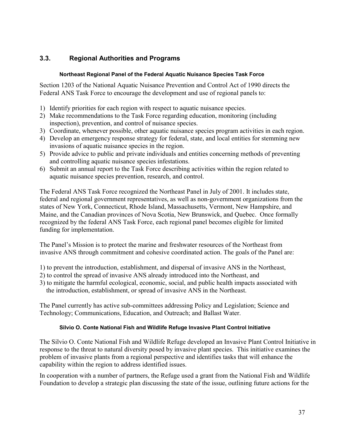# **3.3. Regional Authorities and Programs**

### **Northeast Regional Panel of the Federal Aquatic Nuisance Species Task Force**

Section 1203 of the National Aquatic Nuisance Prevention and Control Act of 1990 directs the Federal ANS Task Force to encourage the development and use of regional panels to:

- 1) Identify priorities for each region with respect to aquatic nuisance species.
- 2) Make recommendations to the Task Force regarding education, monitoring (including inspection), prevention, and control of nuisance species.
- 3) Coordinate, whenever possible, other aquatic nuisance species program activities in each region.
- 4) Develop an emergency response strategy for federal, state, and local entities for stemming new invasions of aquatic nuisance species in the region.
- 5) Provide advice to public and private individuals and entities concerning methods of preventing and controlling aquatic nuisance species infestations.
- 6) Submit an annual report to the Task Force describing activities within the region related to aquatic nuisance species prevention, research, and control.

The Federal ANS Task Force recognized the Northeast Panel in July of 2001. It includes state, federal and regional government representatives, as well as non-government organizations from the states of New York, Connecticut, Rhode Island, Massachusetts, Vermont, New Hampshire, and Maine, and the Canadian provinces of Nova Scotia, New Brunswick, and Quebec. Once formally recognized by the federal ANS Task Force, each regional panel becomes eligible for limited funding for implementation.

The Panel's Mission is to protect the marine and freshwater resources of the Northeast from invasive ANS through commitment and cohesive coordinated action. The goals of the Panel are:

1) to prevent the introduction, establishment, and dispersal of invasive ANS in the Northeast,

- 2) to control the spread of invasive ANS already introduced into the Northeast, and
- 3) to mitigate the harmful ecological, economic, social, and public health impacts associated with the introduction, establishment, or spread of invasive ANS in the Northeast.

The Panel currently has active sub-committees addressing Policy and Legislation; Science and Technology; Communications, Education, and Outreach; and Ballast Water.

#### **Silvio O. Conte National Fish and Wildlife Refuge Invasive Plant Control Initiative**

The Silvio O. Conte National Fish and Wildlife Refuge developed an Invasive Plant Control Initiative in response to the threat to natural diversity posed by invasive plant species. This initiative examines the problem of invasive plants from a regional perspective and identifies tasks that will enhance the capability within the region to address identified issues.

In cooperation with a number of partners, the Refuge used a grant from the National Fish and Wildlife Foundation to develop a strategic plan discussing the state of the issue, outlining future actions for the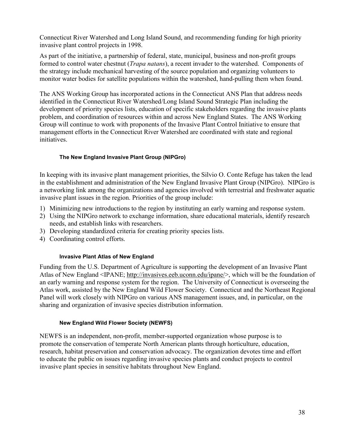Connecticut River Watershed and Long Island Sound, and recommending funding for high priority invasive plant control projects in 1998.

As part of the initiative, a partnership of federal, state, municipal, business and non-profit groups formed to control water chestnut (*Trapa natans*), a recent invader to the watershed. Components of the strategy include mechanical harvesting of the source population and organizing volunteers to monitor water bodies for satellite populations within the watershed, hand-pulling them when found.

The ANS Working Group has incorporated actions in the Connecticut ANS Plan that address needs identified in the Connecticut River Watershed/Long Island Sound Strategic Plan including the development of priority species lists, education of specific stakeholders regarding the invasive plants problem, and coordination of resources within and across New England States. The ANS Working Group will continue to work with proponents of the Invasive Plant Control Initiative to ensure that management efforts in the Connecticut River Watershed are coordinated with state and regional initiatives.

### **The New England Invasive Plant Group (NIPGro)**

In keeping with its invasive plant management priorities, the Silvio O. Conte Refuge has taken the lead in the establishment and administration of the New England Invasive Plant Group (NIPGro). NIPGro is a networking link among the organizations and agencies involved with terrestrial and freshwater aquatic invasive plant issues in the region. Priorities of the group include:

- 1) Minimizing new introductions to the region by instituting an early warning and response system.
- 2) Using the NIPGro network to exchange information, share educational materials, identify research needs, and establish links with researchers.
- 3) Developing standardized criteria for creating priority species lists.
- 4) Coordinating control efforts.

#### **Invasive Plant Atlas of New England**

Funding from the U.S. Department of Agriculture is supporting the development of an Invasive Plant Atlas of New England <IPANE; [http://invasives.eeb.uconn.edu/ipane/>](http://invasives.eeb.uconn.edu/ipane/), which will be the foundation of an early warning and response system for the region. The University of Connecticut is overseeing the Atlas work, assisted by the New England Wild Flower Society. Connecticut and the Northeast Regional Panel will work closely with NIPGro on various ANS management issues, and, in particular, on the sharing and organization of invasive species distribution information.

#### **New England Wild Flower Society (NEWFS)**

NEWFS is an independent, non-profit, member-supported organization whose purpose is to promote the conservation of temperate North American plants through horticulture, education, research, habitat preservation and conservation advocacy. The organization devotes time and effort to educate the public on issues regarding invasive species plants and conduct projects to control invasive plant species in sensitive habitats throughout New England.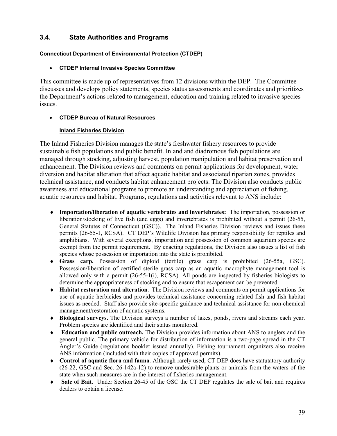# **3.4. State Authorities and Programs**

### **Connecticut Department of Environmental Protection (CTDEP)**

### • **CTDEP Internal Invasive Species Committee**

This committee is made up of representatives from 12 divisions within the DEP. The Committee discusses and develops policy statements, species status assessments and coordinates and prioritizes the Department's actions related to management, education and training related to invasive species issues.

## • **CTDEP Bureau of Natural Resources**

## **Inland Fisheries Division**

The Inland Fisheries Division manages the state's freshwater fishery resources to provide sustainable fish populations and public benefit. Inland and diadromous fish populations are managed through stocking, adjusting harvest, population manipulation and habitat preservation and enhancement. The Division reviews and comments on permit applications for development, water diversion and habitat alteration that affect aquatic habitat and associated riparian zones, provides technical assistance, and conducts habitat enhancement projects. The Division also conducts public awareness and educational programs to promote an understanding and appreciation of fishing, aquatic resources and habitat. Programs, regulations and activities relevant to ANS include:

- ♦ **Importation/liberation of aquatic vertebrates and invertebrates:** The importation, possession or liberation/stocking of live fish (and eggs) and invertebrates is prohibited without a permit (26-55, General Statutes of Connecticut (GSC)). The Inland Fisheries Division reviews and issues these permits (26-55-1, RCSA). CT DEP's Wildlife Division has primary responsibility for reptiles and amphibians. With several exceptions, importation and possession of common aquarium species are exempt from the permit requirement. By enacting regulations, the Division also issues a list of fish species whose possession or importation into the state is prohibited.
- ♦ **Grass carp.** Possession of diploid (fertile) grass carp is prohibited (26-55a, GSC). Possession/liberation of certified sterile grass carp as an aquatic macrophyte management tool is allowed only with a permit (26-55-1(i), RCSA). All ponds are inspected by fisheries biologists to determine the appropriateness of stocking and to ensure that escapement can be prevented
- ♦ **Habitat restoration and alteration**. The Division reviews and comments on permit applications for use of aquatic herbicides and provides technical assistance concerning related fish and fish habitat issues as needed. Staff also provide site-specific guidance and technical assistance for non-chemical management/restoration of aquatic systems.
- ♦ **Biological surveys.** The Division surveys a number of lakes, ponds, rivers and streams each year. Problem species are identified and their status monitored.
- ♦ **Education and public outreach.** The Division provides information about ANS to anglers and the general public. The primary vehicle for distribution of information is a two-page spread in the CT Angler's Guide (regulations booklet issued annually). Fishing tournament organizers also receive ANS information (included with their copies of approved permits).
- ♦ **Control of aquatic flora and fauna**. Although rarely used, CT DEP does have statutatory authority (26-22, GSC and Sec. 26-142a-12) to remove undesirable plants or animals from the waters of the state when such measures are in the interest of fisheries management.
- ♦ **Sale of Bait**. Under Section 26-45 of the GSC the CT DEP regulates the sale of bait and requires dealers to obtain a license.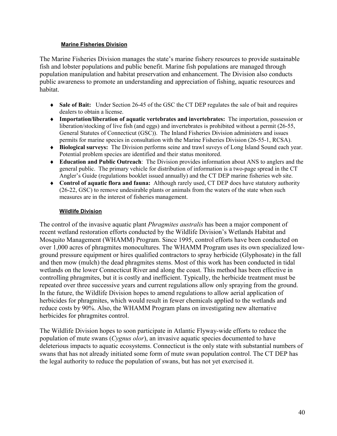#### **Marine Fisheries Division**

The Marine Fisheries Division manages the state's marine fishery resources to provide sustainable fish and lobster populations and public benefit. Marine fish populations are managed through population manipulation and habitat preservation and enhancement. The Division also conducts public awareness to promote an understanding and appreciation of fishing, aquatic resources and habitat.

- ♦ **Sale of Bait:** Under Section 26-45 of the GSC the CT DEP regulates the sale of bait and requires dealers to obtain a license.
- ♦ **Importation/liberation of aquatic vertebrates and invertebrates:** The importation, possession or liberation/stocking of live fish (and eggs) and invertebrates is prohibited without a permit (26-55, General Statutes of Connecticut (GSC)). The Inland Fisheries Division administers and issues permits for marine species in consultation with the Marine Fisheries Division (26-55-1, RCSA).
- ♦ **Biological surveys:** The Division performs seine and trawl suveys of Long Island Sound each year. Potential problem species are identified and their status monitored.
- ♦ **Education and Public Outreach**: The Division provides information about ANS to anglers and the general public. The primary vehicle for distribution of information is a two-page spread in the CT Angler's Guide (regulations booklet issued annually) and the CT DEP marine fisheries web site.
- ♦ **Control of aquatic flora and fauna:** Although rarely used, CT DEP does have statutory authority (26-22, GSC) to remove undesirable plants or animals from the waters of the state when such measures are in the interest of fisheries management.

### **Wildlife Division**

The control of the invasive aquatic plant *Phragmites australis* has been a major component of recent wetland restoration efforts conducted by the Wildlife Division's Wetlands Habitat and Mosquito Management (WHAMM) Program. Since 1995, control efforts have been conducted on over 1,000 acres of phragmites monocultures. The WHAMM Program uses its own specialized lowground pressure equipment or hires qualified contractors to spray herbicide (Glyphosate) in the fall and then mow (mulch) the dead phragmites stems. Most of this work has been conducted in tidal wetlands on the lower Connecticut River and along the coast. This method has been effective in controlling phragmites, but it is costly and inefficient. Typically, the herbicide treatment must be repeated over three successive years and current regulations allow only spraying from the ground. In the future, the Wildlife Division hopes to amend regulations to allow aerial application of herbicides for phragmites, which would result in fewer chemicals applied to the wetlands and reduce costs by 90%. Also, the WHAMM Program plans on investigating new alternative herbicides for phragmites control.

The Wildlife Division hopes to soon participate in Atlantic Flyway-wide efforts to reduce the population of mute swans (*Cygnus olor*), an invasive aquatic species documented to have deleterious impacts to aquatic ecosystems. Connecticut is the only state with substantial numbers of swans that has not already initiated some form of mute swan population control. The CT DEP has the legal authority to reduce the population of swans, but has not yet exercised it.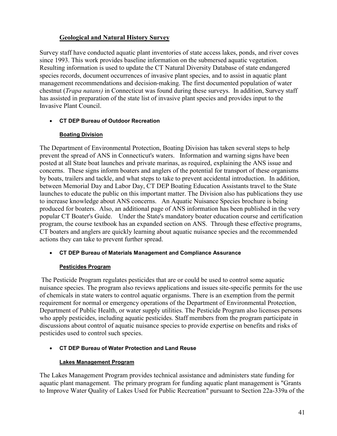# **Geological and Natural History Survey**

Survey staff have conducted aquatic plant inventories of state access lakes, ponds, and river coves since 1993. This work provides baseline information on the submersed aquatic vegetation. Resulting information is used to update the CT Natural Diversity Database of state endangered species records, document occurrences of invasive plant species, and to assist in aquatic plant management recommendations and decision-making. The first documented population of water chestnut (*Trapa natans)* in Connecticut was found during these surveys. In addition, Survey staff has assisted in preparation of the state list of invasive plant species and provides input to the Invasive Plant Council.

## • **CT DEP Bureau of Outdoor Recreation**

## **Boating Division**

The Department of Environmental Protection, Boating Division has taken several steps to help prevent the spread of ANS in Connecticut's waters. Information and warning signs have been posted at all State boat launches and private marinas, as required, explaining the ANS issue and concerns. These signs inform boaters and anglers of the potential for transport of these organisms by boats, trailers and tackle, and what steps to take to prevent accidental introduction. In addition, between Memorial Day and Labor Day, CT DEP Boating Education Assistants travel to the State launches to educate the public on this important matter. The Division also has publications they use to increase knowledge about ANS concerns. An Aquatic Nuisance Species brochure is being produced for boaters. Also, an additional page of ANS information has been published in the very popular CT Boater's Guide. Under the State's mandatory boater education course and certification program, the course textbook has an expanded section on ANS. Through these effective programs, CT boaters and anglers are quickly learning about aquatic nuisance species and the recommended actions they can take to prevent further spread.

## • **CT DEP Bureau of Materials Management and Compliance Assurance**

## **Pesticides Program**

The Pesticide Program regulates pesticides that are or could be used to control some aquatic nuisance species. The program also reviews applications and issues site-specific permits for the use of chemicals in state waters to control aquatic organisms. There is an exemption from the permit requirement for normal or emergency operations of the Department of Environmental Protection, Department of Public Health, or water supply utilities. The Pesticide Program also licenses persons who apply pesticides, including aquatic pesticides. Staff members from the program participate in discussions about control of aquatic nuisance species to provide expertise on benefits and risks of pesticides used to control such species.

# • **CT DEP Bureau of Water Protection and Land Reuse**

# **Lakes Management Program**

The Lakes Management Program provides technical assistance and administers state funding for aquatic plant management. The primary program for funding aquatic plant management is "Grants to Improve Water Quality of Lakes Used for Public Recreation" pursuant to Section 22a-339a of the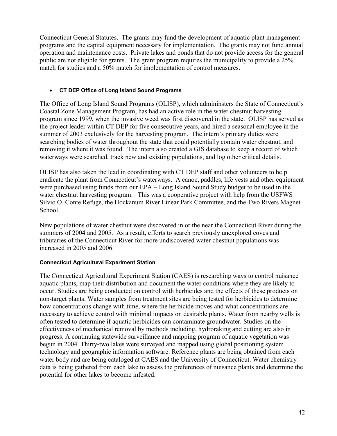Connecticut General Statutes. The grants may fund the development of aquatic plant management programs and the capital equipment necessary for implementation. The grants may not fund annual operation and maintenance costs. Private lakes and ponds that do not provide access for the general public are not eligible for grants. The grant program requires the municipality to provide a 25% match for studies and a 50% match for implementation of control measures.

### • **CT DEP Office of Long Island Sound Programs**

The Office of Long Island Sound Programs (OLISP), which admininsters the State of Connecticut's Coastal Zone Management Program, has had an active role in the water chestnut harvesting program since 1999, when the invasive weed was first discovered in the state. OLISP has served as the project leader within CT DEP for five consecutive years, and hired a seasonal employee in the summer of 2003 exclusively for the harvesting program. The intern's primary duties were searching bodies of water throughout the state that could potentially contain water chestnut, and removing it where it was found. The intern also created a GIS database to keep a record of which waterways were searched, track new and existing populations, and log other critical details.

OLISP has also taken the lead in coordinating with CT DEP staff and other volunteers to help eradicate the plant from Connecticut's waterways. A canoe, paddles, life vests and other equipment were purchased using funds from our EPA – Long Island Sound Study budget to be used in the water chestnut harvesting program. This was a cooperative project with help from the USFWS Silvio O. Conte Refuge, the Hockanum River Linear Park Committee, and the Two Rivers Magnet School.

New populations of water chestnut were discovered in or the near the Connecticut River during the summers of 2004 and 2005. As a result, efforts to search previously unexplored coves and tributaries of the Connecticut River for more undiscovered water chestnut populations was increased in 2005 and 2006.

#### **Connecticut Agricultural Experiment Station**

The Connecticut Agricultural Experiment Station (CAES) is researching ways to control nuisance aquatic plants, map their distribution and document the water conditions where they are likely to occur. Studies are being conducted on control with herbicides and the effects of these products on non-target plants. Water samples from treatment sites are being tested for herbicides to determine how concentrations change with time, where the herbicide moves and what concentrations are necessary to achieve control with minimal impacts on desirable plants. Water from nearby wells is often tested to determine if aquatic herbicides can contaminate groundwater. Studies on the effectiveness of mechanical removal by methods including, hydroraking and cutting are also in progress. A continuing statewide surveillance and mapping program of aquatic vegetation was begun in 2004. Thirty-two lakes were surveyed and mapped using global positioning system technology and geographic information software. Reference plants are being obtained from each water body and are being cataloged at CAES and the University of Connecticut. Water chemistry data is being gathered from each lake to assess the preferences of nuisance plants and determine the potential for other lakes to become infested.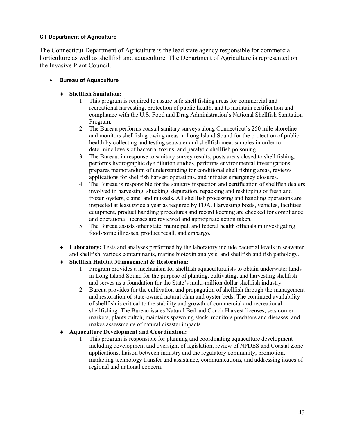#### **CT Department of Agriculture**

The Connecticut Department of Agriculture is the lead state agency responsible for commercial horticulture as well as shellfish and aquaculture. The Department of Agriculture is represented on the Invasive Plant Council.

- **Bureau of Aquaculture**
	- ♦ **Shellfish Sanitation:**
		- 1. This program is required to assure safe shell fishing areas for commercial and recreational harvesting, protection of public health, and to maintain certification and compliance with the U.S. Food and Drug Administration's National Shellfish Sanitation Program.
		- 2. The Bureau performs coastal sanitary surveys along Connecticut's 250 mile shoreline and monitors shellfish growing areas in Long Island Sound for the protection of public health by collecting and testing seawater and shellfish meat samples in order to determine levels of bacteria, toxins, and paralytic shellfish poisoning.
		- 3. The Bureau, in response to sanitary survey results, posts areas closed to shell fishing, performs hydrographic dye dilution studies, performs environmental investigations, prepares memorandum of understanding for conditional shell fishing areas, reviews applications for shellfish harvest operations, and initiates emergency closures.
		- 4. The Bureau is responsible for the sanitary inspection and certification of shellfish dealers involved in harvesting, shucking, depuration, repacking and reshipping of fresh and frozen oysters, clams, and mussels. All shellfish processing and handling operations are inspected at least twice a year as required by FDA. Harvesting boats, vehicles, facilities, equipment, product handling procedures and record keeping are checked for compliance and operational licenses are reviewed and appropriate action taken.
		- 5. The Bureau assists other state, municipal, and federal health officials in investigating food-borne illnesses, product recall, and embargo.
	- ♦ **Laboratory:** Tests and analyses performed by the laboratory include bacterial levels in seawater and shellfish, various contaminants, marine biotoxin analysis, and shellfish and fish pathology.
	- ♦ **Shellfish Habitat Management & Restoration:**
		- 1. Program provides a mechanism for shellfish aquaculturalists to obtain underwater lands in Long Island Sound for the purpose of planting, cultivating, and harvesting shellfish and serves as a foundation for the State's multi-million dollar shellfish industry.
		- 2. Bureau provides for the cultivation and propagation of shellfish through the management and restoration of state-owned natural clam and oyster beds. The continued availability of shellfish is critical to the stability and growth of commercial and recreational shellfishing. The Bureau issues Natural Bed and Conch Harvest licenses, sets corner markers, plants cultch, maintains spawning stock, monitors predators and diseases, and makes assessments of natural disaster impacts.

## ♦ **Aquaculture Development and Coordination:**

1. This program is responsible for planning and coordinating aquaculture development including development and oversight of legislation, review of NPDES and Coastal Zone applications, liaison between industry and the regulatory community, promotion, marketing technology transfer and assistance, communications, and addressing issues of regional and national concern.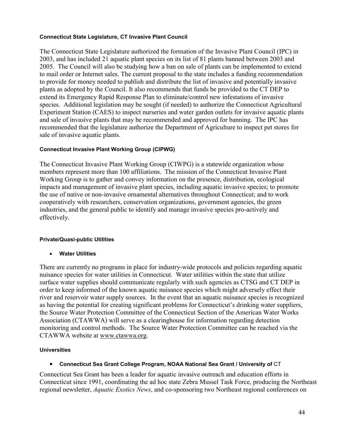#### **Connecticut State Legislature, CT Invasive Plant Council**

The Connecticut State Legislature authorized the formation of the Invasive Plant Council (IPC) in 2003, and has included 21 aquatic plant species on its list of 81 plants banned between 2003 and 2005. The Council will also be studying how a ban on sale of plants can be implemented to extend to mail order or Internet sales. The current proposal to the state includes a funding recommendation to provide for money needed to publish and distribute the list of invasive and potentially invasive plants as adopted by the Council. It also recommends that funds be provided to the CT DEP to extend its Emergency Rapid Response Plan to eliminate/control new infestations of invasive species. Additional legislation may be sought (if needed) to authorize the Connecticut Agricultural Experiment Station (CAES) to inspect nurseries and water garden outlets for invasive aquatic plants and sale of invasive plants that may be recommended and approved for banning. The IPC has recommended that the legislature authorize the Department of Agriculture to inspect pet stores for sale of invasive aquatic plants.

#### **Connecticut Invasive Plant Working Group (CIPWG)**

The Connecticut Invasive Plant Working Group (CIWPG) is a statewide organization whose members represent more than 100 affiliations. The mission of the Connecticut Invasive Plant Working Group is to gather and convey information on the presence, distribution, ecological impacts and management of invasive plant species, including aquatic invasive species; to promote the use of native or non-invasive ornamental alternatives throughout Connecticut; and to work cooperatively with researchers, conservation organizations, government agencies, the green industries, and the general public to identify and manage invasive species pro-actively and effectively.

#### **Private/Quasi-public Utilities**

• **Water Utilities**

There are currently no programs in place for industry-wide protocols and policies regarding aquatic nuisance species for water utilities in Connecticut. Water utilities within the state that utilize surface water supplies should communicate regularly with such agencies as CTSG and CT DEP in order to keep informed of the known aquatic nuisance species which might adversely effect their river and reservoir water supply sources. In the event that an aquatic nuisance species is recognized as having the potential for creating significant problems for Connecticut's drinking water suppliers, the Source Water Protection Committee of the Connecticut Section of the American Water Works Association (CTAWWA) will serve as a clearinghouse for information regarding detection monitoring and control methods. The Source Water Protection Committee can be reached via the CTAWWA website at [www.ctawwa.org.](http://www.ctawwa.org/)

#### **Universities**

#### • **Connecticut Sea Grant College Program, NOAA National Sea Grant / University of** CT

Connecticut Sea Grant has been a leader for aquatic invasive outreach and education efforts in Connecticut since 1991, coordinating the ad hoc state Zebra Mussel Task Force, producing the Northeast regional newsletter, *Aquatic Exotics News*, and co-sponsoring two Northeast regional conferences on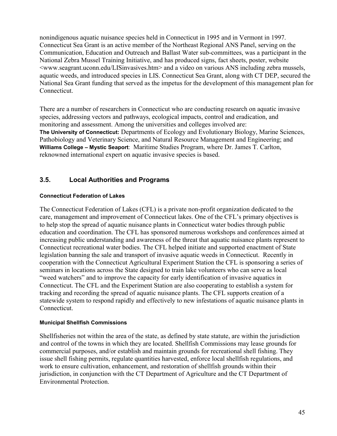nonindigenous aquatic nuisance species held in Connecticut in 1995 and in Vermont in 1997. Connecticut Sea Grant is an active member of the Northeast Regional ANS Panel, serving on the Communication, Education and Outreach and Ballast Water sub-committees, was a participant in the National Zebra Mussel Training Initiative, and has produced signs, fact sheets, poster, website <www.seagrant.uconn.edu/LISinvasives.htm> and a video on various ANS including zebra mussels, aquatic weeds, and introduced species in LIS. Connecticut Sea Grant, along with CT DEP, secured the National Sea Grant funding that served as the impetus for the development of this management plan for Connecticut.

There are a number of researchers in Connecticut who are conducting research on aquatic invasive species, addressing vectors and pathways, ecological impacts, control and eradication, and monitoring and assessment. Among the universities and colleges involved are: **The University of Connecticut:** Departments of Ecology and Evolutionary Biology, Marine Sciences, Pathobiology and Veterinary Science, and Natural Resource Management and Engineering; and **Williams College – Mystic Seaport**: Maritime Studies Program, where Dr. James T. Carlton, reknowned international expert on aquatic invasive species is based.

# **3.5. Local Authorities and Programs**

### **Connecticut Federation of Lakes**

The Connecticut Federation of Lakes (CFL) is a private non-profit organization dedicated to the care, management and improvement of Connecticut lakes. One of the CFL's primary objectives is to help stop the spread of aquatic nuisance plants in Connecticut water bodies through public education and coordination. The CFL has sponsored numerous workshops and conferences aimed at increasing public understanding and awareness of the threat that aquatic nuisance plants represent to Connecticut recreational water bodies. The CFL helped initiate and supported enactment of State legislation banning the sale and transport of invasive aquatic weeds in Connecticut. Recently in cooperation with the Connecticut Agricultural Experiment Station the CFL is sponsoring a series of seminars in locations across the State designed to train lake volunteers who can serve as local "weed watchers" and to improve the capacity for early identification of invasive aquatics in Connecticut. The CFL and the Experiment Station are also cooperating to establish a system for tracking and recording the spread of aquatic nuisance plants. The CFL supports creation of a statewide system to respond rapidly and effectively to new infestations of aquatic nuisance plants in Connecticut.

#### **Municipal Shellfish Commissions**

Shellfisheries not within the area of the state, as defined by state statute, are within the jurisdiction and control of the towns in which they are located. Shellfish Commissions may lease grounds for commercial purposes, and/or establish and maintain grounds for recreational shell fishing. They issue shell fishing permits, regulate quantities harvested, enforce local shellfish regulations, and work to ensure cultivation, enhancement, and restoration of shellfish grounds within their jurisdiction, in conjunction with the CT Department of Agriculture and the CT Department of Environmental Protection.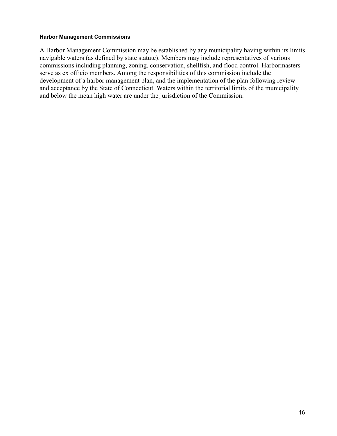#### **Harbor Management Commissions**

A Harbor Management Commission may be established by any municipality having within its limits navigable waters (as defined by state statute). Members may include representatives of various commissions including planning, zoning, conservation, shellfish, and flood control. Harbormasters serve as ex officio members. Among the responsibilities of this commission include the development of a harbor management plan, and the implementation of the plan following review and acceptance by the State of Connecticut. Waters within the territorial limits of the municipality and below the mean high water are under the jurisdiction of the Commission.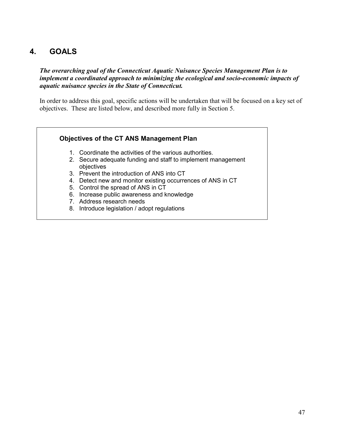# **4. GOALS**

*The overarching goal of the Connecticut Aquatic Nuisance Species Management Plan is to implement a coordinated approach to minimizing the ecological and socio-economic impacts of aquatic nuisance species in the State of Connecticut.*

In order to address this goal, specific actions will be undertaken that will be focused on a key set of objectives. These are listed below, and described more fully in Section 5.

## **Objectives of the CT ANS Management Plan**

- 1. Coordinate the activities of the various authorities.
- 2. Secure adequate funding and staff to implement management objectives
- 3. Prevent the introduction of ANS into CT
- 4. Detect new and monitor existing occurrences of ANS in CT
- 5. Control the spread of ANS in CT
- 6. Increase public awareness and knowledge
- 7. Address research needs
- 8. Introduce legislation / adopt regulations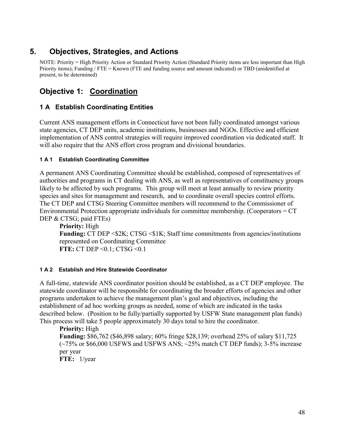# **5. Objectives, Strategies, and Actions**

NOTE: Priority = High Priority Action or Standard Priority Action (Standard Priority items are less important than High Priority items); Funding / FTE = Known (FTE and funding source and amount indicated) or TBD (unidentified at present, to be determined)

# **Objective 1: Coordination**

# **1 A Establish Coordinating Entities**

Current ANS management efforts in Connecticut have not been fully coordinated amongst various state agencies, CT DEP units, academic institutions, businesses and NGOs. Effective and efficient implementation of ANS control strategies will require improved coordination via dedicated staff. It will also require that the ANS effort cross program and divisional boundaries.

## **1 A 1 Establish Coordinating Committee**

A permanent ANS Coordinating Committee should be established, composed of representatives of authorities and programs in CT dealing with ANS, as well as representatives of constituency groups likely to be affected by such programs. This group will meet at least annually to review priority species and sites for management and research, and to coordinate overall species control efforts. The CT DEP and CTSG Steering Committee members will recommend to the Commissioner of Environmental Protection appropriate individuals for committee membership. (Cooperators = CT DEP & CTSG; paid FTEs)

**Priority:** High **Funding:** CT DEP <\$2K; CTSG <\$1K; Staff time commitments from agencies/institutions represented on Coordinating Committee **FTE:** CT DEP <0.1; CTSG <0.1

## **1 A 2 Establish and Hire Statewide Coordinator**

A full-time, statewide ANS coordinator position should be established, as a CT DEP employee. The statewide coordinator will be responsible for coordinating the broader efforts of agencies and other programs undertaken to achieve the management plan's goal and objectives, including the establishment of ad hoc working groups as needed, some of which are indicated in the tasks described below. (Position to be fully/partially supported by USFW State management plan funds) This process will take 5 people approximately 30 days total to hire the coordinator.

**Priority:** High

**Funding:** \$86,762 (\$46,898 salary; 60% fringe \$28,139; overhead 25% of salary \$11,725  $(-75\% \text{ or } $66,000 \text{ USFWS and USFWS ANS}; -25\% \text{ match CT DEP funds});$  3-5% increase per year

**FTE:** 1/year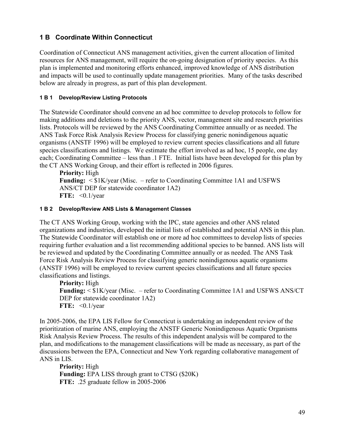# **1 B Coordinate Within Connecticut**

Coordination of Connecticut ANS management activities, given the current allocation of limited resources for ANS management, will require the on-going designation of priority species. As this plan is implemented and monitoring efforts enhanced, improved knowledge of ANS distribution and impacts will be used to continually update management priorities. Many of the tasks described below are already in progress, as part of this plan development.

## **1 B 1 Develop/Review Listing Protocols**

The Statewide Coordinator should convene an ad hoc committee to develop protocols to follow for making additions and deletions to the priority ANS, vector, management site and research priorities lists. Protocols will be reviewed by the ANS Coordinating Committee annually or as needed. The ANS Task Force Risk Analysis Review Process for classifying generic nonindigenous aquatic organisms (ANSTF 1996) will be employed to review current species classifications and all future species classifications and listings. We estimate the effort involved as ad hoc, 15 people, one day each; Coordinating Committee – less than .1 FTE. Initial lists have been developed for this plan by the CT ANS Working Group, and their effort is reflected in 2006 figures.

**Priority:** High **Funding:** < \$1K/year (Misc. – refer to Coordinating Committee 1A1 and USFWS ANS/CT DEP for statewide coordinator 1A2) **FTE:** <0.1/year

#### **1 B 2 Develop/Review ANS Lists & Management Classes**

The CT ANS Working Group, working with the IPC, state agencies and other ANS related organizations and industries, developed the initial lists of established and potential ANS in this plan. The Statewide Coordinator will establish one or more ad hoc committees to develop lists of species requiring further evaluation and a list recommending additional species to be banned. ANS lists will be reviewed and updated by the Coordinating Committee annually or as needed. The ANS Task Force Risk Analysis Review Process for classifying generic nonindigenous aquatic organisms (ANSTF 1996) will be employed to review current species classifications and all future species classifications and listings.

**Priority:** High **Funding:** < \$1K/year (Misc. – refer to Coordinating Committee 1A1 and USFWS ANS/CT DEP for statewide coordinator 1A2) **FTE:** <0.1/year

In 2005-2006, the EPA LIS Fellow for Connecticut is undertaking an independent review of the prioritization of marine ANS, employing the ANSTF Generic Nonindigenous Aquatic Organisms Risk Analysis Review Process. The results of this independent analysis will be compared to the plan, and modifications to the management classifications will be made as necessary, as part of the discussions between the EPA, Connecticut and New York regarding collaborative management of ANS in LIS.

**Priority:** High **Funding:** EPA LISS through grant to CTSG (\$20K) **FTE:** .25 graduate fellow in 2005-2006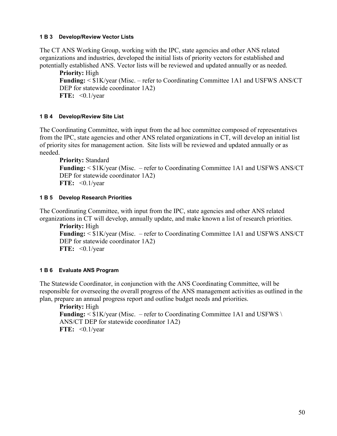#### **1 B 3 Develop/Review Vector Lists**

The CT ANS Working Group, working with the IPC, state agencies and other ANS related organizations and industries, developed the initial lists of priority vectors for established and potentially established ANS. Vector lists will be reviewed and updated annually or as needed.

**Priority:** High **Funding:** < \$1K/year (Misc. – refer to Coordinating Committee 1A1 and USFWS ANS/CT DEP for statewide coordinator 1A2) **FTE:** <0.1/year

### **1 B 4 Develop/Review Site List**

The Coordinating Committee, with input from the ad hoc committee composed of representatives from the IPC, state agencies and other ANS related organizations in CT, will develop an initial list of priority sites for management action. Site lists will be reviewed and updated annually or as needed.

```
Priority: Standard
Funding: < $1K/year (Misc. – refer to Coordinating Committee 1A1 and USFWS ANS/CT
DEP for statewide coordinator 1A2)
FTE: <0.1/year
```
### **1 B 5 Develop Research Priorities**

The Coordinating Committee, with input from the IPC, state agencies and other ANS related organizations in CT will develop, annually update, and make known a list of research priorities.

**Priority:** High **Funding:** < \$1K/year (Misc. – refer to Coordinating Committee 1A1 and USFWS ANS/CT DEP for statewide coordinator 1A2) **FTE:** <0.1/year

## **1 B 6 Evaluate ANS Program**

The Statewide Coordinator, in conjunction with the ANS Coordinating Committee, will be responsible for overseeing the overall progress of the ANS management activities as outlined in the plan, prepare an annual progress report and outline budget needs and priorities.

**Priority:** High **Funding:**  $\leq$  \$1K/year (Misc. – refer to Coordinating Committee 1A1 and USFWS \ ANS/CT DEP for statewide coordinator 1A2) **FTE:** <0.1/year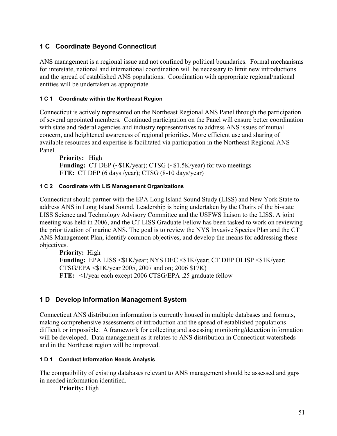# **1 C Coordinate Beyond Connecticut**

ANS management is a regional issue and not confined by political boundaries. Formal mechanisms for interstate, national and international coordination will be necessary to limit new introductions and the spread of established ANS populations. Coordination with appropriate regional/national entities will be undertaken as appropriate.

## **1 C 1 Coordinate within the Northeast Region**

Connecticut is actively represented on the Northeast Regional ANS Panel through the participation of several appointed members. Continued participation on the Panel will ensure better coordination with state and federal agencies and industry representatives to address ANS issues of mutual concern, and heightened awareness of regional priorities. More efficient use and sharing of available resources and expertise is facilitated via participation in the Northeast Regional ANS Panel.

**Priority:** High **Funding:** CT DEP (~\$1K/year); CTSG (~\$1.5K/year) for two meetings **FTE:** CT DEP (6 days /year); CTSG (8-10 days/year)

## **1 C 2 Coordinate with LIS Management Organizations**

Connecticut should partner with the EPA Long Island Sound Study (LISS) and New York State to address ANS in Long Island Sound. Leadership is being undertaken by the Chairs of the bi-state LISS Science and Technology Advisory Committee and the USFWS liaison to the LISS. A joint meeting was held in 2006, and the CT LISS Graduate Fellow has been tasked to work on reviewing the prioritization of marine ANS. The goal is to review the NYS Invasive Species Plan and the CT ANS Management Plan, identify common objectives, and develop the means for addressing these objectives.

**Priority:** High **Funding:** EPA LISS <\$1K/year; NYS DEC <\$1K/year; CT DEP OLISP <\$1K/year; CTSG/EPA <\$1K/year 2005, 2007 and on; 2006 \$17K) **FTE:** <1/year each except 2006 CTSG/EPA .25 graduate fellow

# **1 D Develop Information Management System**

Connecticut ANS distribution information is currently housed in multiple databases and formats, making comprehensive assessments of introduction and the spread of established populations difficult or impossible. A framework for collecting and assessing monitoring/detection information will be developed. Data management as it relates to ANS distribution in Connecticut watersheds and in the Northeast region will be improved.

## **1 D 1 Conduct Information Needs Analysis**

The compatibility of existing databases relevant to ANS management should be assessed and gaps in needed information identified.

**Priority:** High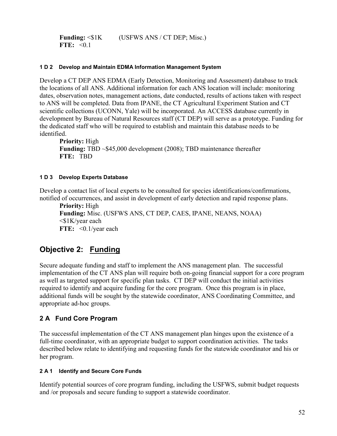Funding:  $\leq$ \$1K (USFWS ANS / CT DEP; Misc.) FTE:  $\leq 0.1$ 

#### **1 D 2 Develop and Maintain EDMA Information Management System**

Develop a CT DEP ANS EDMA (Early Detection, Monitoring and Assessment) database to track the locations of all ANS. Additional information for each ANS location will include: monitoring dates, observation notes, management actions, date conducted, results of actions taken with respect to ANS will be completed. Data from IPANE, the CT Agricultural Experiment Station and CT scientific collections (UCONN, Yale) will be incorporated. An ACCESS database currently in development by Bureau of Natural Resources staff (CT DEP) will serve as a prototype. Funding for the dedicated staff who will be required to establish and maintain this database needs to be identified.

**Priority:** High **Funding:** TBD ~\$45,000 development (2008); TBD maintenance thereafter **FTE:** TBD

### **1 D 3 Develop Experts Database**

Develop a contact list of local experts to be consulted for species identifications/confirmations, notified of occurrences, and assist in development of early detection and rapid response plans.

**Priority:** High **Funding:** Misc. (USFWS ANS, CT DEP, CAES, IPANE, NEANS, NOAA) <\$1K/year each **FTE:** <0.1/year each

# **Objective 2: Funding**

Secure adequate funding and staff to implement the ANS management plan. The successful implementation of the CT ANS plan will require both on-going financial support for a core program as well as targeted support for specific plan tasks. CT DEP will conduct the initial activities required to identify and acquire funding for the core program. Once this program is in place, additional funds will be sought by the statewide coordinator, ANS Coordinating Committee, and appropriate ad-hoc groups.

# **2 A Fund Core Program**

The successful implementation of the CT ANS management plan hinges upon the existence of a full-time coordinator, with an appropriate budget to support coordination activities. The tasks described below relate to identifying and requesting funds for the statewide coordinator and his or her program.

## **2 A 1 Identify and Secure Core Funds**

Identify potential sources of core program funding, including the USFWS, submit budget requests and /or proposals and secure funding to support a statewide coordinator.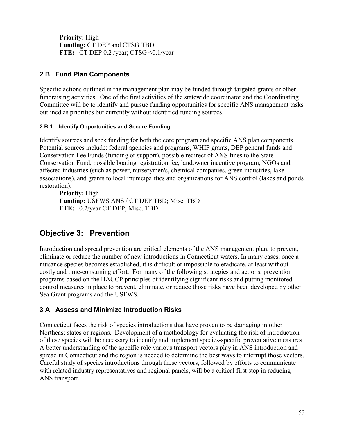**Priority:** High **Funding:** CT DEP and CTSG TBD **FTE:** CT DEP 0.2 /year; CTSG <0.1/year

# **2 B Fund Plan Components**

Specific actions outlined in the management plan may be funded through targeted grants or other fundraising activities. One of the first activities of the statewide coordinator and the Coordinating Committee will be to identify and pursue funding opportunities for specific ANS management tasks outlined as priorities but currently without identified funding sources.

## **2 B 1 Identify Opportunities and Secure Funding**

Identify sources and seek funding for both the core program and specific ANS plan components. Potential sources include: federal agencies and programs, WHIP grants, DEP general funds and Conservation Fee Funds (funding or support), possible redirect of ANS fines to the State Conservation Fund, possible boating registration fee, landowner incentive program, NGOs and affected industries (such as power, nurserymen's, chemical companies, green industries, lake associations), and grants to local municipalities and organizations for ANS control (lakes and ponds restoration).

**Priority:** High **Funding:** USFWS ANS / CT DEP TBD; Misc. TBD **FTE:** 0.2/year CT DEP; Misc. TBD

# **Objective 3: Prevention**

Introduction and spread prevention are critical elements of the ANS management plan, to prevent, eliminate or reduce the number of new introductions in Connecticut waters. In many cases, once a nuisance species becomes established, it is difficult or impossible to eradicate, at least without costly and time-consuming effort. For many of the following strategies and actions, prevention programs based on the HACCP principles of identifying significant risks and putting monitored control measures in place to prevent, eliminate, or reduce those risks have been developed by other Sea Grant programs and the USFWS.

# **3 A Assess and Minimize Introduction Risks**

Connecticut faces the risk of species introductions that have proven to be damaging in other Northeast states or regions. Development of a methodology for evaluating the risk of introduction of these species will be necessary to identify and implement species-specific preventative measures. A better understanding of the specific role various transport vectors play in ANS introduction and spread in Connecticut and the region is needed to determine the best ways to interrupt those vectors. Careful study of species introductions through these vectors, followed by efforts to communicate with related industry representatives and regional panels, will be a critical first step in reducing ANS transport.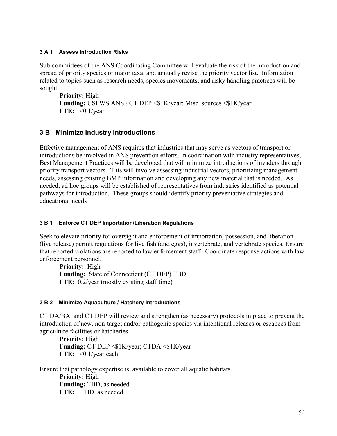#### **3 A 1 Assess Introduction Risks**

Sub-committees of the ANS Coordinating Committee will evaluate the risk of the introduction and spread of priority species or major taxa, and annually revise the priority vector list. Information related to topics such as research needs, species movements, and risky handling practices will be sought.

```
Priority: High
Funding: USFWS ANS / CT DEP <$1K/year; Misc. sources <$1K/year
FTE: <0.1/year
```
# **3 B Minimize Industry Introductions**

Effective management of ANS requires that industries that may serve as vectors of transport or introductions be involved in ANS prevention efforts. In coordination with industry representatives, Best Management Practices will be developed that will minimize introductions of invaders through priority transport vectors. This will involve assessing industrial vectors, prioritizing management needs, assessing existing BMP information and developing any new material that is needed. As needed, ad hoc groups will be established of representatives from industries identified as potential pathways for introduction. These groups should identify priority preventative strategies and educational needs

## **3 B 1 Enforce CT DEP Importation/Liberation Regulations**

Seek to elevate priority for oversight and enforcement of importation, possession, and liberation (live release) permit regulations for live fish (and eggs), invertebrate, and vertebrate species. Ensure that reported violations are reported to law enforcement staff. Coordinate response actions with law enforcement personnel.

**Priority:** High **Funding:** State of Connecticut (CT DEP) TBD **FTE:** 0.2/year (mostly existing staff time)

## **3 B 2 Minimize Aquaculture / Hatchery Introductions**

CT DA/BA, and CT DEP will review and strengthen (as necessary) protocols in place to prevent the introduction of new, non-target and/or pathogenic species via intentional releases or escapees from agriculture facilities or hatcheries.

**Priority:** High **Funding:** CT DEP <\$1K/year; CTDA <\$1K/year **FTE:** <0.1/year each

Ensure that pathology expertise is available to cover all aquatic habitats. **Priority:** High **Funding:** TBD, as needed **FTE:** TBD, as needed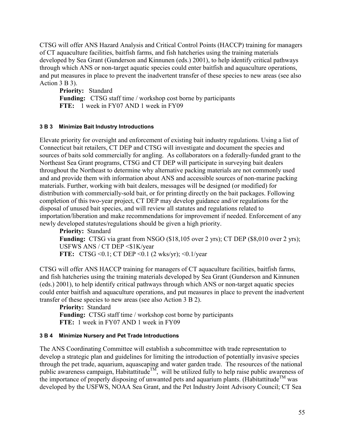CTSG will offer ANS Hazard Analysis and Critical Control Points (HACCP) training for managers of CT aquaculture facilities, baitfish farms, and fish hatcheries using the training materials developed by Sea Grant (Gunderson and Kinnunen (eds.) 2001), to help identify critical pathways through which ANS or non-target aquatic species could enter baitfish and aquaculture operations, and put measures in place to prevent the inadvertent transfer of these species to new areas (see also Action 3 B 3).

**Priority:** Standard **Funding:** CTSG staff time / workshop cost borne by participants **FTE:** 1 week in FY07 AND 1 week in FY09

#### **3 B 3 Minimize Bait Industry Introductions**

Elevate priority for oversight and enforcement of existing bait industry regulations. Using a list of Connecticut bait retailers, CT DEP and CTSG will investigate and document the species and sources of baits sold commercially for angling. As collaborators on a federally-funded grant to the Northeast Sea Grant programs, CTSG and CT DEP will participate in surveying bait dealers throughout the Northeast to determine why alternative packing materials are not commonly used and and provide them with information about ANS and accessible sources of non-marine packing materials. Further, working with bait dealers, messages will be designed (or modified) for distribution with commercially-sold bait, or for printing directly on the bait packages. Following completion of this two-year project, CT DEP may develop guidance and/or regulations for the disposal of unused bait species, and will review all statutes and regulations related to importation/liberation and make recommendations for improvement if needed. Enforcement of any newly developed statutes/regulations should be given a high priority.

**Priority:** Standard **Funding:** CTSG via grant from NSGO (\$18,105 over 2 yrs); CT DEP (\$8,010 over 2 yrs); USFWS ANS / CT DEP <\$1K/year **FTE:** CTSG < 0.1; CT DEP < 0.1 (2 wks/yr); < 0.1/year

CTSG will offer ANS HACCP training for managers of CT aquaculture facilities, baitfish farms, and fish hatcheries using the training materials developed by Sea Grant (Gunderson and Kinnunen (eds.) 2001), to help identify critical pathways through which ANS or non-target aquatic species could enter baitfish and aquaculture operations, and put measures in place to prevent the inadvertent transfer of these species to new areas (see also Action 3 B 2).

**Priority:** Standard **Funding:** CTSG staff time / workshop cost borne by participants **FTE:** 1 week in FY07 AND 1 week in FY09

#### **3 B 4 Minimize Nursery and Pet Trade Introductions**

The ANS Coordinating Committee will establish a subcommittee with trade representation to develop a strategic plan and guidelines for limiting the introduction of potentially invasive species through the pet trade, aquarium, aquascaping and water garden trade. The resources of the national public awareness campaign, Habitattitude<sup>TM</sup>, will be utilized fully to help raise public awareness of the importance of properly disposing of unwanted pets and aquarium plants. (Habitattitude<sup>TM</sup> was developed by the USFWS, NOAA Sea Grant, and the Pet Industry Joint Advisory Council; CT Sea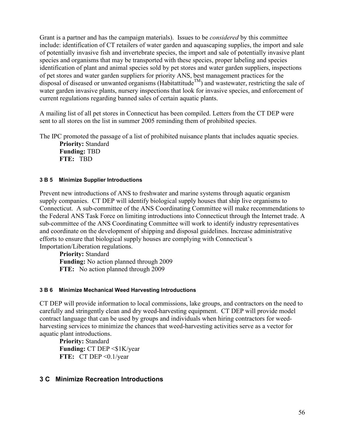Grant is a partner and has the campaign materials). Issues to be *considered* by this committee include: identification of CT retailers of water garden and aquascaping supplies, the import and sale of potentially invasive fish and invertebrate species, the import and sale of potentially invasive plant species and organisms that may be transported with these species, proper labeling and species identification of plant and animal species sold by pet stores and water garden suppliers, inspections of pet stores and water garden suppliers for priority ANS, best management practices for the disposal of diseased or unwanted organisms (Habitattitude<sup>TM</sup>) and wastewater, restricting the sale of water garden invasive plants, nursery inspections that look for invasive species, and enforcement of current regulations regarding banned sales of certain aquatic plants.

A mailing list of all pet stores in Connecticut has been compiled. Letters from the CT DEP were sent to all stores on the list in summer 2005 reminding them of prohibited species.

The IPC promoted the passage of a list of prohibited nuisance plants that includes aquatic species.

**Priority:** Standard **Funding:** TBD **FTE:** TBD

### **3 B 5 Minimize Supplier Introductions**

Prevent new introductions of ANS to freshwater and marine systems through aquatic organism supply companies. CT DEP will identify biological supply houses that ship live organisms to Connecticut. A sub-committee of the ANS Coordinating Committee will make recommendations to the Federal ANS Task Force on limiting introductions into Connecticut through the Internet trade. A sub-committee of the ANS Coordinating Committee will work to identify industry representatives and coordinate on the development of shipping and disposal guidelines. Increase administrative efforts to ensure that biological supply houses are complying with Connecticut's Importation/Liberation regulations.

**Priority:** Standard **Funding:** No action planned through 2009 **FTE:** No action planned through 2009

#### **3 B 6 Minimize Mechanical Weed Harvesting Introductions**

CT DEP will provide information to local commissions, lake groups, and contractors on the need to carefully and stringently clean and dry weed-harvesting equipment. CT DEP will provide model contract language that can be used by groups and individuals when hiring contractors for weedharvesting services to minimize the chances that weed-harvesting activities serve as a vector for aquatic plant introductions.

**Priority:** Standard **Funding:** CT DEP <\$1K/year **FTE:** CT DEP <0.1/year

# **3 C Minimize Recreation Introductions**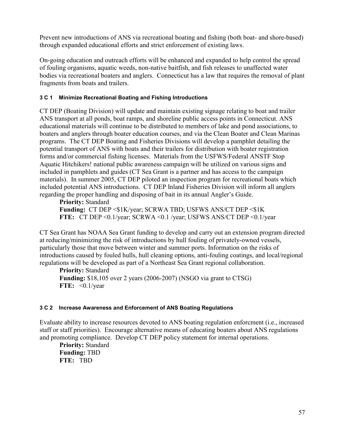Prevent new introductions of ANS via recreational boating and fishing (both boat- and shore-based) through expanded educational efforts and strict enforcement of existing laws.

On-going education and outreach efforts will be enhanced and expanded to help control the spread of fouling organisms, aquatic weeds, non-native baitfish, and fish releases to unaffected water bodies via recreational boaters and anglers. Connecticut has a law that requires the removal of plant fragments from boats and trailers.

#### **3 C 1 Minimize Recreational Boating and Fishing Introductions**

CT DEP (Boating Division) will update and maintain existing signage relating to boat and trailer ANS transport at all ponds, boat ramps, and shoreline public access points in Connecticut. ANS educational materials will continue to be distributed to members of lake and pond associations, to boaters and anglers through boater education courses, and via the Clean Boater and Clean Marinas programs. The CT DEP Boating and Fisheries Divisions will develop a pamphlet detailing the potential transport of ANS with boats and their trailers for distribution with boater registration forms and/or commercial fishing licenses. Materials from the USFWS/Federal ANSTF Stop Aquatic Hitchikers! national public awareness campaign will be utilized on various signs and included in pamphlets and guides (CT Sea Grant is a partner and has access to the campaign materials). In summer 2005, CT DEP piloted an inspection program for recreational boats which included potential ANS introductions. CT DEP Inland Fisheries Division will inform all anglers regarding the proper handling and disposing of bait in its annual Angler's Guide.

**Priority:** Standard **Funding:** CT DEP <\$1K/year; SCRWA TBD; USFWS ANS/CT DEP <\$1K **FTE:** CT DEP <0.1/year; SCRWA <0.1 /year; USFWS ANS/CT DEP <0.1/year

CT Sea Grant has NOAA Sea Grant funding to develop and carry out an extension program directed at reducing/minimizing the risk of introductions by hull fouling of privately-owned vessels, particularly those that move between winter and summer ports. Information on the risks of introductions caused by fouled hulls, hull cleaning options, anti-fouling coatings, and local/regional regulations will be developed as part of a Northeast Sea Grant regional collaboration.

**Priority:** Standard **Funding:** \$18,105 over 2 years (2006-2007) (NSGO via grant to CTSG) **FTE:** <0.1/year

#### **3 C 2 Increase Awareness and Enforcement of ANS Boating Regulations**

Evaluate ability to increase resources devoted to ANS boating regulation enforcment (i.e., increased staff or staff priorities). Encourage alternative means of educating boaters about ANS regulations and promoting compliance. Develop CT DEP policy statement for internal operations.

**Priority:** Standard **Funding:** TBD **FTE:** TBD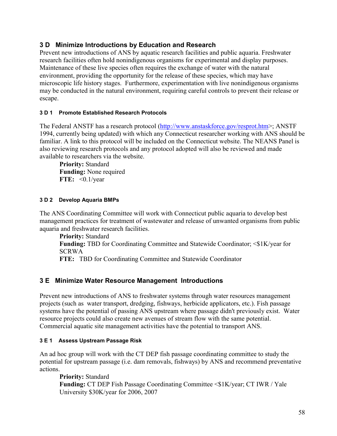# **3 D Minimize Introductions by Education and Research**

Prevent new introductions of ANS by aquatic research facilities and public aquaria. Freshwater research facilities often hold nonindigenous organisms for experimental and display purposes. Maintenance of these live species often requires the exchange of water with the natural environment, providing the opportunity for the release of these species, which may have microscopic life history stages. Furthermore, experimentation with live nonindigenous organisms may be conducted in the natural environment, requiring careful controls to prevent their release or escape.

#### **3 D 1 Promote Established Research Protocols**

The Federal ANSTF has a research protocol ([http://www.anstaskforce.gov/resprot.htm>](http://www.anstaskforce.gov/resprot.htm); ANSTF 1994, currently being updated) with which any Connecticut researcher working with ANS should be familiar. A link to this protocol will be included on the Connecticut website. The NEANS Panel is also reviewing research protocols and any protocol adopted will also be reviewed and made available to researchers via the website.

**Priority:** Standard **Funding:** None required **FTE:** <0.1/year

#### **3 D 2 Develop Aquaria BMPs**

The ANS Coordinating Committee will work with Connecticut public aquaria to develop best management practices for treatment of wastewater and release of unwanted organisms from public aquaria and freshwater research facilities.

**Priority:** Standard **Funding:** TBD for Coordinating Committee and Statewide Coordinator; <\$1K/year for SCRWA **FTE:** TBD for Coordinating Committee and Statewide Coordinator

# **3 E Minimize Water Resource Management Introductions**

Prevent new introductions of ANS to freshwater systems through water resources management projects (such as water transport, dredging, fishways, herbicide applicators, etc.). Fish passage systems have the potential of passing ANS upstream where passage didn't previously exist. Water resource projects could also create new avenues of stream flow with the same potential. Commercial aquatic site management activities have the potential to transport ANS.

#### **3 E 1 Assess Upstream Passage Risk**

An ad hoc group will work with the CT DEP fish passage coordinating committee to study the potential for upstream passage (i.e. dam removals, fishways) by ANS and recommend preventative actions.

**Priority:** Standard **Funding:** CT DEP Fish Passage Coordinating Committee <\$1K/year; CT IWR / Yale University \$30K/year for 2006, 2007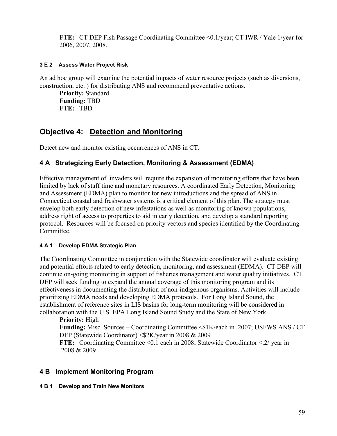**FTE:** CT DEP Fish Passage Coordinating Committee <0.1/year; CT IWR / Yale 1/year for 2006, 2007, 2008.

### **3 E 2 Assess Water Project Risk**

An ad hoc group will examine the potential impacts of water resource projects (such as diversions, construction, etc. ) for distributing ANS and recommend preventative actions.

**Priority:** Standard **Funding:** TBD **FTE:** TBD

# **Objective 4: Detection and Monitoring**

Detect new and monitor existing occurrences of ANS in CT.

# **4 A Strategizing Early Detection, Monitoring & Assessment (EDMA)**

Effective management of invaders will require the expansion of monitoring efforts that have been limited by lack of staff time and monetary resources. A coordinated Early Detection, Monitoring and Assessment (EDMA) plan to monitor for new introductions and the spread of ANS in Connecticut coastal and freshwater systems is a critical element of this plan. The strategy must envelop both early detection of new infestations as well as monitoring of known populations, address right of access to properties to aid in early detection, and develop a standard reporting protocol. Resources will be focused on priority vectors and species identified by the Coordinating **Committee** 

## **4 A 1 Develop EDMA Strategic Plan**

The Coordinating Committee in conjunction with the Statewide coordinator will evaluate existing and potential efforts related to early detection, monitoring, and assessment (EDMA). CT DEP will continue on-going monitoring in support of fisheries management and water quality initiatives. CT DEP will seek funding to expand the annual coverage of this monitoring program and its effectiveness in documenting the distribution of non-indigenous organisms. Activities will include prioritizing EDMA needs and developing EDMA protocols. For Long Island Sound, the establishment of reference sites in LIS basins for long-term monitoring will be considered in collaboration with the U.S. EPA Long Island Sound Study and the State of New York.

**Priority:** High **Funding:** Misc. Sources – Coordinating Committee  $\leq$  1K/each in 2007; USFWS ANS / CT DEP (Statewide Coordinator) <\$2K/year in 2008 & 2009 **FTE:** Coordinating Committee <0.1 each in 2008; Statewide Coordinator <.2/ year in 2008 & 2009

# **4 B Implement Monitoring Program**

#### **4 B 1 Develop and Train New Monitors**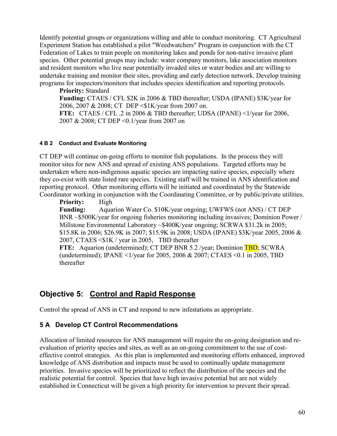Identify potential groups or organizations willing and able to conduct monitoring. CT Agricultural Experiment Station has established a pilot "Weedwatchers" Program in conjunction with the CT Federation of Lakes to train people on monitoring lakes and ponds for non-native invasive plant species. Other potential groups may include: water company monitors, lake association monitors and resident monitors who live near potentially invaded sites or water bodies and are willing to undertake training and monitor their sites, providing and early detection network. Develop training programs for inspectors/monitors that includes species identification and reporting protocols.

**Priority:** Standard **Funding:** CTAES / CFL \$2K in 2006 & TBD thereafter; USDA (IPANE) \$3K/year for 2006, 2007 & 2008; CT DEP <\$1K/year from 2007 on. **FTE:** CTAES / CFL .2 in 2006 & TBD thereafter; UDSA (IPANE) <1/year for 2006, 2007 & 2008; CT DEP <0.1/year from 2007 on

#### **4 B 2 Conduct and Evaluate Monitoring**

CT DEP will continue on-going efforts to monitor fish populations. In the process they will monitor sites for new ANS and spread of existing ANS populations. Targeted efforts may be undertaken where non-indigenous aquatic species are impacting native species, especially where they co-exist with state listed rare species. Existing staff will be trained in ANS identification and reporting protocol. Other monitoring efforts will be initiated and coordinated by the Statewide Coordinator working in conjunction with the Coordinating Committee, or by public/private utilities.

**Priority:** High **Funding:** Aquarion Water Co. \$10K/year ongoing; UWFWS (not ANS) / CT DEP BNR ~\$500K/year for ongoing fisheries monitoring including invasives; Dominion Power / Millstone Environmental Laboratory ~\$400K/year ongoing; SCRWA \$31.2k in 2005; \$15.8K in 2006; \$26.9K in 2007; \$15.9K in 2008; USDA (IPANE) \$3K/year 2005, 2006 & 2007, CTAES <\$1K / year in 2005, TBD thereafter **FTE:** Aquarion (undetermined); CT DEP BNR 5.2 /year; Dominion **TBD**; SCWRA

(undetermined); IPANE <1/year for 2005, 2006 & 2007; CTAES <0.1 in 2005, TBD thereafter

# **Objective 5: Control and Rapid Response**

Control the spread of ANS in CT and respond to new infestations as appropriate.

# **5 A Develop CT Control Recommendations**

Allocation of limited resources for ANS management will require the on-going designation and reevaluation of priority species and sites, as well as an on-going commitment to the use of costeffective control strategies. As this plan is implemented and monitoring efforts enhanced, improved knowledge of ANS distribution and impacts must be used to continually update management priorities. Invasive species will be prioritized to reflect the distribution of the species and the realistic potential for control. Species that have high invasive potential but are not widely established in Connecticut will be given a high priority for intervention to prevent their spread.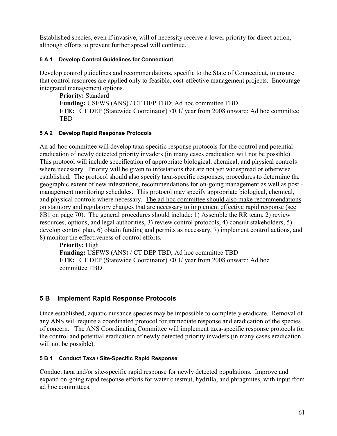Established species, even if invasive, will of necessity receive a lower priority for direct action, although efforts to prevent further spread will continue.

### **5 A 1 Develop Control Guidelines for Connecticut**

Develop control guidelines and recommendations, specific to the State of Connecticut, to ensure that control resources are applied only to feasible, cost-effective management projects. Encourage integrated management options.

**Priority:** Standard **Funding:** USFWS (ANS) / CT DEP TBD; Ad hoc committee TBD **FTE:** CT DEP (Statewide Coordinator) <0.1/ year from 2008 onward; Ad hoc committee TBD

### **5 A 2 Develop Rapid Response Protocols**

An ad-hoc committee will develop taxa-specific response protocols for the control and potential eradication of newly detected priority invaders (in many cases eradication will not be possible). This protocol will include specification of appropriate biological, chemical, and physical controls where necessary. Priority will be given to infestations that are not yet widespread or otherwise established. The protocol should also specify taxa-specific responses, procedures to determine the geographic extent of new infestations, recommendations for on-going management as well as post management monitoring schedules. This protocol may specify appropriate biological, chemical, and physical controls where necessary. The ad-hoc committee should also make recommendations on statutory and regulatory changes that are necessary to implement effective rapid response (see 8B1 on page 70). The general procedures should include: 1) Assemble the RR team, 2) review resources, options, and legal authorities, 3) review control protocols, 4) consult stakeholders, 5) develop control plan, 6) obtain funding and permits as necessary, 7) implement control actions, and 8) monitor the effectiveness of control efforts.

**Priority:** High **Funding:** USFWS (ANS) / CT DEP TBD; Ad hoc committee TBD **FTE:** CT DEP (Statewide Coordinator) <0.1/ year from 2008 onward; Ad hoc committee TBD

# **5 B Implement Rapid Response Protocols**

Once established, aquatic nuisance species may be impossible to completely eradicate. Removal of any ANS will require a coordinated protocol for immediate response and eradication of the species of concern. The ANS Coordinating Committee will implement taxa-specific response protocols for the control and potential eradication of newly detected priority invaders (in many cases eradication will not be possible).

#### **5 B 1 Conduct Taxa / Site-Specific Rapid Response**

Conduct taxa and/or site-specific rapid response for newly detected populations. Improve and expand on-going rapid response efforts for water chestnut, hydrilla, and phragmites, with input from ad hoc committees.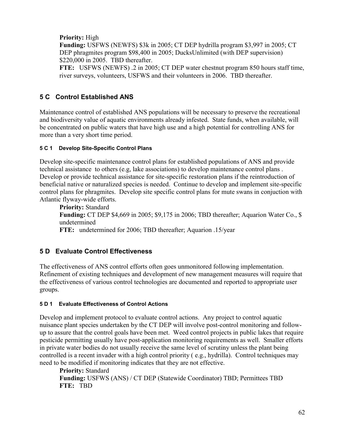**Priority:** High

**Funding:** USFWS (NEWFS) \$3k in 2005; CT DEP hydrilla program \$3,997 in 2005; CT DEP phragmites program \$98,400 in 2005; DucksUnlimited (with DEP supervision) \$220,000 in 2005. TBD thereafter.

**FTE:** USFWS (NEWFS) .2 in 2005; CT DEP water chestnut program 850 hours staff time, river surveys, volunteers, USFWS and their volunteers in 2006. TBD thereafter.

# **5 C Control Established ANS**

Maintenance control of established ANS populations will be necessary to preserve the recreational and biodiversity value of aquatic environments already infested. State funds, when available, will be concentrated on public waters that have high use and a high potential for controlling ANS for more than a very short time period.

## **5 C 1 Develop Site-Specific Control Plans**

Develop site-specific maintenance control plans for established populations of ANS and provide technical assistance to others (e.g, lake associations) to develop maintenance control plans . Develop or provide technical assistance for site-specific restoration plans if the reintroduction of beneficial native or naturalized species is needed. Continue to develop and implement site-specific control plans for phragmites. Develop site specific control plans for mute swans in conjuction with Atlantic flyway-wide efforts.

**Priority:** Standard **Funding:** CT DEP \$4,669 in 2005; \$9,175 in 2006; TBD thereafter; Aquarion Water Co., \$ undetermined **FTE:** undetermined for 2006; TBD thereafter; Aquarion .15/year

# **5 D Evaluate Control Effectiveness**

The effectiveness of ANS control efforts often goes unmonitored following implementation. Refinement of existing techniques and development of new management measures will require that the effectiveness of various control technologies are documented and reported to appropriate user groups.

# **5 D 1 Evaluate Effectiveness of Control Actions**

Develop and implement protocol to evaluate control actions. Any project to control aquatic nuisance plant species undertaken by the CT DEP will involve post-control monitoring and followup to assure that the control goals have been met. Weed control projects in public lakes that require pesticide permitting usually have post-application monitoring requirements as well. Smaller efforts in private water bodies do not usually receive the same level of scrutiny unless the plant being controlled is a recent invader with a high control priority ( e.g., hydrilla). Control techniques may need to be modified if monitoring indicates that they are not effective.

**Priority:** Standard **Funding:** USFWS (ANS) / CT DEP (Statewide Coordinator) TBD; Permittees TBD **FTE:** TBD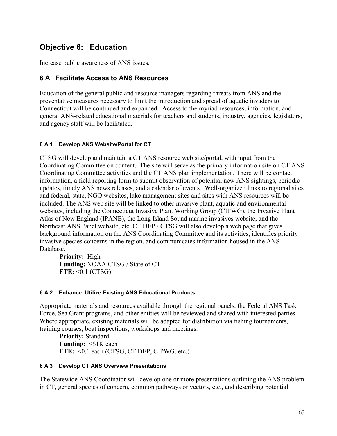# **Objective 6: Education**

Increase public awareness of ANS issues.

## **6 A Facilitate Access to ANS Resources**

Education of the general public and resource managers regarding threats from ANS and the preventative measures necessary to limit the introduction and spread of aquatic invaders to Connecticut will be continued and expanded. Access to the myriad resources, information, and general ANS-related educational materials for teachers and students, industry, agencies, legislators, and agency staff will be facilitated.

### **6 A 1 Develop ANS Website/Portal for CT**

CTSG will develop and maintain a CT ANS resource web site/portal, with input from the Coordinating Committee on content. The site will serve as the primary information site on CT ANS Coordinating Committee activities and the CT ANS plan implementation. There will be contact information, a field reporting form to submit observation of potential new ANS sightings, periodic updates, timely ANS news releases, and a calendar of events. Well-organized links to regional sites and federal, state, NGO websites, lake management sites and sites with ANS resources will be included. The ANS web site will be linked to other invasive plant, aquatic and environmental websites, including the Connecticut Invasive Plant Working Group (CIPWG), the Invasive Plant Atlas of New England (IPANE), the Long Island Sound marine invasives website, and the Northeast ANS Panel website, etc. CT DEP / CTSG will also develop a web page that gives background information on the ANS Coordinating Committee and its activities, identifies priority invasive species concerns in the region, and communicates information housed in the ANS Database.

**Priority:** High **Funding:** NOAA CTSG / State of CT **FTE:** <0.1 (CTSG)

#### **6 A 2 Enhance, Utilize Existing ANS Educational Products**

Appropriate materials and resources available through the regional panels, the Federal ANS Task Force, Sea Grant programs, and other entities will be reviewed and shared with interested parties. Where appropriate, existing materials will be adapted for distribution via fishing tournaments, training courses, boat inspections, workshops and meetings.

**Priority:** Standard **Funding:**  $\leq$ \$1K each **FTE:** <0.1 each (CTSG, CT DEP, CIPWG, etc.)

#### **6 A 3 Develop CT ANS Overview Presentations**

The Statewide ANS Coordinator will develop one or more presentations outlining the ANS problem in CT, general species of concern, common pathways or vectors, etc., and describing potential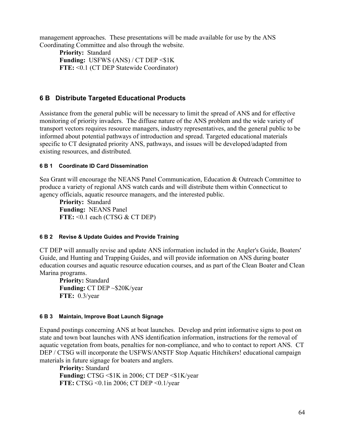management approaches. These presentations will be made available for use by the ANS Coordinating Committee and also through the website.

**Priority:** Standard **Funding:** USFWS (ANS) / CT DEP <\$1K **FTE:** <0.1 (CT DEP Statewide Coordinator)

## **6 B Distribute Targeted Educational Products**

Assistance from the general public will be necessary to limit the spread of ANS and for effective monitoring of priority invaders. The diffuse nature of the ANS problem and the wide variety of transport vectors requires resource managers, industry representatives, and the general public to be informed about potential pathways of introduction and spread. Targeted educational materials specific to CT designated priority ANS, pathways, and issues will be developed/adapted from existing resources, and distributed.

### **6 B 1 Coordinate ID Card Dissemination**

Sea Grant will encourage the NEANS Panel Communication, Education & Outreach Committee to produce a variety of regional ANS watch cards and will distribute them within Connecticut to agency officials, aquatic resource managers, and the interested public.

**Priority:** Standard **Funding:** NEANS Panel **FTE:** <0.1 each (CTSG & CT DEP)

#### **6 B 2 Revise & Update Guides and Provide Training**

CT DEP will annually revise and update ANS information included in the Angler's Guide, Boaters' Guide, and Hunting and Trapping Guides, and will provide information on ANS during boater education courses and aquatic resource education courses, and as part of the Clean Boater and Clean Marina programs.

**Priority:** Standard **Funding:** CT DEP ~\$20K/year **FTE:** 0.3/year

#### **6 B 3 Maintain, Improve Boat Launch Signage**

Expand postings concerning ANS at boat launches. Develop and print informative signs to post on state and town boat launches with ANS identification information, instructions for the removal of aquatic vegetation from boats, penalties for non-compliance, and who to contact to report ANS. CT DEP / CTSG will incorporate the USFWS/ANSTF Stop Aquatic Hitchikers! educational campaign materials in future signage for boaters and anglers.

**Priority:** Standard **Funding:** CTSG <\$1K in 2006; CT DEP <\$1K/year **FTE:** CTSG <0.1in 2006; CT DEP <0.1/year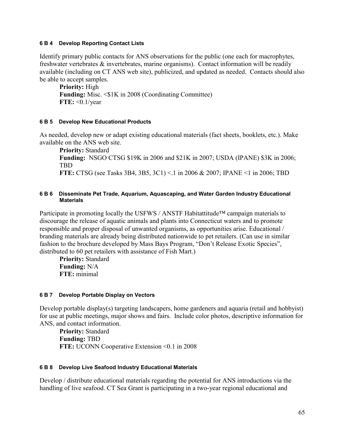#### **6 B 4 Develop Reporting Contact Lists**

Identify primary public contacts for ANS observations for the public (one each for macrophytes, freshwater vertebrates  $\&$  invertebrates, marine organisms). Contact information will be readily available (including on CT ANS web site), publicized, and updated as needed. Contacts should also be able to accept samples.

**Priority:** High **Funding:** Misc. <\$1K in 2008 (Coordinating Committee) **FTE:** <0.1/year

### **6 B 5 Develop New Educational Products**

As needed, develop new or adapt existing educational materials (fact sheets, booklets, etc.). Make available on the ANS web site.

**Priority:** Standard **Funding:** NSGO CTSG \$19K in 2006 and \$21K in 2007; USDA (IPANE) \$3K in 2006; TBD **FTE:** CTSG (see Tasks 3B4, 3B5, 3C1) <.1 in 2006 & 2007; IPANE <1 in 2006; TBD

#### **6 B 6 Disseminate Pet Trade, Aquarium, Aquascaping, and Water Garden Industry Educational Materials**

Participate in promoting locally the USFWS / ANSTF Habitattitude™ campaign materials to discourage the release of aquatic animals and plants into Connecticut waters and to promote responsible and proper disposal of unwanted organisms, as opportunities arise. Educational / branding materials are already being distributed nationwide to pet retailers. (Can use in similar fashion to the brochure developed by Mass Bays Program, "Don't Release Exotic Species", distributed to 60 pet retailers with assistance of Fish Mart.)

**Priority:** Standard **Funding:** N/A **FTE:** minimal

## **6 B 7 Develop Portable Display on Vectors**

Develop portable display(s) targeting landscapers, home gardeners and aquaria (retail and hobbyist) for use at public meetings, major shows and fairs. Include color photos, descriptive information for ANS, and contact information.

**Priority:** Standard **Funding:** TBD **FTE:** UCONN Cooperative Extension <0.1 in 2008

#### **6 B 8 Develop Live Seafood Industry Educational Materials**

Develop / distribute educational materials regarding the potential for ANS introductions via the handling of live seafood. CT Sea Grant is participating in a two-year regional educational and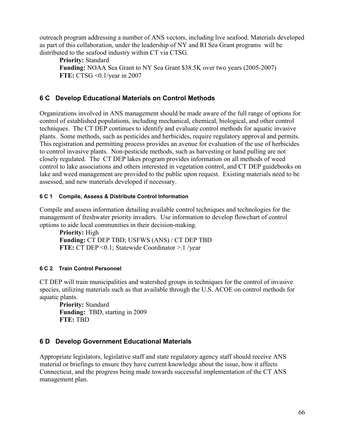outreach program addressing a number of ANS vectors, including live seafood. Materials developed as part of this collaboration, under the leadership of NY and RI Sea Grant programs will be distributed to the seafood industry within CT via CTSG.

**Priority:** Standard **Funding:** NOAA Sea Grant to NY Sea Grant \$38.5K over two years (2005-2007) **FTE:** CTSG <0.1/year in 2007

# **6 C Develop Educational Materials on Control Methods**

Organizations involved in ANS management should be made aware of the full range of options for control of established populations, including mechanical, chemical, biological, and other control techniques. The CT DEP continues to identify and evaluate control methods for aquatic invasive plants. Some methods, such as pesticides and herbicides, require regulatory approval and permits. This registration and permitting process provides an avenue for evaluation of the use of herbicides to control invasive plants. Non-pesticide methods, such as harvesting or hand pulling are not closely regulated. The CT DEP lakes program provides information on all methods of weed control to lake associations and others interested in vegetation control, and CT DEP guidebooks on lake and weed management are provided to the public upon request. Existing materials need to be assessed, and new materials developed if necessary.

## **6 C 1 Compile, Assess & Distribute Control Information**

Compile and assess information detailing available control techniques and technologies for the management of freshwater priority invaders. Use information to develop flowchart of control options to aide local communities in their decision-making.

**Priority:** High **Funding:** CT DEP TBD; USFWS (ANS) / CT DEP TBD **FTE:** CT DEP <0.1; Statewide Coordinator >.1 /year

## **6 C 2 Train Control Personnel**

CT DEP will train municipalities and watershed groups in techniques for the control of invasive species, utilizing materials such as that available through the U.S. ACOE on control methods for aquatic plants.

**Priority:** Standard **Funding:** TBD, starting in 2009 **FTE:** TBD

# **6 D Develop Government Educational Materials**

Appropriate legislators, legislative staff and state regulatory agency staff should receive ANS material or briefings to ensure they have current knowledge about the issue, how it affects Connecticut, and the progress being made towards successful implementation of the CT ANS management plan.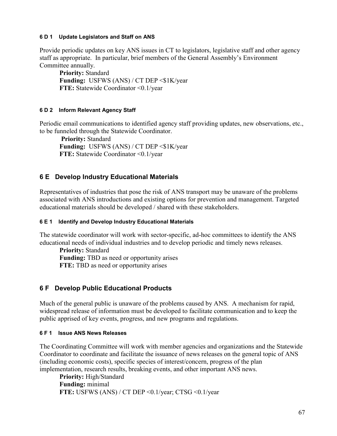#### **6 D 1 Update Legislators and Staff on ANS**

Provide periodic updates on key ANS issues in CT to legislators, legislative staff and other agency staff as appropriate. In particular, brief members of the General Assembly's Environment Committee annually.

**Priority:** Standard Funding: USFWS (ANS) / CT DEP <\$1K/year **FTE:** Statewide Coordinator <0.1/year

### **6 D 2 Inform Relevant Agency Staff**

Periodic email communications to identified agency staff providing updates, new observations, etc., to be funneled through the Statewide Coordinator.

 **Priority:** Standard Funding: USFWS (ANS) / CT DEP <\$1K/year **FTE:** Statewide Coordinator <0.1/year

# **6 E Develop Industry Educational Materials**

Representatives of industries that pose the risk of ANS transport may be unaware of the problems associated with ANS introductions and existing options for prevention and management. Targeted educational materials should be developed / shared with these stakeholders.

### **6 E 1 Identify and Develop Industry Educational Materials**

The statewide coordinator will work with sector-specific, ad-hoc committees to identify the ANS educational needs of individual industries and to develop periodic and timely news releases.

**Priority:** Standard **Funding:** TBD as need or opportunity arises **FTE:** TBD as need or opportunity arises

# **6 F Develop Public Educational Products**

Much of the general public is unaware of the problems caused by ANS. A mechanism for rapid, widespread release of information must be developed to facilitate communication and to keep the public apprised of key events, progress, and new programs and regulations.

## **6 F 1 Issue ANS News Releases**

The Coordinating Committee will work with member agencies and organizations and the Statewide Coordinator to coordinate and facilitate the issuance of news releases on the general topic of ANS (including economic costs), specific species of interest/concern, progress of the plan implementation, research results, breaking events, and other important ANS news.

**Priority:** High/Standard **Funding:** minimal **FTE:** USFWS (ANS) / CT DEP <0.1/year; CTSG <0.1/year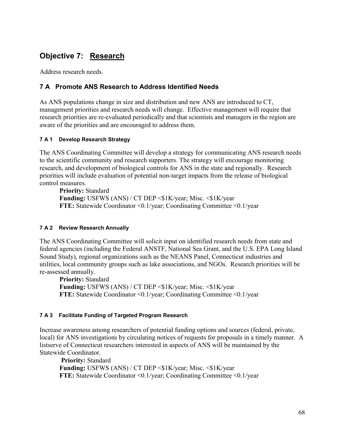# **Objective 7: Research**

Address research needs.

## **7 A Promote ANS Research to Address Identified Needs**

As ANS populations change in size and distribution and new ANS are introduced to CT, management priorities and research needs will change. Effective management will require that research priorities are re-evaluated periodically and that scientists and managers in the region are aware of the priorities and are encouraged to address them.

### **7 A 1 Develop Research Strategy**

The ANS Coordinating Committee will develop a strategy for communicating ANS research needs to the scientific community and research supporters. The strategy will encourage monitoring research, and development of biological controls for ANS in the state and regionally. Research priorities will include evaluation of potential non-target impacts from the release of biological control measures.

**Priority:** Standard **Funding:** USFWS (ANS) / CT DEP <\$1K/year; Misc. <\$1K/year **FTE:** Statewide Coordinator <0.1/year; Coordinating Committee <0.1/year

## **7 A 2 Review Research Annually**

The ANS Coordinating Committee will solicit input on identified research needs from state and federal agencies (including the Federal ANSTF, National Sea Grant, and the U.S. EPA Long Island Sound Study), regional organizations such as the NEANS Panel, Connecticut industries and utilities, local community groups such as lake associations, and NGOs. Research priorities will be re-assessed annually.

**Priority:** Standard **Funding:** USFWS (ANS) / CT DEP <\$1K/year; Misc. <\$1K/year **FTE:** Statewide Coordinator <0.1/year; Coordinating Committee <0.1/year

## **7 A 3 Facilitate Funding of Targeted Program Research**

Increase awareness among researchers of potential funding options and sources (federal, private, local) for ANS investigations by circulating notices of requests for proposals in a timely manner. A listserve of Connecticut researchers interested in aspects of ANS will be maintained by the Statewide Coordinator.

 **Priority:** Standard **Funding:** USFWS (ANS) / CT DEP <\$1K/year; Misc. <\$1K/year **FTE:** Statewide Coordinator <0.1/year; Coordinating Committee <0.1/year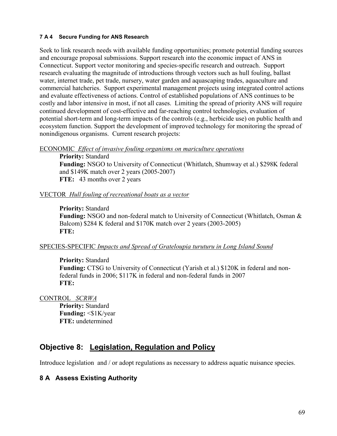#### **7 A 4 Secure Funding for ANS Research**

Seek to link research needs with available funding opportunities; promote potential funding sources and encourage proposal submissions. Support research into the economic impact of ANS in Connecticut. Support vector monitoring and species-specific research and outreach. Support research evaluating the magnitude of introductions through vectors such as hull fouling, ballast water, internet trade, pet trade, nursery, water garden and aquascaping trades, aquaculture and commercial hatcheries. Support experimental management projects using integrated control actions and evaluate effectiveness of actions. Control of established populations of ANS continues to be costly and labor intensive in most, if not all cases. Limiting the spread of priority ANS will require continued development of cost-effective and far-reaching control technologies, evaluation of potential short-term and long-term impacts of the controls (e.g., herbicide use) on public health and ecosystem function. Support the development of improved technology for monitoring the spread of nonindigenous organisms. Current research projects:

ECONOMIC *Effect of invasive fouling organisms on mariculture operations*

**Priority:** Standard **Funding:** NSGO to University of Connecticut (Whitlatch, Shumway et al.) \$298K federal and \$149K match over 2 years (2005-2007) **FTE:** 43 months over 2 years

### VECTOR *Hull fouling of recreational boats as a vector*

### **Priority:** Standard

**Funding:** NSGO and non-federal match to University of Connecticut (Whitlatch, Osman & Balcom) \$284 K federal and \$170K match over 2 years (2003-2005) **FTE:**

## SPECIES-SPECIFIC *Impacts and Spread of Grateloupia turuturu in Long Island Sound*

**Priority:** Standard **Funding:** CTSG to University of Connecticut (Yarish et al.) \$120K in federal and nonfederal funds in 2006; \$117K in federal and non-federal funds in 2007 **FTE:**

CONTROL *SCRWA*

**Priority:** Standard Funding: <\$1K/year **FTE:** undetermined

# **Objective 8: Legislation, Regulation and Policy**

Introduce legislation and / or adopt regulations as necessary to address aquatic nuisance species.

# **8 A Assess Existing Authority**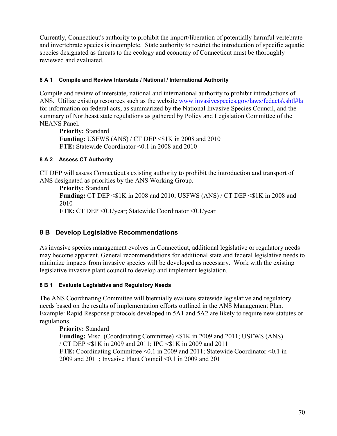Currently, Connecticut's authority to prohibit the import/liberation of potentially harmful vertebrate and invertebrate species is incomplete. State authority to restrict the introduction of specific aquatic species designated as threats to the ecology and economy of Connecticut must be thoroughly reviewed and evaluated.

### **8 A 1 Compile and Review Interstate / National / International Authority**

Compile and review of interstate, national and international authority to prohibit introductions of ANS. Utilize existing resources such as the website www.invasivespecies.gov/laws/fedacts\shtl#la for information on federal acts, as summarized by the National Invasive Species Council, and the summary of Northeast state regulations as gathered by Policy and Legislation Committee of the NEANS Panel.

**Priority:** Standard **Funding:** USFWS (ANS) / CT DEP <\$1K in 2008 and 2010 **FTE:** Statewide Coordinator <0.1 in 2008 and 2010

## **8 A 2 Assess CT Authority**

CT DEP will assess Connecticut's existing authority to prohibit the introduction and transport of ANS designated as priorities by the ANS Working Group.

**Priority:** Standard **Funding:** CT DEP <\$1K in 2008 and 2010; USFWS (ANS) / CT DEP <\$1K in 2008 and 2010 **FTE:** CT DEP <0.1/year; Statewide Coordinator <0.1/year

# **8 B Develop Legislative Recommendations**

As invasive species management evolves in Connecticut, additional legislative or regulatory needs may become apparent. General recommendations for additional state and federal legislative needs to minimize impacts from invasive species will be developed as necessary. Work with the existing legislative invasive plant council to develop and implement legislation.

## **8 B 1 Evaluate Legislative and Regulatory Needs**

The ANS Coordinating Committee will biennially evaluate statewide legislative and regulatory needs based on the results of implementation efforts outlined in the ANS Management Plan. Example: Rapid Response protocols developed in 5A1 and 5A2 are likely to require new statutes or regulations.

**Priority:** Standard **Funding:** Misc. (Coordinating Committee)  $\leq$ \$1K in 2009 and 2011; USFWS (ANS) / CT DEP <\$1K in 2009 and 2011; IPC <\$1K in 2009 and 2011 **FTE:** Coordinating Committee <0.1 in 2009 and 2011; Statewide Coordinator <0.1 in 2009 and 2011; Invasive Plant Council <0.1 in 2009 and 2011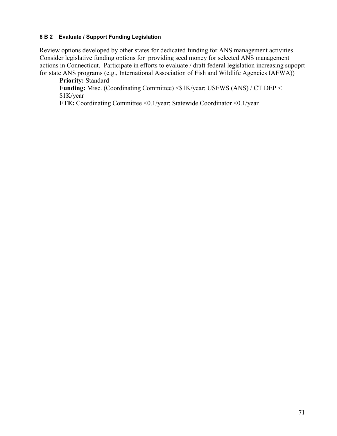#### **8 B 2 Evaluate / Support Funding Legislation**

Review options developed by other states for dedicated funding for ANS management activities. Consider legislative funding options for providing seed money for selected ANS management actions in Connecticut. Participate in efforts to evaluate / draft federal legislation increasing supoprt for state ANS programs (e.g., International Association of Fish and Wildlife Agencies IAFWA))

**Priority:** Standard **Funding:** Misc. (Coordinating Committee) <\$1K/year; USFWS (ANS) / CT DEP < \$1K/year

**FTE:** Coordinating Committee <0.1/year; Statewide Coordinator <0.1/year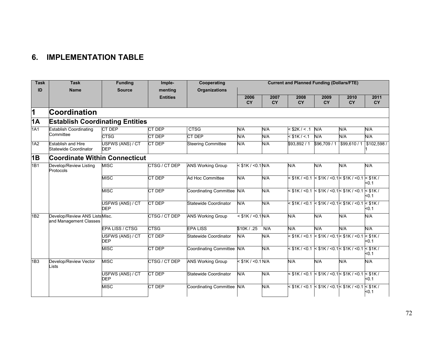# **6. IMPLEMENTATION TABLE**

| <b>Task</b>     | <b>Task</b>                                             | <b>Funding</b>                 | Imple-          | Cooperating                | <b>Current and Planned Funding (Dollars/FTE)</b> |                   |                                                       |                   |                                                            |                     |
|-----------------|---------------------------------------------------------|--------------------------------|-----------------|----------------------------|--------------------------------------------------|-------------------|-------------------------------------------------------|-------------------|------------------------------------------------------------|---------------------|
| ID              | <b>Name</b>                                             | <b>Source</b>                  | menting         | <b>Organizations</b>       |                                                  |                   |                                                       |                   |                                                            |                     |
|                 |                                                         |                                | <b>Entities</b> |                            | 2006<br><b>CY</b>                                | 2007<br><b>CY</b> | 2008<br><b>CY</b>                                     | 2009<br><b>CY</b> | 2010<br><b>CY</b>                                          | 2011<br><b>CY</b>   |
| 1               | Coordination                                            |                                |                 |                            |                                                  |                   |                                                       |                   |                                                            |                     |
| 1A              | <b>Establish Coordinating Entities</b>                  |                                |                 |                            |                                                  |                   |                                                       |                   |                                                            |                     |
| 1A1             | <b>Establish Coordinating</b><br>Committee              | <b>CT DEP</b>                  | CT DEP          | <b>CTSG</b>                | N/A                                              | N/A               | $<$ \$2K / < .1 N/A                                   |                   | N/A                                                        | N/A                 |
|                 |                                                         | <b>CTSG</b>                    | CT DEP          | <b>CT DEP</b>              | N/A                                              | N/A               | $<$ \$1K / < 1                                        | N/A               | N/A                                                        | N/A                 |
| 1A2             | <b>Establish and Hire</b><br>Statewide Coordinator      | USFWS (ANS) / CT<br><b>DEP</b> | <b>CT DEP</b>   | <b>Steering Committee</b>  | N/A                                              | N/A               | \$93,892 / 1                                          | \$96,709 / 1      | \$99,610/1                                                 | \$102,598/          |
| 1B              | <b>Coordinate Within Connecticut</b>                    |                                |                 |                            |                                                  |                   |                                                       |                   |                                                            |                     |
| 1 <sub>B1</sub> | Develop/Review Listing<br>Protocols                     | <b>MISC</b>                    | CTSG / CT DEP   | <b>ANS Working Group</b>   | $<$ \$1K / < 0.1 N/A                             |                   | N/A                                                   | N/A               | N/A                                                        | N/A                 |
|                 |                                                         | <b>MISC</b>                    | CT DEP          | Ad Hoc Committee           | N/A                                              | N/A               |                                                       |                   | $<$ \$1K / <0.1 $<$ \$1K / <0.1 $<$ \$1K / <0.1 $<$ \$1K / | $0.1$               |
|                 |                                                         | <b>MISC</b>                    | <b>CT DEP</b>   | Coordinating Committee N/A |                                                  | N/A               | $<$ \$1K / <0.1 $\le$ \$1K / <0.1 $\le$ \$1K / <0.1   |                   |                                                            | $<$ \$1K /<br>$0.1$ |
|                 |                                                         | USFWS (ANS) / CT<br><b>DEP</b> | CT DEP          | Statewide Coordinator      | N/A                                              | N/A               | $<$ \$1K / <0.1 $\leq$ \$1K / <0.1 $\leq$ \$1K / <0.1 |                   |                                                            | $<$ \$1K /<br>$0.1$ |
| 1B2             | Develop/Review ANS ListsMisc.<br>and Management Classes |                                | CTSG / CT DEP   | <b>ANS Working Group</b>   | $<$ \$1K / < 0.1 N/A                             |                   | N/A                                                   | N/A               | N/A                                                        | N/A                 |
|                 |                                                         | <b>EPA LISS / CTSG</b>         | <b>CTSG</b>     | <b>EPA LISS</b>            | \$10K / .25                                      | N/A               | N/A                                                   | N/A               | N/A                                                        | N/A                 |
|                 |                                                         | JSFWS (ANS) / CT<br><b>DEP</b> | CT DEP          | Statewide Coordinator      | N/A                                              | N/A               |                                                       |                   | $<$ \$1K / < 0.1 $\le$ \$1K / < 0.1 $\le$ \$1K / < 0.1     | $<$ \$1K /<br>$0.1$ |
|                 |                                                         | <b>MISC</b>                    | <b>CT DEP</b>   | Coordinating Committee N/A |                                                  | N/A               | $<$ \$1K / <0.1 $\le$ \$1K / <0.1 $\le$ \$1K / <0.1   |                   |                                                            | $<$ \$1K/<br>$0.1$  |
| 1B3             | Develop/Review Vector<br>Lists                          | <b>MISC</b>                    | CTSG / CT DEP   | <b>ANS Working Group</b>   | $<$ \$1K / < 0.1 N/A                             |                   | N/A                                                   | N/A               | N/A                                                        | N/A                 |
|                 |                                                         | USFWS (ANS) / CT<br><b>DEP</b> | <b>CT DEP</b>   | Statewide Coordinator      | N/A                                              | N/A               |                                                       |                   | $<$ \$1K / <0.1 $<$ \$1K / <0.1 $<$ \$1K / <0.1 $<$ \$1K / | $0.1$               |
|                 |                                                         | <b>MISC</b>                    | <b>CT DEP</b>   | Coordinating Committee N/A |                                                  | N/A               |                                                       |                   | $<$ \$1K / <0.1 $<$ \$1K / <0.1 $<$ \$1K / <0.1 $<$ \$1K / | $0.1$               |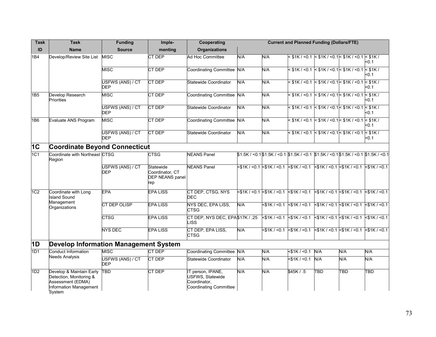| <b>Task</b>     | <b>Task</b>                                                                                                  | <b>Funding</b>                 | Imple-                                                 | Cooperating                                                                     |     |                    | <b>Current and Planned Funding (Dollars/FTE)</b>                                                                                                                                                                                                     |                              |                                                                  |                                           |
|-----------------|--------------------------------------------------------------------------------------------------------------|--------------------------------|--------------------------------------------------------|---------------------------------------------------------------------------------|-----|--------------------|------------------------------------------------------------------------------------------------------------------------------------------------------------------------------------------------------------------------------------------------------|------------------------------|------------------------------------------------------------------|-------------------------------------------|
| ID              | <b>Name</b>                                                                                                  | <b>Source</b>                  | menting                                                | <b>Organizations</b>                                                            |     |                    |                                                                                                                                                                                                                                                      |                              |                                                                  |                                           |
| 1B4             | Develop/Review Site List                                                                                     | <b>MISC</b>                    | CT DEP                                                 | Ad Hoc Committee                                                                | N/A | N/A                |                                                                                                                                                                                                                                                      |                              | $<$ \$1K / <0.1 $<$ \$1K / <0.1 $<$ \$1K / <0.1 $<$ \$1K /       | $0.1$                                     |
|                 |                                                                                                              | <b>MISC</b>                    | <b>CT DEP</b>                                          | Coordinating Committee N/A                                                      |     | N/A                |                                                                                                                                                                                                                                                      |                              | $<$ \$1K / <0.1 $<$ \$1K / <0.1 $<$ \$1K / <0.1 $<$ \$1K /       | < 0.1                                     |
|                 |                                                                                                              | USFWS (ANS) / CT<br><b>DEP</b> | CT DEP                                                 | <b>Statewide Coordinator</b>                                                    | N/A | N/A                |                                                                                                                                                                                                                                                      |                              | $<$ \$1K / <0.1 $<$ \$1K / <0.1 $<$ \$1K / <0.1 $<$ \$1K /       | $0.1$                                     |
| 1B5             | Develop Research<br><b>Priorities</b>                                                                        | <b>MISC</b>                    | CT DEP                                                 | Coordinating Committee N/A                                                      |     | N/A                |                                                                                                                                                                                                                                                      |                              | $<$ \$1K / < 0.1 $\le$ \$1K / < 0.1 $\le$ \$1K / < 0.1           | $<$ \$1K /<br>$0.1$                       |
|                 |                                                                                                              | USFWS (ANS) / CT<br><b>DEP</b> | CT DEP                                                 | <b>Statewide Coordinator</b>                                                    | N/A | N/A                |                                                                                                                                                                                                                                                      |                              | < \$1K / <0.1 < \$1K / <0.1 < \$1K / <0.1 < \$1K /               | $0.1$                                     |
| 1B6             | Evaluate ANS Program                                                                                         | <b>MISC</b>                    | CT DEP                                                 | Coordinating Committee N/A                                                      |     | N/A                |                                                                                                                                                                                                                                                      |                              | $<$ \$1K / <0.1 $<$ \$1K / <0.1 $<$ \$1K / <0.1 $<$ \$1K /       | <0.1                                      |
|                 |                                                                                                              | USFWS (ANS) / CT<br><b>DEP</b> | CT DEP                                                 | Statewide Coordinator                                                           | N/A | N/A                |                                                                                                                                                                                                                                                      |                              | $<$ \$1K / <0.1 $\le$ \$1K / <0.1 $\le$ \$1K / <0.1 $\le$ \$1K / | <0.1                                      |
| 1C              | <b>Coordinate Beyond Connecticut</b>                                                                         |                                |                                                        |                                                                                 |     |                    |                                                                                                                                                                                                                                                      |                              |                                                                  |                                           |
| 1C1             | Coordinate with Northeast CTSG<br>Region                                                                     |                                | <b>CTSG</b>                                            | <b>NEANS Panel</b>                                                              |     |                    | $$1.5K / 0.1$1.5K / 0.1$1.5K / 0.1$1.5K / 0.1$1.5K / 0.1$1.5K / 0.1$1.5K / 0.1$1.5K / 0.1$1.5K / 0.1$1.5K / 0.1$1.5K / 0.1$1.5K / 0.1$1.5K / 0.1$1.5K / 0.1$1.5K / 0.1$1.5K / 0.1$1.5K / 0.1$1.5K / 0.1$1.5K / 0.1$1.5K / 0.1$1.5K / 0.1$1.5K / 0.1$ |                              |                                                                  |                                           |
|                 |                                                                                                              | USFWS (ANS) / CT<br>DEP        | Statewide<br>Coordinator, CT<br>DEP NEANS panel<br>rep | <b>NEANS Panel</b>                                                              |     |                    | <\$1K / <0.1 <\$1K / <0.1 \frac{{\$1K / <0.1 \frac{{\$1K}}}\$1K / <0.1 \s\$1K / <0.1                                                                                                                                                                 |                              |                                                                  |                                           |
| 1C <sub>2</sub> | Coordinate with Long<br><b>Island Sound</b>                                                                  | <b>EPA</b>                     | <b>EPA LISS</b>                                        | CT DEP, CTSG, NYS<br><b>DEC</b>                                                 |     |                    | $<$ \$1K / <0.1 <\$1K / <0.1 <\$1K / <0.1                                                                                                                                                                                                            | $<$ \$1K / <0.1 <\$1K / <0.1 |                                                                  | $<$ \$1K / $<$ 0.1                        |
|                 | Management<br>Organizations                                                                                  | CT DEP OLISP                   | <b>EPA LISS</b>                                        | NYS DEC, EPA LISS,<br><b>CTSG</b>                                               | N/A | $<$ \$1K / $<$ 0.1 | $<$ \$1K / $<$ 0.1                                                                                                                                                                                                                                   |                              | $<$ \$1K / <0.1 $<$ \$1K / <0.1                                  | $<$ \$1K / <0.1                           |
|                 |                                                                                                              | <b>CTSG</b>                    | <b>EPA LISS</b>                                        | CT DEP, NYS DEC, EPA\$17K / .25<br>.ISS                                         |     | $<$ \$1K / $<$ 0.1 | $<$ \$1K / <0.1                                                                                                                                                                                                                                      |                              |                                                                  | $<$ \$1K / <0.1 <\$1K / <0.1 <\$1K / <0.1 |
|                 |                                                                                                              | <b>NYS DEC</b>                 | <b>EPA LISS</b>                                        | CT DEP, EPA LISS,<br><b>CTSG</b>                                                | N/A |                    | $<$ \$1K / <0.1 $<$ \$1K / <0.1                                                                                                                                                                                                                      |                              |                                                                  | $<$ \$1K / <0.1 <\$1K / <0.1 <\$1K / <0.1 |
| 1D              | <b>Develop Information Management System</b>                                                                 |                                |                                                        |                                                                                 |     |                    |                                                                                                                                                                                                                                                      |                              |                                                                  |                                           |
| 1D1             | <b>Conduct Information</b>                                                                                   | <b>MISC</b>                    | CT DEP                                                 | Coordinating Committee N/A                                                      |     | N/A                | $<$ \$1K / $<$ 0.1                                                                                                                                                                                                                                   | N/A                          | N/A                                                              | N/A                                       |
|                 | <b>Needs Analysis</b>                                                                                        | USFWS (ANS) / CT<br><b>DEP</b> | CT DEP                                                 | <b>Statewide Coordinator</b>                                                    | N/A | N/A                | $<$ \$1K / $<$ 0.1                                                                                                                                                                                                                                   | N/A                          | N/A                                                              | N/A                                       |
| 1D2             | Develop & Maintain Early<br>Detection, Monitoring &<br>Assessment (EDMA)<br>Information Management<br>System | <b>TBD</b>                     | CT DEP                                                 | IT person, IPANE,<br>USFWS, Statewide<br>Coordinator,<br>Coordinating Committee | N/A | N/A                | \$45K/5                                                                                                                                                                                                                                              | TBD                          | TBD                                                              | TBD                                       |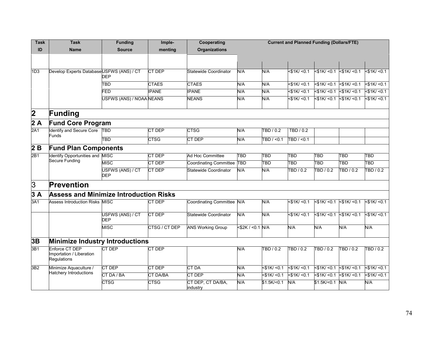| <b>Task</b>     | <b>Task</b>                                               | <b>Funding</b>                 | Imple-          | Cooperating                   | <b>Current and Planned Funding (Dollars/FTE)</b> |                   |                    |                                 |                   |                   |
|-----------------|-----------------------------------------------------------|--------------------------------|-----------------|-------------------------------|--------------------------------------------------|-------------------|--------------------|---------------------------------|-------------------|-------------------|
| ID              | <b>Name</b>                                               | <b>Source</b>                  | menting         | <b>Organizations</b>          |                                                  |                   |                    |                                 |                   |                   |
|                 |                                                           |                                |                 |                               |                                                  |                   |                    |                                 |                   |                   |
|                 |                                                           |                                |                 |                               |                                                  |                   |                    |                                 |                   |                   |
| 1D <sub>3</sub> | Develop Experts DatabaseUSFWS (ANS) / CT                  | <b>DEP</b>                     | <b>CT DEP</b>   | <b>Statewide Coordinator</b>  | N/A                                              | N/A               | $<$ \$1K/ $<$ 0.1  | $<$ \$1K/ < 0.1 < \$1K/ < 0.1   |                   | 51K/50.1          |
|                 |                                                           | TBD                            | <b>CTAES</b>    | <b>CTAES</b>                  | N/A                                              | N/A               | $<$ \$1K/ < 0.1    | $<$ \$1K/ $<$ 0.1               | $<$ \$1K/ $<$ 0.1 | $<$ \$1K/ $<$ 0.1 |
|                 |                                                           | $\overline{\mathsf{FED}}$      | <b>IPANE</b>    | <b>IPANE</b>                  | N/A                                              | N/A               | $<$ \$1K/ $<$ 0.1  | $<$ \$1K/ < 0.1 $<$ \$1K/ < 0.1 |                   | $<$ \$1K/ $<$ 0.1 |
|                 |                                                           | USFWS (ANS) / NOAA NEANS       |                 | <b>NEANS</b>                  | N/A                                              | N/A               | $<$ \$1K/ $<$ 0.1  | $<$ \$1K/ < 0.1 $<$ \$1K/ < 0.1 |                   | $<$ \$1K/ $<$ 0.1 |
| $\vert$ 2       | Funding                                                   |                                |                 |                               |                                                  |                   |                    |                                 |                   |                   |
| $2\overline{A}$ | <b>Fund Core Program</b>                                  |                                |                 |                               |                                                  |                   |                    |                                 |                   |                   |
| 2A1             | Identify and Secure Core<br>Funds                         | <b>TBD</b>                     | CT DEP          | <b>CTSG</b>                   | N/A                                              | TBD / 0.2         | TBD / 0.2          |                                 |                   |                   |
|                 |                                                           | <b>TBD</b>                     | <b>CTSG</b>     | CT DEP                        | N/A                                              | TBD / < 0.1       | TBD / < 0.1        |                                 |                   |                   |
| 2B              | <b>Fund Plan Components</b>                               |                                |                 |                               |                                                  |                   |                    |                                 |                   |                   |
| 2B1             | Identify Opportunities and MISC<br><b>Secure Funding</b>  |                                | <b>CT DEP</b>   | Ad Hoc Committee              | <b>TBD</b>                                       | TBD               | <b>TBD</b>         | <b>TBD</b>                      | TBD               | <b>TBD</b>        |
|                 |                                                           | <b>MISC</b>                    | CT DEP          | Coordinating Committee TBD    |                                                  | TBD               | <b>TBD</b>         | <b>TBD</b>                      | <b>TBD</b>        | TBD               |
|                 |                                                           | USFWS (ANS) / CT<br><b>DEP</b> | <b>CT DEP</b>   | Statewide Coordinator         | N/A                                              | N/A               | TBD / 0.2          | TBD / 0.2                       | TBD / 0.2         | TBD / 0.2         |
| $\overline{3}$  | <b>Prevention</b>                                         |                                |                 |                               |                                                  |                   |                    |                                 |                   |                   |
| 3A              | <b>Assess and Minimize Introduction Risks</b>             |                                |                 |                               |                                                  |                   |                    |                                 |                   |                   |
| 3A1             | Assess Introduction Risks MISC                            |                                | <b>CT DEP</b>   | Coordinating Committee N/A    |                                                  | N/A               | 51K/50.1           | $<$ \$1K/ $<$ 0.1               | $<$ \$1K/ $<$ 0.1 | $<$ \$1K/ $<$ 0.1 |
|                 |                                                           | USFWS (ANS) / CT<br><b>DEP</b> | CT DEP          | <b>Statewide Coordinator</b>  | N/A                                              | N/A               | $<$ \$1K/ $<$ 0.1  | $<$ \$1K/ $<$ 0.1               | $<$ \$1K/ $<$ 0.1 | $<$ \$1K/ $<$ 0.1 |
|                 |                                                           | <b>MISC</b>                    | CTSG / CT DEP   | <b>ANS Working Group</b>      | <\$2K / <0.1 N/A                                 |                   | N/A                | N/A                             | N/A               | N/A               |
| 3B              | <b>Minimize Industry Introductions</b>                    |                                |                 |                               |                                                  |                   |                    |                                 |                   |                   |
| 3B1             | Enforce CT DEP<br>Importation / Liberation<br>Regulations | CT DEP                         | CT DEP          |                               | N/A                                              | TBD / 0.2         | TBD / 0.2          | TBD / 0.2                       | TBD / 0.2         | TBD / 0.2         |
| 3B2             | Minimize Aquaculture /                                    | <b>CT DEP</b>                  | CT DEP          | <b>CT DA</b>                  | N/A                                              | $<$ \$1K/ $<$ 0.1 | $<$ \$1K/ $<$ 0.1  | $<$ \$1K/ < 0.1 < \$1K/ < 0.1   |                   | $<$ \$1K/ $<$ 0.1 |
|                 | <b>Hatchery Introductions</b>                             | CT DA / BA                     | <b>CT DA/BA</b> | <b>CT DEP</b>                 | N/A                                              | $<$ \$1K/ $<$ 0.1 | $<$ \$1K $/$ < 0.1 | $<$ \$1K/ $<$ 0.1               | $<$ \$1K/ $<$ 0.1 | $<$ \$1K/ $<$ 0.1 |
|                 |                                                           | <b>CTSG</b>                    | <b>CTSG</b>     | CT DEP, CT DA/BA,<br>industry | N/A                                              | \$1.5K/ < 0.1     | N/A                | $$1.5K$ /<0.1                   | N/A               | N/A               |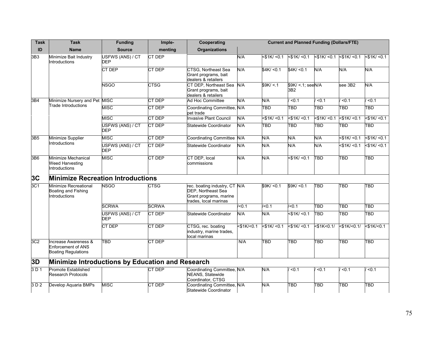| <b>Task</b>     | <b>Task</b>                                                                     | <b>Funding</b>                 | Imple-       | Cooperating                                                                                                   | <b>Current and Planned Funding (Dollars/FTE)</b> |                   |                                        |                   |                   |                   |
|-----------------|---------------------------------------------------------------------------------|--------------------------------|--------------|---------------------------------------------------------------------------------------------------------------|--------------------------------------------------|-------------------|----------------------------------------|-------------------|-------------------|-------------------|
| ID              | <b>Name</b>                                                                     | <b>Source</b>                  | menting      | <b>Organizations</b>                                                                                          |                                                  |                   |                                        |                   |                   |                   |
| 3B3             | Minimize Bait Industry<br>Introductions                                         | USFWS (ANS) / CT<br><b>DEP</b> | CT DEP       |                                                                                                               | N/A                                              | <\$1K/ <0.1       | $<$ \$1K/ $<$ 0.1                      | $<$ \$1K/ $<$ 0.1 | $<$ \$1K/ $<$ 0.1 | $<$ \$1K/ $<$ 0.1 |
|                 |                                                                                 | <b>CT DEP</b>                  | CT DEP       | <b>CTSG, Northeast Sea</b><br>Grant programs, bait<br>dealers & retailers                                     | N/A                                              | \$4K/ <0.1        | \$4K/ <0.1                             | N/A               | N/A               | N/A               |
|                 |                                                                                 | <b>NSGO</b>                    | <b>CTSG</b>  | CT DEP, Northeast Sea<br>Grant programs, bait<br>dealers & retailers                                          | N/A                                              | \$9K / < 1        | $$9K/ < 1$ ; seeN/A<br>3B <sub>2</sub> |                   | see 3B2           | N/A               |
| 3B4             | Minimize Nursery and Pet MISC                                                   |                                | CT DEP       | Ad Hoc Committee                                                                                              | N/A                                              | N/A               | 50.1                                   | < 0.1             | 50.1              | < 0.1             |
|                 | Trade Introductions                                                             | <b>MISC</b>                    | CT DEP       | Coordinating Committee, N/A<br>pet trade                                                                      |                                                  | TBD               | $\overline{TBD}$                       | TBD               | TBD               | TBD               |
|                 |                                                                                 | <b>MISC</b>                    | CT DEP       | <b>Invasive Plant Council</b>                                                                                 | N/A                                              | 51K/50.1          | $<$ \$1K/ $<$ 0.1                      | $<$ \$1K/ $<$ 0.1 | $<$ \$1K/ $<$ 0.1 | $<$ \$1K/ $<$ 0.1 |
|                 |                                                                                 | USFWS (ANS) / CT<br><b>DEP</b> | CT DEP       | Statewide Coordinator                                                                                         | N/A                                              | TBD               | TBD                                    | TBD               | TBD               | TBD               |
| 3B5             | Minimize Supplier                                                               | <b>MISC</b>                    | CT DEP       | Coordinating Committee N/A                                                                                    |                                                  | <b>N/A</b>        | N/A                                    | N/A               | $<$ \$1K/ $<$ 0.1 | $<$ \$1K/ $<$ 0.1 |
|                 | Introductions                                                                   | USFWS (ANS) / CT<br><b>DEP</b> | CT DEP       | Statewide Coordinator                                                                                         | N/A                                              | N/A               | N/A                                    | N/A               | $<$ \$1K/ $<$ 0.1 | $<$ \$1K/ $<$ 0.1 |
| 3B6             | Minimize Mechanical<br><b>Weed Harvesting</b><br>Introductions                  | <b>MISC</b>                    | CT DEP       | CT DEP, local<br>commissions                                                                                  | N/A                                              | N/A               | $<$ \$1K $/$ < 0.1                     | TBD               | TBD               | TBD               |
| 3C              | <b>Minimize Recreation Introductions</b>                                        |                                |              |                                                                                                               |                                                  |                   |                                        |                   |                   |                   |
| 3C1             | Minimize Recreational<br>Boating and Fishing<br>Introductions                   | <b>NSGO</b>                    | <b>CTSG</b>  | rec. boating industry, CT N/A<br><b>DEP, Northeast Sea</b><br>Grant programs, marine<br>trades, local marinas |                                                  | \$9K/ <0.1        | \$9K/ <0.1                             | <b>TBD</b>        | TBD               | <b>TBD</b>        |
|                 |                                                                                 | <b>SCRWA</b>                   | <b>SCRWA</b> |                                                                                                               | /50.1                                            | $\overline{50.1}$ | /50.1                                  | TBD               | TBD               | TBD               |
|                 |                                                                                 | USFWS (ANS) / CT<br><b>DEP</b> | CT DEP       | <b>Statewide Coordinator</b>                                                                                  | N/A                                              | N/A               | $<$ \$1K/ $<$ 0.1                      | TBD               | TBD               | TBD               |
|                 |                                                                                 | CT DEP                         | CT DEP       | CTSG, rec. boating<br>industry, marine trades,<br>local marinas                                               | $<$ \$1K/ $<$ 0.1                                | $<$ \$1K/ $<$ 0.1 | $<$ \$1K/ $<$ 0.1                      | $<$ \$1K $<$ 0.1/ | $<$ \$1K/<0.1/    | $<$ \$1K/ $<$ 0.1 |
| 3C <sub>2</sub> | Increase Awareness &<br><b>Enforcement of ANS</b><br><b>Boating Regulations</b> | <b>TBD</b>                     | CT DEP       |                                                                                                               | N/A                                              | $\overline{TBD}$  | TBD                                    | TBD               | TBD               | TBD               |
| 3D              | Minimize Introductions by Education and Research                                |                                |              |                                                                                                               |                                                  |                   |                                        |                   |                   |                   |
| 3D1             | <b>Promote Established</b><br><b>Research Protocols</b>                         |                                | CT DEP       | Coordinating Committee, N/A<br>NEANS, Statewide<br>Coordinator, CTSG                                          |                                                  | N/A               | < 0.1                                  | < 0.1             | < 0.1             | < 0.1             |
| 3D2             | Develop Aquaria BMPs                                                            | <b>MISC</b>                    | CT DEP       | Coordinating Committee, N/A<br>Statewide Coordinator                                                          |                                                  | N/A               | $\overline{\mathsf{TBD}}$              | TBD               | TBD               | TBD               |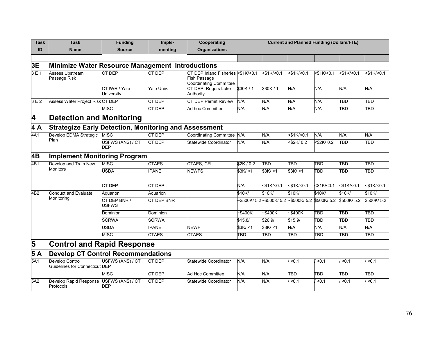| Task                    | <b>Task</b>                                                  | <b>Funding</b>                 | Imple-        | Cooperating                                                                         | <b>Current and Planned Funding (Dollars/FTE)</b> |                         |                                                             |                   |                         |                   |
|-------------------------|--------------------------------------------------------------|--------------------------------|---------------|-------------------------------------------------------------------------------------|--------------------------------------------------|-------------------------|-------------------------------------------------------------|-------------------|-------------------------|-------------------|
| ID                      | <b>Name</b>                                                  | <b>Source</b>                  | menting       | <b>Organizations</b>                                                                |                                                  |                         |                                                             |                   |                         |                   |
|                         |                                                              |                                |               |                                                                                     |                                                  |                         |                                                             |                   |                         |                   |
| 3E                      | Minimize Water Resource Management Introductions             |                                |               |                                                                                     |                                                  |                         |                                                             |                   |                         |                   |
| 3E1                     | <b>Assess Upstream</b><br>Passage Risk                       | <b>CT DEP</b>                  | <b>CT DEP</b> | CT DEP Inland Fisheries <\$1K/<0.1<br>Fish Passage<br><b>Coordinating Committee</b> |                                                  | $<$ \$1K/ $<$ 0.1       | $<$ \$1K/<0.1                                               | $<$ \$1K/ $<$ 0.1 | $<$ \$1K/ $<$ 0.1       | $<$ \$1K/ $<$ 0.1 |
|                         |                                                              | CT IWR / Yale<br>University    | Yale Univ.    | CT DEP, Rogers Lake<br>Authority                                                    | \$30K/1                                          | \$30K/1                 | N/A                                                         | N/A               | N/A                     | N/A               |
| 3E2                     | Assess Water Project Risk CT DEP                             |                                | CT DEP        | <b>CT DEP Permit Review</b>                                                         | N/A                                              | N/A                     | N/A                                                         | N/A               | TBD                     | TBD               |
|                         |                                                              | <b>MISC</b>                    | CT DEP        | Ad hoc Committee                                                                    | N/A                                              | N/A                     | N/A                                                         | N/A               | TBD                     | <b>TBD</b>        |
| $\overline{\mathbf{4}}$ | <b>Detection and Monitoring</b>                              |                                |               |                                                                                     |                                                  |                         |                                                             |                   |                         |                   |
| $\overline{4A}$         | <b>Strategize Early Detection, Monitoring and Assessment</b> |                                |               |                                                                                     |                                                  |                         |                                                             |                   |                         |                   |
| 4A1                     | Develop EDMA Strategic                                       | <b>MISC</b>                    | <b>CT DEP</b> | Coordinating Committee N/A                                                          |                                                  | <b>N/A</b>              | $<$ \$1K/ $<$ 0.1                                           | N/A               | N/A                     | N/A               |
|                         | Plan                                                         | USFWS (ANS) / CT<br><b>DEP</b> | CT DEP        | Statewide Coordinator                                                               | N/A                                              | N/A                     | $<$ \$2K/0.2                                                | <\$2K/0.2         | TBD                     | TBD               |
| 4B                      | <b>Implement Monitoring Program</b>                          |                                |               |                                                                                     |                                                  |                         |                                                             |                   |                         |                   |
| 4B1                     | Develop and Train New                                        | <b>MISC</b>                    | <b>CTAES</b>  | CTAES, CFL                                                                          | \$2K/0.2                                         | <b>TBD</b>              | <b>TBD</b>                                                  | <b>TBD</b>        | TBD                     | <b>TBD</b>        |
|                         | <b>Monitors</b>                                              | <b>USDA</b>                    | <b>IPANE</b>  | <b>NEWFS</b>                                                                        | \$3K/11                                          | \$3K/ < 1               | \$3K/11                                                     | <b>TBD</b>        | <b>TBD</b>              | $\overline{TBD}$  |
|                         |                                                              |                                |               |                                                                                     |                                                  |                         |                                                             |                   |                         |                   |
|                         |                                                              | CT DEP                         | CT DEP        |                                                                                     | N/A                                              | $<$ \$1K/ $<$ 0.1       | $<$ \$1K/<0.1                                               | $<$ \$1K/<0.1     | $<$ \$1K/ $<$ 0.1       | $<$ \$1K/<0.1     |
| $\overline{AB2}$        | <b>Conduct and Evaluate</b>                                  | Aquarion                       | Aquarion      |                                                                                     | \$10K/                                           | \$10K/                  | \$10K/                                                      | \$10K/            | \$10K/                  | \$10K/            |
|                         | Monitoring                                                   | CT DEP BNR /<br>USFWS          | CT DEP BNR    |                                                                                     |                                                  |                         | -\$500K/5.2 - \$500K/5.2 - \$500K/5.2 \$500K/5.2 \$500K/5.2 |                   |                         | \$500K/5.2        |
|                         |                                                              | Dominion                       | Dominion      |                                                                                     | $-$ \$400K                                       | ~5400K                  | ~5400K                                                      | <b>TBD</b>        | TBD                     | TBD               |
|                         |                                                              | <b>SCRWA</b>                   | <b>SCRWA</b>  |                                                                                     | \$15.8/                                          | \$26.9/                 | \$15.9/                                                     | TBD               | TBD                     | TBD               |
|                         |                                                              | <b>USDA</b>                    | <b>IPANE</b>  | <b>NEWF</b>                                                                         | \$3K/ < 1                                        | \$3K/11                 | N/A                                                         | N/A               | N/A                     | N/A               |
|                         |                                                              | <b>MISC</b>                    | <b>CTAES</b>  | <b>CTAES</b>                                                                        | TBD                                              | $\overline{\text{tBD}}$ | <b>TBD</b>                                                  | <b>TBD</b>        | $\overline{\text{TBD}}$ | $\overline{TBD}$  |
| 5                       | <b>Control and Rapid Response</b>                            |                                |               |                                                                                     |                                                  |                         |                                                             |                   |                         |                   |
| $5\overline{A}$         | <b>Develop CT Control Recommendations</b>                    |                                |               |                                                                                     |                                                  |                         |                                                             |                   |                         |                   |
| 5A1                     | Develop Control<br>Guidelines for Connecticut DEP            | USFWS (ANS) / CT               | <b>CT DEP</b> | Statewide Coordinator                                                               | N/A                                              | N/A                     | < 0.1                                                       | < 0.1             | < 0.1                   | < 0.1             |
|                         |                                                              | <b>MISC</b>                    | CT DEP        | Ad Hoc Committee                                                                    | N/A                                              | N/A                     | TBD                                                         | <b>TBD</b>        | TBD                     | TBD               |
| 5A2                     | Develop Rapid Response<br>Protocols                          | USFWS (ANS) / CT<br><b>DEP</b> | CT DEP        | Statewide Coordinator                                                               | N/A                                              | N/A                     | < 0.1                                                       | < 0.1             | $0.1$                   | < 0.1             |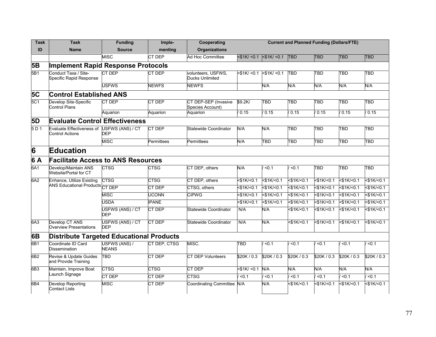| Task            | <b>Task</b>                                                                     | <b>Funding</b>                 | Imple-        | Cooperating                              | <b>Current and Planned Funding (Dollars/FTE)</b> |                    |                   |               |                         |                   |  |  |
|-----------------|---------------------------------------------------------------------------------|--------------------------------|---------------|------------------------------------------|--------------------------------------------------|--------------------|-------------------|---------------|-------------------------|-------------------|--|--|
| ID              | <b>Name</b>                                                                     | <b>Source</b>                  | menting       | <b>Organizations</b>                     |                                                  |                    |                   |               |                         |                   |  |  |
|                 |                                                                                 | <b>MISC</b>                    | CT DEP        | Ad Hoc Committee                         | $<$ \$1K $/$ < 0.1                               | $ $ < \$1K/ < 0.1  | <b>TBD</b>        | <b>TBD</b>    | <b>TBD</b>              | <b>TBD</b>        |  |  |
| <b>5B</b>       | <b>Implement Rapid Response Protocols</b>                                       |                                |               |                                          |                                                  |                    |                   |               |                         |                   |  |  |
| 5B1             | Conduct Taxa / Site-<br>Specific Rapid Response                                 | <b>CT DEP</b>                  | <b>CT DEP</b> | volunteers, USFWS,<br>Ducks Unlimited    | $<$ \$1K $/$ < 0.1                               | $<$ \$1K $/$ < 0.1 | TBD               | TBD           | $\overline{\text{TBD}}$ | <b>TBD</b>        |  |  |
|                 | <b>USFWS</b><br><b>NEWFS</b><br><b>NEWFS</b><br>N/A<br>N/A<br>N/A<br>N/A<br>N/A |                                |               |                                          |                                                  |                    |                   |               |                         |                   |  |  |
| <b>5C</b>       | <b>Control Established ANS</b>                                                  |                                |               |                                          |                                                  |                    |                   |               |                         |                   |  |  |
| 5C1             | Develop Site-Specific<br>Control Plans                                          | CT DEP                         | CT DEP        | CT DEP-SEP (Invasive<br>Species Account) | \$9.2K/                                          | <b>TBD</b>         | TBD               | TBD           | <b>TBD</b>              | TBD               |  |  |
|                 |                                                                                 | Aquarion                       | Aquarion      | Aquarion                                 | 0.15                                             | 0.15               | 0.15              | 0.15          | 0.15                    | / 0.15            |  |  |
| 5D              | <b>Evaluate Control Effectiveness</b>                                           |                                |               |                                          |                                                  |                    |                   |               |                         |                   |  |  |
| 5 D 1           | Evaluate Effectiveness of USFWS (ANS) / CT<br><b>Control Actions</b>            | <b>DEP</b>                     | <b>CT DEP</b> | Statewide Coordinator                    | N/A                                              | N/A                | TBD               | TBD           | TBD                     | <b>TBD</b>        |  |  |
|                 |                                                                                 | <b>MISC</b>                    | Permittees    | Permittees                               | N/A                                              | <b>TBD</b>         | <b>TBD</b>        | TBD           | <b>TBD</b>              | <b>TBD</b>        |  |  |
| 6               | <b>Education</b>                                                                |                                |               |                                          |                                                  |                    |                   |               |                         |                   |  |  |
| 6 A             | <b>Facilitate Access to ANS Resources</b>                                       |                                |               |                                          |                                                  |                    |                   |               |                         |                   |  |  |
| 6A1             | Develop/Maintain ANS<br>Website/Portal for CT                                   | <b>CTSG</b>                    | <b>CTSG</b>   | CT DEP, others                           | N/A                                              | < 0.1              | < 0.1             | TBD           | <b>TBD</b>              | <b>TBD</b>        |  |  |
| 6A2             | Enhance, Utilize Existing<br>ANS Educational Products CT DEP                    | <b>CTSG</b>                    | <b>CTSG</b>   | CT DEP, others                           | $<$ \$1K/<0.1                                    | $<$ \$1K/<0.1      | $<$ \$1K/<0.1     | $<$ \$1K/<0.1 | $<$ \$1K/<0.1           | $<$ \$1K/ $<$ 0.1 |  |  |
|                 |                                                                                 |                                | CT DEP        | CTSG, others                             | $<$ \$1K/<0.1                                    | $<$ \$1K/<0.1      | $<$ \$1K/<0.1     | $<$ \$1K/<0.1 | $<$ \$1K/<0.1           | $<$ \$1K/ $<$ 0.1 |  |  |
|                 |                                                                                 | <b>MISC</b>                    | <b>UCONN</b>  | <b>CIPWG</b>                             | $<$ \$1K/<0.1                                    | $<$ \$1K/<0.1      | $<$ \$1K/<0.1     | $<$ \$1K/<0.1 | $<$ \$1K/<0.1           | 51K/50.1          |  |  |
|                 |                                                                                 | <b>USDA</b>                    | <b>IPANE</b>  |                                          | 51K/50.1                                         | $<$ \$1K/ $<$ 0.1  | $<$ \$1K/<0.1     | $<$ \$1K/<0.1 | $<$ \$1K/<0.1           | 51K/50.1          |  |  |
|                 |                                                                                 | USFWS (ANS) / CT<br><b>DEP</b> | CT DEP        | <b>Statewide Coordinator</b>             | N/A                                              | N/A                | $<$ \$1K/<0.1     | $<$ \$1K/<0.1 | $<$ \$1K/<0.1           | 51K/50.1          |  |  |
| 6A <sub>3</sub> | Develop CT ANS<br><b>Overview Presentations</b>                                 | USFWS (ANS) / CT<br><b>DEP</b> | CT DEP        | Statewide Coordinator                    | N/A                                              | N/A                | $<$ \$1K/ $<$ 0.1 | 51K/50.1      | $<$ \$1K/<0.1           | $<$ \$1K/ $<$ 0.1 |  |  |
| 6B              | <b>Distribute Targeted Educational Products</b>                                 |                                |               |                                          |                                                  |                    |                   |               |                         |                   |  |  |
| 6B1             | Coordinate ID Card<br><b>Dissemination</b>                                      | USFWS (ANS) /<br><b>NEANS</b>  | CT DEP. CTSG  | MISC.                                    | <b>TBD</b>                                       | < 0.1              | < 0.1             | < 0.1         | < 0.1                   | < 0.1             |  |  |
| 6B2             | Revise & Update Guides<br>and Provide Training                                  | TBD                            | <b>CT DEP</b> | <b>CT DEP Volunteers</b>                 | \$20K/0.3                                        | \$20K/0.3          | \$20K/0.3         | \$20K/0.3     | \$20K/0.3               | \$20K/0.3         |  |  |
| 6B3             | Maintain, Improve Boat                                                          | <b>CTSG</b>                    | <b>CTSG</b>   | <b>CT DEP</b>                            | $<$ \$1K/ $<$ 0.1                                | N/A                | N/A               | N/A           | N/A                     | N/A               |  |  |
|                 | Launch Signage                                                                  | CT DEP                         | CT DEP        | <b>CTSG</b>                              | < 0.1                                            | < 0.1              | < 0.1             | < 0.1         | < 0.1                   | < 0.1             |  |  |
| 6B4             | Develop Reporting<br><b>Contact Lists</b>                                       | <b>MISC</b>                    | CT DEP        | Coordinating Committee N/A               |                                                  | N/A                | <\$1K/<0.1        | $<$ \$1K/<0.1 | $<$ \$1K/ $<$ 0.1       | $<$ \$1K/ $<$ 0.1 |  |  |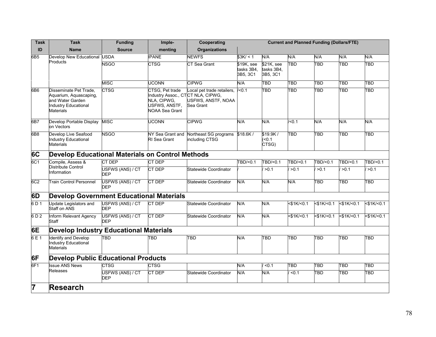| <b>Task</b>     | <b>Task</b>                                                                                                             | <b>Funding</b>                 | Imple-                                                                                                        | Cooperating                                                   | <b>Current and Planned Funding (Dollars/FTE)</b> |                                      |               |                   |                         |                   |
|-----------------|-------------------------------------------------------------------------------------------------------------------------|--------------------------------|---------------------------------------------------------------------------------------------------------------|---------------------------------------------------------------|--------------------------------------------------|--------------------------------------|---------------|-------------------|-------------------------|-------------------|
| ID              | <b>Name</b>                                                                                                             | <b>Source</b>                  | menting                                                                                                       | <b>Organizations</b>                                          |                                                  |                                      |               |                   |                         |                   |
| 6B <sub>5</sub> | Develop New Educational USDA                                                                                            |                                | <b>IPANE</b>                                                                                                  | <b>NEWFS</b>                                                  | \$3K/ < 1                                        | N/A                                  | N/A           | N/A               | N/A                     | N/A               |
|                 | Products                                                                                                                | <b>NSGO</b>                    | <b>CTSG</b>                                                                                                   | <b>CT Sea Grant</b>                                           | \$19K, see<br>tasks 3B4,<br>3B5, 3C1             | \$21K, see<br>tasks 3B4,<br>3B5, 3C1 | TBD           | TBD               | TBD                     | <b>TBD</b>        |
|                 |                                                                                                                         | <b>MISC</b>                    | <b>UCONN</b>                                                                                                  | <b>CIPWG</b>                                                  | N/A                                              | $\overline{\text{TBD}}$              | TBD           | TBD               | $\overline{\text{TBD}}$ | TBD               |
| 6B <sub>6</sub> | Disseminate Pet Trade,<br>Aquarium, Aquascaping,<br>and Water Garden<br><b>Industry Educational</b><br><b>Materials</b> | <b>CTSG</b>                    | CTSG, Pet trade<br>Industry Assoc., CTCT NLA, CIPWG,<br>NLA, CIPWG,<br>USFWS, ANSTF,<br><b>NOAA Sea Grant</b> | Local pet trade retailers,<br>USFWS, ANSTF, NOAA<br>Sea Grant | < 0.1                                            | TBD                                  | TBD           | TBD               | $\overline{\text{TBD}}$ | <b>TBD</b>        |
| 6B7             | Develop Portable Display<br>on Vectors                                                                                  | <b>MISC</b>                    | <b>UCONN</b>                                                                                                  | <b>CIPWG</b>                                                  | N/A                                              | N/A                                  | /50.1         | N/A               | N/A                     | N/A               |
| 6B <sub>8</sub> | Develop Live Seafood<br><b>Industry Educational</b><br><b>Materials</b>                                                 | <b>NSGO</b>                    | NY Sea Grant and<br>RI Sea Grant                                                                              | Northeast SG programs \$18.6K /<br>including CTSG             |                                                  | \$19.9K/<br>(50.1)<br>CTSG)          | TBD           | TBD               | TBD                     | TBD               |
| 6C              | <b>Develop Educational Materials on Control Methods</b>                                                                 |                                |                                                                                                               |                                                               |                                                  |                                      |               |                   |                         |                   |
| 6C1             | Compile, Assess &                                                                                                       | <b>CT DEP</b>                  | <b>CT DEP</b>                                                                                                 |                                                               | TBD/<0.1                                         | TBD/<0.1                             | TBD/<0.1      | TBD/<0.1          | TBD/<0.1                | TBD/<0.1          |
|                 | <b>Distribute Control</b><br>Information                                                                                | USFWS (ANS) / CT<br><b>DEP</b> | CT DEP                                                                                                        | <b>Statewide Coordinator</b>                                  |                                                  | >0.1                                 | >0.1          | >0.1              | >0.1                    | >0.1              |
| 6C2             | <b>Train Control Personnel</b>                                                                                          | USFWS (ANS) / CT<br><b>DEP</b> | CT DEP                                                                                                        | <b>Statewide Coordinator</b>                                  | N/A                                              | N/A                                  | N/A           | TBD               | $\overline{\text{TBD}}$ | <b>TBD</b>        |
| 6D              | <b>Develop Government Educational Materials</b>                                                                         |                                |                                                                                                               |                                                               |                                                  |                                      |               |                   |                         |                   |
| 6 D 1           | Update Legislators and<br><b>Staff on ANS</b>                                                                           | USFWS (ANS) / CT<br><b>DEP</b> | <b>CT DEP</b>                                                                                                 | <b>Statewide Coordinator</b>                                  | N/A                                              | N/A                                  | $<$ \$1K/<0.1 | $<$ \$1K/ $<$ 0.1 | $<$ \$1K/<0.1           | $<$ \$1K/ $<$ 0.1 |
| 6D2             | Inform Relevant Agency<br>Staff                                                                                         | USFWS (ANS) / CT<br><b>DEP</b> | CT DEP                                                                                                        | <b>Statewide Coordinator</b>                                  | N/A                                              | N/A                                  | $<$ \$1K/<0.1 | $<$ \$1K/<0.1     | $<$ \$1K/<0.1           | $<$ \$1K/<0.1     |
| 6E              | <b>Develop Industry Educational Materials</b>                                                                           |                                |                                                                                                               |                                                               |                                                  |                                      |               |                   |                         |                   |
| 6 E 1           | <b>Identify and Develop</b><br><b>Industry Educational</b><br><b>Materials</b>                                          | TBD                            | TBD                                                                                                           | TBD                                                           | N/A                                              | TBD                                  | <b>TBD</b>    | TBD               | TBD                     | TBD               |
| 6F              | <b>Develop Public Educational Products</b>                                                                              |                                |                                                                                                               |                                                               |                                                  |                                      |               |                   |                         |                   |
| 6F <sub>1</sub> | <b>Issue ANS News</b>                                                                                                   | CTSG                           | <b>CTSG</b>                                                                                                   |                                                               | N/A                                              | $\overline{50.1}$                    | TBD           | TBD               | TBD                     | TBD               |
|                 | Releases                                                                                                                | USFWS (ANS) / CT<br><b>DEP</b> | <b>CT DEP</b>                                                                                                 | Statewide Coordinator                                         | N/A                                              | N/A                                  | 50.1          | TBD               | TBD                     | TBD               |
| 7               | <b>Research</b>                                                                                                         |                                |                                                                                                               |                                                               |                                                  |                                      |               |                   |                         |                   |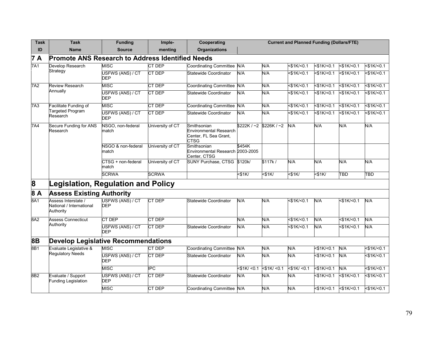| <b>Task</b>  | <b>Task</b>                                                  | <b>Funding</b>                 | Imple-                  | Cooperating                                                                          | <b>Current and Planned Funding (Dollars/FTE)</b> |                          |                   |                   |                   |                   |
|--------------|--------------------------------------------------------------|--------------------------------|-------------------------|--------------------------------------------------------------------------------------|--------------------------------------------------|--------------------------|-------------------|-------------------|-------------------|-------------------|
| ID           | <b>Name</b>                                                  | <b>Source</b>                  | menting                 | <b>Organizations</b>                                                                 |                                                  |                          |                   |                   |                   |                   |
| 7 A          | <b>Promote ANS Research to Address Identified Needs</b>      |                                |                         |                                                                                      |                                                  |                          |                   |                   |                   |                   |
| 7A1          | Develop Research                                             | <b>MISC</b>                    | CT DEP                  | Coordinating Committee N/A                                                           |                                                  | N/A                      | $<$ \$1K/ $<$ 0.1 | $<$ \$1K/ $<$ 0.1 | $<$ \$1K/ $<$ 0.1 | $<$ \$1K/ $<$ 0.1 |
|              | Strategy                                                     | USFWS (ANS) / CT<br><b>DEP</b> | <b>CT DEP</b>           | Statewide Coordinator                                                                | N/A                                              | N/A                      | $<$ \$1K/ $<$ 0.1 | $<$ \$1K/ $<$ 0.1 | $<$ \$1K/ $<$ 0.1 | $<$ \$1K/ $<$ 0.1 |
| 7A2          | <b>Review Research</b><br>Annually                           | <b>MISC</b>                    | <b>CT DEP</b>           | Coordinating Committee N/A                                                           |                                                  | N/A                      | $<$ \$1K/<0.1     | $<$ \$1K/<0.1     | $<$ \$1K/<0.1     | $<$ \$1K/ $<$ 0.1 |
|              |                                                              | USFWS (ANS) / CT<br><b>DEP</b> | CT DEP                  | Statewide Coordinator                                                                | N/A                                              | N/A                      | $<$ \$1K/ $<$ 0.1 | $<$ \$1K/ $<$ 0.1 | $<$ \$1K/ $<$ 0.1 | $<$ \$1K/ $<$ 0.1 |
| 7A3          | Facilitate Funding of                                        | <b>MISC</b>                    | <b>CT DEP</b>           | Coordinating Committee N/A                                                           |                                                  | N/A                      | $<$ \$1K/<0.1     | $<$ \$1K/<0.1     | $<$ \$1K/<0.1     | $<$ \$1K/ $<$ 0.1 |
|              | <b>Targeted Program</b><br>Research                          | USFWS (ANS) / CT<br><b>DEP</b> | CT DEP                  | Statewide Coordinator                                                                | N/A                                              | N/A                      | $<$ \$1K/<0.1     | $<$ \$1K/<0.1     | 51K/50.1          | 51K/50.1          |
| 7A4          | Secure Funding for ANS<br>Research                           | NSGO, non-federal<br>match     | University of CT        | Smithsonian<br><b>Environmental Research</b><br>Center, FL Sea Grant,<br><b>CTSG</b> |                                                  | $$222K / -2$ \$226K / ~2 | N/A               | N/A               | N/A               | N/A               |
|              |                                                              | NSGO & non-federal<br>match    | University of CT        | Smithsonian<br>Environmental Research 2003-2005<br>Center, CTSG                      | \$454K                                           |                          |                   |                   |                   |                   |
|              |                                                              | CTSG + non-federal<br>match    | University of CT        | <b>SUNY Purchase, CTSG</b>                                                           | \$120k/                                          | \$117k/                  | N/A               | N/A               | N/A               | N/A               |
|              |                                                              | <b>SCRWA</b>                   | <b>SCRWA</b>            |                                                                                      | $<$ \$1K $/$                                     | $<$ \$1K $/$             | $<$ \$1K/         | $<$ \$1K/         | TBD               | <b>TBD</b>        |
| $\mathbf{8}$ | Legislation, Regulation and Policy                           |                                |                         |                                                                                      |                                                  |                          |                   |                   |                   |                   |
| 8 A          | <b>Assess Existing Authority</b>                             |                                |                         |                                                                                      |                                                  |                          |                   |                   |                   |                   |
| 8A1          | Assess Interstate /<br>National / International<br>Authority | USFWS (ANS) / CT<br><b>DEP</b> | CT DEP                  | Statewide Coordinator                                                                | N/A                                              | N/A                      | $<$ \$1K/ $<$ 0.1 | N/A               | $<$ \$1K/ $<$ 0.1 | N/A               |
| 8A2          | <b>Assess Connecticut</b>                                    | CT DEP                         | CT DEP                  |                                                                                      | N/A                                              | N/A                      | $<$ \$1K/<0.1     | N/A               | $<$ \$1K/<0.1     | N/A               |
|              | Authority                                                    | USFWS (ANS) / CT<br><b>DEP</b> | <b>CT DEP</b>           | Statewide Coordinator                                                                | N/A                                              | <b>A/N</b>               | $<$ \$1K/<0.1     | N/A               | $<$ \$1K/ $<$ 0.1 | N/A               |
| 8B           | <b>Develop Legislative Recommendations</b>                   |                                |                         |                                                                                      |                                                  |                          |                   |                   |                   |                   |
| 8B1          | Evaluate Legislative &                                       | <b>MISC</b>                    | CT DEP                  | Coordinating Committee N/A                                                           |                                                  | N/A                      | N/A               | $<$ \$1K/<0.1     | N/A               | $<$ \$1K/<0.1     |
|              | <b>Regulatory Needs</b>                                      | USFWS (ANS) / CT<br><b>DEP</b> | CT DEP                  | Statewide Coordinator                                                                | N/A                                              | N/A                      | N/A               | $<$ \$1K/<0.1     | N/A               | 51K/50.1          |
|              |                                                              | <b>MISC</b>                    | $\overline{\text{IPC}}$ |                                                                                      | $<$ \$1K/ $<$ 0.1                                | $<$ \$1K/ $<$ 0.1        | $<$ \$1K/ $<$ 0.1 | $<$ \$1K/<0.1     | N/A               | $<$ \$1K/ $<$ 0.1 |
| 8B2          | Evaluate / Support<br><b>Funding Legislation</b>             | USFWS (ANS) / CT<br><b>DEP</b> | CT DEP                  | Statewide Coordinator                                                                | N/A                                              | N/A                      | N/A               | $<$ \$1K/<0.1     | $<$ \$1K/<0.1     | $<$ \$1K/ $<$ 0.1 |
|              |                                                              | <b>MISC</b>                    | <b>CT DEP</b>           | Coordinating Committee N/A                                                           |                                                  | N/A                      | N/A               | $<$ \$1K/ $<$ 0.1 | $<$ \$1K/<0.1     | $<$ \$1K/<0.1     |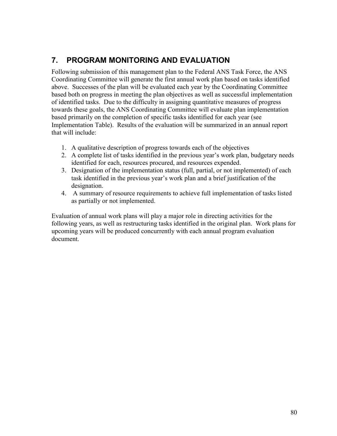# **7. PROGRAM MONITORING AND EVALUATION**

Following submission of this management plan to the Federal ANS Task Force, the ANS Coordinating Committee will generate the first annual work plan based on tasks identified above. Successes of the plan will be evaluated each year by the Coordinating Committee based both on progress in meeting the plan objectives as well as successful implementation of identified tasks. Due to the difficulty in assigning quantitative measures of progress towards these goals, the ANS Coordinating Committee will evaluate plan implementation based primarily on the completion of specific tasks identified for each year (see Implementation Table). Results of the evaluation will be summarized in an annual report that will include:

- 1. A qualitative description of progress towards each of the objectives
- 2. A complete list of tasks identified in the previous year's work plan, budgetary needs identified for each, resources procured, and resources expended.
- 3. Designation of the implementation status (full, partial, or not implemented) of each task identified in the previous year's work plan and a brief justification of the designation.
- 4. A summary of resource requirements to achieve full implementation of tasks listed as partially or not implemented.

Evaluation of annual work plans will play a major role in directing activities for the following years, as well as restructuring tasks identified in the original plan. Work plans for upcoming years will be produced concurrently with each annual program evaluation document.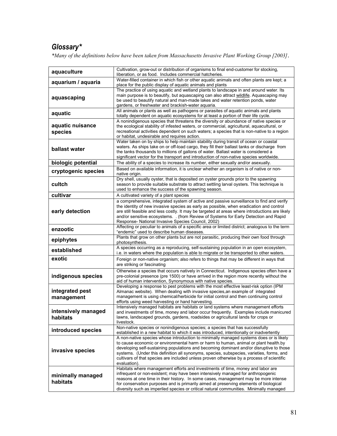# *Glossary\**

*\*Many of the definitions below have been taken from Massachusetts Invasive Plant Working Group [2003]*.

| aquaculture                     | Cultivation, grow-out or distribution of organisms to final end-customer for stocking,<br>liberation, or as food. Includes commercial hatcheries.                                                                                                                                                                                                                                                                                                                                 |
|---------------------------------|-----------------------------------------------------------------------------------------------------------------------------------------------------------------------------------------------------------------------------------------------------------------------------------------------------------------------------------------------------------------------------------------------------------------------------------------------------------------------------------|
| aquarium / aquaria              | Water-filled container in which fish or other aquatic animals and often plants are kept; a<br>place for the public display of aquatic animals and plants                                                                                                                                                                                                                                                                                                                          |
| aquascaping                     | The practice of using aquatic and wetland plants to landscape in and around water. Its<br>main purpose is to beautify, but aquascaping can also attract wildlife. Aquascaping may<br>be used to beautify natural and man-made lakes and water retention ponds, water<br>gardens, or freshwater and brackish-water aquaria.                                                                                                                                                        |
| aquatic                         | All animals or plants as well as pathogens or parasites of aquatic animals and plants<br>totally dependent on aquatic ecosystems for at least a portion of their life cycle.                                                                                                                                                                                                                                                                                                      |
| aquatic nuisance<br>species     | A nonindigenous species that threatens the diversity or abundance of native species or<br>the ecological stability of infested waters, or commercial, agricultural, aquacultural, or<br>recreational activities dependent on such waters; a species that is non-native to a region<br>or habitat, undesirable and requires action.                                                                                                                                                |
| ballast water                   | Water taken on by ships to help maintain stability during transit of ocean or coastal<br>waters. As ships take on or off-load cargo, they fill their ballast tanks or discharge from<br>the tanks thousands to millions of gallons of water. Ballast water is considered a<br>significant vector for the transport and introduction of non-native species worldwide.                                                                                                              |
| biologic potential              | The ability of a species to increase its number, either sexually and/or asexually.                                                                                                                                                                                                                                                                                                                                                                                                |
| cryptogenic species             | Based on available information, it is unclear whether an organism is of native or non-<br>native origin.                                                                                                                                                                                                                                                                                                                                                                          |
| cultch                          | Dry shell, usually oyster, that is deposited on oyster grounds prior to the spawning<br>season to provide suitable substrate to attract settling larval oysters. This technique is<br>used to enhance the success of the spawning season.                                                                                                                                                                                                                                         |
| cultivar                        | A cultivated variety of a plant species                                                                                                                                                                                                                                                                                                                                                                                                                                           |
| early detection                 | a comprehensive, integrated system of active and passive surveillance to find and verify<br>the identity of new invasive species as early as possible, when eradication and control<br>are still feasible and less costly. It may be targeted at areas where introductions are likely<br>and/or sensitive ecosystems. . (from Review of Systems for Early Detection and Rapid<br>Response- National Invasive Species Council, 2002)                                               |
| enzootic                        | Affecting or peculiar to animals of a specific area or limited district; analogous to the term<br>"endemic" used to describe human diseases.                                                                                                                                                                                                                                                                                                                                      |
| epiphytes                       | Plants that grow on other plants but are not parasitic, producing their own food through<br>photosynthesis.                                                                                                                                                                                                                                                                                                                                                                       |
| established                     | A species occurring as a reproducing, self-sustaining population in an open ecosystem,<br>i.e. in waters where the population is able to migrate or be transported to other waters.                                                                                                                                                                                                                                                                                               |
| exotic                          | Foreign or non-native organism; also refers to things that may be different in ways that<br>are striking or fascinating                                                                                                                                                                                                                                                                                                                                                           |
| indigenous species              | Otherwise a species that occurs natively in Connecticut. Indigenous species often have a<br>pre-colonial presence (pre 1500) or have arrived in the region more recently without the<br>aid of human intervention. Synonymous with native species.                                                                                                                                                                                                                                |
| integrated pest<br>management   | Developing a response to pest problems with the most effective least-risk option (IPM<br>Almanac website). When dealing with invasive species, an example of integrated<br>management is using chemical/herbicide for initial control and then continuing control<br>efforts using weed harvesting or hand harvesting.                                                                                                                                                            |
| intensively managed<br>habitats | Intensively managed habitats are habitats or land systems where management efforts<br>and investments of time, money and labor occur frequently. Examples include manicured<br>lawns, landscaped grounds, gardens, roadsides or agricultural lands for crops or<br>livestock.                                                                                                                                                                                                     |
| introduced species              | Non-native species or nonindigenous species; a species that has successfully<br>established in a new habitat to which it was introduced, intentionally or inadvertently                                                                                                                                                                                                                                                                                                           |
| invasive species                | A non-native species whose introduction to minimally managed systems does or is likely<br>to cause economic or environmental harm or harm to human, animal or plant health.by<br>developing self-sustaining populations and becoming dominant and/or disruptive to those<br>systems. (Under this definition all synonyms, species, subspecies, varieties, forms, and<br>cultivars of that species are included unless proven otherwise by a process of scientific<br>evaluation). |
| minimally managed<br>habitats   | Habitats where management efforts and investments of time, money and labor are<br>infrequent or non-existent; may have been intensively managed for anthropogenic<br>reasons at one time in their history. In some cases, management may be more intense<br>for conservation purposes and is primarily aimed at preserving elements of biological<br>diversity such as imperiled species or critical natural communities. Minimally managed                                       |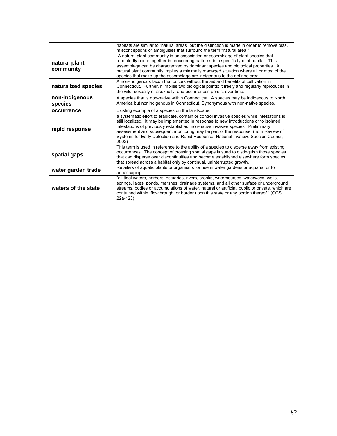|                            | habitats are similar to "natural areas" but the distinction is made in order to remove bias,<br>misconceptions or ambiguities that surround the term "natural area."                                                                                                                                                                                                                                                                                          |
|----------------------------|---------------------------------------------------------------------------------------------------------------------------------------------------------------------------------------------------------------------------------------------------------------------------------------------------------------------------------------------------------------------------------------------------------------------------------------------------------------|
| natural plant<br>community | A natural plant community is an association or assemblage of plant species that<br>repeatedly occur together in reoccurring patterns in a specific type of habitat. This<br>assemblage can be characterized by dominant species and biological properties. A<br>natural plant community implies a minimally managed situation where all or most of the<br>species that make up the assemblage are indigenous to the defined area.                             |
| naturalized species        | A non-indigenous taxon that occurs without the aid and benefits of cultivation in<br>Connecticut. Further, it implies two biological points: it freely and regularly reproduces in<br>the wild, sexually or asexually, and occurrences persist over time.                                                                                                                                                                                                     |
| non-indigenous<br>species  | A species that is non-native within Connecticut. A species may be indigenous to North<br>America but nonindigenous in Connecticut. Synonymous with non-native species.                                                                                                                                                                                                                                                                                        |
| occurrence                 | Existing example of a species on the landscape.                                                                                                                                                                                                                                                                                                                                                                                                               |
| rapid response             | a systematic effort to eradicate, contain or control invasive species while infestations is<br>still localized. It may be implemented in response to new introductions or to isolated<br>infestations of previously established, non-native invasive species. Preliminary<br>assessment and subsequent monitoring may be part of the response. (from Review of<br>Systems for Early Detection and Rapid Response- National Invasive Species Council,<br>2002) |
| spatial gaps               | This term is used in reference to the ability of a species to disperse away from existing<br>occurrences. The concept of crossing spatial gaps is sued to distinguish those species<br>that can disperse over discontinuities and become established elsewhere form species<br>that spread across a habitat only by continual, uninterrupted growth.                                                                                                          |
| water garden trade         | Retailers of aquatic plants or organisms for use in water gardens or aquaria, or for<br>aquascaping                                                                                                                                                                                                                                                                                                                                                           |
| waters of the state        | "all tidal waters, harbors, estuaries, rivers, brooks, watercourses, waterways, wells,<br>springs, lakes, ponds, marshes, drainage systems, and all other surface or underground<br>streams, bodies or accumulations of water, natural or artificial, public or private, which are<br>contained within, flowthrough, or border upon this state or any portion thereof." (CGS<br>22a-423)                                                                      |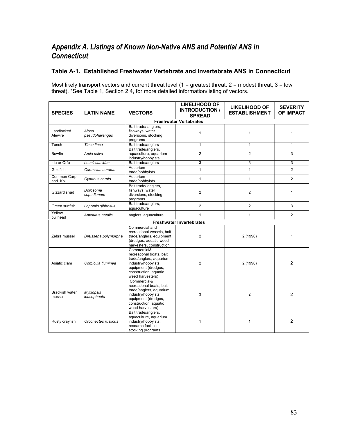# *Appendix A. Listings of Known Non-Native ANS and Potential ANS in Connecticut*

## **Table A-1. Established Freshwater Vertebrate and Invertebrate ANS in Connecticut**

Most likely transport vectors and current threat level (1 = greatest threat,  $2$  = modest threat,  $3$  = low threat). \*See Table 1, Section 2.4, for more detailed information/listing of vectors.

| <b>SPECIES</b>                  | <b>LATIN NAME</b>                | <b>VECTORS</b>                                                                                                                                                | <b>LIKELIHOOD OF</b><br><b>INTRODUCTION /</b><br><b>SPREAD</b> | <b>LIKELIHOOD OF</b><br><b>ESTABLISHMENT</b> | <b>SEVERITY</b><br><b>OF IMPACT</b> |
|---------------------------------|----------------------------------|---------------------------------------------------------------------------------------------------------------------------------------------------------------|----------------------------------------------------------------|----------------------------------------------|-------------------------------------|
|                                 |                                  |                                                                                                                                                               | <b>Freshwater Vertebrates</b>                                  |                                              |                                     |
| Landlocked<br>Alewife           | Alosa<br>pseudoharengus          | Bait trade/ anglers,<br>fishways, water<br>diversions, stocking<br>programs                                                                                   | $\mathbf{1}$                                                   | $\mathbf{1}$                                 | $\mathbf{1}$                        |
| Tench                           | Tinca tinca                      | Bait trade/anglers                                                                                                                                            | $\mathbf{1}$                                                   | $\mathbf{1}$                                 | $\mathbf{1}$                        |
| <b>Bowfin</b>                   | Amia calva                       | Bait trade/anglers,<br>aguaculture, aguarium<br>industry/hobbyists                                                                                            | $\overline{c}$                                                 | $\overline{2}$                               | 3                                   |
| Ide or Orfe                     | Leuciscus idus                   | Bait trade/anglers                                                                                                                                            | 3                                                              | 3                                            | 3                                   |
| Goldfish                        | Carassius auratus                | Aquarium<br>trade/hobbyists                                                                                                                                   | $\mathbf{1}$                                                   | $\mathbf{1}$                                 | 2                                   |
| Common Carp<br>and Koi          | Cyprinus carpio                  | Aquarium<br>trade/hobbyists                                                                                                                                   | $\mathbf{1}$                                                   | $\mathbf{1}$                                 | $\overline{2}$                      |
| Gizzard shad                    | Dorosoma<br>cepedianum           | Bait trade/ anglers,<br>fishways, water<br>diversions, stocking<br>programs                                                                                   | $\overline{2}$                                                 | $\overline{2}$                               | $\mathbf{1}$                        |
| Green sunfish                   | Lepomis gibbosus                 | Bait trade/anglers,<br>aquaculture                                                                                                                            | $\overline{2}$                                                 | $\overline{2}$                               | 3                                   |
| Yellow<br>bullhead              | Ameiurus natalis                 | anglers, aquaculture                                                                                                                                          | $\mathbf{1}$                                                   | $\mathbf{1}$                                 | 2                                   |
|                                 |                                  |                                                                                                                                                               | <b>Freshwater Invertebrates</b>                                |                                              |                                     |
| Zebra mussel                    | Dreissena polymorpha             | Commercial and<br>recreational vessels, bait<br>trade/anglers, equipment<br>(dredges, aquatic weed<br>harvesters, construction                                | 2                                                              | 2 (1996)                                     | 1                                   |
| Asiatic clam                    | Corbicula fluminea               | Commercial&<br>recreational boats, bait<br>trade/anglers, aguarium<br>industry/hobbyists,<br>equipment (dredges,<br>construction, aquatic<br>weed harvesters) | $\overline{2}$                                                 | 2 (1990)                                     | 2                                   |
| <b>Brackish water</b><br>mussel | <b>Mytilopsis</b><br>leucophaeta | Commercial&<br>recreational boats, bait<br>trade/anglers, aquarium<br>industry/hobbyists,<br>equipment (dredges,<br>construction, aquatic<br>weed harvesters) | 3                                                              | $\overline{2}$                               | 2                                   |
| Rusty crayfish                  | Orconectes rusticus              | Bait trade/anglers,<br>aquaculture, aquarium<br>industry/hobbyists,<br>research facilities.<br>stocking programs                                              | $\mathbf{1}$                                                   | $\mathbf{1}$                                 | 2                                   |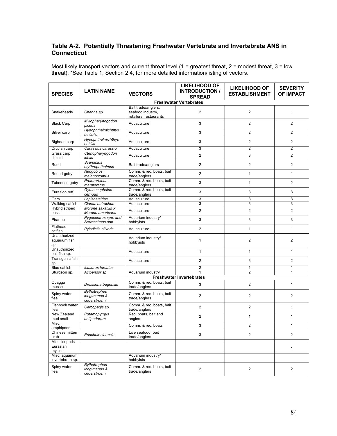## **Table A-2. Potentially Threatening Freshwater Vertebrate and Invertebrate ANS in Connecticut**

| <b>SPECIES</b>                       | <b>LATIN NAME</b>                                   | <b>VECTORS</b>                                                     | <b>LIKELIHOOD OF</b><br><b>INTRODUCTION /</b><br><b>SPREAD</b> | <b>LIKELIHOOD OF</b><br><b>ESTABLISHMENT</b> | <b>SEVERITY</b><br><b>OF IMPACT</b> |
|--------------------------------------|-----------------------------------------------------|--------------------------------------------------------------------|----------------------------------------------------------------|----------------------------------------------|-------------------------------------|
|                                      |                                                     |                                                                    | <b>Freshwater Vertebrates</b>                                  |                                              |                                     |
| Snakeheads                           | Channa sp.                                          | Bait trade/anglers,<br>seafood industry.<br>retailers, restaurants | 2                                                              | 2                                            | $\mathbf{1}$                        |
| <b>Black Carp</b>                    | Mylopharynogodon<br>piceus                          | Aquaculture                                                        | 3                                                              | $\mathbf{2}$                                 | $\overline{2}$                      |
| Silver carp                          | Hypophthalmichthys<br>molitrixs                     | Aquaculture                                                        | 3                                                              | $\overline{2}$                               | $\overline{2}$                      |
| Bighead carp                         | Hypophthalmichthys<br>nobilis                       | Aquaculture                                                        | 3                                                              | $\overline{2}$                               | 2                                   |
| Crucian carp                         | Carassius carassiu                                  | Aquaculture                                                        | 3                                                              | $\overline{2}$                               | $\overline{2}$                      |
| Grass carp<br>diploid                | Ctenopharyngodon<br>idella                          | Aquaculture                                                        | $\mathbf{2}$                                                   | 3                                            | $\mathbf{2}$                        |
| Rudd                                 | <b>Scardinius</b><br>erythrophthalmus               | Bait trade/anglers                                                 | $\overline{2}$                                                 | $\overline{2}$                               | $\overline{2}$                      |
| Round goby                           | Neogobius<br>melanostomus                           | Comm. & rec. boats, bait<br>trade/anglers                          | $\mathbf{2}$                                                   | $\mathbf{1}$                                 | $\mathbf{1}$                        |
| Tubenose goby                        | Proterorhinus<br>marmoratus                         | Comm. & rec. boats, bait<br>trade/anglers                          | 3                                                              | $\mathbf{1}$                                 | 2                                   |
| Eurasion ruff                        | Gymnocephalus<br>cernuus                            | Comm. & rec. boats, bait<br>trade/anglers                          | 3                                                              | 3                                            | 3                                   |
| Gars                                 | Lepisosteidae                                       | Aquaculture                                                        | 3                                                              | 3                                            | 3                                   |
| Walking catfish                      | Clarias batrachus                                   | Aquaculture                                                        | 3                                                              | 3                                            | 3                                   |
| Hybrid striped<br>bass               | Morone saxatilis X<br>Morone americana              | Aquaculture                                                        | $\overline{2}$                                                 | $\overline{2}$                               | 2                                   |
| Piranha                              | Pygocentrus spp. and<br>Serrasalmus spp.            | Aquarium industry/<br>hobbyists                                    | 3                                                              | 3                                            | 3                                   |
| Flathead<br>catfish                  | Pylodictis olivaris                                 | Aquaculture                                                        | $\overline{2}$                                                 | $\mathbf{1}$                                 | $\mathbf{1}$                        |
| Unauthorized<br>aquarium fish<br>sp. |                                                     | Aquarium industry/<br>hobbyists                                    | $\mathbf{1}$                                                   | $\overline{2}$                               | $\overline{2}$                      |
| Unauthorized<br>bait fish sp.        |                                                     | Aquaculture                                                        | $\mathbf{1}$                                                   | $\mathbf{1}$                                 | $\mathbf{1}$                        |
| Transgenic fish<br>sp.               |                                                     | Aquaculture                                                        | $\overline{2}$                                                 | 3                                            | $\overline{2}$                      |
| <b>Blue catfish</b>                  | Ictalurus furcatus                                  |                                                                    | $\overline{2}$                                                 | 1                                            | 1                                   |
| Sturgeon sp.                         | Acipensor sp                                        | Aquarium industry                                                  | 1                                                              | $\overline{2}$                               | $\mathbf{1}$                        |
|                                      |                                                     |                                                                    | <b>Freshwater Invertebrates</b>                                |                                              |                                     |
| Quagga<br>mussel                     | Dreissena bugensis                                  | Comm. & rec. boats, bait<br>trade/anglers                          | 3                                                              | $\overline{2}$                               | $\mathbf{1}$                        |
| Spiny water<br>flea                  | <b>Bythotrephes</b><br>longimanus &<br>cederstroemi | Comm. & rec. boats, bait<br>trade/anglers                          | $\overline{c}$                                                 | $\overline{2}$                               | 2                                   |
| Fishhook water<br>flea               | Cercopagis sp.                                      | Comm. & rec. boats, bait<br>trade/anglers                          | $\overline{2}$                                                 | $\overline{2}$                               | $\mathbf{1}$                        |
| New Zealand<br>mud snail             | Potamopyrgus<br>antipodarum                         | Rec. boats, bait and<br>anglers                                    | $\overline{2}$                                                 | $\mathbf{1}$                                 | $\mathbf{1}$                        |
| Misc.,<br>amphipods                  |                                                     | Comm. & rec. boats                                                 | 3                                                              | $\overline{2}$                               | 1                                   |
| Chinese mitten<br>crab               | Eriocheir sinensis                                  | Live seafood, bait<br>trade/anglers                                | 3                                                              | $\mathbf{2}$                                 | $\overline{2}$                      |
| Misc. isopods                        |                                                     |                                                                    |                                                                |                                              |                                     |
| Eurasian<br>mysids                   |                                                     |                                                                    |                                                                |                                              | $\mathbf{1}$                        |
| Misc. aquarium<br>invertebrate sp.   |                                                     | Aquarium industry/<br>hobbyists                                    |                                                                |                                              |                                     |
| Spiny water<br>flea                  | <b>Bythotrephes</b><br>longimanus &<br>cederstroemi | Comm. & rec. boats, bait<br>trade/anglers                          | $\overline{\mathbf{c}}$                                        | $\mathbf{2}$                                 | $\mathbf{2}$                        |

Most likely transport vectors and current threat level (1 = greatest threat, 2 = modest threat, 3 = low threat). \*See Table 1, Section 2.4, for more detailed information/listing of vectors.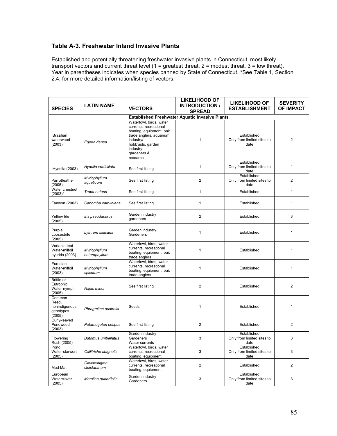## **Table A-3. Freshwater Inland Invasive Plants**

Established and potentially threatening freshwater invasive plants in Connecticut, most likely transport vectors and current threat level (1 = greatest threat, 2 = modest threat, 3 = low threat). Year in parentheses indicates when species banned by State of Connecticut. \*See Table 1, Section 2.4, for more detailed information/listing of vectors.

| <b>SPECIES</b>                                          | <b>LATIN NAME</b>             | <b>VECTORS</b>                                                                                                                                                                    | <b>LIKELIHOOD OF</b><br><b>INTRODUCTION /</b><br><b>SPREAD</b> | <b>LIKELIHOOD OF</b><br><b>ESTABLISHMENT</b>      | <b>SEVERITY</b><br><b>OF IMPACT</b> |
|---------------------------------------------------------|-------------------------------|-----------------------------------------------------------------------------------------------------------------------------------------------------------------------------------|----------------------------------------------------------------|---------------------------------------------------|-------------------------------------|
|                                                         |                               |                                                                                                                                                                                   | <b>Established Freshwater Aquatic Invasive Plants</b>          |                                                   |                                     |
| <b>Brazilian</b><br>waterweed<br>(2003)                 | Egeria densa                  | Waterfowl, birds, water<br>currents, recreational<br>boating, equipment, bait<br>trade anglers, aquarium<br>industry/<br>hobbyists, garden<br>industry<br>gardeners &<br>research | 1                                                              | Established<br>Only from limited sites to<br>date | 2                                   |
| Hydrilla (2003)                                         | Hydrilla verticillata         | See first listing                                                                                                                                                                 | 1                                                              | Established<br>Only from limited sites to<br>date | 1                                   |
| Parrotfeather<br>(2005)                                 | Myriophyllum<br>aquaticum     | See first listing                                                                                                                                                                 | $\overline{2}$                                                 | Established<br>Only from limited sites to<br>date | $\overline{2}$                      |
| Water chestnut<br>$(2003)^*$                            | Trapa natans                  | See first listing                                                                                                                                                                 | $\mathbf{1}$                                                   | Established                                       | $\mathbf{1}$                        |
| Fanwort (2003)                                          | Cabomba caroliniana           | See first listing                                                                                                                                                                 | 1                                                              | Established                                       | 1                                   |
| <b>Yellow Iris</b><br>(2005)                            | Iris pseudacorus              | Garden industry<br>gardeners                                                                                                                                                      | $\overline{2}$                                                 | Established                                       | 3                                   |
| Purple<br>Loosestrife<br>(2005)                         | Lythrum salicaria             | Garden industry<br>Gardeners                                                                                                                                                      | 1                                                              | Established                                       | 1                                   |
| Variable-leaf<br>Water-milfoil<br>hybrids (2003)        | Myriophyllum<br>heterophyllum | Waterfowl, birds, water<br>currents, recreational<br>boating, equipment, bait<br>trade anglers                                                                                    | 1                                                              | Established                                       | 1                                   |
| Eurasian<br>Water-milfoil<br>(2003)                     | Myriophyllum<br>spicatum      | Waterfowl, birds, water<br>currents, recreational<br>boating, equipment, bait<br>trade anglers                                                                                    | 1                                                              | Established                                       | 1                                   |
| Brittle or<br>Eutrophic<br>Water-nymph<br>(2005)        | Najas minor                   | See first listing                                                                                                                                                                 | $\overline{2}$                                                 | Established                                       | 2                                   |
| Common<br>Reed,<br>nonindigenous<br>genotypes<br>(2005) | Phragmites australis          | Seeds                                                                                                                                                                             | 1                                                              | Established                                       | 1                                   |
| Curly-leaved<br>Pondweed<br>(2003)                      | Potamogeton crispus           | See first listing                                                                                                                                                                 | $\overline{2}$                                                 | Established                                       | $\overline{2}$                      |
| Flowering<br>Rush (2005)                                | <b>Butomus umbellatus</b>     | Garden industry<br>Gardeners<br>Water currents                                                                                                                                    | 3                                                              | Established<br>Only from limited sites to<br>date | 3                                   |
| Pond<br>Water-starwort<br>(2005)                        | Callitriche stagnalis         | Waterfowl, birds, water<br>currents, recreational<br>boating, equipment                                                                                                           | 3                                                              | Established<br>Only from limited sites to<br>date | 3                                   |
| Mud Mat                                                 | Glossostigma<br>cleistanthum  | Waterfowl, birds, water<br>currents, recreational<br>boating, equipment                                                                                                           | 2                                                              | Established                                       | 2                                   |
| European<br>Waterclover<br>(2005)                       | Marsilea quadrifolia          | Garden industry<br>Gardeners                                                                                                                                                      | 3                                                              | Established<br>Only from limited sites to<br>date | 3                                   |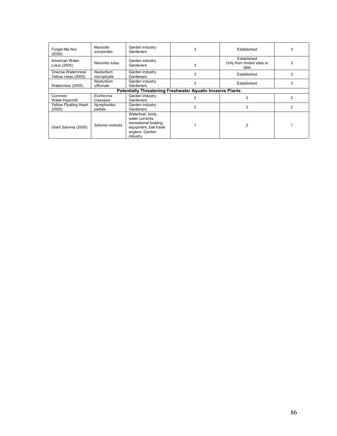| Forget-Me-Not<br>(2005)                                           | Myosotis<br>scorpiodes    | Garden industry<br>Gardeners                                                                                          | 3 | Established                                       | 3 |
|-------------------------------------------------------------------|---------------------------|-----------------------------------------------------------------------------------------------------------------------|---|---------------------------------------------------|---|
| American Water<br>Lotus (2005)                                    | Nelumbo lutea             | Garden industry<br>Gardeners                                                                                          | 3 | Established<br>Only from limited sites to<br>date | 3 |
| Onerow Watercress/<br>Yellow cress (2005)                         | Nasturtium<br>microphylla | Garden industry<br>Gardeners                                                                                          | 3 | Established                                       | 3 |
| Watercress (2005)                                                 | Nasturtium<br>officinale  | Garden industry<br>Gardeners                                                                                          | 3 | Established                                       | 3 |
| <b>Potentially Threatening Freshwater Aquatic Invasive Plants</b> |                           |                                                                                                                       |   |                                                   |   |
| Common<br>Water-Hyacinth                                          | Eichhornia<br>crassipes   | Garden industry<br>Gardeners                                                                                          |   | 2                                                 |   |
| Yellow Floating Heart<br>(2005)                                   | Nymphoides<br>peltata     | Garden industry<br>Gardeners                                                                                          | 2 | 2                                                 | 2 |
| Giant Salvinia (2005)                                             | Salvinia molesta          | Waterfowl, birds,<br>water currents.<br>recreational boating,<br>equipment, bait trade<br>anglers, Garden<br>industry |   | $\overline{2}$                                    |   |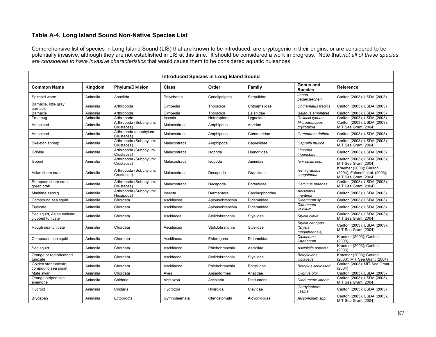## **Table A-4. Long Island Sound Non-Native Species List**

Comprehensive list of species in Long Island Sound (LIS) that are known to be introduced, are cryptogenic in their origins, or are considered to be potentially invasive, although they are not established in LIS at this time. It should be considered a work in progress. Note that *not all of these species are considered to have invasive characteristics* that would cause them to be considered aquatic nuisances.

| <b>Introduced Species in Long Island Sound</b>  |          |                                      |              |                 |                 |                                            |                                                                                    |
|-------------------------------------------------|----------|--------------------------------------|--------------|-----------------|-----------------|--------------------------------------------|------------------------------------------------------------------------------------|
| <b>Common Name</b>                              | Kingdom  | <b>Phylum/Division</b>               | <b>Class</b> | Order           | Family          | Genus and<br><b>Species</b>                | Reference                                                                          |
| Spirobid worm                                   | Animalia | Annelida                             | Polychaeta   | Canalipalpata   | Serpulidae      | Janua<br>pagenstecheri                     | Carlton (2003); USDA (2003)                                                        |
| Barnacle, little gray<br>barnacle               | Animalia | Arthropoda                           | Cirripedia   | Thoracica       | Chthamalidae    | Chthamalus fragilis                        | Carlton (2003); USDA (2003)                                                        |
| Barnacle                                        | Animalia | Arthropoda                           | Cirripedia   | Thoracica       | Balanidae       | <b>Balanus amphitrite</b>                  | Carlton (2003); USDA (2003)                                                        |
| True bug                                        | Animalia | Arthropoda                           | Insecta      | Heteroptera     | Lygaeidae       | Chilacis typhae                            | Carlton (2003); USDA (2003)                                                        |
| Amphipod                                        | Animalia | Arthropoda (Subphylum:<br>Crustacea) | Malacostraca | Amphipoda       | Aoridae         | <b>Microdeutopus</b><br>qryllotalpa        | Carlton (2003); USDA (2003);<br>MIT Sea Grant (2004)                               |
| Amphipod                                        | Animalia | Arthropoda (subphylum:<br>Crustacea) | Malacostraca | Amphipoda       | Gammaridae      | Gammarus daiberi                           | Carlton (2003); USDA (2003)                                                        |
| Skeleton shrimp                                 | Animalia | Arthropoda (Subphylum:<br>Crustacea) | Malacostraca | Amphipoda       | Caprellidae     | Caprella mutica                            | Carlton (2003); USDA (2003);<br>MIT Sea Grant (2004)                               |
| Gribble                                         | Animalia | Arthropoda (Subphylum<br>Crustacea)  | Malacostraca | Isopoda         | Limnoriidae     | Limnoria<br>tripunctata                    | Carlton (2003); USDA (2003)                                                        |
| Isopod                                          | Animalia | Arthropoda (Subphylum:<br>Crustacea) | Malacostraca | Isopoda         | Janiridae       | laniropsis spp.                            | Carlton (2003); USDA (2003);<br>MIT Sea Grant (2004)                               |
| Asian shore crab                                | Animalia | Arthropoda (Subphylum:<br>Crustacea) | Malacostraca | Decapoda        | Grapsidae       | Hemigrapsus<br>sanguineus                  | Kraemer (2003); Carlton<br>(2004); Fofonoff et al. (2003);<br>MIT Sea Grant (2004) |
| European shore crab,<br>green crab              | Animalia | Arthropoda (Subphylum:<br>Crustacea) | Malacostraca | Decapoda        | Portunidae      | Carcinus maenas                            | Carlton (2003); USDA (2003);<br>MIT Sea Grant (2004)                               |
| Maritime earwig                                 | Animalia | Arthropoda (Subphylum:<br>Hexapoda)  | Insecta      | Dermaptera      | Carcinophoridae | Anisolabis<br>maritima                     | Carlton (2003); USDA (2003)                                                        |
| Compound sea squirt                             | Animalia | Chordata                             | Ascidiacea   | Aplousobranchia | Didemnidae      | Didemnum sp.                               | Carlton (2003); USDA (2003)                                                        |
| Tunicate                                        | Animalia | Chordata                             | Ascidiacea   | Aplousobranchia | Didemnidae      | Didemnum<br>vexillum                       | Carlton (2003); USDA (2003)                                                        |
| Sea squirt, Asian tunicate,<br>clubbed tunicate | Animalia | Chordata                             | Ascidacea    | Stolidobranchia | Styelidae       | Styela clava                               | Carlton (2003); USDA (2003);<br>MIT Sea Grant (2004)                               |
| Rough sea tunicate                              | Animalia | Chordata                             | Ascidiacea   | Stolidobranchia | Styelidae       | Styela canopus<br>(Styela<br>magalhaensis) | Carlton (2003); USDA (2003);<br>MIT Sea Grant (2004)                               |
| Compound sea squirt                             | Animalia | Chordata                             | Ascidiacea   | Enterogona      | Didemnidae      | Diplosoma<br>listerianum                   | Kraemer (2003); Carlton<br>(2003)                                                  |
| Sea squirt                                      | Animalia | Chordata                             | Ascidiacea   | Phlebobranchia  | Ascidiiae       | Ascidiella aspersa                         | Kraemer (2003); Carlton<br>(2003)                                                  |
| Orange or red-sheathed<br>tunicate              | Animalia | Chordata                             | Ascidacea    | Stolidobranchia | Styelidae       | <b>Botrylloides</b><br>violaceus           | Kraemer (2003); Carlton<br>(2003); MIT Sea Grant (2004)                            |
| Golden star tunicate,<br>compound sea squirt    | Animalia | Chordata                             | Ascidiacea   | Phlebobranchia  | Botryllidae     | Botryllus schlosseri                       | Carlton (2003); MIT Sea Grant<br>(2004)                                            |
| Mute swan                                       | Animalia | Chordata                             | Aves         | Anseriformes    | Anatidae        | Cygnus olor                                | Carlton (2003); USDA (2003)                                                        |
| Orange-striped sea<br>anemone                   | Animalia | Cnidaria                             | Anthozoa     | Actiniaria      | Diadumene       | Diadumene lineata                          | Carlton (2003); USDA (2003),<br>MIT Sea Grant (2004)                               |
| Hydroid                                         | Animalia | Cnidaria                             | Hydrozoa     | Hydroida        | Clavidae        | Cordylophora<br>caspia                     | Carlton (2003); USDA (2003)                                                        |
| Bryozoan                                        | Animalia | Ectoprocta                           | Gymnolaemata | Ctenostomata    | Alcyonidiidae   | Alcyonidium spp.                           | Carlton (2003); USDA (2003),<br>MIT Sea Grant (2004)                               |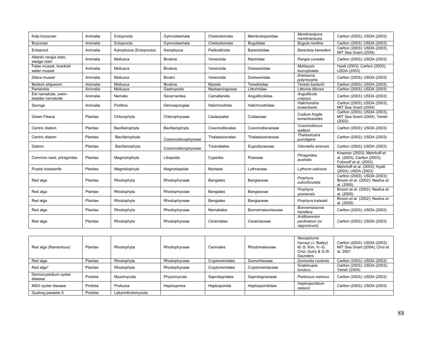| Kelp bryozoan                           | Animalia | Ectoprocta             | Gymnolaemata        | Cheilostomata     | Membraniporidae   | Membranipora<br>membranacea                   | Carlton (2003); USDA (2003)                                                          |
|-----------------------------------------|----------|------------------------|---------------------|-------------------|-------------------|-----------------------------------------------|--------------------------------------------------------------------------------------|
| Bryozoan                                | Animalia | Ectoprocta             | Gymnolaemata        | Cheilostomata     | <b>Bugulidae</b>  | Bugula neritina                               | Carlton (2003); USDA (2003)                                                          |
| Entoproct                               | Animalia | Kamptozoa (Entoprocta) | Kamptozoa           | Pedicellinida     | Barentsiidae      | Barentsia benedeni                            | Carlton (2003); USDA (2003),<br>MIT Sea Grant (2004)                                 |
| Atlantic rangia clam,<br>wedge clam     | Animalia | Mollusca               | <b>Bivalvia</b>     | Veneroida         | Mactridae         | Rangia cuneata                                | Carlton (2003); USDA (2003)                                                          |
| False mussel, brackish<br>water mussel  | Animalia | Mollusca               | <b>Bivalvia</b>     | Veneroida         | Dreissenidae      | <b>Mytilopsis</b><br>leucophaeta              | Hyatt (2003); Carlton (2003);<br><b>USDA (2003)</b>                                  |
| Zebra mussel                            | Animalia | Mollusca               | <b>Bivalvi</b>      | Veneroida         | Dreissenidae      | Dreissena<br>polymorpha                       | Carlton (2003); USDA (2003)                                                          |
| Bartsch shipworm                        | Animalia | Mollusca               | <b>Bivalvia</b>     | Myoida            | Teredinidae       | Teredo bartschi                               | Carlton (2003); USDA (2003)                                                          |
| Periwinkle                              | Animalia | Mollusca               | Gastropoda          | Neotaenioglossa   | Littorinidae      | Littorina littorea                            | Carlton (2003); USDA (2003)                                                          |
| Eel nematode, swim-<br>bladder nematode | Animalia | Nemata                 | Secernentea         | Camallanida       | Anguillicolidae   | Anguillicola<br>crassus                       | Carlton (2003); USDA (2003)                                                          |
| Sponge                                  | Animalia | Porifera               | Demospongiae        | Halichondrida     | Halichondriidae   | Halichondria<br>bowerbanki                    | Carlton (2003); USDA (2003),<br>MIT Sea Grant (2004)                                 |
| Green Fleece                            | Plantae  | Chlorophyta            | Chlorophyceae       | Caulerpales       | Codiaceae         | Codium fragile<br>tomentosoides               | Carlton (2003); USDA (2003),<br>MIT Sea Grant (2004), Yarish<br>(2003)               |
| Centric diatom                          | Plantae  | Bacillariophyta        | Bacillariophyta     | Coscinodiscales   | Coscinodiscaceae  | Coscinodiscus<br>wailesii                     | Carlton (2003); USDA (2003)                                                          |
| Centric diatom                          | Plantae  | Bacillariophyta        | Coscinodiscophyceae | Thalassiosirales  | Thalassiosiraceae | Thalassiosira<br>punctigera                   | Carlton (2003); USDA (2003)                                                          |
| Diatom                                  | Plantae  | Bacillariophyta        | Coscinodiscophyceae | Triceratiales     | Eupodiscaceae     | Odontella sinensis                            | Carlton (2003); USDA (2003)                                                          |
| Common reed, phragmites                 | Plantae  | Magnoliophyta          | Liliopsida          | Cyperles          | Poaceae           | Phragmites<br>australis                       | Kraemer (2003); Mehrhoff et<br>al. (2003); Carlton (2003);<br>Fofonoff et al. (2003) |
| Purple loosestrife                      | Plantae  | Magnoliophyta          | Magnoliopsida       | <b>Myrtales</b>   | Lythraceae        | Lythrum salicaria                             | Mehrhoff et al. (2003); Hyatt<br>(2003): USDA (2003)                                 |
| Red alga                                | Plantae  | Rhodophyta             | Rhodophyceae        | <b>Bangiales</b>  | Bangiaceae        | Porphyra<br>suborbiculata                     | Carlton (2003); USDA (2003);<br>Broom et al. (2002); Neefus et<br>al. (2005)         |
| Red alga                                | Plantae  | Rhodophyta             | Rhodophyceae        | <b>Bangiales</b>  | Bangiaceae        | Porphyra<br>vezoensis                         | Broom et al. (2002); Neefus et<br>al. (2005)                                         |
| Red alga                                | Plantae  | Rhodophyta             | Rhodophyceae        | <b>Bangiales</b>  | Bangiaceae        | Porphyra katadaii                             | Broom et al. (2002); Neefus et<br>al. (2005)                                         |
| Red alga                                | Plantae  | Rhodophyta             | Rhodophyceae        | <b>Nemaliales</b> | Bonnemaisoniaceae | Bonnemaisonia<br>hamifera                     | Carlton (2003); USDA (2003)                                                          |
| Red alga                                | Plantae  | Rhodophyta             | Rhodophyceae        | Ceramiales        | Ceramiaceae       | Antithamnion<br>pectinatum (or<br>nipponicum) | Carlton (2003); USDA (2003)                                                          |

| Red alga (filamentous)           | Plantae  | Rhodophyta         | Rhodophyceae | Cermiales      | Rhodomelaceae    | Neosiphonia<br>harveyi (J. Bailey)<br>M.-S. Kim, H.-G.<br>Choi, Guiry & G.W.<br>Saunders | Carlton (2003); USDA (2003),<br>MIT Sea Grant (2004); Choi et<br>al. 2001 |
|----------------------------------|----------|--------------------|--------------|----------------|------------------|------------------------------------------------------------------------------------------|---------------------------------------------------------------------------|
| Red alga                         | Plantae  | Rhodophyta         | Rhodophyceae | Cryptonemiales | Dumontiaceae     | Dumontia contorta                                                                        | Carlton (2003); USDA (2003)                                               |
| Red alga*                        | Plantae  | Rhodophyta         | Rhodophyceae | Cryptonemiales | Cryptonemiaceae  | Grateloupia<br>turuturu                                                                  | Carlton (2003); USDA (2003);<br>Yarish (2004)                             |
| Dermocystidium oyster<br>disease | Protista | Myxomycota         | Phycomycota  | Saprolegniales | Saprolegniaceae  | Perkinsus marinus                                                                        | Carlton (2003); USDA (2003)                                               |
| MSX oyster disease               | Protista | Protozoa           | Haplosporea  | Haplosporida   | Haplosporidiidae | Haplosporidium<br>nelsoni                                                                | Carlton (2003); USDA (2003)                                               |
| Quahog parasite X                | Protista | Labyrinthulomycota |              |                |                  |                                                                                          |                                                                           |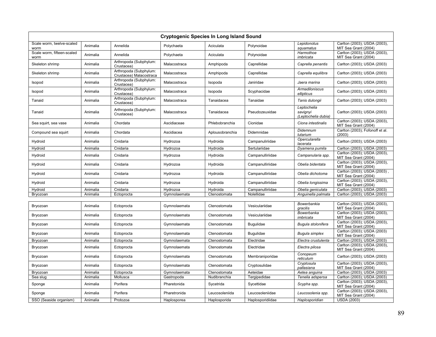|                                    |          |                                                   | Cryptogenic Species In Long Island Sound |                 |                  |                                                |                                                      |
|------------------------------------|----------|---------------------------------------------------|------------------------------------------|-----------------|------------------|------------------------------------------------|------------------------------------------------------|
| Scale worm, twelve-scaled<br>worm  | Animalia | Annelida                                          | Polychaeta                               | Aciculata       | Polynoidae       | Lepidonotus<br>squamatus                       | Carlton (2003); USDA (2003),<br>MIT Sea Grant (2004) |
| Scale worm, fifteen-scaled<br>worm | Animalia | Annelida                                          | Polychaeta                               | Aciculata       | Polynoidae       | Harmothoe<br>imbricata                         | Carlton (2003); USDA (2003),<br>MIT Sea Grant (2004) |
| Skeleton shrimp                    | Animalia | Arthropoda (Subphylum:<br>Crustacea)              | Malacostraca                             | Amphipoda       | Caprellidae      | Caprella penantis                              | Carlton (2003); USDA (2003)                          |
| Skeleton shrimp                    | Animalia | Arthropoda (Subphylum:<br>Crustacea) Malacostraca | Malacostraca                             | Amphipoda       | Caprellidae      | Caprella equilibra                             | Carlton (2003); USDA (2003)                          |
| Isopod                             | Animalia | Arthropoda (Subphylum:<br>Crustacea)              | Malacostraca                             | Isopoda         | Janiridae        | Jaera marina                                   | Carlton (2003); USDA (2003)                          |
| <b>Isopod</b>                      | Animalia | Arthropoda (Subphylum:<br>Crustacea)              | Malacostraca                             | Isopoda         | Scyphacidae      | <b>Armadiloniscus</b><br>ellipticus            | Carlton (2003); USDA (2003)                          |
| Tanaid                             | Animalia | Arthropoda (Subphylum:<br>Crustacea)              | Malacostraca                             | Tanaidacea      | Tanaidae         | Tanis dulongii                                 | Carlton (2003); USDA (2003)                          |
| Tanaid                             | Animalia | Arthropoda (Subphylum:<br>Crustacea)              | Malacostraca                             | Tanaidacea      | Pseudozeuxidae   | Leptochelia<br>savignyi<br>(Leptochelia dubia) | Carlton (2003); USDA (2003)                          |
| Sea squirt, sea vase               | Animalia | Chordata                                          | Ascidiaceae                              | Phlebobranchia  | Cionidae         | Ciona intestinalis                             | Carlton (2003); USDA (2003),<br>MIT Sea Grant (2004) |
| Compound sea squirt                | Animalia | Chordata                                          | Ascidiacea                               | Aplousobranchia | Didemnidae       | <b>Didemnum</b><br>lutarium                    | Carlton (2003); Fofonoff et al.<br>(2003)            |
| Hydroid                            | Animalia | Cnidaria                                          | Hydrozoa                                 | Hydroida        | Campanuliriidae  | Opercularella<br>lacerata                      | Carlton (2003); USDA (2003)                          |
| Hydroid                            | Animalia | Cnidaria                                          | Hydrozoa                                 | Hydroida        | Sertulariidae    | Dyamena pumila                                 | Carlton (2003); USDA (2003)                          |
| Hydroid                            | Animalia | Cnidaria                                          | Hydrozoa                                 | Hydroida        | Campanulliriidae | Campanularia spp.                              | Carlton (2003); USDA (2003),<br>MIT Sea Grant (2004) |
| Hydroid                            | Animalia | Cnidaria                                          | Hydrozoa                                 | Hydroida        | Campanulliriidae | Obelia bidentata                               | Carlton (2003); USDA (2003),<br>MIT Sea Grant (2004) |
| Hydroid                            | Animalia | Cnidaria                                          | Hydrozoa                                 | Hydroida        | Campanulliriidae | Obelia dichotoma                               | Carlton (2003); USDA (2003)<br>MIT Sea Grant (2004)  |
| Hydroid                            | Animalia | Cnidaria                                          | Hydrozoa                                 | Hydroida        | Campanulliriidae | Obelia longissima                              | Carlton (2003); USDA (2003),<br>MIT Sea Grant (2004) |
| Hydroid                            | Animalia | Cnidaria                                          | Hydrozoa                                 | Hydroida        | Campanulliriidae | Obelia geniculata                              | Carlton (2003); USDA (2003)                          |
| Bryozoan                           | Animalia | Ectoprocta                                        | Gymnolaemata                             | Ctenostomata    | Nolellidae       | Anguinella palmata                             | Carlton (2003); USDA (2003)                          |
|                                    |          |                                                   |                                          |                 |                  |                                                |                                                      |
| Bryozoan                           | Animalia | Ectoprocta                                        | Gymnolaemata                             | Ctenostomata    | Vesiculariidae   | Bowerbankia<br>gracilis                        | Carlton (2003); USDA (2003),<br>MIT Sea Grant (2004) |
| Bryozoan                           | Animalia | Ectoprocta                                        | Gymnolaemata                             | Ctenostomata    | Vesiculariidae   | Bowerbanka<br>imbricata                        | Carlton (2003); USDA (2003),<br>MIT Sea Grant (2004) |
| Bryozoan                           | Animalia | Ectoprocta                                        | Gymnolaemata                             | Ctenostomata    | <b>Bugulidae</b> | Bugula stolonifera                             | Carlton (2003); USDA (2003),<br>MIT Sea Grant (2004) |
| Bryozoan                           | Animalia | Ectoprocta                                        | Gymnolaemata                             | Ctenostomata    | <b>Bugulidae</b> | <b>Bugula simplex</b>                          | Carlton (2003); USDA (2003)<br>MIT Sea Grant (2004)  |
| Bryozoan                           | Animalia | Ectoprocta                                        | Gymnolaemata                             | Ctenostomata    | Electridae       | Electra crustulenta                            | Carlton (2003); USDA (2003)                          |
| Bryozoan                           | Animalia | Ectoprocta                                        | Gymnolaemata                             | Ctenostomata    | Electridae       | Electra pilosa                                 | Carlton (2003); USDA (2003),<br>MIT Sea Grant (2004) |
| Bryozoan                           | Animalia | Ectoprocta                                        | Gymnolaemata                             | Ctenostomata    | Membraniporidae  | Conopeum<br>reticulum                          | Carlton (2003); USDA (2003)                          |
| Bryozoan                           | Animalia | Ectoprocta                                        | Gymnolaemata                             | Ctenostomata    | Cryptosulidae    | Cryptosula<br>pallasiana                       | Carlton (2003); USDA (2003),<br>MIT Sea Grant (2004) |
| Bryozoan                           | Animalia | Ectoprocta                                        | Gymnolaemata                             | Ctenostomata    | Aeteidae         | Aetea anguina                                  | Carlton (2003); USDA (2003)                          |
| Sea slug                           | Animalia | Mollusca                                          | Gastropoda                               | Nudibranchia    | Tergipedidae     | Tenelia adspersa                               | Carlton (2003); USDA (2003)                          |
| Sponge                             | Animalia | Porifera                                          | Pharetonida                              | Sycetrida       | Sycettidae       | Scypha spp.                                    | Carlton (2003); USDA (2003),<br>MIT Sea Grant (2004) |
| Sponge                             | Animalia | Porifera                                          | Pharetronida                             | Leucosoleniida  | Leucosoleniidae  | Leucosolenia spp.                              | Carlton (2003); USDA (2003),<br>MIT Sea Grant (2004) |
| SSO (Seaside organism)             | Animalia | Protozoa                                          | Haplosporea                              | Haplosporida    | Haplosporidiidae | Haplosporidian                                 | <b>USDA (2003)</b>                                   |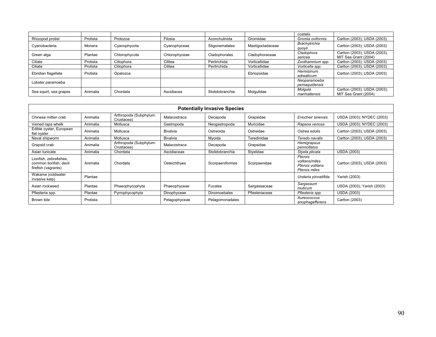|                        |          |               |               |                 |                  | costalis                      |                                                      |
|------------------------|----------|---------------|---------------|-----------------|------------------|-------------------------------|------------------------------------------------------|
| Rhizopod protist       | Protista | Protozoa      | Filosia       | Aconchulinida   | Gromiidae        | Gromia oviformis              | Carlton (2003); USDA (2003)                          |
| Cyanobacteria          | Monera   | Cyanophycota  | Cyanophyceae  | Stigonematales  | Mastigocladaceae | Brachytrichia<br>quoyii       | Carlton (2003); USDA (2003)                          |
| Green alga             | Plantae  | Chlorophycota | Chlorophyceae | Cladophorales   | Cladophoraceae   | Cladophora<br>sericea         | Carlton (2003); USDA (2003),<br>MIT Sea Grant (2004) |
| Ciliate                | Protista | Ciliophora    | Cilitea       | Peritrichida    | Vorticellidae    | Zoothamnium spp.              | Carlton (2003); USDA (2003)                          |
| Ciliate                | Protista | Ciliophora    | Cilitea       | Peritrichida    | Vorticellidae    | Vorticella spp.               | Carlton (2003); USDA (2003)                          |
| Ebridian flagellate    | Protista | Opalozoa      |               |                 | Ebriopsidae      | Hermisinum<br>adreaticum      | Carlton (2003); USDA (2003)                          |
| Lobster paramoeba      |          |               |               |                 |                  | Neoparamoeba<br>pemaguidensis |                                                      |
| Sea squirt, sea grapes | Animalia | Chordata      | Ascidiacea    | Stolidobranchia | Molgulidae       | Molaula<br>manhattensis       | Carlton (2003); USDA (2003);<br>MIT Sea Grant (2004) |

|                                                                         | <b>Potentially Invasive Species</b> |                                      |                 |                     |                |                                                                |                             |
|-------------------------------------------------------------------------|-------------------------------------|--------------------------------------|-----------------|---------------------|----------------|----------------------------------------------------------------|-----------------------------|
| Chinese mitten crab                                                     | Animalia                            | Arthropoda (Subphylum:<br>Crustacea) | Malacostraca    | Decapoda            | Grapsidae      | Eriocheir sinensis                                             | USDA (2003); NYDEC (2003)   |
| Veined rapa whelk                                                       | Animalia                            | Mollusca                             | Gastropoda      | Neogastropoda       | Muricidae      | Rapana venosa                                                  | USDA (2003); NYDEC (2003)   |
| Edible oyster, European<br>flat oyster                                  | Animalia                            | Mollusca                             | Bivalvia        | Ostreoida           | Ostreidae      | Ostrea edulis                                                  | Carlton (2003); USDA (2003) |
| Naval shipworm                                                          | Animalia                            | Mollusca                             | <b>Bivalvia</b> | Myoida              | Teredinidae    | Teredo navalis                                                 | Carlton (2003); USDA (2003) |
| Grapsid crab                                                            | Animalia                            | Arthropoda (Subphylum:<br>Crustacea) | Malacostraca    | Decapoda            | Grapsidae      | Hemigrapsus<br>penncillatus                                    |                             |
| Asian tunicate                                                          | Animalia                            | Chordata                             | Ascidiaceae     | Stolidobranchia     | Styelidae      | Styela plicata                                                 | <b>USDA (2003)</b>          |
| Lionfish, zebrafishes,<br>common lionfish, devil<br>firefish (vagrants) | Animalia                            | Chordata                             | Osteichthyes    | Scorpaeniformes     | Scorpaenidae   | Pterois<br>volitans/miles<br>Pterois volitans<br>Pterois miles | Carlton (2003); USDA (2003) |
| Wakame (coldwater<br>invasive kelp)                                     | Plantae                             |                                      |                 |                     |                | Undaria pinnatifida                                            | Yarish (2003)               |
| Asian rockweed                                                          | Plantae                             | Phaeophycophyta                      | Phaeophyceae    | Fucales             | Sargassaceae   | Sargassum<br>muticum                                           | USDA (2003); Yarish (2003)  |
| Pfiesteria spp.                                                         | Plantae                             | Pyrrophycophyta                      | Dinophyceae     | <b>Dinomoebales</b> | Pfiesteriaceae | Pfiesteria spp.                                                | <b>USDA (2003)</b>          |
| Brown tide                                                              | Protista                            |                                      | Pelagophyceae   | Pelagomonadales     |                | Aureococcus<br>anophagefferens                                 | Carlton (2003)              |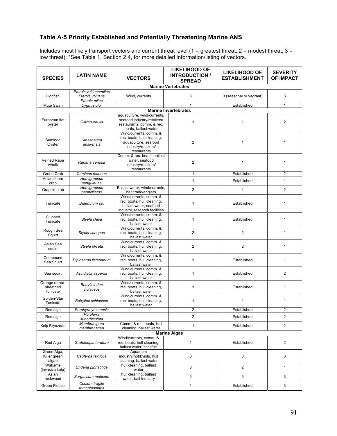## **Table A-5 Priority Established and Potentially Threatening Marine ANS**

Includes most likely transport vectors and current threat level (1 = greatest threat, 2 = modest threat, 3 = low threat). \*See Table 1, Section 2.4, for more detailed information/listing of vectors.

| <b>SPECIES</b>                         | <b>LATIN NAME</b>                                           | <b>VECTORS</b>                                                                                                     | <b>LIKELIHOOD OF</b><br><b>INTRODUCTION /</b><br><b>SPREAD</b> | <b>LIKELIHOOD OF</b><br><b>ESTABLISHMENT</b> | <b>SEVERITY</b><br>OF IMPACT |  |  |  |
|----------------------------------------|-------------------------------------------------------------|--------------------------------------------------------------------------------------------------------------------|----------------------------------------------------------------|----------------------------------------------|------------------------------|--|--|--|
|                                        | <b>Marine Vertebrates</b>                                   |                                                                                                                    |                                                                |                                              |                              |  |  |  |
| Lionfish                               | Pterois volitans/miles<br>Pterois volitans<br>Pterois miles | Wind. currents                                                                                                     | 3                                                              | 3 (seasonal or vagrant)                      | 3                            |  |  |  |
| Mute Swan                              | Cygnus olor                                                 |                                                                                                                    | $\mathbf{1}$                                                   | Established                                  | $\mathbf{1}$                 |  |  |  |
|                                        |                                                             |                                                                                                                    | <b>Marine Invertebrates</b>                                    |                                              |                              |  |  |  |
| European flat<br>oyster                | Ostrea edulis                                               | aquaculture, wind/currents,<br>seafood industry/retailers/<br>restaurants, comm. & rec.<br>boats, ballast water    | 1                                                              | 1                                            | $\overline{2}$               |  |  |  |
| Suminoe<br>Oyster                      | Crassostrea<br>ariakensis                                   | Wind/currents, comm. &<br>rec. boats, hull cleaning,<br>aquaculture, seafood<br>industry/retailers/<br>restaurants | 2                                                              | 1                                            | 1                            |  |  |  |
| Veined Rapa<br>whelk                   | Rapana venosa                                               | Comm. & rec. boats, ballast<br>water, seafood<br>industry/retailers/<br>restaurants                                | $\overline{2}$                                                 | 1                                            | $\mathbf{1}$                 |  |  |  |
| Green Crab                             | Carcinus maenas                                             |                                                                                                                    | $\mathbf{1}$                                                   | Established                                  | $\overline{2}$               |  |  |  |
| Asian shore<br>crab                    | Hemigrapsus<br>sanguinues                                   |                                                                                                                    | $\mathbf{1}$                                                   | Established                                  | $\mathbf{1}$                 |  |  |  |
| Grapsid crab                           | Hemigrapsus<br>penncillatus                                 | Ballast water, wind/currents,<br>bait trade/anglers                                                                | $\overline{2}$                                                 | $\mathbf{1}$                                 | $\overline{2}$               |  |  |  |
| Tunicate                               | Didemnum sp.                                                | Wind/currents, comm. &<br>rec. boats, hull cleaning,<br>ballast water, seafood<br>industry, research facilities    | 1                                                              | Established                                  | $\mathbf{1}$                 |  |  |  |
| Clubbed<br>Tunicate                    | Styela clava                                                | Wind/currents, comm. &<br>rec. boats, hull cleaning,<br>ballast water                                              | $\mathbf{1}$                                                   | Established                                  | $\mathbf{1}$                 |  |  |  |
| Rough Sea<br>Squirt                    | Styela canopus                                              | Wind/currents, comm. &<br>rec. boats, hull cleaning,<br>ballast water                                              | $\overline{2}$                                                 | $\overline{2}$                               |                              |  |  |  |
| Asian Sea<br>squirt                    | Styela plicata                                              | Wind/currents, comm. &<br>rec. boats, hull cleaning,<br>ballast water                                              | 2                                                              | 2                                            | $\mathbf{1}$                 |  |  |  |
| Compound<br>Sea Squirt                 | Diplosoma listerianum                                       | Wind/currents, comm. &<br>rec. boats, hull cleaning,<br>ballast water                                              | $\mathbf{1}$                                                   | Established                                  | $\mathbf{1}$                 |  |  |  |
| Sea squirt                             | Ascidiella aspersa                                          | Wind/currents, comm. &<br>rec. boats, hull cleaning,<br>ballast water                                              | $\mathbf{1}$                                                   | Established                                  | $\overline{2}$               |  |  |  |
| Orange or red-<br>sheathed<br>tunicate | <b>Botrylloiodes</b><br>violaceus                           | Wind/currents, comm. &<br>rec. boats, hull cleaning,<br>ballast water                                              | $\mathbf{1}$                                                   | Established                                  | $\mathbf{1}$                 |  |  |  |
| Golden-Star<br>Tunicate                | Botryllus schlosseri                                        | Wind/currents, comm. &<br>rec. boats, hull cleaning,<br>ballast water                                              | 1                                                              | $\mathbf{1}$                                 | 1                            |  |  |  |
| Red alga                               | Porphyra yezoensis                                          |                                                                                                                    | 2                                                              | Established                                  | 2                            |  |  |  |
| Red alga                               | Porphyra<br>suborbiculata                                   |                                                                                                                    | 2                                                              | Established                                  | $\overline{c}$               |  |  |  |
| Kelp Bryozoan                          | Membranipora<br>membranacea                                 | Comm. & rec. boats, hull<br>cleaning, ballast water                                                                | $\mathbf{1}$                                                   | Established                                  | $\overline{c}$               |  |  |  |
|                                        |                                                             |                                                                                                                    | <b>Marine Algae</b>                                            |                                              |                              |  |  |  |
| Red Alga                               | Grateloupia turuturu                                        | Wind/currents, comm. &<br>rec. boats, hull cleaning,<br>ballast water, shellfish                                   | $\mathbf{1}$                                                   | Established                                  | $\overline{2}$               |  |  |  |
| Green Alga,<br>Killer green<br>algae   | Caulerpa taxifolia                                          | Aquarium<br>industry/hobbyists, hull<br>cleaning, ballast water                                                    | 3                                                              | 3                                            | 3                            |  |  |  |
| Wakame<br>(invasive kelp)              | Undaria pinnatifida                                         | hull cleaning, ballast<br>water                                                                                    | 3                                                              | $\overline{2}$                               | 1                            |  |  |  |
| Asian<br>rockweed                      | Sargassum muticum                                           | hull cleaning, ballast<br>water, bait industry                                                                     | 3                                                              | 3                                            | 3                            |  |  |  |
| Green Fleece                           | Codium fragile<br>tomentosoides                             |                                                                                                                    | $\mathbf{1}$                                                   | Established                                  | 3                            |  |  |  |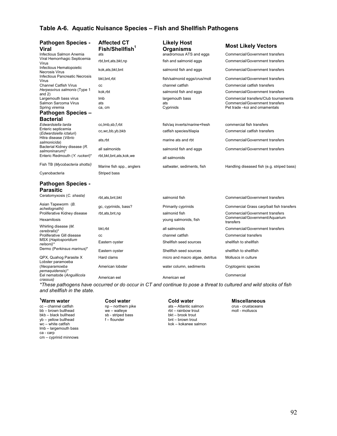## **Table A-6. Aquatic Nuisance Species – Fish and Shellfish Pathogens**

| <b>Pathogen Species -</b><br><b>Viral</b>         | <b>Affected CT</b><br>Fish/Shellfish <sup>1</sup> | <b>Likely Host</b><br><b>Organisms</b> |
|---------------------------------------------------|---------------------------------------------------|----------------------------------------|
| Infectious Salmon Anemia                          | ats                                               | anadromous ATS and eggs                |
| Viral Hemorrhagic Septicemia<br>Virus             | rbt, bnt, ats, bkt, np                            | fish and salmonid eggs                 |
| Infectious Hematopoietic<br><b>Necrosis Virus</b> | kok, ats, bkt, bnt                                | salmonid fish and eggs                 |
| Infectious Pancreatic Necrosis<br>Virus           | bkt, bnt, rbt                                     | fish/salmonid eqgs/crus/moll           |

## **Pathogen Species – Bacterial**<br>*Edwardsiella tarda*

## **Pathogen Species - Parasitic**

MSX (*Haplosporidium* nowww.com/<br>Dermo (Perkinsus marinus)\* Eastern oyster shellfish seed sources shellfish to shellfish to shellfish

QPX, Quahog Parasite X and clams micro and macro algae, detritus Molluscs in culture Lobster paramoeba (*Neoparamoeba pemaquidensis)\** Eel nematode (*Anguillicola crassus)* American eel American eel Commercial

## **Affected CT Fish/Shellfish<sup>1</sup>**

- Hexamitosis young salmonids, fish
	-

*\*These pathogens have occurred or do occur in CT and continue to pose a threat to cultured and wild stocks of fish and shellfish in the state.*

#### <sup>1</sup>Warm water

cc – channel catfish bb – brown bullhead we – walleye rbt – rainbow trout moll - molluscs bkb – black bullhead sb - striped bass bkt – brook trout bkb – black bullhead sb - striped bass bkt – brook trout<br>
yb – yellow bullhead striped f – flounder bnt – brown trout yb – yellow bullhead<br>wc – white catfish lmb – largemouth bass ca - carp cm – cyprinid minnows

**Cool water Cold water Miscellaneous**<br>  $np$  - northern pike **ats** - Atlantic salmon **Collage Crime** crustaceans kok – kokanee salmon

| <b>Pathogen Species -</b><br><b>Viral</b>                      | <b>ATTECTED UT</b><br>Fish/Shellfish <sup>1</sup> | LIKEIY HOST<br><b>Organisms</b> | <b>Most Likely Vectors</b>                  |
|----------------------------------------------------------------|---------------------------------------------------|---------------------------------|---------------------------------------------|
| Infectious Salmon Anemia                                       | ats                                               | anadromous ATS and eqgs         | <b>Commercial/Government transfers</b>      |
| Viral Hemorrhagic Septicemia<br>Virus                          | rbt, bnt, ats, bkt, np                            | fish and salmonid eggs          | Commercial/Government transfers             |
| Infectious Hematopoietic<br><b>Necrosis Virus</b>              | kok, ats, bkt, bnt                                | salmonid fish and eggs          | Commercial/Government transfers             |
| Infectious Pancreatic Necrosis<br>Virus                        | bkt, bnt, rbt                                     | fish/salmonid eggs/crus/moll    | Commercial/Government transfers             |
| <b>Channel Catfish Virus</b>                                   | CC                                                | channel catfish                 | Commercial catfish transfers                |
| Herpesvirus salmonis (Type 1<br>and $2)$                       | kok,rbt                                           | salmonid fish and eggs          | Commercial/Government transfers             |
| Largemouth bass virus                                          | Imb                                               | largemouth bass                 | Commercial transfers/Club tournaments       |
| Salmon Sarcoma Virus                                           | ats                                               | ats                             | <b>Commercial/Government transfers</b>      |
| Spring viremia                                                 | ca, cm                                            | Cyprinids                       | Pet trade - koi and ornamentals             |
| <b>Pathogen Species -</b><br><b>Bacterial</b>                  |                                                   |                                 |                                             |
| Edwardsiella tarda                                             | cc, lmb, sb, f, rbt                               | fish/ag inverts/marine+fresh    | commercial fish transfers                   |
| Enteric septicemia<br>(Edwardsiella ictaluri)                  | cc, wc, bb, yb, bkb                               | catfish species/tilapia         | Commercial catfish transfers                |
| Hitra disease (Vibrio<br>salmonicida)                          | ats,rbt                                           | marine ats and rbt              | Commercial/Government transfers             |
| Bacterial Kidney disease (R.<br>salmoninarum)*                 | all salmonids                                     | salmonid fish and eggs          | <b>Commercial/Government transfers</b>      |
| Enteric Redmouth (Y. ruckeri)*                                 | rbt, bkt, bnt, ats, kok, we                       | all salmonids                   |                                             |
| Fish TB (Mycobacteria shottsi)                                 | Marine fish spp., anglers                         | saltwater, sediments, fish      | Handling diseased fish (e.g. striped bass)  |
| Cyanobacteria                                                  | Striped bass                                      |                                 |                                             |
| <b>Pathogen Species -</b>                                      |                                                   |                                 |                                             |
| <b>Parasitic</b>                                               |                                                   |                                 |                                             |
| Ceratomyxosis (C. shasta)                                      | rbt, ats, bnt, bkt                                | salmonid fish                   | <b>Commercial/Government transfers</b>      |
| Asian Tapeworm (B.<br>acheilognathi)                           | gc, cyprinids, bass?                              | Primarily cyprinids             | Commercial Grass carp/bait fish transfers   |
| Proliferative Kidney disease                                   | rbt, ats, bnt, np                                 | salmonid fish                   | Commercial/Government transfers             |
| Hexamitosis                                                    |                                                   | young salmonids, fish           | Commercial/Government/Aquarium<br>transfers |
| Whirling disease (M.                                           | bkt,rbt                                           | all salmonids                   | <b>Commercial/Government transfers</b>      |
| cerebralis)*<br>Proliferative Gill disease                     | CC                                                | channel catfish                 | <b>Commercial transfers</b>                 |
| MSX (Haplosporidium<br>nelsoni)*<br>Darmo (Parkineus marinus)* | Eastern oyster                                    | Shellfish seed sources          | shellfish to shellfish                      |

American lobster **American** lobster water column, sediments Cryptogenic species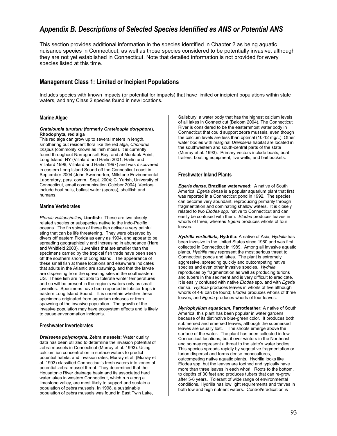## *Appendix B. Descriptions of Selected Species Identified as ANS or Potential ANS*

This section provides additional information in the species identified in Chapter 2 as being aquatic nuisance species in Connecticut, as well as those species considered to be potentially invasive, although they are not yet established in Connecticut. Note that detailed information is not provided for every species listed at this time.

## **Management Class 1: Limited or Incipient Populations**

Includes species with known impacts (or potential for impacts) that have limited or incipient populations within state waters, and any Class 2 species found in new locations.

## **Marine Algae**

#### *Grateloupia turuturu* **(formerly** *Grateloupia doryphora***), Rhodophyta, red alga**

This red alga can grow up to several meters in length, smothering out resident flora like the red alga, *Chondrus crispus* (commonly known as Irish moss)*.* It is currently found throughout Narragansett Bay, and at Montauk Point, Long Island, NY (Villalard and Harlin 2001; Harlin and Villalard 1998; Villalard and Harlin 1997) and was discovered in eastern Long Island Sound off the Connecticut coast in September 2004 (John Swennerton, Millstone Environmental Laboratory, pers. comm., Sept. 2004; C. Yarish, University of Connecticut, email communication October 2004). Vectors include boat hulls, ballast water (spores), shellfish and humans.

## **Marine Vertebrates**

*Pterois volitans/miles***, Lionfish:** These are two closely related species or subspecies native to the Indo-Pacific oceans. The fin spines of these fish deliver a very painful sting that can be life threatening. They were observed by divers off eastern Florida as early as 1994, and appear to be spreading geographically and increasing in abundance (Hare and Whitfield 2003). Juveniles that are smaller than the specimens carried by the tropical fish trade have been seen off the southern shore of Long Island. The appearance of these small fish at these locations and elsewhere indicates that adults in the Atlantic are spawning, and that the larvae are dispersing from the spawning sites in the southeastern US. These fish are not able to tolerate winter temperatures and so will be present in the region's waters only as small juveniles. Specimens have been reported in lobster traps in eastern Long Island Sound. It is uncertain whether these specimens originated from aquarium releases or from spawning of the invasive population. The growth of the invasive population may have ecosystem effects and is likely to cause envenomation incidents.

## **Freshwater Invertebrates**

*Dreissena polymorpha,* **Zebra mussels:** Water quality data has been utilized to determine the invasion potential of zebra mussels in Connecticut (Murray et al. 1993). Using calcium ion concentration in surface waters to predict potential habitat and invasion rates, Murray et al. (Murray et al. 1993) classified Connecticut's fresh waters into zones of potential zebra mussel threat. They determined that the Housatonic River drainage basin and its associated hard water lakes in western Connecticut, which run along a limestone valley, are most likely to support and sustain a population of zebra mussels. In 1998, a sustainable population of zebra mussels was found in East Twin Lake,

Salisbury, a water body that has the highest calcium levels of all lakes in Connecticut (Balcom 2004). The Connecticut River is considered to be the easternmost water body in Connecticut that could support zebra mussels, even though the calcium levels are less than optimal (10-12 mg/L). Other water bodies with marginal *Dreissena* habitat are located in the southwestern and south-central parts of the state (Murray et al. 1993). Primary vectors include boats, boat trailers, boating equipment, live wells, and bait buckets.

## **Freshwater Inland Plants**

*Egeria densa,* **Brazilian waterweed:** A native of South America, *Egeria densa* is a popular aquarium plant that first was reported in a Connecticut pond in 1992. The species can become very abundant, reproducing primarily through fragmentation and dominating shallow waters. It is closely related to two *Elodea spp*. native to Connecticut and can easily be confused with them. *Elodea* produces leaves in whorls of three, whereas *Egeria* produces whorls of four leaves.

*Hydrilla verticillata,* **Hydrilla:** A native of Asia, *Hydrilla* has been invasive in the United States since 1960 and was first collected in Connecticut in 1989. Among all invasive aquatic plants, *Hydrilla* may represent the most serious threat to Connecticut ponds and lakes. The plant is extremely aggressive, spreading quickly and outcompeting native species and even other invasive species. *Hydrilla* reproduces by fragmentation as well as producing turions and tubers in the sediment and is very difficult to eradicate. It is easily confused with native *Elodea* spp. and with *Egeria* densa. *Hydrilla* produces leaves in whorls of five although whorls of 4-8 can be found; *Elodea* produces whorls of three leaves, and *Egeria* produces whorls of four leaves.

*Myriophyllum aquaticum,* **Parrotfeather:** A native of South America, this plant has been popular in water gardens because of its distinctive blue-green color. It produces both submersed and emersed leaves, although the submersed leaves are usually lost. The shoots emerge above the surface of the water. The plant has been collected in few Connecticut locations, but it over winters in the Northeast and so may represent a threat to the state's water bodies. This species spreads rapidly by vegetative fragmentation or turion dispersal and forms dense monocultures, outcompeting native aquatic plants. Hydrilla looks like Elodea spp. but the leaves are toothed and typically have more than three leaves in each whorl. Roots to the bottom, to depths of 30 feet and produces tubers that can re-grow after 5-6 years. Tolerant of wide range of environmental conditions, Hydrilla has low light requirements and thrives in both low and high nutrient waters. Control/eradication is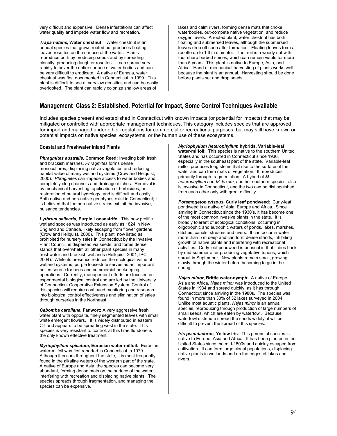very difficult and expensive. Dense infestations can affect water quality and impede water flow and recreation.

*Trapa natans,* **Water chestnut:** Water chestnut is an annual species that grows rooted but produces floatingleaved rosettes on the surface of the water. Plants reproduce both by producing seeds and by spreading clonally, producing daughter rosettes. It can spread very rapidly to cover the entire surface of water bodies and can be very difficult to eradicate. A native of Eurasia, water chestnut was first documented in Connecticut in 1999. This plant is difficult to see at very low densities and can be easily overlooked. The plant can rapidly colonize shallow areas of

lakes and calm rivers, forming dense mats that choke waterbodies, out-compete native vegetation, and reduce oxygen levels. A rooted plant, water chestnut has both floating and submersed leaves, although the submersed leaves drop off soon after formation. Floating leaves form a rosette up to 1 ft in diameter. The fruit is a woody nut with four sharp barbed spines, which can remain viable for more than 5 years. This plant is native to Europe, Asia, and Africa. Hand or mechanical harvesting of plants works well because the plant is an annual. Harvesting should be done before plants set and drop seeds.

## **Management Class 2: Established, Potential for Impact, Some Control Techniques Available**

Includes species present and established in Connecticut with known impacts (or potential for impacts) that may be mitigated or controlled with appropriate management techniques. This category includes species that are approved for import and managed under other regulations for commercial or recreational purposes, but may still have known or potential impacts on native species, ecosystems, or the human use of these ecosystems.

### **Coastal and Freshwater Inland Plants**

*Phragmites australis,* **Common Reed:** Invading both fresh and brackish marshes, *Phragmites* forms dense monocultures, displacing native vegetation and reducing habitat value of many wetland systems (Crow and Helquist, 2000). *Phragmites* can impede access to water bodies and completely clog channels and drainage ditches. Removal is by mechanical harvesting, application of herbicides, or restoration of natural hydrology, and is difficult and costly. Both native and non-native genotypes exist in Connecticut; it is believed that the non-native strains exhibit the invasive, nuisance tendencies.

*Lythrum salicaria,* **Purple Loosestrife:** This now prolific wetland species was introduced as early as 1824 in New England and Canada, likely escaping from flower gardens (Crow and Hellquist, 2000). This plant, now listed as prohibited for nursery sales in Connecticut by the Invasive Plant Council, is dispersed via seeds, and forms dense stands that overwhelm all other plant species in many freshwater and brackish wetlands (Hellquist, 2001; IPC 2004). While its presence reduces the ecological value of wetland systems, purple loosestrife serves as an important pollen source for bees and commercial beekeeping operations. Currently, management efforts are focused on experimental biological control and are led by the University of Connecticut Cooperative Extension System. Control of this species will require continued monitoring and research into biological control effectiveness and elimination of sales through nurseries in the Northeast.

*Cabomba caroliana***, Fanwort:** A very aggressive fresh water plant with opposite, finely segmented leaves with small white emergent flowers. It is widely distributed in eastern CT and appears to be spreading west in the state. This species is very resistant to control; at this time fluridone is the only known effective treatment.

*Myriophyllum spicatum,* **Eurasian water-milfoil:** Eurasian water-milfoil was first reported in Connecticut in 1979. Although it occurs throughout the state, it is most frequently found in the alkaline waters of the western part of the state. A native of Europe and Asia, the species can become very abundant, forming dense mats on the surface of the water, interfering with recreation and displacing native plants. The species spreads through fragmentation, and managing the species can be expensive.

*Myriophyllum heterophyllum* **hybrids, Variable-leaf water-milfoil:** This species is native to the southern United States and has occurred in Connecticut since 1936, especially in the southeast part of the state. Variable-leaf milfoil produces long stems that rise to the surface of the water and can form mats of vegetation. It reproduces primarily through fragmentation. A hybrid of *M. heterophyllum* and *M. laxum*, another southern species, also is invasive in Connecticut, and the two can be distinguished from each other only with great difficulty.

*Potamogeton crispus***, Curly leaf pondweed**: Curly-leaf pondweed is a native of Asia, Europe and Africa. Since arriving in Connecticut since the 1930's, it has become one of the most common invasive plants in the state. It is broadly tolerant of ecological conditions, occurring in oligotrophic and eutrophic waters of ponds, lakes, marshes, ditches, canals, streams and rivers. It can occur in water more than 5 m deep and can form dense stands, inhibiting growth of native plants and interfering with recreational activities. Curly leaf pondweed is unusual in that it dies back by mid-summer after producing vegetative turions, which sprout in September. New plants remain small, growing slowly through the winter before becoming large in the spring.

*Najas minor***, Brittle water-nymph**: A native of Europe, Asia and Africa, *Najas minor* was introduced to the United States in 1934 and spread quickly, as it has through Connecticut since arriving in the 1980s. The species was found in more than 30% of 32 lakes surveyed in 2004. Unlike most aquatic plants, *Najas minor* is an annual species, reproducing through production of large numbers of small seeds, which are eaten by waterfowl. Because waterfowl distribute spread the seeds widely, it will be difficult to prevent the spread of this species.

*Iris pseudacorus,* **Yellow iris**: This perennial species is native to Europe, Asia and Africa. It has been planted in the United States since the mid-1800s and quickly escaped from cultivation. It can form large clonal populations, displacing native plants in wetlands and on the edges of lakes and rivers.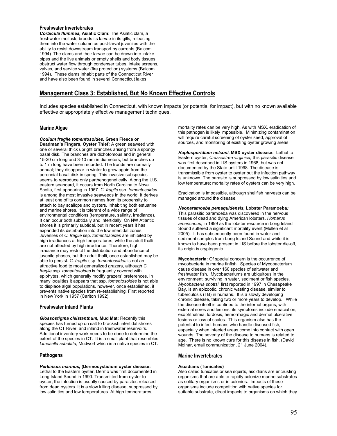### **Freshwater Invertebrates**

*Corbicula fluminea,* **Asiatic Clam:** The Asiatic clam, a freshwater mollusk, broods its larvae in its gills, releasing them into the water column as post-larval juveniles with the ability to resist downstream transport by currents (Balcom 1994). The clams and their larvae can be drawn into intake pipes and the live animals or empty shells and body tissues obstruct water flow through condenser tubes, intake screens, valves, and service water (fire protection) systems (Balcom 1994). These clams inhabit parts of the Connecticut River and have also been found in several Connecticut lakes.

## **Management Class 3: Established, But No Known Effective Controls**

Includes species established in Connecticut, with known impacts (or potential for impact), but with no known available effective or appropriately effective management techniques.

### **Marine Algae**

*Codium fragile tomentosoides,* **Green Fleece or Deadman's Fingers, Oyster Thief:** A green seaweed with one or several thick upright branches arising from a spongy basal disk. The branches are dichotomous and in general 15-20 cm long and 3-10 mm in diameters, but branches up to 1 m long have been recorded. The fronds are normally annual; they disappear in winter to grow again from the perennial basal disk in spring. This invasive subspecies seems to reproduce only parthenogenetically. Along the U.S. eastern seaboard, it occurs from North Carolina to Nova Scotia, first appearing in 1957. *C. fragile* ssp. *tomentosoides* is among the most invasive seaweeds in the world. It derives at least one of its common names from its propensity to attach to bay scallops and oysters. Inhabiting both estuarine and marine shores, it is tolerant of a wide range of environmental conditions (temperature, salinity, irradiance). It can occur both subtidally and intertidally. On NW Atlantic shores it is primarily subtidal, but in recent years it has expanded its distribution into the low intertidal zones. Juveniles of *C. fragile* ssp. *tomentosoides* are inhibited by high irradiances at high temperatures, while the adult thalli are not affected by high irradiance. Therefore, high irradiance may restrict the distribution and abundance of juvenile phases, but the adult thalli, once established may be able to persist. *C. fragile* ssp. *tomentosoides* is not an attractive food to most generalized grazers, although *C. fragile* ssp. *tomentosoides* is frequently covered with epiphytes, which generally modify grazers' preferences. In many localities it appears that ssp. *tomentosoides* is not able to displace algal populations, however, once established, it prevents native species from re-establishing. First reported in New York in 1957 (Carlton 1992).

## **Freshwater Inland Plants**

*Glossostigma cleistanthum***, Mud Mat:** Recently this species has turned up on salt to brackish intertidal shores along the CT River, and inland in freshwater reservoirs. Additional inventory work needs to be done to determine the extent of the species in CT. It is a small plant that resembles *Limosella subulata*, Mudwort which is a native species in CT.

#### **Pathogens**

#### *Perkinsus marinus,* **(Dermocystidium oyster disease:**

Lethal to the Eastern oyster, Dermo was first documented in Long Island Sound in 1990. Transmitted from oyster to oyster, the infection is usually caused by parasites released from dead oysters. It is a slow killing disease, suppressed by low salinities and low temperatures. At high temperatures,

mortality rates can be very high. As with MSX, eradication of this pathogen is likely impossible. Minimizing contamination will require careful screening of oyster seed, approval of sources, and monitoring of existing oyster growing areas.

*Haplosporidium nelsoni***, MSX oyster disease:** Lethal to Eastern oyster, *Crassostrea virginica,* this parasitic disease was first described in LIS oysters in 1968, but was not documented by the State until 1998. The disease is transmissible from oyster to oyster but the infection pathway is unknown. The parasite is suppressed by low salinities and low temperature; mortality rates of oysters can be very high.

Eradication is impossible, although shellfish harvests can be managed around the disease.

*Neoparamoeba pemaquidensis,* **Lobster Paramoeba***:* This parasitic paramoeba was discovered in the nervous tissues of dead and dying American lobsters, *Homarus americanus*, in 1999 as the lobster resource in Long Island Sound suffered a significant mortality event (Mullen et al 2005). It has subsequently been found in water and sediment samples from Long Island Sound and while it is known to have been present in LIS before the lobster die-off, its origin is cryptogenic.

**Mycobacteria:** Of special concern is the occurrence of mycobacteria in marine finfish. Species of Mycobacterium cause disease in over 160 species of saltwater and freshwater fish. Mycobacteriums are ubiquitous in the environment, surviving in water, sediment or fish species. *Mycobacteria shottsi*, first reported in 1997 in Chesapeake Bay, is an epizootic, chronic wasting disease, similar to tuberculosis (TB) in humans. It is a slowly developing chronic disease, taking two or more years to develop. While the disease itself is confined to the internal organs, with external sores and lesions, its symptoms include emaciation, exophthalmia, lordosis, hemorrhagic and dermal ulcerative lesions or loss of scales. This organism also has the potential to infect humans who handle diseased fish, especially when infected areas come into contact with open wounds. The severity of the disease to humans is related to age. There is no known cure for this disease in fish. (David Molnar, email communication, 21 June 2004).

#### **Marine Invertebrates**

#### **Ascidians (Tunicates)**

Also called tunicates or sea squirts, ascidians are encrusting organisms that are able to rapidly colonize marine substrates as solitary organisms or in colonies. Impacts of these organisms include competition with native species for suitable substrate, direct impacts to organisms on which they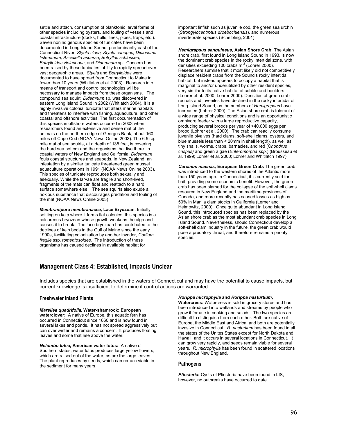settle and attach, consumption of planktonic larval forms of other species including oysters, and fouling of vessels and coastal infrastructure (docks, hulls, lines, pipes, traps, etc.). Seven nonindigenous species of tunicates have been documented in Long Island Sound, predominantly east of the Connecticut River: *Styela clava, Styela canopus, Diplosoma listerianum, Ascidiella aspersa*, *Botryllus schlosseri, Botrylloides violaceous*, and *Didemnum* sp. Concern has been raised by these tunicates' ability to rapidly spread over vast geographic areas. *Styela* and *Botrylloides* were documented to have spread from Connecticut to Maine in fewer than 10 years (Whitlatch et al. 2003). Research into means of transport and control technologies will be necessary to manage impacts from these organisms. The compound sea squirt, *Didemnum* sp. was discovered in eastern Long Island Sound in 2002 (Whitlatch 2004). It is a highly invasive colonial tunicate that alters marine habitats and threatens to interfere with fishing, aquaculture, and other coastal and offshore activities. The first documentation of this species in offshore waters occurred in 2003 when researchers found an extensive and dense mat of the animals on the northern edge of Georges Bank, about 160 miles off Cape Cod (NOAA News Online 2003). The 6.5 sq. mile mat of sea squirts, at a depth of 135 feet, is covering the hard sea bottom and the organisms that live there. In coastal waters of New England and California, *Didemnum* fouls coastal structures and seabeds. In New Zealand, an infestation by a similar tunicate threatened green mussel aquaculture operations in 1991 (NOAA News Online 2003). This species of tunicate reproduces both sexually and asexually. While the larvae are fragile and short-lived, fragments of the mats can float and reattach to a hard surface somewhere else. The sea squirts also exude a noxious substance that discourages predation and fouling of the mat (NOAA News Online 2003)

*Membranipora membranacea,* **Lace Bryozoan**: Initially settling on kelp where it forms flat colonies, this species is a calcareous bryozoan whose growth weakens the alga and causes it to break. The lace bryozoan has contributed to the declines of kelp beds in the Gulf of Maine since the early 1990s, facilitating colonization by another invader, *Codium fragile* ssp. *tomentosoides.* The introduction of these organisms has caused declines in available habitat for

important finfish such as juvenile cod, the green sea urchin (*Strongylocentrotus droebochiensis*), and numerous invertebrate species (Scheibling, 2001).

*Hemigrapsus sanguineus,* **Asian Shore Crab:** The Asian shore crab, first found in Long Island Sound in 1993, is now the dominant crab species in the rocky intertidal zone, with densities exceeding 100 crabs  $m<sup>2</sup>$  (Lohrer 2000). Researchers surmise that it most likely did not competitively displace resident crabs from the Sound's rocky intertidal habitat, but instead appears to occupy a habitat that is marginal to and/or underutilized by other resident species, very similar to its native habitat of cobble and boulders (Lohrer et al. 2000; Lohrer 2000). Densities of green crab recruits and juveniles have declined in the rocky intertidal of Long Island Sound, as the numbers of *Hemigrapsus* have increased (Lohrer 2000). The Asian shore crab is tolerant of a wide range of physical conditions and is an opportunistic omnivore feeder with a large reproductive capacity, producing several broods per year of >40,000 eggs per brood (Lohrer et al. 2000). The crab can readily consume juvenile bivalves (hard clams, soft-shell clams, oysters, and blue mussels less than < 20mm in shell length), as well as tiny snails, worms, crabs, barnacles, and red (C*hondrus crispus)* and green algae (*Enteromorpha spp.*) (Brousseau et al. 1999; Lohrer et al. 2000; Lohrer and Whitlatch 1997).

*Carcinus maenas,* **European Green Crab:** The green crab was introduced to the western shores of the Atlantic more than 150 years ago. In Connecticut, it is currently sold for bait, providing some economic benefit. However, the green crab has been blamed for the collapse of the soft-shell clams resource in New England and the maritime provinces of Canada, and more recently has caused losses as high as 50% in Manila clam stocks in California (Lerner and Heimowitz, 2000). Once quite abundant in Long Island Sound, this introduced species has been replaced by the Asian shore crab as the most abundant crab species in Long Island Sound. Nevertheless, should Connecticut develop a soft-shell clam industry in the future, the green crab would pose a predatory threat, and therefore remains a priority species.

## **Management Class 4: Established, Impacts Unclear**

Includes species that are established in the waters of Connecticut and may have the potential to cause impacts, but current knowledge is insufficient to determine if control actions are warranted.

#### **Freshwater Inland Plants**

#### *Marsilea quadrifolia***, Water-shamrock; European waterclover:** A native of Europe, this aquatic fern has

occurred in Connecticut since 1860 and is now found in several lakes and ponds. It has not spread aggressively but can over winter and remains a concern. It produces floating leaves and some that rise above the water.

*Nelumbo lutea***, American water lotus:** A native of Southern states, water lotus produces large yellow flowers, which are raised out of the water, as are the large leaves. The plant reproduces by seeds, which can remain viable in the sediment for many years.

#### *Rorippa microphylla* **and** *Rorippa nasturtium***,**

**Watercress:** Watercress is sold in grocery stores and has been introduced into wetlands and streams by people who grow it for use in cooking and salads. The two species are difficult to distinguish from each other. Both are native of Europe, the Middle East and Africa, and both are potentially invasive in Connecticut. *R. nasturtium* has been found in all the states of the Unites States except for North Dakota and Hawaii, and it occurs in several locations in Connecticut. It can grow very rapidly, and seeds remain viable for several years. *R. microphylla* has been found in scattered locations throughout New England.

#### **Pathogens**

*Pfiesteria***:** Cysts of Pfiesteria have been found in LIS, however, no outbreaks have occurred to date.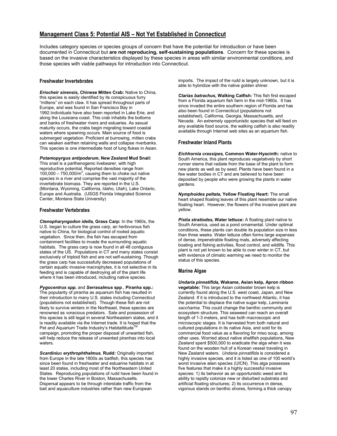## **Management Class 5: Potential AIS – Not Yet Established in Connecticut**

Includes category species or species groups of concern that have the potential for introduction or have been documented in Connecticut but **are not reproducing, self-sustaining populations**. Concern for these species is based on the invasive characteristics displayed by these species in areas with similar environmental conditions, and those species with viable pathways for introduction into Connecticut.

## **Freshwater Invertebrates**

*Eriocheir sinensis,* **Chinese Mitten Crab:** Native to China, this species is easily identified by its conspicuous furry "mittens" on each claw. It has spread throughout parts of Europe, and was found in San Francisco Bay in 1992.Individuals have also been reported in Lake Erie, and along the Louisiana coast. This crab inhabits the bottoms and banks of freshwater rivers and estuaries. As sexual maturity occurs, the crabs begin migrating toward coastal waters where spawning occurs. Main source of food is submerged vegetation. Proficient at burrowing, mitten crabs can weaken earthen retaining walls and collapse riverbanks. This species is one intermediate host of lung flukes in Asian.

## *Potamopyrgus antipodarum***, New Zealand Mud Snail:**

This snail is a parthenogenic livebearer, with high reproductive potential. Reported densities range from  $100,000 - 750,000/m^2$ , causing them to choke out native species in a river and comprise the vast majority of the invertebrate biomass. They are reported in the U.S. (Montana, Wyoming, California, Idaho, Utah), Lake Ontario, Europe and Australia. (USGS Florida Integrated Science Center, Montana State University)

## **Freshwater Vertebrates**

*Ctenopharyngodon idella,* **Grass Carp:** In the 1960s, the U.S. began to culture the grass carp, an herbivorous fish native to China, for biological control of rooted aquatic vegetation. Since then, the fish has escaped from containment facilities to invade the surrounding aquatic habitats. The grass carp is now found in all 48 contiguous states of the US. Populations in CT and many states consist exclusively of triploid fish and are not self-sustaining. Though the grass carp has successfully decreased populations of certain aquatic invasive macrophytes, it is not selective in its feeding and is capable of destroying all of the plant life where it has been introduced, including native species.

*Pygocentrus spp***.** and *Serrasalmus* **spp**., **Piranha spp.:** The popularity of piranha as aquarium fish has resulted in their introduction to many U.S. states including Connecticut (populations not established). Though these fish are not likely to survive winters in the Northeast, these species are renowned as voracious predators. Sale and possession of this species is still legal in several Northeastern states, and it is readily available via the Internet trade. It is hoped that the Pet and Aquarium Trade Industry's Habitattitude<sup>1</sup> campaign, promoting the proper disposal of unwanted fish, will help reduce the release of unwanted piranhas into local waters.

*Scardinius erythrophthalmus,* **Rudd***:* Originally imported from Europe in the late 1800s as baitfish, this species has since been found in freshwater and estuarine habitats in at least 20 states, including most of the Northeastern United States. Reproducing populations of rudd have been found in the lower Charles River in Boston, Massachusetts. Dispersal appears to be through interstate traffic from the bait and aquaculture industries rather than new European

imports. The impact of the rudd is largely unknown, but it is able to hybridize with the native golden shiner.

*Clarias batrachus,* **Walking Catfish***:* This fish first escaped from a Florida aquarium fish farm in the mid-1960s. It has since invaded the entire southern region of Florida and has also been found in Connecticut (populations not established), California, Georgia, Massachusetts, and Nevada. An extremely opportunistic species that will feed on any available food source, the walking catfish is also readily available through Internet web sites as an aquarium fish.

## **Freshwater Inland Plants**

*Eichhornia crassipes,* **Common Water-Hyacinth:** native to South America, this plant reproduces vegetatively by short runner stems that radiate from the base of the plant to form new plants as well as by seed. Plants have been found in a few water bodies in CT and are believed to have been deposited by people who were growing the plants in water gardens.

*Nymphoides peltata,* **Yellow Floating Heart:** The small heart shaped floating leaves of this plant resemble our native floating heart. However, the flowers of the invasive plant are yellow.

*Pistia stratiodes,* **Water lettuce:** A floating plant native to South America, used as a pond ornamental. Under optimal conditions, these plants can double its population size in less than three weeks. Water lettuce often forms large expanses of dense, impenetrable floating mats, adversely affecting boating and fishing activities, flood control, and wildlife. This plant is not yet known to be able to over winter in CT, but with evidence of climatic warming we need to monitor the status of this species.

## **Marine Algae**

*Undaria pinnatifida,* **Wakame, Asian kelp, Apron ribbon vegetable:** This large Asian coldwater brown kelp is currently found along the U.S. west coast, Japan, and New Zealand. If it is introduced to the northwest Atlantic, it has the potential to displace the native sugar kelp, *Laminaria saccharina.* This could change the benthic community and ecosystem structure. This seaweed can reach an overall length of 1-3 meters, and has both macroscopic and microscopic stages. It is harvested from both natural and cultured populations in its native Asia, and sold for its commercial food value as a flavoring for miso soup, among other uses. Worried about native shellfish populations, New Zealand spent \$500,000 to eradicate the alga when it was found on the wooden hull of a Korean vessel traveling in New Zealand waters. *Undaria pinnatifida* is considered a highly invasive species, and it is listed as one of 100 world's worst invasive alien species (UICN). This alga possesses five features that make it a highly successful invasive species: 1) its behavior as an opportunistic weed and its ability to rapidly colonize new or disturbed substrata and artificial floating structures; 2) its occurrence in dense, vigorous stands on benthic shores, forming a thick canopy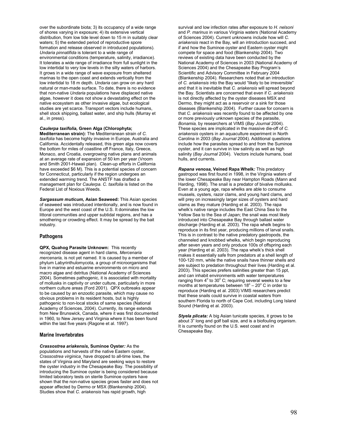over the subordinate biota; 3) its occupancy of a wide range of shores varying in exposure; 4) its extensive vertical distribution, from low tide level down to 15 m in suitably clear waters; 5) the extended period of reproductive spore formation and release observed in introduced populations). *Undaria pinnatifida* is tolerant to a wide range of environmental conditions (temperature, salinity, irradiance). It tolerates a wide range of irradiance from full sunlight in the low intertidal to very low levels in the silty waters of harbors. It grows in a wide range of wave exposure from sheltered marinas to the open coast and extends vertically from the low intertidal to 18 m depth. *Undaria* can grow on any hard natural or man-made surface. To date, there is no evidence that non-native *Undaria* populations have displaced native algae, however it does not show a devastating effect on the native ecosystem as other invasive algae, but ecological studies are yet scarce. Transport vectors include humans, shell stock shipping, ballast water, and ship hulls (Murray et al., in press).

#### *Caulerpa taxifolia,* **Green Alga (Chlorophyta;**

**Mediterranean strain):** The Mediterranean strain of *C. taxifolia* has become highly invasive in Europe, Australia and California. Accidentally released, this green alga now covers the bottom for miles of coastline off France, Italy, Greece, Monaco, and Croatia, overgrowing native plans and animals at an average rate of expansion of 50 km per year (Vroom and Smith 2001-Hawaii plan). Clean-up efforts in California have exceeded \$6 M). This is a potential species of concern for Connecticut, particularly if the region undergoes an extended warming trend. The ANSTF has drafted a management plan for *Caulerpa. C. taxifolia* is listed on the Federal List of Noxious Weeds.

*Sargassum muticum,* **Asian Seaweed:** This Asian species of seaweed was introduced intentionally, and is now found in Europe and the west coast of the U.S. It dominates the low littoral communities and upper subtidal regions, and has a smothering or crowding effect. It may be spread by the bait industry.

#### **Pathogens**

**QPX, Quahog Parasite Unknown:** This recently recognized disease agent in hard clams, *Mercenaria mercenaria,* is not yet named. It is caused by a member of phylum Labyrinthulomycota, a group of microorganisms that live in marine and estuarine environments on micro and macro algae and detritus (National Academy of Sciences 2004). Sometimes pathogenic, it is associated with mortality of mollusks in captivity or under culture, particularly in more northern culture areas (Ford 2001). QPX outbreaks appear to be caused by an enzootic parasite, which may cause no obvious problems in its resident hosts, but is highly pathogenic to non-local stocks of same species (National Academy of Sciences, 2004). Currently, its range extends from New Brunswick, Canada, where it was first documented in 1960, to New Jersey and Virginia where it has been found within the last five years (Ragone et al. 1997).

#### **Marine Invertebrates**

*Crassostrea ariakensis,* **Suminoe Oyster***:* As the populations and harvests of the native Eastern oyster, *Crassostrea virginica¸* have dropped to all-time lows, the states of Virginia and Maryland are seeking ways to restore the oyster industry in the Chesapeake Bay. The possibility of introducing the Suminoe oyster is being considered because limited laboratory tests on sterile Suminoe oysters have shown that the non-native species grows faster and does not appear affected by Dermo or MSX (Blankenship 2004). Studies show that *C. ariakensis* has rapid growth, high

survival and low infection rates after exposure to *H. nelsoni* and *P. marinus* in various Virginia waters (National Academy of Sciences 2004). Current unknowns include how will *C. ariakensis* react in the Bay, will an introduction succeed, and if and how the Suminoe oyster and Eastern oyster might compete for space and food (Blankenship 2004). Two reviews of existing data have been conducted by the National Academy of Sciences in 2003 (National Academy of Sciences 2004) and the Chesapeake Bay Program's Scientific and Advisory Committee in February 2004 (Blankenship 2004). Researchers noted that an introduction of *C. ariakensis* into the Bay would "likely to be irreversible" and that it is inevitable that *C. ariakensis* will spread beyond the Bay. Scientists are concerned that even if *C. ariakensis* is not directly affected by the oyster diseases MSX and Dermo, they might act as a reservoir or a sink for those diseases (Blankenship 2004). Further cause for concern is that *C. ariakensis* was recently found to be affected by one or more previously unknown species of the parasite, *Bonamia,* by researchers at VIMS (*Bay Journal* 2004). These species are implicated in the massive die-off of *C. ariakensis* oysters in an aquaculture experiment in North Carolina in 2003 (*Bay Journal* 2004). Additional questions include how the parasites spread to and from the Suminoe oyster, and it can survive in low salinity as well as high salinity (*Bay Journal* 2004). Vectors include humans, boat hulls, and currents.

*Rapana venosa,* **Veined Rapa Whelk***:* This predatory gastropod was first found in 1998, in the Virginia waters of the lower Chesapeake Bay near Hampton Roads (Mann and Harding, 1998). The snail is a predator of bivalve mollusks. Even at a young age, rapa whelks are able to consume mussels, oysters, razor clams, and young hard clams, and will prey on increasingly larger sizes of oysters and hard clams as they mature (Harding et al. 2003). The rapa whelk's native range includes the East China Sea to the Yellow Sea to the Sea of Japan; the snail was most likely introduced into Chesapeake Bay through ballast water discharge (Harding et al. 2003). The rapa whelk begins to reproduce in its first year, producing millions of larval snails. This is in contrast to the native predatory gastropods, the channeled and knobbed whelks, which begin reproducing after seven years and only produce 100s of offspring each year (Harding et al. 2003). The rapa whelk's thick shell makes it essentially safe from predators at a shell length of 100-120 mm, while the native snails have thinner shells and are subject to predation throughout their lives (Harding et al. 2003). This species prefers salinities greater than 15 ppt, and can inhabit environments with water temperatures ranging from 4° to 30° C; requiring several weeks to a few months at temperatures between  $18^{\circ} - 20^{\circ}$  C in order to reproduce (Harding et al. 2003) VIMS researchers predict that these snails could survive in coastal waters from southern Florida to north of Cape Cod, including Long Island Sound (Harding et al. 2003).

*Styela plicata:* A big Asian tunicate species, it grows to be about 3" long and golf ball size, and is a biofouling organism. It is currently found on the U.S. west coast and in Chesapeake Bay.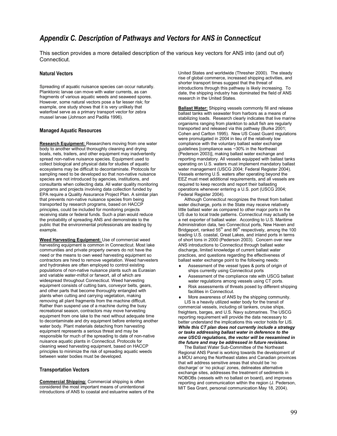## *Appendix C. Description of Pathways and Vectors for ANS in Connecticut*

This section provides a more detailed description of the various key vectors for ANS into (and out of) Connecticut.

## **Natural Vectors**

Spreading of aquatic nuisance species can occur naturally. Planktonic larvae can move with water currents, as can fragments of various aquatic weeds and seaweed spores. However, some natural vectors pose a far lesser risk; for example, one study shows that it is very unlikely that waterfowl serve as a primary transport vector for zebra mussel larvae (Johnson and Padilla 1996).

#### **Managed Aquatic Resources**

**Research Equipment:** Researchers moving from one water body to another without thoroughly cleaning and drying boats, nets, trailers, and other equipment may inadvertently spread non-native nuisance species. Equipment used to collect biological and physical data for studies of aquatic ecosystems may be difficult to decontaminate. Protocols for sampling need to be developed so that non-native nuisance species are not introduced by agencies, institutions, and consultants when collecting data. All water quality monitoring programs and projects involving data collection funded by EPA require a Quality Assurance Project Plan. A similar plan that prevents non-native nuisance species from being transported by research programs, based on HACCP principles, could be included for monitoring projects receiving state or federal funds. Such a plan would reduce the probability of spreading ANS and demonstrate to the public that the environmental professionals are leading by example.

**Weed Harvesting Equipment:** Use of commercial weed harvesting equipment is common in Connecticut. Most lake communities and private property owners do not have the need or the means to own weed harvesting equipment so contractors are hired to remove vegetation. Weed harvesters and hydrorakes are often employed to control existing populations of non-native nuisance plants such as Eurasian and variable water-milfoil or fanwort, all of which are widespread throughout Connecticut. Weed harvesting equipment consists of cutting bars, conveyor belts, gears, and other parts that become thoroughly entangled with plants when cutting and carrying vegetation, making removing all plant fragments from the machine difficult. Rather than suspend use of a machine during the busy recreational season, contractors may move harvesting equipment from one lake to the next without adequate time to decontaminate and dry equipment before entering another water body. Plant materials detaching from harvesting equipment represents a serious threat and may be responsible for much of the spreading to date of non-native nuisance aquatic plants in Connecticut. Protocols for cleaning weed harvesting equipment, based on HACCP principles to minimize the risk of spreading aquatic weeds between water bodies must be developed.

#### **Transportation Vectors**

**Commercial Shipping:** Commercial shipping is often considered the most important means of unintentional introductions of ANS to coastal and estuarine waters of the United States and worldwide (Thresher 2000). The steady rise of global commerce, increased shipping activities, and shorter transport times suggest that the threat of introductions through this pathway is likely increasing. To date, the shipping industry has dominated the field of ANS research in the United States.

**Ballast Water:** Shipping vessels commonly fill and release ballast tanks with seawater from harbors as a means of stabilizing loads. Research clearly indicates that live marine organisms ranging from plankton to adult fish are regularly transported and released via this pathway (Burke 2001; Cohen and Carlton 1995). New US Coast Guard regulations were promulgated in 2004 in lieu of the relatively low compliance with the voluntary ballast water exchange guidelines [compliance was ~30% in the Northeast (Pederson 2003)], making ballast water exchange and reporting mandatory. All vessels equipped with ballast tanks operating on U.S. waters must implement mandatory ballast water management (USCG 2004; Federal Register 2004). Vessels entering U.S. waters after operating beyond the EEZ must meet additional requirements, and all vessels are required to keep records and report their ballasting operations whenever entering a U.S. port (USCG 2004; Federal Register 2004).

 Although Connecticut recognizes the threat from ballast water discharge, ports in the State may receive relatively little ballast water as compared to other major ports in the US due to local trade patterns. Connecticut may actually be a net exporter of ballast water. According to U.S. Maritime Administration data, two Connecticut ports, New Haven and Bridgeport, ranked  $55<sup>th</sup>$  and  $86<sup>th</sup>$  respectively, among the 100 leading U.S. coastal, Great Lakes, and inland ports in terms of short tons in 2000 (Pederson 2003). Concern over new ANS introductions to Connecticut through ballast water discharge, limited knowledge of current ballast water practices, and questions regarding the effectiveness of ballast water exchange point to the following needs:

- Assessment of the vessel types & ports of origin of ships currently using Connecticut ports
- Assessment of the compliance rate with USCG ballast water regulations among vessels using CT ports.
- Risk assessments of threats posed by different shipping facilities in Connecticut.
- More awareness of ANS by the shipping community. LIS is a heavily utilized water body for the transit of

commercial vessels, including oil tankers, cruise ships, freighters, barges, and U.S. Navy submarines. The USCG reporting requirement will provide the data necessary to better understand the implications this vector holds for LIS*. While this CT plan does not currently include a strategy or tasks addressing ballast water in deference to the new USCG regulations, the vector will be reexamined in the future and may be addressed in future revisions.*

The Ballast Water Sub-Committee of the Northeast Regional ANS Panel is working towards the development of a MOU among the Northeast states and Canadian provinces that will address sensitive areas that should be 'no discharge' or 'no pickup' zones, delineates alternative exchange sites, addresses the treatment of sediments in NOBOBs (vessels with no ballast on board), and improves reporting and communication within the region (J. Pederson, MIT Sea Grant, personal communication May 18, 2004).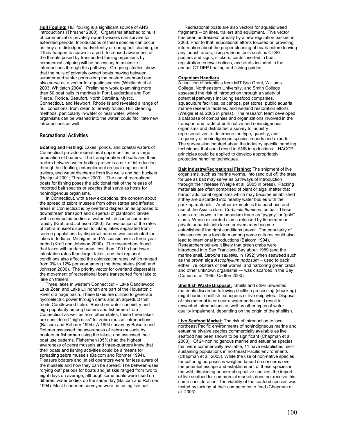**Hull Fouling:** Hull fouling is a significant source of ANS introductions (Thresher 2000). Organisms attached to hulls of commercial or privately owned vessels can survive for extended periods. Introductions of these species can occur as they are dislodged inadvertently or during hull cleaning, or if they happen to spawn in a port. Increased awareness of the threats posed by transported fouling organisms by commercial shipping will be necessary to minimize introductions through this pathway. On-going studies show that the hulls of privately owned boats moving between summer and winter ports along the eastern seaboard can also serve as a vector for aquatic species (Whitlatch et al. 2003; Whitlatch 2004). Preliminary work examining more than 60 boat hulls in marinas in Fort Lauderdale and Fort Pierce, Florida, Beaufort, North Carolina, Mystic, Connecticut, and Newport, Rhode Island revealed a range of hull conditions, from clean to heavily fouled. Hull cleaning methods, particularly in-water or near water, where organisms can be washed into the water, could facilitate new introductions as well.

#### **Recreational Activities**

**Boating and Fishing:** Lakes, ponds, and coastal waters of Connecticut provide recreational opportunities for a large population of boaters. The transportation of boats and their trailers between water bodies presents a risk of introduction through hull fouling, entanglement on boat engines and trailers, and water discharge from live wells and bait buckets (Hellquist 2001; Thresher 2000). The use of recreational boats for fishing poses the additional risk of the release of imported bait species or species that serve as hosts for nonindigenous organisms.

 In Connecticut, with a few exceptions, the concern about the spread of zebra mussels from other states and infested areas in Connecticut is by overland dispersion as opposed to downstream transport and dispersal of planktonic larvae within connected bodies of water, which can occur more rapidly (Kraft and Johnson 2000). An evaluation of the rates of zebra mussel dispersal to inland lakes separated from source populations by dispersal barriers was conducted for lakes in Indiana, Michigan, and Wisconsin over a three-year period (Kraft and Johnson 2000). The researchers found that lakes with surface areas less than 100 ha had lower infestation rates than larger lakes, and that regional conditions also affected the colonization rates, which ranged from 0% to 12% per year among the three states (Kraft and Johnson 2000). The priority vector for overland dispersal is the movement of recreational boats transported from lake to lake on trailers.

 Three lakes in western Connecticut – Lake Candlewood, Lake Zoar, and Lake Lillinonah are part of the Housatonic River drainage basin. These lakes are utilized to generate hydroelectric power through dams and an aqueduct that feeds Candlewood Lake. Based on water chemistry and high popularity among boaters and fishermen from Connecticut as well as from other states, these three lakes are considered "high risks" for zebra mussel introductions (Balcom and Rohmer 1994). A 1994 survey by Balcom and Rohmer assessed the awareness of zebra mussels by boaters or fishermen using the lakes, and assessed their boat use patterns. Fishermen (95%) had the highest awareness of zebra mussels and three-quarters knew that their boats and fishing activities could be a means for spreading zebra mussels (Balcom and Rohmer 1994). Pleasure boaters and jet ski operators were far less aware of the mussels and how they can be spread. The between-uses "drying out" periods for boats and jet skis ranged from two to eight days on average, although some boats were used on different water bodies on the same day (Balcom and Rohmer 1994). Most fishermen surveyed were not using live bait.

 Recreational boats are also vectors for aquatic weed fragments – on lines, trailers and equipment. This vector has been addressed formally by a new regulation passed in 2003. Prior to that, educational efforts focused on providing information about the proper cleaning of boats before leaving any launch areas, using various tools such as CTSG, posters and signs, stickers, cards inserted in boat registration renewal notices, and alerts included in the annual CT DEP boating and fishing guides.

#### **Organism Handlers**

A coalition of scientists from MIT Sea Grant, Williams College, Northeastern University, and Smith College assessed the risk of introduction through a variety of potential pathways including seafood companies, aquaculture facilities, bait shops, pet stores, public aquaria, marine research facilities, and wetland restoration efforts (Weigle et al. 2005 in press). The research team developed a database of companies and organizations involved in the transport and trade of both native and nonindigenous organisms and distributed a survey to industry representatives to determine the type, quantity, and frequency of nonindigenous species imports and exports. The survey also inquired about the industry specific handling techniques that could result in ANS introductions. HACCP principles could be applied to develop appropriately protective handling techniques.

**Bait Industry/Recreational Fishing:** The shipment of live organisms, such as marine worms, into (and out of) the state for use as bait may serve as pathways of introduction through their release (Weigle et al. 2005 in press). Packing materials are often comprised of plant or algal matter that harbor additional organisms which may become established if they are discarded into nearby water bodies with the packing materials. Another example is the purchase and use of the Asiatic clam, *Corbicula fluminea*, as bait. These clams are known in the aquarium trade as "pygmy" or "gold" clams. Whole discarded clams released by fishermen or private aquarists into lakes or rivers may become established if the right conditions prevail. The popularity of this species as a food item among some cultures could also lead to intentional introductions (Balcom 1994). Researchers believe it likely that green crabs were introduced into San Francisco Bay about 1989 (and the marine snail, *Littorina saxatilis*, in 1992) when seaweed such as the brown alga *Ascophyllum nodosum* ─ used to pack either live lobsters or bait worms, and harboring green crabs and other unknown organisms ― was discarded in the Bay (Cohen et al. 1995; Carlton 2000).

**Shellfish Waste Disposal:** Shells and other unwanted materials discarded following shellfish processing (shucking) might harbor shellfish pathogens or live epiphytes. Disposal of this material in or near a water body could result in unwanted introductions as well as other types of water quality impairment, depending on the origin of the shellfish.

**Live Seafood Market:** The risk of introduction to local northeast Pacific environments of nonindigneous marine and estuarine bivalve species commercially available as live seafood has been shown to be significant (Chapman et al. 2003). Of 24 nonindigenous marine and estuarine species that were commercially available, 11 have established, selfsustaining populations in northeast Pacific environments (Chapman et al. 2003). While the use of non-native species for culturing purposes is weighed based on concerns over the potential escape and establishment of these species in the wild, displacing or corrupting native species, the import of live seafood for commercial markets does not receive this same consideration. The viability of the seafood species was tested by looking at their competence to feed (Chapman et al. 2003).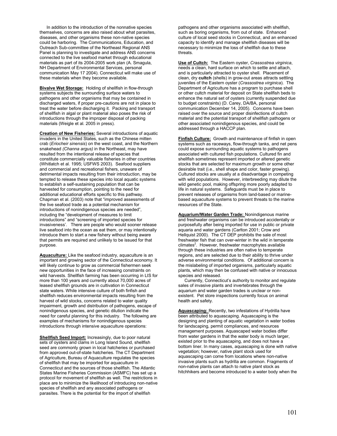In addition to the introduction of the nonnative species themselves, concerns are also raised about what parasites, diseases, and other organisms these non-native species could be harboring. The Communications, Education, and Outreach Sub-committee of the Northeast Regional ANS Panel is planning to investigate and address ANS concerns connected to the live seafood market through educational materials as part of its 2004-2005 work plan (A. Smagula, NH Department of Environmental Services, personal communication May 17 2004). Connecticut will make use of these materials when they become available.

**Bivalve Wet Storage:** Holding of shellfish in flow-through systems subjects the surrounding surface waters to pathogens and other organisms that may be contained in discharged waters, if proper pre-cautions are not in place to treat the water before discharging it. Packing and transport of shellfish in algal or plant material also poses the risk of introductions through the improper disposal of packing materials (Weigle et al. 2005 in press).

**Creation of New Fisheries:** Several introductions of aquatic invaders in the United States, such as the Chinese mitten crab (*Eriocheir sinensis*) on the west coast, and the Northern snakehead *(Channa argus)* in the Northeast, may have resulted from the intentional release of species that constitute commercially valuable fisheries in other countries (Whitlatch et al. 1995; USFWS 2003). Seafood suppliers and commercial and recreational fishers, unaware of detrimental impacts resulting from their introduction, may be tempted to release these species into local aquatic systems to establish a self-sustaining population that can be harvested for consumption, pointing to the need for additional educational efforts specific to this pathway. Chapman et al. (2003) note that "improved assessments of the live seafood trade as a potential mechanism for introductions of nonindigenous species are needed", including the "development of measures to limit introductions" and "screening of imported species for invasiveness'. There are people who would sooner release live seafood into the ocean as eat them, or may intentionally introduce them to start a new fishery without being aware that permits are required and unlikely to be issued for that purpose.

**Aquaculture:** Like the seafood industry, aquaculture is an important and growing sector of the Connecticut economy. It will likely continue to grow as commercial fishermen seek new opportunities in the face of increasing constraints on wild harvests. Shellfish farming has been occurring in LIS for more than 100 years and currently about 70,000 acres of leased shellfish grounds are in cultivation in Connecticut state waters. While intensive culture of both finfish and shellfish reduces environmental impacts resulting from the harvest of wild stocks, concerns related to water quality impairment, growth and distribution of pathogens, escape of nonindigenous species, and genetic dilution indicate the need for careful planning for this industry. The following are examples of mechanisms for nonindigenous species introductions through intensive aquaculture operations:

**Shellfish Seed Import:** Increasingly, due to poor natural sets of oysters and clams in Long Island Sound, shellfish seed are commonly grown in local hatcheries or purchased from approved out-of-state hatcheries. The CT Department of Agriculture, Bureau of Aquaculture regulates the species of shellfish that may be imported for aquaculture in Connecticut and the sources of those shellfish. The Atlantic States Marine Fisheries Commission (ASMFC) has set up a protocol for movement of shellfish as well. The restrictions in place are to minimize the likelihood of introducing non-native species of shellfish and any associated pathogens or parasites. There is the potential for the import of shellfish

pathogens and other organisms associated with shellfish, such as boring organisms, from out of state. Enhanced culture of local seed stocks in Connecticut, and an enhanced capacity to identify and manage shellfish diseases will be necessary to minimize the loss of shellfish due to these threats.

**Use of Cultch:** The Eastern oyster, *Crassostrea virginica*, needs a clean, hard surface on which to settle and attach, and is particularly attracted to oyster shell. Placement of clean, dry **cultch** (shells) in grow-out areas attracts settling juveniles of the Eastern oyster (*Crassostrea virginica*). The Department of Agriculture has a program to purchase shell or other cultch material for deposit on State shellfish beds to enhance the natural set of oysters (currently suspended due to budget constraints) (D. Carey, DA/BA, personal communication December 14, 2005). Concerns have been raised over the source and proper disinfections of cultch material and the potential transport of shellfish pathogens or other associated nonindigenous species, and could be addressed through a HACCP plan.

**Finfish Culture:**Growth and maintenance of finfish in open systems such as raceways, flow-through tanks, and net pens could expose surrounding aquatic systems to pathogens associated with cultured fish populations. Cultured fin and shellfish sometimes represent imported or altered genetic stocks that are selected for maximum growth or some other desirable trait (i.e., shell shape and color, faster growing). Cultured stocks are usually at a disadvantage in competing with wild populations. However, interbreeding may dilute the wild genetic pool, making offspring more poorly adapted to life in natural systems. Safeguards must be in place to prevent releases of organisms from land-based or marinebased aquaculture systems to prevent threats to the marine resources of the State.

**Aquarium/Water Garden Trade:** Nonindigenous marine and freshwater organisms can be introduced accidentally or purposefully after being imported for use in public or private aquaria and water gardens (Carlton 2001; Crow and Hellquist 2000). The CT DEP prohibits the sale of most freshwater fish that can over-winter in the wild in temperate climates<sup>2</sup>. However, freshwater macrophytes available through these industries are often native to temperate regions, and are selected due to their ability to thrive under adverse environmental conditions. Of additional concern is the mislabeling of imported organisms, particularly aquatic plants, which may then be confused with native or innocuous species and released.

 Currently, Connecticut's authority to monitor and regulate sales of invasive plants and invertebrates through the aquarium and water garden trades is unclear or nonexistent. Pet store inspections currently focus on animal health and safety.

**Aquascaping:** Recently, two infestations of Hydrilla have been attributed to aquascaping. Aquascaping is the designing and planting of aquatic vegetation in water bodies for landscaping, permit compliances, and resources management purposes. Aquascaped water bodies differ from water gardens in that the water body is much larger, existed prior to the aquascaping, and does not have a bottom liner. In many cases, aquascaping is done with native vegetation; however, native plant stock used for aquascaping can come from locations where non-native invasive plants such as hydrilla are common. Fragments of non-native plants can attach to native plant stock as hitchhikers and become introduced to a water body when the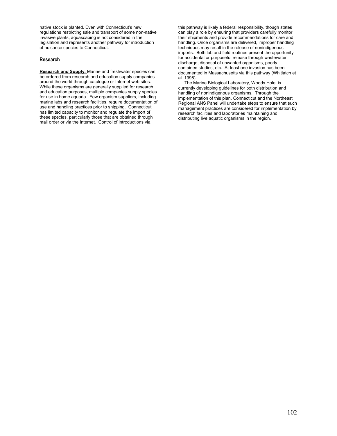native stock is planted. Even with Connecticut's new regulations restricting sale and transport of some non-native invasive plants, aquascaping is not considered in the legislation and represents another pathway for introduction of nuisance species to Connecticut.

## **Research**

**Research and Supply:** Marine and freshwater species can be ordered from research and education supply companies around the world through catalogue or Internet web sites. While these organisms are generally supplied for research and education purposes, multiple companies supply species for use in home aquaria. Few organism suppliers, including marine labs and research facilities, require documentation of use and handling practices prior to shipping. Connecticut has limited capacity to monitor and regulate the import of these species, particularly those that are obtained through mail order or via the Internet. Control of introductions via

this pathway is likely a federal responsibility, though states can play a role by ensuring that providers carefully monitor their shipments and provide recommendations for care and handling. Once organisms are delivered, improper handling techniques may result in the release of nonindigenous imports. Both lab and field routines present the opportunity for accidental or purposeful release through wastewater discharge, disposal of unwanted organisms, poorly contained studies, etc. At least one invasion has been documented in Massachusetts via this pathway (Whitlatch et al. 1995).

 The Marine Biological Laboratory, Woods Hole, is currently developing guidelines for both distribution and handling of nonindigenous organisms. Through the implementation of this plan, Connecticut and the Northeast Regional ANS Panel will undertake steps to ensure that such management practices are considered for implementation by research facilities and laboratories maintaining and distributing live aquatic organisms in the region.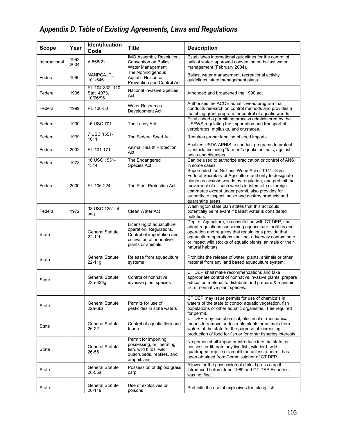# *Appendix D. Table of Existing Agreements, Laws and Regulations*

| <b>Scope</b>  | Year          | Identification<br>Code                     | <b>Title</b>                                                                                                                        | <b>Description</b>                                                                                                                                                                                                                                                                                                                                          |
|---------------|---------------|--------------------------------------------|-------------------------------------------------------------------------------------------------------------------------------------|-------------------------------------------------------------------------------------------------------------------------------------------------------------------------------------------------------------------------------------------------------------------------------------------------------------------------------------------------------------|
| International | 1993,<br>2004 | A.868(2)                                   | IMO Assembly Resolution,<br><b>Convention on Ballast</b><br>Water Management                                                        | Establishes international guidelines for the control of<br>ballast water; approved convention on ballast water<br>management (February 2004).                                                                                                                                                                                                               |
| Federal       | 1990          | NANPCA, PL<br>101-646                      | The Nonindigenous<br>Aquatic Nuisance<br>Prevention and Control Act                                                                 | Ballast water management, recreational activity<br>guidelines, state management plans.                                                                                                                                                                                                                                                                      |
| Federal       | 1996          | PL 104-332, 110<br>Stat. 4073,<br>10/26/96 | National Invasive Species<br>Act                                                                                                    | Amended and broadened the 1990 act.                                                                                                                                                                                                                                                                                                                         |
| Federal       | 1999          | PL 106-53                                  | <b>Water Resources</b><br>Development Act                                                                                           | Authorizes the ACOE aquatic weed program that<br>conducts research on control methods and provides a<br>matching grant program for control of aquatic weeds.                                                                                                                                                                                                |
| Federal       | 1900          | 16 USC 701                                 | The Lacey Act                                                                                                                       | Established a permitting process administered by the<br>USFWS regulating the importation and transport of<br>vertebrates, mollusks, and crustacea.                                                                                                                                                                                                          |
| Federal       | 1939          | 7 USC 1551-<br>1611                        | The Federal Seed Act                                                                                                                | Requires proper labeling of seed imports.                                                                                                                                                                                                                                                                                                                   |
| Federal       | 2002          | PL 101-171                                 | Animal Health Protection<br>Act                                                                                                     | Enables USDA APHIS to conduct programs to protect<br>livestock, including "farmed" aquatic animals, against<br>pests and diseases.                                                                                                                                                                                                                          |
| Federal       | 1973          | 16 USC 1531-<br>1544                       | The Endangered<br>Species Act                                                                                                       | Can be used to authorize eradication or control of ANS<br>in some cases.                                                                                                                                                                                                                                                                                    |
| Federal       | 2000          | PL 106-224                                 | The Plant Protection Act                                                                                                            | Superceded the Noxious Weed Act of 1974. Gives<br>Federal Secretary of Agriculture authority to designate<br>plants as noxious weeds by regulation, and prohibit the<br>movement of all such weeds in interstate or foreign<br>commerce except under permit, also provides for<br>authority to inspect, seize and destroy products and<br>quarantine areas. |
| Federal       | 1972          | 33 USC 1251 et<br>seq.                     | Clean Water Act                                                                                                                     | Washington state plan states that this act could<br>potentially be relevant if ballast water is considered<br>pollution.                                                                                                                                                                                                                                    |
| State         |               | General Statute<br>22-11f                  | Licensing of aquaculture<br>operation. Regulations.<br>Control of importation and<br>cultivation of nonnative<br>plants or animals. | Dept of Agriculture, in consultation with CT DEP, shall<br>adopt regulations concerning aquaculture facilities and<br>operation and requires that regulations provide that<br>aquaculture operations shall not adversely contaminate<br>or impact wild stocks of aquatic plants, animals or their<br>natural habitats.                                      |
| State         |               | <b>General Statute</b><br>22-11g           | Release from aquaculture<br>systems                                                                                                 | Prohibits the release of water, plants, animals or other<br>material from any land based aquaculture system.                                                                                                                                                                                                                                                |
| State         |               | <b>General Statute</b><br>22a-339g         | Control of nonnative<br>invasive plant species                                                                                      | CT DEP shall make recommendations and take<br>appropriate control of nonnative invasive plants, prepare<br>education material to distribute and prepare & maintain<br>list of nonnative plant species.                                                                                                                                                      |
| State         |               | <b>General Statute</b><br>22a-66z          | Permits for use of<br>pesticides in state waters                                                                                    | CT DEP may issue permits for use of chemicals in<br>waters of the state to control aquatic vegetation, fish<br>populations or other aquatic organisms. Fee required<br>for permit.                                                                                                                                                                          |
| State         |               | <b>General Statute</b><br>26-22            | Control of aquatic flora and<br>fauna                                                                                               | CT DEP may use chemical, electrical or mechanical<br>means to remove undesirable plants or animals from<br>waters of the state for the purpose of increasing<br>production of food for fish or for other fisheries interests                                                                                                                                |
| State         |               | <b>General Statute</b><br>26-55            | Permit for importing,<br>possessing, or liberating<br>fish, wild birds, wild<br>quadrupeds, reptiles, and<br>amphibians             | No person shall import or introduce into the state, or<br>possess or liberate any live fish, wild bird, wild<br>quadruped, reptile or amphibian unless a permit has<br>been obtained from Commissioner of CT DEP.                                                                                                                                           |
| State         |               | <b>General Statute</b><br>26-55a           | Possession of diploid grass<br>carp                                                                                                 | Allows for the possession of diploid grass carp if<br>introduced before June 1989 and CT DEP Fisheries<br>was notified.                                                                                                                                                                                                                                     |
| State         |               | <b>General Statute</b><br>26-119           | Use of explosives or<br>poisons                                                                                                     | Prohibits the use of explosives for taking fish.                                                                                                                                                                                                                                                                                                            |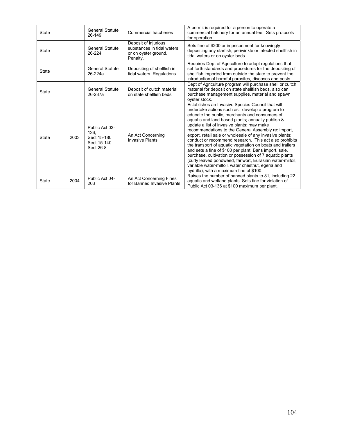| <b>State</b> |      | <b>General Statute</b><br>26-149                                  | <b>Commercial hatcheries</b>                                                           | A permit is required for a person to operate a<br>commercial hatchery for an annual fee. Sets protocols<br>for operation.                                                                                                                                                                                                                                                                                                                                                                                                                                                                                                                                                                                                                                                              |
|--------------|------|-------------------------------------------------------------------|----------------------------------------------------------------------------------------|----------------------------------------------------------------------------------------------------------------------------------------------------------------------------------------------------------------------------------------------------------------------------------------------------------------------------------------------------------------------------------------------------------------------------------------------------------------------------------------------------------------------------------------------------------------------------------------------------------------------------------------------------------------------------------------------------------------------------------------------------------------------------------------|
| <b>State</b> |      | <b>General Statute</b><br>26-224                                  | Deposit of injurious<br>substances in tidal waters<br>or on oyster ground.<br>Penalty. | Sets fine of \$200 or imprisonment for knowingly<br>depositing any starfish, periwinkle or infected shellfish in<br>tidal waters or on oyster beds.                                                                                                                                                                                                                                                                                                                                                                                                                                                                                                                                                                                                                                    |
| <b>State</b> |      | <b>General Statute</b><br>26-224a                                 | Depositing of shellfish in<br>tidal waters. Regulations.                               | Requires Dept of Agriculture to adopt regulations that<br>set forth standards and procedures for the depositing of<br>shellfish imported from outside the state to prevent the<br>introduction of harmful parasites, diseases and pests.                                                                                                                                                                                                                                                                                                                                                                                                                                                                                                                                               |
| <b>State</b> |      | <b>General Statute</b><br>26-237a                                 | Deposit of cultch material<br>on state shellfish beds                                  | Dept of Agriculture program will purchase shell or cultch<br>material for deposit on state shellfish beds, also can<br>purchase management supplies, material and spawn<br>oyster stock.                                                                                                                                                                                                                                                                                                                                                                                                                                                                                                                                                                                               |
| <b>State</b> | 2003 | Public Act 03-<br>136:<br>Sect 15-180<br>Sect 15-140<br>Sect 26-8 | An Act Concerning<br><b>Invasive Plants</b>                                            | Establishes an Invasive Species Council that will<br>undertake actions such as: develop a program to<br>educate the public, merchants and consumers of<br>aquatic and land based plants; annually publish &<br>update a list of invasive plants; may make<br>recommendations to the General Assembly re: import,<br>export, retail sale or wholesale of any invasive plants;<br>conduct or recommend research. This act also prohibits<br>the transport of aquatic vegetation on boats and trailers<br>and sets a fine of \$100 per plant. Bans import, sale,<br>purchase, cultivation or possession of 7 aquatic plants<br>(curly leaved pondweed, fanwort, Eurasian water-milfoil,<br>variable water-milfoil, water chestnut, egeria and<br>hydrilla), with a maximum fine of \$100. |
| <b>State</b> | 2004 | Public Act 04-<br>203                                             | An Act Concerning Fines<br>for Banned Invasive Plants                                  | Raises the number of banned plants to 81, including 22<br>aquatic and wetland plants. Sets fine for violation of<br>Public Act 03-136 at \$100 maximum per plant.                                                                                                                                                                                                                                                                                                                                                                                                                                                                                                                                                                                                                      |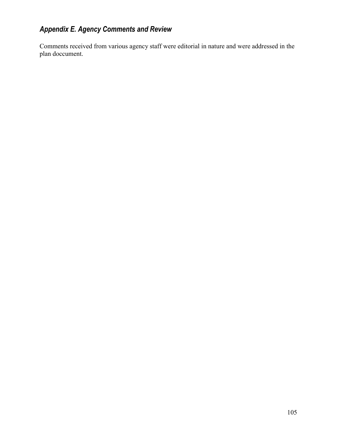# *Appendix E. Agency Comments and Review*

Comments received from various agency staff were editorial in nature and were addressed in the plan doccument.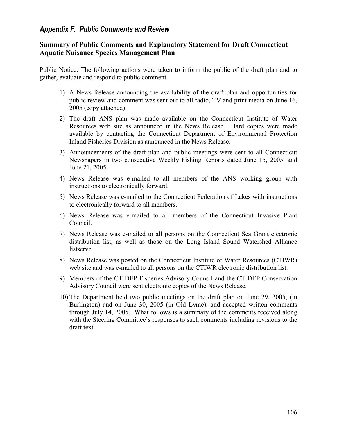## *Appendix F. Public Comments and Review*

## **Summary of Public Comments and Explanatory Statement for Draft Connecticut Aquatic Nuisance Species Management Plan**

Public Notice: The following actions were taken to inform the public of the draft plan and to gather, evaluate and respond to public comment.

- 1) A News Release announcing the availability of the draft plan and opportunities for public review and comment was sent out to all radio, TV and print media on June 16, 2005 (copy attached).
- 2) The draft ANS plan was made available on the Connecticut Institute of Water Resources web site as announced in the News Release. Hard copies were made available by contacting the Connecticut Department of Environmental Protection Inland Fisheries Division as announced in the News Release.
- 3) Announcements of the draft plan and public meetings were sent to all Connecticut Newspapers in two consecutive Weekly Fishing Reports dated June 15, 2005, and June 21, 2005.
- 4) News Release was e-mailed to all members of the ANS working group with instructions to electronically forward.
- 5) News Release was e-mailed to the Connecticut Federation of Lakes with instructions to electronically forward to all members.
- 6) News Release was e-mailed to all members of the Connecticut Invasive Plant Council.
- 7) News Release was e-mailed to all persons on the Connecticut Sea Grant electronic distribution list, as well as those on the Long Island Sound Watershed Alliance listserve.
- 8) News Release was posted on the Connecticut Institute of Water Resources (CTIWR) web site and was e-mailed to all persons on the CTIWR electronic distribution list.
- 9) Members of the CT DEP Fisheries Advisory Council and the CT DEP Conservation Advisory Council were sent electronic copies of the News Release.
- 10) The Department held two public meetings on the draft plan on June 29, 2005, (in Burlington) and on June 30, 2005 (in Old Lyme), and accepted written comments through July 14, 2005. What follows is a summary of the comments received along with the Steering Committee's responses to such comments including revisions to the draft text.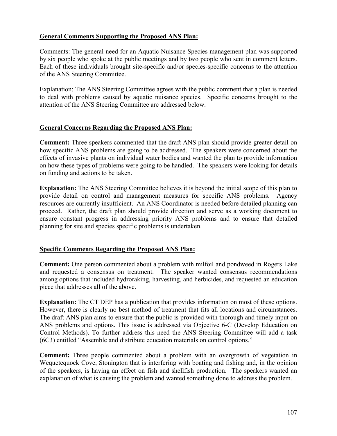## **General Comments Supporting the Proposed ANS Plan:**

Comments: The general need for an Aquatic Nuisance Species management plan was supported by six people who spoke at the public meetings and by two people who sent in comment letters. Each of these individuals brought site-specific and/or species-specific concerns to the attention of the ANS Steering Committee.

Explanation: The ANS Steering Committee agrees with the public comment that a plan is needed to deal with problems caused by aquatic nuisance species. Specific concerns brought to the attention of the ANS Steering Committee are addressed below.

## **General Concerns Regarding the Proposed ANS Plan:**

**Comment:** Three speakers commented that the draft ANS plan should provide greater detail on how specific ANS problems are going to be addressed. The speakers were concerned about the effects of invasive plants on individual water bodies and wanted the plan to provide information on how these types of problems were going to be handled. The speakers were looking for details on funding and actions to be taken.

**Explanation:** The ANS Steering Committee believes it is beyond the initial scope of this plan to provide detail on control and management measures for specific ANS problems. Agency resources are currently insufficient. An ANS Coordinator is needed before detailed planning can proceed. Rather, the draft plan should provide direction and serve as a working document to ensure constant progress in addressing priority ANS problems and to ensure that detailed planning for site and species specific problems is undertaken.

## **Specific Comments Regarding the Proposed ANS Plan:**

**Comment:** One person commented about a problem with milfoil and pondweed in Rogers Lake and requested a consensus on treatment. The speaker wanted consensus recommendations among options that included hydroraking, harvesting, and herbicides, and requested an education piece that addresses all of the above.

**Explanation:** The CT DEP has a publication that provides information on most of these options. However, there is clearly no best method of treatment that fits all locations and circumstances. The draft ANS plan aims to ensure that the public is provided with thorough and timely input on ANS problems and options. This issue is addressed via Objective 6-C (Develop Education on Control Methods). To further address this need the ANS Steering Committee will add a task (6C3) entitled "Assemble and distribute education materials on control options."

**Comment:** Three people commented about a problem with an overgrowth of vegetation in Wequetequock Cove, Stonington that is interfering with boating and fishing and, in the opinion of the speakers, is having an effect on fish and shellfish production. The speakers wanted an explanation of what is causing the problem and wanted something done to address the problem.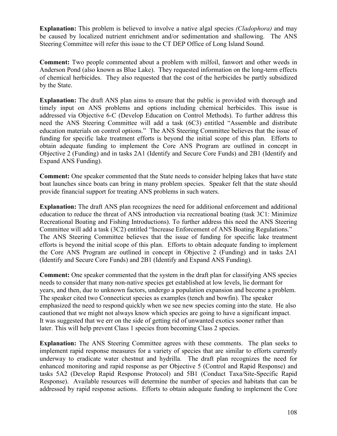**Explanation:** This problem is believed to involve a native algal species *(Cladophora)* and may be caused by localized nutrient enrichment and/or sedimentation and shallowing. The ANS Steering Committee will refer this issue to the CT DEP Office of Long Island Sound.

**Comment:** Two people commented about a problem with milfoil, fanwort and other weeds in Anderson Pond (also known as Blue Lake). They requested information on the long-term effects of chemical herbicides. They also requested that the cost of the herbicides be partly subsidized by the State.

**Explanation:** The draft ANS plan aims to ensure that the public is provided with thorough and timely input on ANS problems and options including chemical herbicides. This issue is addressed via Objective 6-C (Develop Education on Control Methods). To further address this need the ANS Steering Committee will add a task (6C3) entitled "Assemble and distribute education materials on control options." The ANS Steering Committee believes that the issue of funding for specific lake treatment efforts is beyond the initial scope of this plan. Efforts to obtain adequate funding to implement the Core ANS Program are outlined in concept in Objective 2 (Funding) and in tasks 2A1 (Identify and Secure Core Funds) and 2B1 (Identify and Expand ANS Funding).

**Comment:** One speaker commented that the State needs to consider helping lakes that have state boat launches since boats can bring in many problem species. Speaker felt that the state should provide financial support for treating ANS problems in such waters.

**Explanation:** The draft ANS plan recognizes the need for additional enforcement and additional education to reduce the threat of ANS introduction via recreational boating (task 3C1: Minimize Recreational Boating and Fishing Introductions). To further address this need the ANS Steering Committee will add a task (3C2) entitled "Increase Enforcement of ANS Boating Regulations." The ANS Steering Committee believes that the issue of funding for specific lake treatment efforts is beyond the initial scope of this plan. Efforts to obtain adequate funding to implement the Core ANS Program are outlined in concept in Objective 2 (Funding) and in tasks 2A1 (Identify and Secure Core Funds) and 2B1 (Identify and Expand ANS Funding).

**Comment:** One speaker commented that the system in the draft plan for classifying ANS species needs to consider that many non-native species get established at low levels, lie dormant for years, and then, due to unknown factors, undergo a population expansion and become a problem. The speaker cited two Connecticut species as examples (tench and bowfin). The speaker emphasized the need to respond quickly when we see new species coming into the state. He also cautioned that we might not always know which species are going to have a significant impact. It was suggested that we err on the side of getting rid of unwanted exotics sooner rather than later. This will help prevent Class 1 species from becoming Class 2 species.

**Explanation:** The ANS Steering Committee agrees with these comments. The plan seeks to implement rapid response measures for a variety of species that are similar to efforts currently underway to eradicate water chestnut and hydrilla. The draft plan recognizes the need for enhanced monitoring and rapid response as per Objective 5 (Control and Rapid Response) and tasks 5A2 (Develop Rapid Response Protocol) and 5B1 (Conduct Taxa/Site-Specific Rapid Response). Available resources will determine the number of species and habitats that can be addressed by rapid response actions. Efforts to obtain adequate funding to implement the Core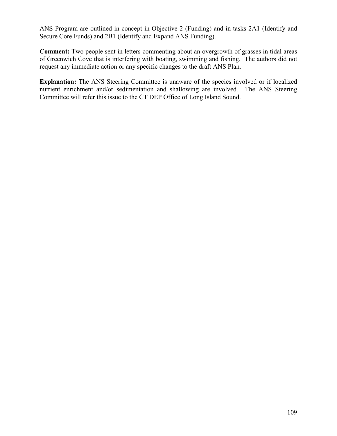ANS Program are outlined in concept in Objective 2 (Funding) and in tasks 2A1 (Identify and Secure Core Funds) and 2B1 (Identify and Expand ANS Funding).

**Comment:** Two people sent in letters commenting about an overgrowth of grasses in tidal areas of Greenwich Cove that is interfering with boating, swimming and fishing. The authors did not request any immediate action or any specific changes to the draft ANS Plan.

**Explanation:** The ANS Steering Committee is unaware of the species involved or if localized nutrient enrichment and/or sedimentation and shallowing are involved. The ANS Steering Committee will refer this issue to the CT DEP Office of Long Island Sound.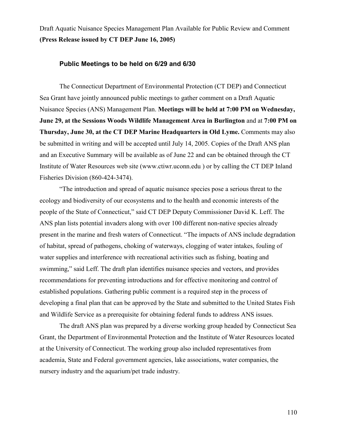Draft Aquatic Nuisance Species Management Plan Available for Public Review and Comment **(Press Release issued by CT DEP June 16, 2005)**

#### **Public Meetings to be held on 6/29 and 6/30**

The Connecticut Department of Environmental Protection (CT DEP) and Connecticut Sea Grant have jointly announced public meetings to gather comment on a Draft Aquatic Nuisance Species (ANS) Management Plan. **Meetings will be held at 7:00 PM on Wednesday, June 29, at the Sessions Woods Wildlife Management Area in Burlington** and at **7:00 PM on Thursday, June 30, at the CT DEP Marine Headquarters in Old Lyme.** Comments may also be submitted in writing and will be accepted until July 14, 2005. Copies of the Draft ANS plan and an Executive Summary will be available as of June 22 and can be obtained through the CT Institute of Water Resources web site (www.ctiwr.uconn.edu ) or by calling the CT DEP Inland Fisheries Division (860-424-3474).

"The introduction and spread of aquatic nuisance species pose a serious threat to the ecology and biodiversity of our ecosystems and to the health and economic interests of the people of the State of Connecticut," said CT DEP Deputy Commissioner David K. Leff. The ANS plan lists potential invaders along with over 100 different non-native species already present in the marine and fresh waters of Connecticut. "The impacts of ANS include degradation of habitat, spread of pathogens, choking of waterways, clogging of water intakes, fouling of water supplies and interference with recreational activities such as fishing, boating and swimming," said Leff. The draft plan identifies nuisance species and vectors, and provides recommendations for preventing introductions and for effective monitoring and control of established populations. Gathering public comment is a required step in the process of developing a final plan that can be approved by the State and submitted to the United States Fish and Wildlife Service as a prerequisite for obtaining federal funds to address ANS issues.

The draft ANS plan was prepared by a diverse working group headed by Connecticut Sea Grant, the Department of Environmental Protection and the Institute of Water Resources located at the University of Connecticut. The working group also included representatives from academia, State and Federal government agencies, lake associations, water companies, the nursery industry and the aquarium/pet trade industry.

110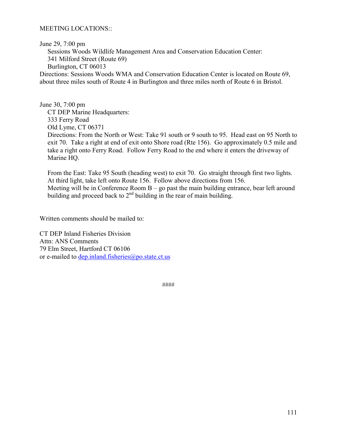### MEETING LOCATIONS::

June 29, 7:00 pm

Sessions Woods Wildlife Management Area and Conservation Education Center:

341 Milford Street (Route 69)

Burlington, CT 06013

Directions: Sessions Woods WMA and Conservation Education Center is located on Route 69, about three miles south of Route 4 in Burlington and three miles north of Route 6 in Bristol.

June 30, 7:00 pm CT DEP Marine Headquarters: 333 Ferry Road Old Lyme, CT 06371 Directions: From the North or West: Take 91 south or 9 south to 95. Head east on 95 North to exit 70. Take a right at end of exit onto Shore road (Rte 156). Go approximately 0.5 mile and take a right onto Ferry Road. Follow Ferry Road to the end where it enters the driveway of Marine HQ.

From the East: Take 95 South (heading west) to exit 70. Go straight through first two lights. At third light, take left onto Route 156. Follow above directions from 156. Meeting will be in Conference Room  $B - go$  past the main building entrance, bear left around building and proceed back to  $2<sup>nd</sup>$  building in the rear of main building.

Written comments should be mailed to:

CT DEP Inland Fisheries Division Attn: ANS Comments 79 Elm Street, Hartford CT 06106 or e-mailed to dep.inland.fisheries@po.state.ct.us

####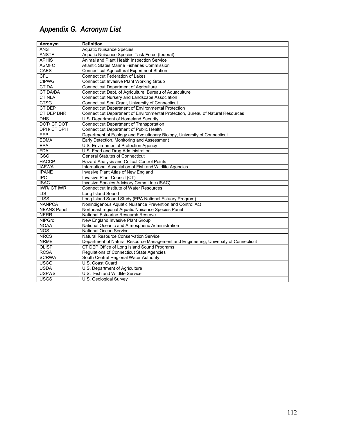# *Appendix G. Acronym List*

| Acronym            | <b>Definition</b>                                                                    |
|--------------------|--------------------------------------------------------------------------------------|
| <b>ANS</b>         | <b>Aquatic Nuisance Species</b>                                                      |
| <b>ANSTF</b>       | Aquatic Nuisance Species Task Force (federal)                                        |
| <b>APHIS</b>       | Animal and Plant Health Inspection Service                                           |
| <b>ASMFC</b>       | Atlantic States Marine Fisheries Commission                                          |
| <b>CAES</b>        | <b>Connecticut Agricultural Experiment Station</b>                                   |
| <b>CFL</b>         | Connecticut Federation of Lakes                                                      |
| <b>CIPWG</b>       | <b>Connecticut Invasive Plant Working Group</b>                                      |
| <b>CT DA</b>       | <b>Connecticut Department of Agriculture</b>                                         |
| <b>CT DA/BA</b>    | Connecticut Dept. of Agriculture, Bureau of Aquaculture                              |
| <b>CT NLA</b>      | Connecticut Nursery and Landscape Association                                        |
| <b>CTSG</b>        | Connecticut Sea Grant, University of Connecticut                                     |
| CT DEP             | <b>Connecticut Department of Environmental Protection</b>                            |
| <b>CT DEP BNR</b>  | Connecticut Department of Environmental Protection, Bureau of Natural Resources      |
| <b>DHS</b>         | U.S. Department of Homeland Security                                                 |
| <b>DOT/ CT DOT</b> | <b>Connecticut Department of Transportation</b>                                      |
| DPH/ CT DPH        | Connecticut Department of Public Health                                              |
| EEB                | Department of Ecology and Evolutionary Biology, University of Connecticut            |
| <b>EDMA</b>        | Early Detection, Monitoring and Assessment                                           |
| EPA                | U.S. Environmental Protection Agency                                                 |
| <b>FDA</b>         | U.S. Food and Drug Administration                                                    |
| GSC                | <b>General Statutes of Connecticut</b>                                               |
| <b>HACCP</b>       | <b>Hazard Analysis and Critical Control Points</b>                                   |
| <b>IAFWA</b>       | International Association of Fish and Wildlife Agencies                              |
| <b>IPANE</b>       | <b>Invasive Plant Atlas of New England</b>                                           |
| <b>IPC</b>         | Invasive Plant Council (CT)                                                          |
| <b>ISAC</b>        | Invasive Species Advisory Committee (ISAC)                                           |
| <b>IWR/CT IWR</b>  | <b>Connecticut Institute of Water Resources</b>                                      |
| <b>LIS</b>         | Long Island Sound                                                                    |
| <b>LISS</b>        | Long Island Sound Study (EPA National Estuary Program)                               |
| <b>NANPCA</b>      | Nonindigenous Aquatic Nuisance Prevention and Control Act                            |
| <b>NEANS Panel</b> | Northeast regional Aquatic Nuisance Species Panel                                    |
| <b>NERR</b>        | National Estuarine Research Reserve                                                  |
| <b>NIPGro</b>      | New England Invasive Plant Group                                                     |
| <b>NOAA</b>        | National Oceanic and Atmospheric Administration                                      |
| <b>NOS</b>         | <b>National Ocean Service</b>                                                        |
| <b>NRCS</b>        | Natural Resource Conservation Service                                                |
| <b>NRME</b>        | Department of Natural Resource Management and Engineering, University of Connecticut |
| <b>OLISP</b>       | CT DEP Office of Long Island Sound Programs                                          |
| <b>RCSA</b>        | Regulations of Connecticut State Agencies                                            |
| <b>SCRWA</b>       | South Central Regional Water Authority                                               |
| <b>USCG</b>        | U.S. Coast Guard                                                                     |
| <b>USDA</b>        | U.S. Department of Agriculture                                                       |
| <b>USFWS</b>       | U.S. Fish and Wildlife Service                                                       |
| <b>USGS</b>        | U.S. Geological Survey                                                               |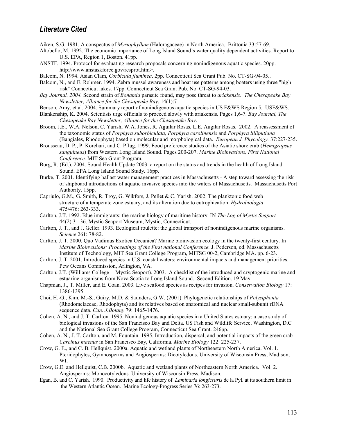## *Literature Cited*

- Aiken, S.G. 1981. A conspectus of *Myriophyllum* (Haloragaceae) in North America. Brittonia 33:57-69.
- Altobello, M. 1992. The economic importance of Long Island Sound's water quality dependent activities. Report to U.S. EPA, Region 1, Boston. 41pp.
- ANSTF. 1994. Protocol for evaluating research proposals concerning nonindigenous aquatic species. 20pp. http://www.anstaskforce.gov/resprot.htm>.
- Balcom, N. 1994. Asian Clam, *Corbicula fluminea*. 2pp. Connecticut Sea Grant Pub. No. CT-SG-94-05..
- Balcom, N., and E. Rohmer. 1994. Zebra mussel awareness and boat use patterns among boaters using three "high risk" Connecticut lakes. 17pp. Connecticut Sea Grant Pub. No. CT-SG-94-03.
- *Bay Journal. 2004.* Second strain of *Bonamia* parasite found, may pose threat to *ariakensis*. *The Chesapeake Bay Newsletter, Alliance for the Chesapeake Bay*. 14(1):7
- Benson, Amy, et al. 2004. Summary report of nonindigenous aquatic species in US F&WS Region 5. USF&WS.
- Blankenship, K. 2004. Scientists urge officials to proceed slowly with ariakensis. Pages 1,6-7. *Bay Journal, The Chesapeake Bay Newsletter, Alliance for the Chesapeake Bay*.
- Broom, J.E., W.A. Nelson, C. Yarish, W.A. Jones, R. Aguilar Rosas, L.E. Augilar Rosas. 2002. A reassessment of the taxonomic status of *Porphyra suborbiculata, Porphyra carolinensis* and *Porphyra lilliputiana* (Bangiales, Rhodophyta) based on molecular and morphological data. *European J. Phycology.* 37:227-235.
- Brousseau, D. P., P. Korchari, and C. Pflug. 1999. Food preference studies of the Asiatic shore crab (*Hemigrapsus sanguineus*) from Western Long Island Sound. Pages 200-207. *Marine Bioinvasions, First National Conference.* MIT Sea Grant Program.
- Burg, R. (Ed.). 2004. Sound Health Update 2003: a report on the status and trends in the health of Long Island Sound. EPA Long Island Sound Study. 16pp.
- Burke, T. 2001. Identifying ballast water management practices in Massachusetts A step toward assessing the risk of shipboard introductions of aquatic invasive species into the waters of Massachusetts. Massachusetts Port Authority. 15pp.
- Capriulo, G.M., G. Smith, R. Troy, G. Wikfors, J. Pellet & C. Yarish. 2002. The planktonic food web structure of a temperate zone estuary, and its alteration due to eutrophication. *Hydrobiologia* 475/476: 263-333.
- Carlton, J.T. 1992. Blue immigrants: the marine biology of maritime history. IN *The Log of Mystic Seaport* 44(2):31-36. Mystic Seaport Museum, Mystic, Connecticut.
- Carlton, J. T., and J. Geller. 1993. Ecological roulette: the global transport of nonindigenous marine organisms. *Science* 261: 78-82.
- Carlton, J. T. 2000. Quo Vadimus Exotica Oceanica? Marine bioinvasion ecology in the twenty-first century. In *Marine Bioinvasions: Proceedings of the First national Conference.* J. Pederson, ed. Massachusetts Institute of Technology, MIT Sea Grant College Program, MITSG 00-2, Cambridge MA. pp. 6-23.
- Carlton, J. T. 2001. Introduced species in U.S. coastal waters: environmental impacts and management priorities. Pew Oceans Commission, Arlington, VA.
- Carlton, J.T. (Williams College -- Mystic Seaport). 2003. A checklist of the introduced and cryptogenic marine and estuarine organisms from Nova Scotia to Long Island Sound. Second Edition. 19 May.
- Chapman, J., T. Miller, and E. Coan. 2003. Live seafood species as recipes for invasion. *Conservation Biology* 17: 1386-1395.
- Choi, H.-G., Kim, M.-S., Guiry, M.D. & Saunders, G.W. (2001). Phylogenetic relationships of *Polysiphonia* (Rhodomelaceae, Rhodophyta) and its relatives based on anatomical and nuclear small-subunit rDNA sequence data. *Can. J.Botany* 79: 1465-1476.
- Cohen, A. N., and J. T. Carlton. 1995. Nonindigenous aquatic species in a United States estuary: a case study of biological invasions of the San Francisco Bay and Delta. US Fish and Wildlife Service, Washington, D.C and the National Sea Grant College Program, Connecticut Sea Grant. 246pp.
- Cohen, A. N., J. T. Carlton, and M. Fountain. 1995. Introduction, dispersal, and potential impacts of the green crab *Carcinus maenus* in San Francisco Bay, California. *Marine Biology* 122: 225-237.
- Crow, G. E., and C. B. Hellquist. 2000a. Aquatic and wetland plants of Northeastern North America. Vol. 1. Pteridophytes, Gymnosperms and Angiosperms: Dicotyledons. University of Wisconsin Press, Madison, WI.
- Crow, G.E. and Hellquist, C.B. 2000b. Aquatic and wetland plants of Northeastern North America. Vol. 2. Angiosperms: Monocotyledons. University of Wisconsin Press, Madison.
- Egan, B. and C. Yarish. 1990. Productivity and life history of *Laminaria longicruris* de la Pyl. at its southern limit in the Western Atlantic Ocean. Marine Ecology-Progress Series 76: 263-273.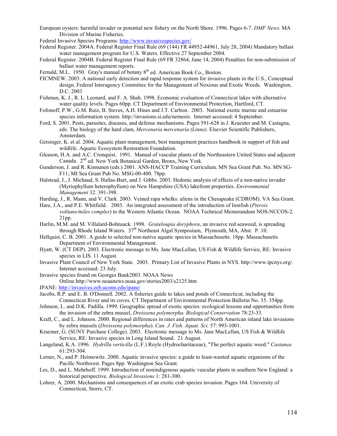European oysters: harmful invader or potential new fishery on the North Shore. 1996. Pages 6-7. *DMF News*. MA Division of Marine Fisheries.

Federal Invasive Species Programs: <http://www.invasivespecies.gov/>

- Federal Register. 2004A. Federal Register Final Rule (69 (144) FR 44952-44961, July 28, 2004) Mandatory ballast water management program for U.S. Waters. Effective 27 September 2004.
- Federal Register. 2004B. Federal Register Final Rule (69 FR 32864, June 14, 2004) Penalties for non-submission of ballast water management reports.
- Fernald, M.L. 1950. Gray's manual of botany 8<sup>th</sup> ed. American Book Co., Boston.
- FICMNEW. 2003. A national early detection and rapid response system for invasive plants in the U.S., Conceptual design. Federal Interagency Committee for the Management of Noxious and Exotic Weeds. Washington, D.C. 2003
- Fishman, K. J., R. L. Leonard, and F. A. Shah. 1998. Economic evaluation of Connecticut lakes with alternative water quality levels. Pages 60pp. CT Department of Environmental Protection, Hartford, CT.
- Fofonoff, P.W., G.M. Ruiz, B. Steves, A.H. Hines and J.T. Carlton. 2003. National exotic marine and estuarine species information system. http://invasions.si.edu/nemesis. Internet accessed: 4 September.
- Ford, S. 2001. Pests, parasites, diseases, and defense mechanisms. Pages 591-628 in J. Kraeuter and M. Castagna, eds. The biology of the hard clam, *Mercenaria mercenaria (Linne)*. Elsevier Scientific Publishers, Amsterdam.
- Getsinger, K. et al. 2004. Aquatic plant management, best management practices handbook in support of fish and wildlife. Aquatic Ecosystem Restoration Foundation.
- Gleason, H.A. and A.C. Cronquist. 1991. Manual of vascular plants of the Northeastern United States and adjacent Canada. 2nd ed. New York Botanical Garden, Bronx, New York.
- Gunderson, J. and R. Kinnunen (eds.) 2001. ANS-HACCP Training Curriculum. MN Sea Grant Pub. No. MN SG-F11; MI Sea Grant Pub No. MSG-00-400. 78pp.
- Halstead, J., J. Michaud, S. Hallas-Burt, and J. Gibbs. 2003. Hedonic analysis of effects of a non-native invader (Myriophyllum heterophyllum) on New Hampshire (USA) lakefront properties. *Environmental Management* 32: 391-398.
- Harding, J., R. Mann, and V. Clark. 2003. Veined rapa whelks: aliens in the Chesapeake (CDROM). VA Sea Grant.

Hare, J.A., and P.E. Whitfield. 2003. An integrated assessment of the introduction of lionfish (*Pterois volitans/miles complex*) to the Western Atlantic Ocean. NOAA Technical Memorandum NOS-NCCOS-2. 21pp.

- Harlin, M.M. and M. Villalard-Bohnsack. 1998. *Grateloupia doryphora*, an invasive red seaweed, is spreading through Rhode Island Waters.  $37<sup>th</sup>$  Northeast Algal Symposium, Plymouth, MA, Abst. P. 10.
- Hellquist, C. B. 2001. A guide to selected non-native aquatic species in Massachusetts. 18pp. Massachusetts Department of Environmental Management.
- Hyatt, W. (CT DEP). 2003. Electronic message to Ms. Jane MacLellan, US Fish & Wildlife Service, RE: Invasive species in LIS. 11 August.
- Invasive Plant Council of New York State. 2003. Primary List of Invasive Plants in NYS. http://www.ipcnys.org/. Internet accessed: 23 July.

Invasive species found on Georges Bank2003. NOAA News

Online.http://www.noaanews.noaa.gov/stories2003/s2125.htm

IPANE: <http://invasives.eeb.uconn.edu/ipane/>

- Jacobs, R.P. and E. B. O'Donnell. 2002. A fisheries guide to lakes and ponds of Connecticut, including the Connecticut River and its coves. CT Department of Environmental Protection Bulletin No. 35. 354pp.
- Johnson, L. and D.K. Padilla. 1999. Geographic spread of exotic species: ecological lessons and opportunities from the invasion of the zebra mussel, *Dreissena polymorpha. Biological Conservation* 78:23-33.
- Kraft, C., and L. Johnson. 2000. Regional differences in rates and patterns of North American inland lake invasions by zebra mussels (*Dreissena polymorpha*). *Can. J. Fish. Aquat. Sci.* 57: 993-1001.
- Kraemer, G. (SUNY Purchase College). 2003. Electronic message to Ms. Jane MacLellan, US Fish & Wildlife Service, RE: Invasive species in Long Island Sound. 21 August.
- Langeland, K.A. 1996. *Hydrilla verticilla* (L.F.) Royle (Hydrocharitaceae), "The perfect aquatic weed." *Castanea* 61:293-304.
- Lerner, N., and P. Heimowitz. 2000. Aquatic invasive species: a guide to least-wanted aquatic organisms of the Pacific Northwest. Pages 8pp. Washington Sea Grant.
- Les, D., and L. Mehrhoff. 1999. Introduction of nonindigenous aquatic vascular plants in southern New England: a historical perspective. *Biological Invasions* 1: 281-300.
- Lohrer, A. 2000. Mechanisms and consequences of an exotic crab species invasion. Pages 164. University of Connecticut, Storrs, CT.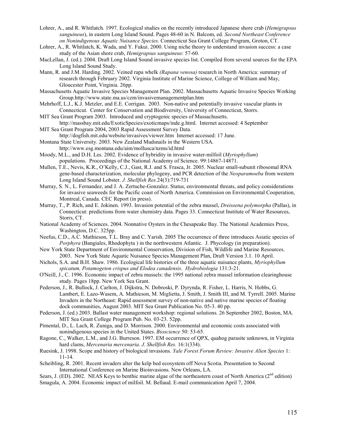- Lohrer, A., and R. Whitlatch. 1997. Ecological studies on the recently introduced Japanese shore crab (*Hemigrapsus sanguineus*), in eastern Long Island Sound. Pages 48-60 in N. Balcom, ed. *Second Northeast Conference on Nonindigenous Aquatic Nuisance Species*. Connecticut Sea Grant College Program, Groton, CT.
- Lohrer, A., R. Whitlatch, K. Wada, and Y. Fukui. 2000. Using niche theory to understand invasion success: a case study of the Asian shore crab, *Hemigrapsus sanguineus*: 57-60.
- MacLellan, J. (ed.). 2004. Draft Long Island Sound invasive species list. Compiled from several sources for the EPA Long Island Sound Study.
- Mann, R. and J.M. Harding. 2002. Veined rapa whelk *(Rapana venosa)* research in North America: summary of research through February 2002. Virginia Institute of Marine Science, College of William and May, Gloucester Point, Virginia. 26pp.
- Massachusetts Aquatic Invasive Species Management Plan. 2002. Massachusetts Aquatic Invasive Species Working Group.http://www.state.ma.us/czm/invasivemanagementplan.htm
- Mehrhoff, L.J., K.J. Metzler, and E.E. Corrigan. 2003. Non-native and potentially invasive vascular plants in Connecticut. Center for Conservation and Biodiversity, University of Connecticut, Storrs.
- MIT Sea Grant Program 2003. Introduced and cryptogenic species of Massachusetts. http://massbay.mit.edu/ExoticSpecies/exoticmaps/inde.g.html. Internet accessed: 4 September
- MIT Sea Grant Program 2004, 2003 Rapid Assessment Survey Data. http://dogfish.mit.edu/website/invasives/viewer.htm Internet accessed: 17 June.
- Montana State University. 2003. New Zealand Mudsnails in the Western USA. http://www.esg.montana.edu/aim/mollusca/nzms/id.html
- Moody, M.L., and D.H. Les. 2002. Evidence of hybridity in invasive water-milfoil (*Myriophyllum*) populations. Proceedings of the National Academy of Science. 99:14867-14871.
- Mullen, T.E., Nevis, K.R., O'Kelly, C.J., Gast, R.J. and S. Frasca, Jr. 2005. Nuclear small-subunit ribosomal RNA gene-based characterization, molecular phylogeny, and PCR detection of the *Neoparamoeba* from western Long Island Sound Lobster. *J. Shellfish Res.*24(3):719-731
- Murray, S. N., L. Fernandez, and J. A. Zertuche-Gonzalez. Status, environmental threats, and policy considerations for invasive seaweeds for the Pacific coast of North America. Commission on Environmental Cooperation, Montreal, Canada. CEC Report (in press).
- Murray, T., P. Rich, and E. Jokinen. 1993. Invasion potential of the zebra mussel, *Dreissena polymorpha* (Pallas), in Connecticut: predictions from water chemistry data. Pages 33. Connecticut Institute of Water Resources, Storrs, CT.
- National Academy of Sciences. 2004. Nonnative Oysters in the Chesapeake Bay. The National Academies Press, Washington, D.C. 325pp.
- Neefus, C.D., A.C. Mathieson, T.L. Bray and C. Yarish. 2005 The occurrence of three introduces Asiatic species of *Porphyra* (Bangiales, Rhodophyta ) in the northwestern Atlantic. J. Phycology (in preparation).
- New York State Department of Environmental Conservation, Division of Fish, Wildlife and Marine Resources. 2003. New York State Aquatic Nuisance Species Management Plan, Draft Version 3.1. 10 April.
- Nichols, S.A. and B.H. Shaw. 1986. Ecological life histories of the three aquatic nuisance plants, *Myriophyllum spicatum, Potamogeton crispus and Elodea canadensis*. *Hydrobiologia* 131:3-21.
- O'Neill, J., C. 1996. Economic impact of zebra mussels: the 1995 national zebra mussel information clearinghouse study. Pages 18pp. New York Sea Grant.
- Pederson, J., R. Bullock, J. Carlton, J. Dijkstra, N. Dobroski, P. Dyrynda, R. Fisher, L. Harris, N. Hobbs, G. Lambert, E. Lazo-Wasem, A. Mathieson, M. Miglietta, J. Smith, J. Smith III, and M. Tyrrell. 2005. Marine Invaders in the Northeast: Rapid assessment survey of non-native and native marine species of floating dock communities, August 2003. MIT Sea Grant Publication No. 05-3. 40 pp.
- Pederson, J. (ed.) 2003. Ballast water management workshop: regional solutions. 26 September 2002, Boston, MA. MIT Sea Grant College Program Pub. No. 03-23. 52pp.
- Pimental, D., L. Lach, R. Zuniga, and D. Morrison. 2000. Environmental and economic costs associated with nonindigenous species in the United States. *Bioscience* 50: 53-65.
- Ragone, C., Walker, L.M., and J.G. Burreson. 1997. EM occurrence of QPX, quahog parasite unknown, in Virginia hard clams, *Mercenaria mercenaria*. *J. Shellfish Res.* 16:1(334).
- Ruesink, J. 1998. Scope and history of biological invasions. *Yale Forest Forum Review: Invasive Alien Species* 1: 11-14.
- Scheibling, R. 2001. Recent invaders alter the kelp bed ecosystem off Nova Scotia. Presentation to Second International Conference on Marine Bioinvasions. New Orleans, LA.

Sears, J. (ED). 2002. NEAS Keys to benthic marine algae of the northeastern coast of North America (2<sup>nd</sup> edition) Smagula, A. 2004. Economic impact of milfoil. M. Bellaud. E-mail communication April 7, 2004.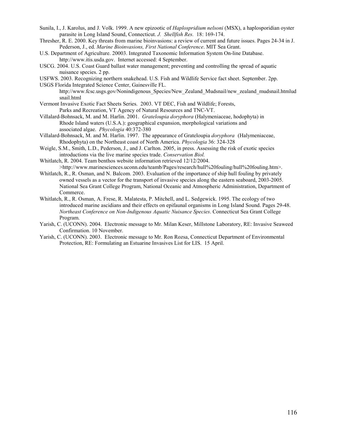- Sunila, I., J. Karolus, and J. Volk. 1999. A new epizootic of *Haplospridium nelsoni* (MSX), a haplosporidian oyster parasite in Long Island Sound, Connecticut. *J. Shellfish Res.* 18: 169-174.
- Thresher, R. E. 2000. Key threats from marine bioinvasions: a review of current and future issues. Pages 24-34 in J. Pederson, J., ed. *Marine Bioinvasions, First National Conference*. MIT Sea Grant.
- U.S. Department of Agriculture. 20003. Integrated Taxonomic Information System On-line Database. http://www.itis.usda.gov. Internet accessed: 4 September.
- USCG. 2004. U.S. Coast Guard ballast water management; preventing and controlling the spread of aquatic nuisance species. 2 pp.
- USFWS. 2003. Recognizing northern snakehead. U.S. Fish and Wildlife Service fact sheet. September. 2pp.
- USGS Florida Integrated Science Center, Gainesville FL. http://www.fcsc.usgs.gov/Nonindigenous\_Species/New\_Zealand\_Mudsnail/new\_zealand\_mudsnail.htmlud snail.html
- Vermont Invasive Exotic Fact Sheets Series. 2003. VT DEC, Fish and Wildlife; Forests, Parks and Recreation, VT Agency of Natural Resources and TNC-VT.
- Villalard-Bohnsack, M. and M. Harlin. 2001. *Grateloupia doryphora* (Halymeniaceae, hodophyta) in Rhode Island waters (U.S.A.): geographical expansion, morphological variations and associated algae. *Phycologia* 40:372-380
- Villalard-Bohnsack, M. and M. Harlin. 1997. The appearance of Grateloupia *doryphora* (Halymeniaceae, Rhodophyta) on the Northeast coast of North America. *Phycologia* 36: 324-328
- Weigle, S.M., Smith, L.D., Pederson, J., and J. Carlton. 2005, in press. Assessing the risk of exotic species introductions via the live marine species trade. *Conservation Biol.*
- Whitlatch, R. 2004. Team benthos website information retrieved 12/12/2004. >http://www.marinesciences.uconn.edu/teamb/Pages/research/hull%20fouling/hull%20fouling.htm>.
- Whitlatch, R., R. Osman, and N. Balcom. 2003. Evaluation of the importance of ship hull fouling by privately owned vessels as a vector for the transport of invasive species along the eastern seaboard, 2003-2005. National Sea Grant College Program, National Oceanic and Atmospheric Administration, Department of Commerce.
- Whitlatch, R., R. Osman, A. Frese, R. Malatesta, P. Mitchell, and L. Sedgewick. 1995. The ecology of two introduced marine ascidians and their effects on epifaunal organisms in Long Island Sound. Pages 29-48. *Northeast Conference on Non-Indigenous Aquatic Nuisance Species*. Connecticut Sea Grant College Program.
- Yarish, C. (UCONN). 2004. Electronic message to Mr. Milan Keser, Millstone Laboratory, RE: Invasive Seaweed Confirmation. 10 November.
- Yarish, C. (UCONN). 2003. Electronic message to Mr. Ron Rozsa, Connecticut Department of Environmental Protection, RE: Formulating an Estuarine Invasives List for LIS. 15 April.